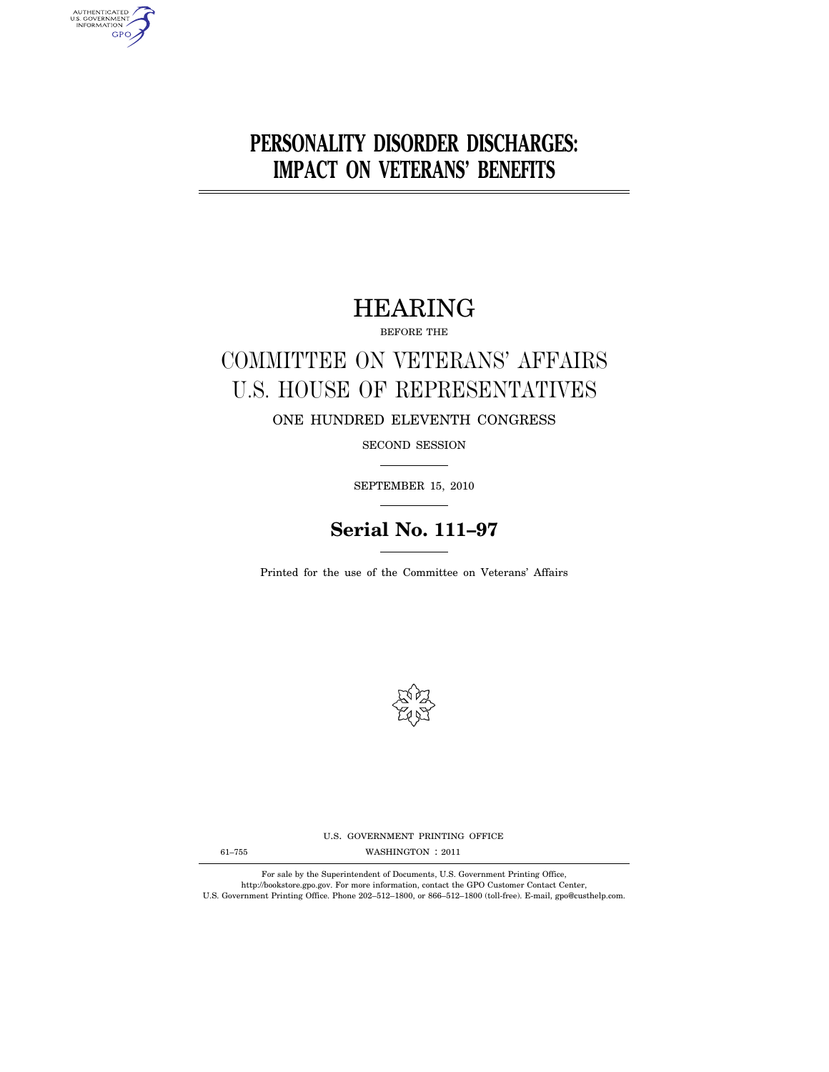## **PERSONALITY DISORDER DISCHARGES: IMPACT ON VETERANS' BENEFITS**

AUTHENTICATED<br>U.S. GOVERNMENT<br>INFORMATION **GPO** 

## HEARING

BEFORE THE

# COMMITTEE ON VETERANS' AFFAIRS U.S. HOUSE OF REPRESENTATIVES

ONE HUNDRED ELEVENTH CONGRESS

SECOND SESSION

SEPTEMBER 15, 2010

## **Serial No. 111–97**

Printed for the use of the Committee on Veterans' Affairs



U.S. GOVERNMENT PRINTING OFFICE

61–755 WASHINGTON : 2011

For sale by the Superintendent of Documents, U.S. Government Printing Office, http://bookstore.gpo.gov. For more information, contact the GPO Customer Contact Center, U.S. Government Printing Office. Phone 202–512–1800, or 866–512–1800 (toll-free). E-mail, gpo@custhelp.com.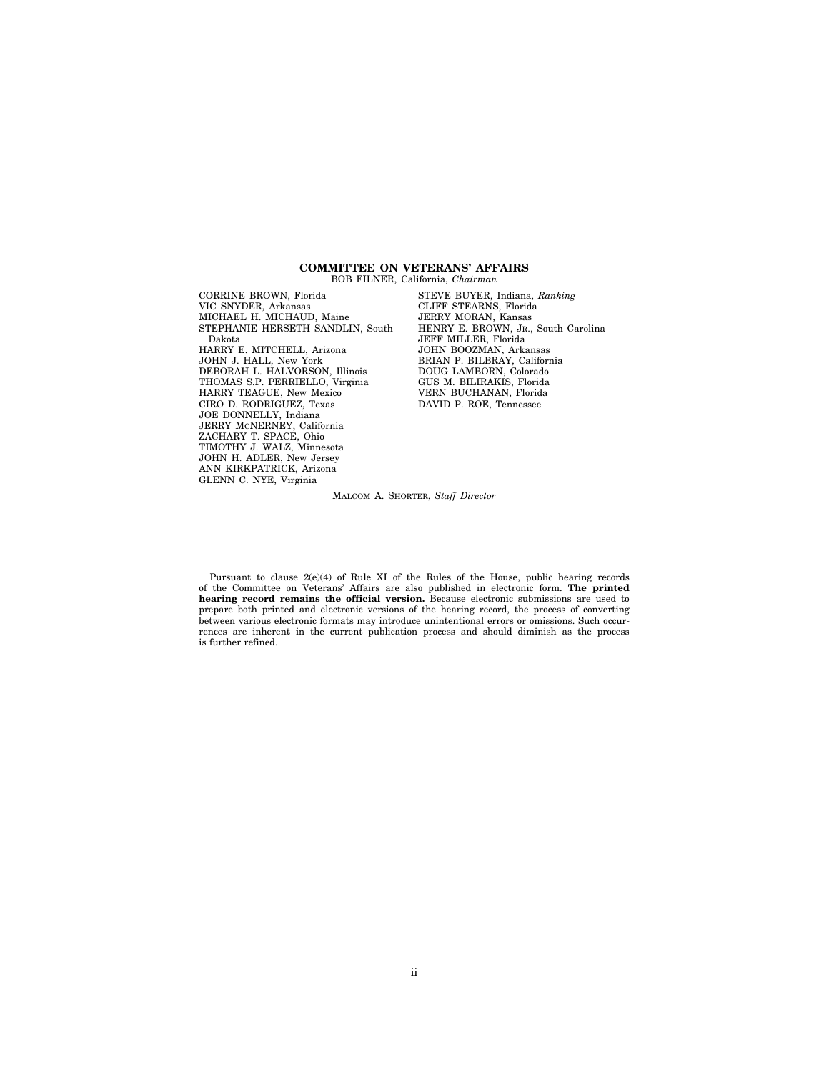#### **COMMITTEE ON VETERANS' AFFAIRS**  BOB FILNER, California, *Chairman*

CORRINE BROWN, Florida VIC SNYDER, Arkansas MICHAEL H. MICHAUD, Maine STEPHANIE HERSETH SANDLIN, South Dakota HARRY E. MITCHELL, Arizona JOHN J. HALL, New York DEBORAH L. HALVORSON, Illinois THOMAS S.P. PERRIELLO, Virginia HARRY TEAGUE, New Mexico CIRO D. RODRIGUEZ, Texas JOE DONNELLY, Indiana JERRY MCNERNEY, California ZACHARY T. SPACE, Ohio TIMOTHY J. WALZ, Minnesota JOHN H. ADLER, New Jersey ANN KIRKPATRICK, Arizona GLENN C. NYE, Virginia

STEVE BUYER, Indiana, *Ranking*  CLIFF STEARNS, Florida JERRY MORAN, Kansas HENRY E. BROWN, JR., South Carolina JEFF MILLER, Florida JOHN BOOZMAN, Arkansas BRIAN P. BILBRAY, California DOUG LAMBORN, Colorado GUS M. BILIRAKIS, Florida VERN BUCHANAN, Florida DAVID P. ROE, Tennessee

MALCOM A. SHORTER, *Staff Director* 

Pursuant to clause 2(e)(4) of Rule XI of the Rules of the House, public hearing records of the Committee on Veterans' Affairs are also published in electronic form. **The printed hearing record remains the official version.** Because electronic submissions are used to prepare both printed and electronic versions of the hearing record, the process of converting between various electronic formats may introduce unintentional errors or omissions. Such occurrences are inherent in the current publication process and should diminish as the process is further refined.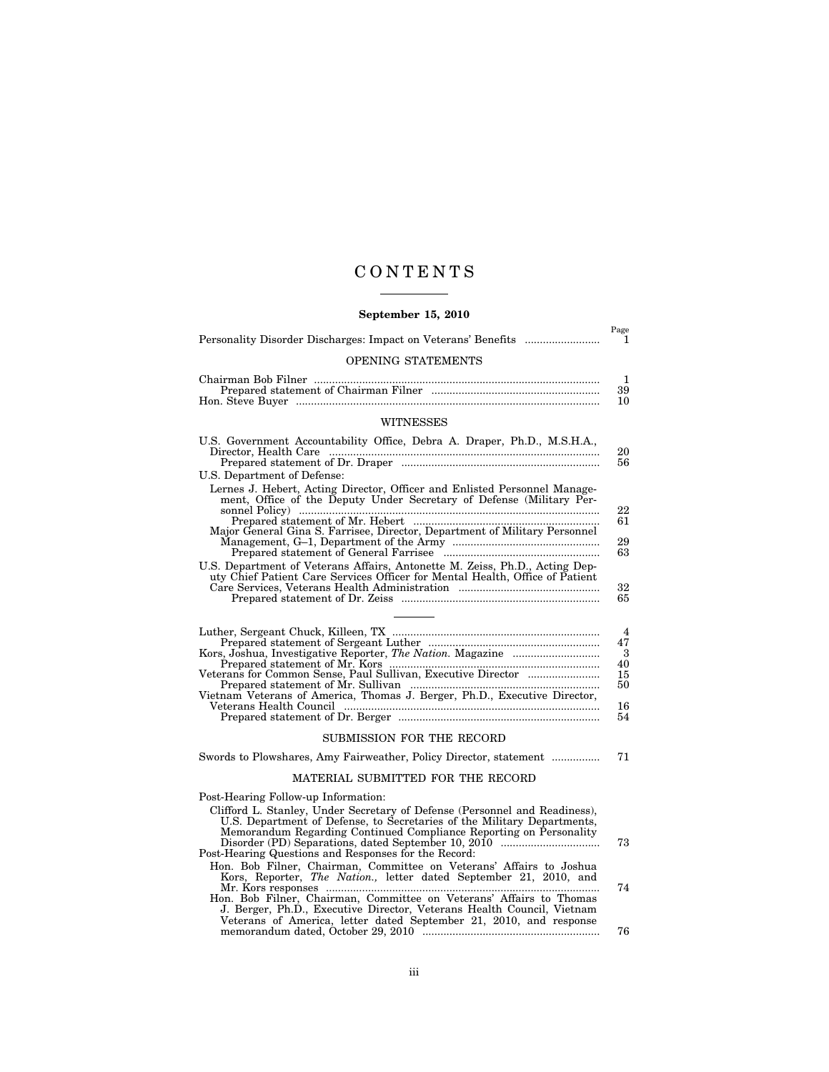## C O N T E N T S

### **September 15, 2010**

| September 15, 2010                                                                                                                                                                                                                                                                                                                                                                                |                                            |
|---------------------------------------------------------------------------------------------------------------------------------------------------------------------------------------------------------------------------------------------------------------------------------------------------------------------------------------------------------------------------------------------------|--------------------------------------------|
|                                                                                                                                                                                                                                                                                                                                                                                                   | Page<br>1                                  |
| OPENING STATEMENTS                                                                                                                                                                                                                                                                                                                                                                                |                                            |
|                                                                                                                                                                                                                                                                                                                                                                                                   | 1<br>39<br>10                              |
| <b>WITNESSES</b>                                                                                                                                                                                                                                                                                                                                                                                  |                                            |
| U.S. Government Accountability Office, Debra A. Draper, Ph.D., M.S.H.A.,<br>U.S. Department of Defense:                                                                                                                                                                                                                                                                                           | 20<br>56                                   |
| Lernes J. Hebert, Acting Director, Officer and Enlisted Personnel Manage-<br>ment, Office of the Deputy Under Secretary of Defense (Military Per-                                                                                                                                                                                                                                                 | 22                                         |
| Major General Gina S. Farrisee, Director, Department of Military Personnel                                                                                                                                                                                                                                                                                                                        | 61<br>29<br>63                             |
| U.S. Department of Veterans Affairs, Antonette M. Zeiss, Ph.D., Acting Dep-<br>uty Chief Patient Care Services Officer for Mental Health, Office of Patient                                                                                                                                                                                                                                       | 32<br>65                                   |
| Vietnam Veterans of America, Thomas J. Berger, Ph.D., Executive Director,                                                                                                                                                                                                                                                                                                                         | 4<br>47<br>3<br>40<br>15<br>50<br>16<br>54 |
| SUBMISSION FOR THE RECORD                                                                                                                                                                                                                                                                                                                                                                         |                                            |
| Swords to Plowshares, Amy Fairweather, Policy Director, statement                                                                                                                                                                                                                                                                                                                                 | 71                                         |
| MATERIAL SUBMITTED FOR THE RECORD                                                                                                                                                                                                                                                                                                                                                                 |                                            |
| Post-Hearing Follow-up Information:<br>Clifford L. Stanley, Under Secretary of Defense (Personnel and Readiness),<br>U.S. Department of Defense, to Secretaries of the Military Departments,<br>Memorandum Regarding Continued Compliance Reporting on Personality<br>Post-Hearing Questions and Responses for the Record:<br>Hon. Bob Filner, Chairman, Committee on Veterans' Affairs to Joshua | 73                                         |
| Kors, Reporter, The Nation., letter dated September 21, 2010, and                                                                                                                                                                                                                                                                                                                                 | 74                                         |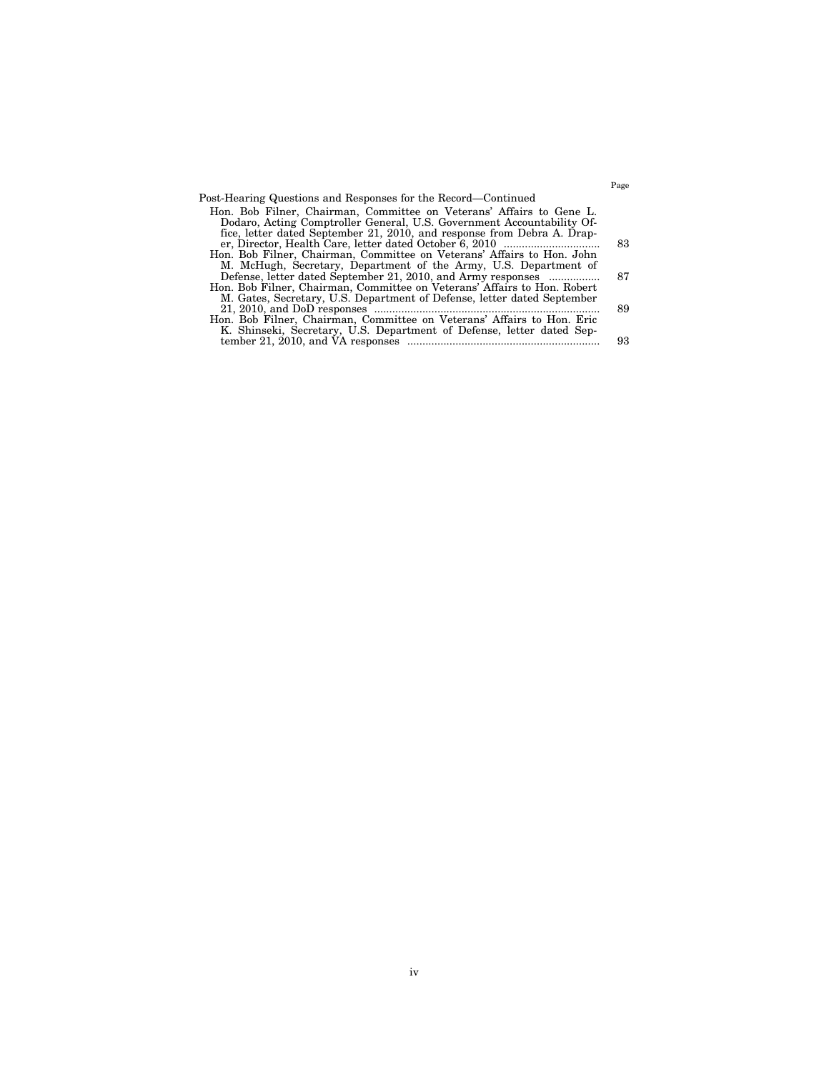Post-Hearing Questions and Responses for the Record—Continued

| Hon. Bob Filner, Chairman, Committee on Veterans' Affairs to Gene L.                                                                                                                                         |    |
|--------------------------------------------------------------------------------------------------------------------------------------------------------------------------------------------------------------|----|
| Dodaro, Acting Comptroller General, U.S. Government Accountability Of-                                                                                                                                       |    |
| fice, letter dated September 21, 2010, and response from Debra A. Drap-<br>Hon. Bob Filner, Chairman, Committee on Veterans' Affairs to Hon. John                                                            | 83 |
| M. McHugh, Secretary, Department of the Army, U.S. Department of<br>Defense, letter dated September 21, 2010, and Army responses<br>Hon. Bob Filner, Chairman, Committee on Veterans' Affairs to Hon. Robert | 87 |
| M. Gates, Secretary, U.S. Department of Defense, letter dated September<br>Hon. Bob Filner, Chairman, Committee on Veterans' Affairs to Hon. Eric                                                            | 89 |
| K. Shinseki, Secretary, U.S. Department of Defense, letter dated Sep-                                                                                                                                        | 93 |

Page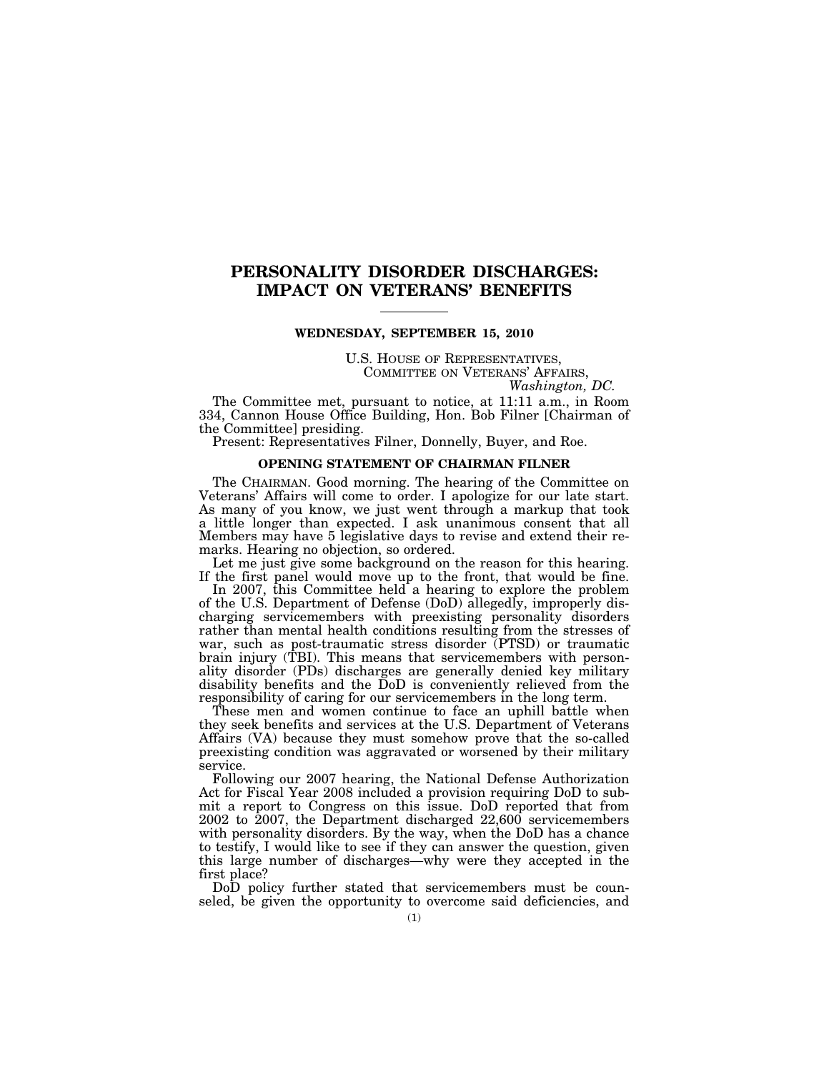## **PERSONALITY DISORDER DISCHARGES: IMPACT ON VETERANS' BENEFITS**

#### **WEDNESDAY, SEPTEMBER 15, 2010**

# U.S. HOUSE OF REPRESENTATIVES, COMMITTEE ON VETERANS' AFFAIRS, *Washington, DC.*

The Committee met, pursuant to notice, at 11:11 a.m., in Room 334, Cannon House Office Building, Hon. Bob Filner [Chairman of the Committee] presiding.

Present: Representatives Filner, Donnelly, Buyer, and Roe.

#### **OPENING STATEMENT OF CHAIRMAN FILNER**

The CHAIRMAN. Good morning. The hearing of the Committee on Veterans' Affairs will come to order. I apologize for our late start. As many of you know, we just went through a markup that took a little longer than expected. I ask unanimous consent that all Members may have 5 legislative days to revise and extend their remarks. Hearing no objection, so ordered.

Let me just give some background on the reason for this hearing. If the first panel would move up to the front, that would be fine.

In 2007, this Committee held a hearing to explore the problem of the U.S. Department of Defense (DoD) allegedly, improperly discharging servicemembers with preexisting personality disorders rather than mental health conditions resulting from the stresses of war, such as post-traumatic stress disorder (PTSD) or traumatic brain injury (TBI). This means that servicemembers with personality disorder (PDs) discharges are generally denied key military disability benefits and the DoD is conveniently relieved from the responsibility of caring for our servicemembers in the long term.

These men and women continue to face an uphill battle when they seek benefits and services at the U.S. Department of Veterans Affairs (VA) because they must somehow prove that the so-called preexisting condition was aggravated or worsened by their military service.

Following our 2007 hearing, the National Defense Authorization Act for Fiscal Year 2008 included a provision requiring DoD to submit a report to Congress on this issue. DoD reported that from  $2002$  to  $2007$ , the Department discharged  $22,600$  servicemembers with personality disorders. By the way, when the DoD has a chance to testify, I would like to see if they can answer the question, given this large number of discharges—why were they accepted in the first place?

DoD policy further stated that servicemembers must be counseled, be given the opportunity to overcome said deficiencies, and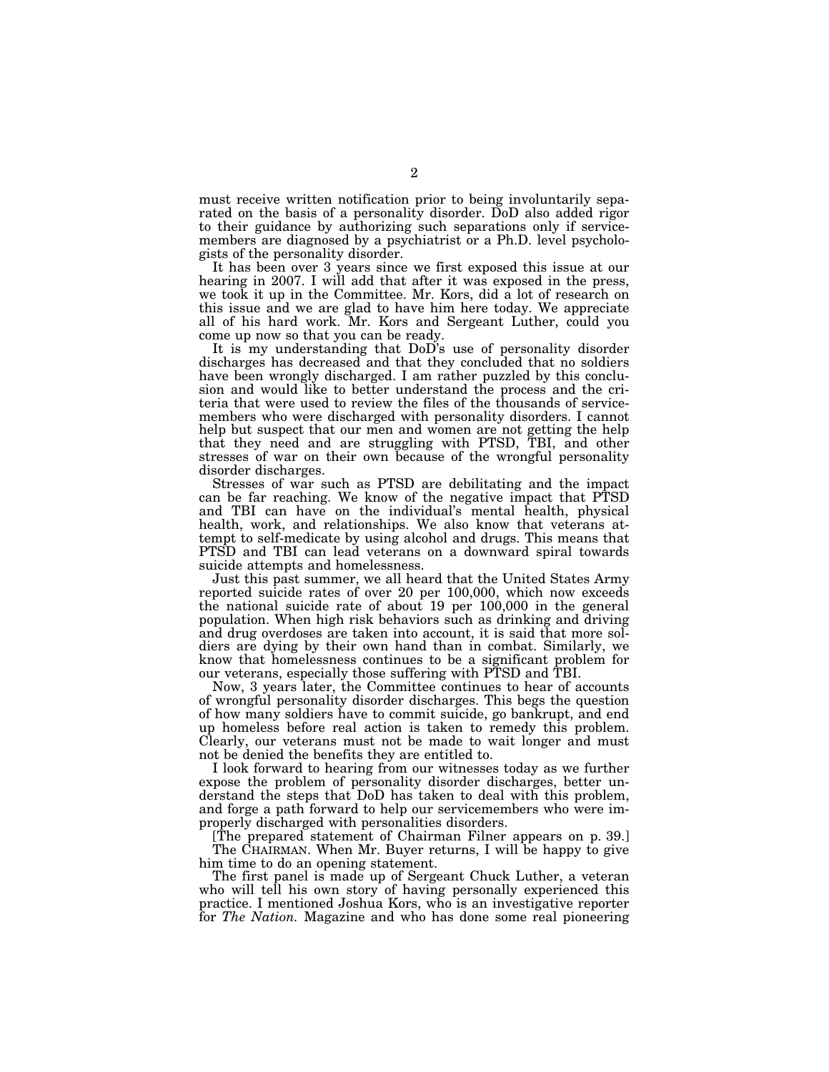must receive written notification prior to being involuntarily separated on the basis of a personality disorder. DoD also added rigor to their guidance by authorizing such separations only if servicemembers are diagnosed by a psychiatrist or a Ph.D. level psychologists of the personality disorder.

It has been over 3 years since we first exposed this issue at our hearing in 2007. I will add that after it was exposed in the press, we took it up in the Committee. Mr. Kors, did a lot of research on this issue and we are glad to have him here today. We appreciate all of his hard work. Mr. Kors and Sergeant Luther, could you come up now so that you can be ready.

It is my understanding that DoD's use of personality disorder discharges has decreased and that they concluded that no soldiers have been wrongly discharged. I am rather puzzled by this conclusion and would like to better understand the process and the criteria that were used to review the files of the thousands of servicemembers who were discharged with personality disorders. I cannot help but suspect that our men and women are not getting the help that they need and are struggling with PTSD, TBI, and other stresses of war on their own because of the wrongful personality disorder discharges.

Stresses of war such as PTSD are debilitating and the impact can be far reaching. We know of the negative impact that PTSD and TBI can have on the individual's mental health, physical health, work, and relationships. We also know that veterans attempt to self-medicate by using alcohol and drugs. This means that PTSD and TBI can lead veterans on a downward spiral towards suicide attempts and homelessness.

Just this past summer, we all heard that the United States Army reported suicide rates of over 20 per 100,000, which now exceeds the national suicide rate of about 19 per 100,000 in the general population. When high risk behaviors such as drinking and driving and drug overdoses are taken into account, it is said that more soldiers are dying by their own hand than in combat. Similarly, we know that homelessness continues to be a significant problem for our veterans, especially those suffering with PTSD and TBI.

Now, 3 years later, the Committee continues to hear of accounts of wrongful personality disorder discharges. This begs the question of how many soldiers have to commit suicide, go bankrupt, and end up homeless before real action is taken to remedy this problem. Clearly, our veterans must not be made to wait longer and must not be denied the benefits they are entitled to.

I look forward to hearing from our witnesses today as we further expose the problem of personality disorder discharges, better understand the steps that DoD has taken to deal with this problem, and forge a path forward to help our servicemembers who were improperly discharged with personalities disorders.

[The prepared statement of Chairman Filner appears on p. 39.] The CHAIRMAN. When Mr. Buyer returns, I will be happy to give him time to do an opening statement.

The first panel is made up of Sergeant Chuck Luther, a veteran who will tell his own story of having personally experienced this practice. I mentioned Joshua Kors, who is an investigative reporter for *The Nation.* Magazine and who has done some real pioneering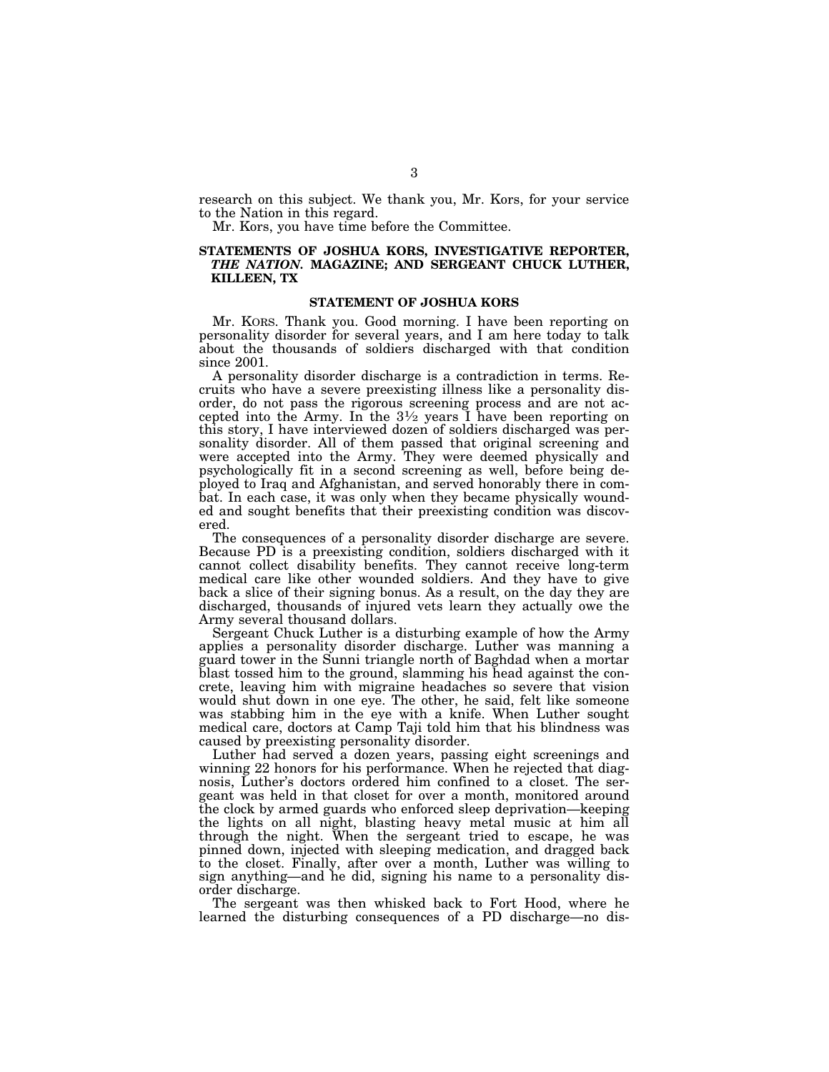research on this subject. We thank you, Mr. Kors, for your service to the Nation in this regard.

Mr. Kors, you have time before the Committee.

#### **STATEMENTS OF JOSHUA KORS, INVESTIGATIVE REPORTER,**  *THE NATION.* **MAGAZINE; AND SERGEANT CHUCK LUTHER, KILLEEN, TX**

#### **STATEMENT OF JOSHUA KORS**

Mr. KORS. Thank you. Good morning. I have been reporting on personality disorder for several years, and I am here today to talk about the thousands of soldiers discharged with that condition since 2001.

A personality disorder discharge is a contradiction in terms. Recruits who have a severe preexisting illness like a personality disorder, do not pass the rigorous screening process and are not accepted into the Army. In the  $3\frac{1}{2}$  years I have been reporting on this story, I have interviewed dozen of soldiers discharged was personality disorder. All of them passed that original screening and were accepted into the Army. They were deemed physically and psychologically fit in a second screening as well, before being deployed to Iraq and Afghanistan, and served honorably there in combat. In each case, it was only when they became physically wounded and sought benefits that their preexisting condition was discovered.

The consequences of a personality disorder discharge are severe. Because PD is a preexisting condition, soldiers discharged with it cannot collect disability benefits. They cannot receive long-term medical care like other wounded soldiers. And they have to give back a slice of their signing bonus. As a result, on the day they are discharged, thousands of injured vets learn they actually owe the Army several thousand dollars.

Sergeant Chuck Luther is a disturbing example of how the Army applies a personality disorder discharge. Luther was manning a guard tower in the Sunni triangle north of Baghdad when a mortar blast tossed him to the ground, slamming his head against the concrete, leaving him with migraine headaches so severe that vision would shut down in one eye. The other, he said, felt like someone was stabbing him in the eye with a knife. When Luther sought medical care, doctors at Camp Taji told him that his blindness was caused by preexisting personality disorder.

Luther had served a dozen years, passing eight screenings and winning 22 honors for his performance. When he rejected that diagnosis, Luther's doctors ordered him confined to a closet. The sergeant was held in that closet for over a month, monitored around the clock by armed guards who enforced sleep deprivation—keeping the lights on all night, blasting heavy metal music at him all through the night. When the sergeant tried to escape, he was pinned down, injected with sleeping medication, and dragged back to the closet. Finally, after over a month, Luther was willing to sign anything—and he did, signing his name to a personality disorder discharge.

The sergeant was then whisked back to Fort Hood, where he learned the disturbing consequences of a PD discharge—no dis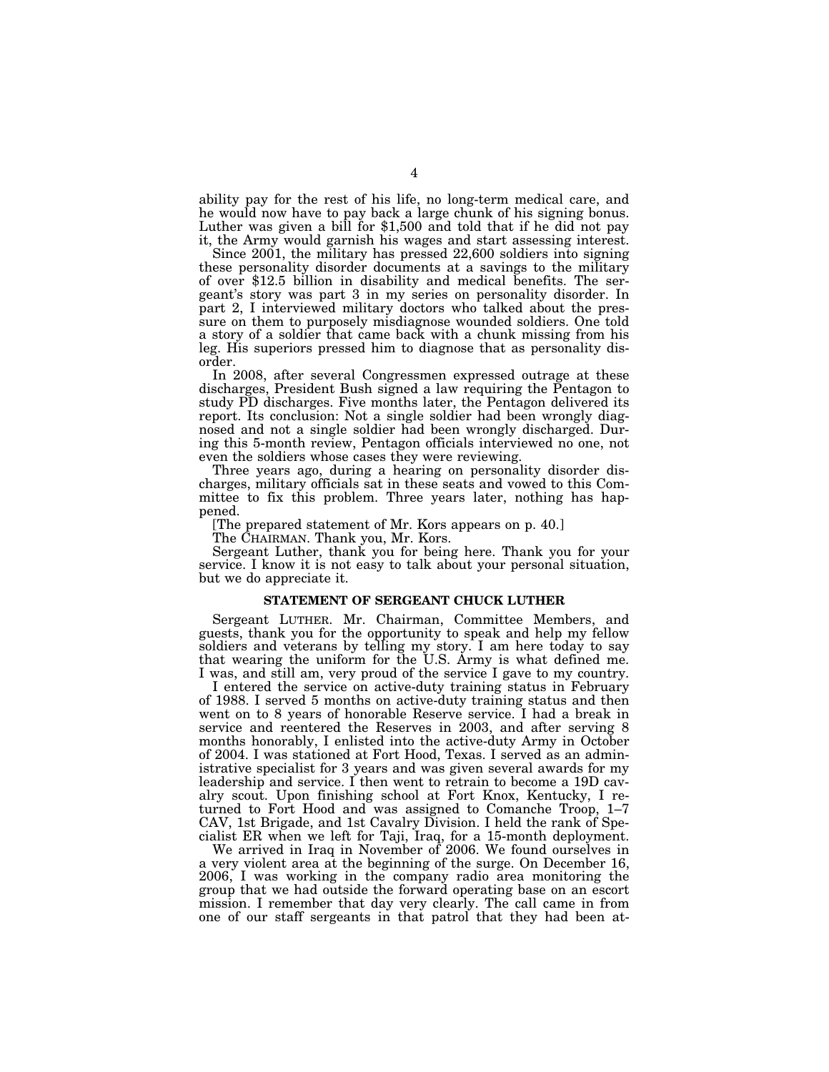ability pay for the rest of his life, no long-term medical care, and he would now have to pay back a large chunk of his signing bonus. Luther was given a bill for \$1,500 and told that if he did not pay it, the Army would garnish his wages and start assessing interest.

Since 2001, the military has pressed 22,600 soldiers into signing these personality disorder documents at a savings to the military of over \$12.5 billion in disability and medical benefits. The sergeant's story was part 3 in my series on personality disorder. In part 2, I interviewed military doctors who talked about the pressure on them to purposely misdiagnose wounded soldiers. One told a story of a soldier that came back with a chunk missing from his leg. His superiors pressed him to diagnose that as personality disorder.

In 2008, after several Congressmen expressed outrage at these discharges, President Bush signed a law requiring the Pentagon to study PD discharges. Five months later, the Pentagon delivered its report. Its conclusion: Not a single soldier had been wrongly diagnosed and not a single soldier had been wrongly discharged. During this 5-month review, Pentagon officials interviewed no one, not even the soldiers whose cases they were reviewing.

Three years ago, during a hearing on personality disorder discharges, military officials sat in these seats and vowed to this Committee to fix this problem. Three years later, nothing has happened.

[The prepared statement of Mr. Kors appears on p. 40.]

The CHAIRMAN. Thank you, Mr. Kors.

Sergeant Luther, thank you for being here. Thank you for your service. I know it is not easy to talk about your personal situation, but we do appreciate it.

#### **STATEMENT OF SERGEANT CHUCK LUTHER**

Sergeant LUTHER. Mr. Chairman, Committee Members, and guests, thank you for the opportunity to speak and help my fellow soldiers and veterans by telling my story. I am here today to say that wearing the uniform for the U.S. Army is what defined me. I was, and still am, very proud of the service I gave to my country.

I entered the service on active-duty training status in February of 1988. I served 5 months on active-duty training status and then went on to 8 years of honorable Reserve service. I had a break in service and reentered the Reserves in 2003, and after serving 8 months honorably, I enlisted into the active-duty Army in October of 2004. I was stationed at Fort Hood, Texas. I served as an administrative specialist for 3 years and was given several awards for my leadership and service. I then went to retrain to become a 19D cavalry scout. Upon finishing school at Fort Knox, Kentucky, I returned to Fort Hood and was assigned to Comanche Troop, 1–7 CAV, 1st Brigade, and 1st Cavalry Division. I held the rank of Specialist ER when we left for Taji, Iraq, for a 15-month deployment.

We arrived in Iraq in November of 2006. We found ourselves in a very violent area at the beginning of the surge. On December 16, 2006, I was working in the company radio area monitoring the group that we had outside the forward operating base on an escort mission. I remember that day very clearly. The call came in from one of our staff sergeants in that patrol that they had been at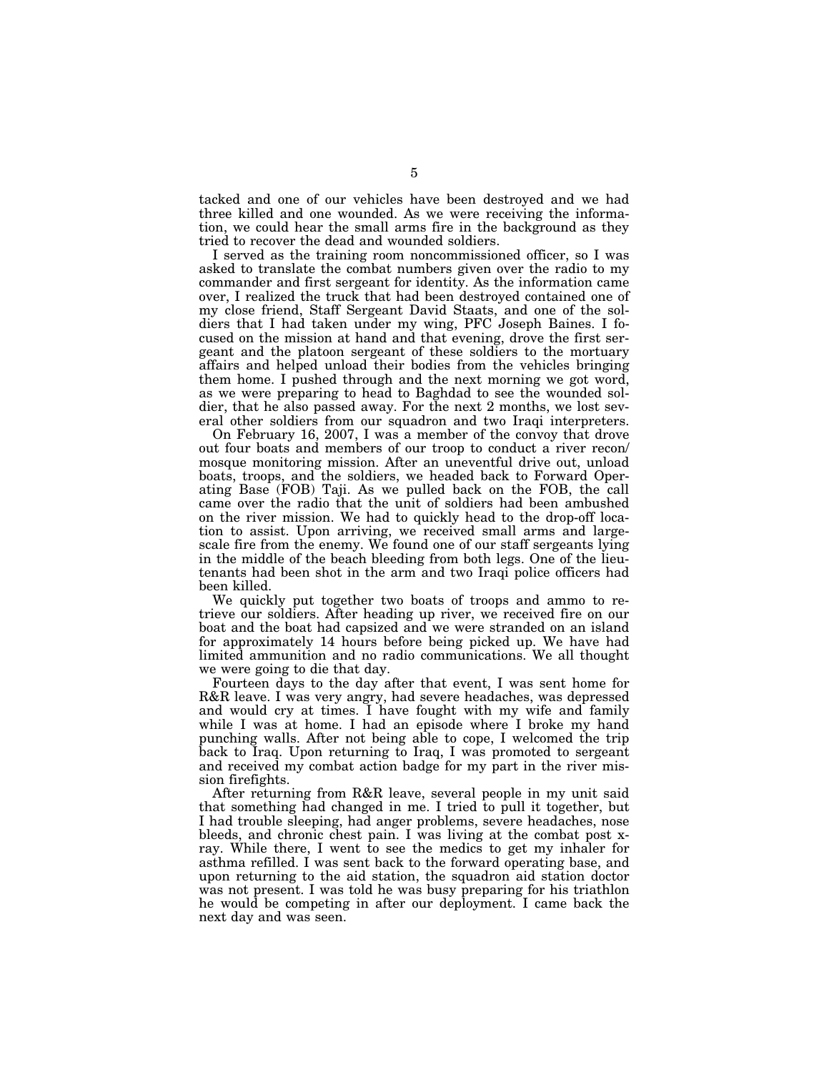tacked and one of our vehicles have been destroyed and we had three killed and one wounded. As we were receiving the information, we could hear the small arms fire in the background as they tried to recover the dead and wounded soldiers.

I served as the training room noncommissioned officer, so I was asked to translate the combat numbers given over the radio to my commander and first sergeant for identity. As the information came over, I realized the truck that had been destroyed contained one of my close friend, Staff Sergeant David Staats, and one of the soldiers that I had taken under my wing, PFC Joseph Baines. I focused on the mission at hand and that evening, drove the first sergeant and the platoon sergeant of these soldiers to the mortuary affairs and helped unload their bodies from the vehicles bringing them home. I pushed through and the next morning we got word, as we were preparing to head to Baghdad to see the wounded soldier, that he also passed away. For the next 2 months, we lost several other soldiers from our squadron and two Iraqi interpreters.

On February 16, 2007, I was a member of the convoy that drove out four boats and members of our troop to conduct a river recon/ mosque monitoring mission. After an uneventful drive out, unload boats, troops, and the soldiers, we headed back to Forward Operating Base (FOB) Taji. As we pulled back on the FOB, the call came over the radio that the unit of soldiers had been ambushed on the river mission. We had to quickly head to the drop-off location to assist. Upon arriving, we received small arms and largescale fire from the enemy. We found one of our staff sergeants lying in the middle of the beach bleeding from both legs. One of the lieutenants had been shot in the arm and two Iraqi police officers had been killed.

We quickly put together two boats of troops and ammo to retrieve our soldiers. After heading up river, we received fire on our boat and the boat had capsized and we were stranded on an island for approximately 14 hours before being picked up. We have had limited ammunition and no radio communications. We all thought we were going to die that day.

Fourteen days to the day after that event, I was sent home for R&R leave. I was very angry, had severe headaches, was depressed and would cry at times. I have fought with my wife and family while I was at home. I had an episode where I broke my hand punching walls. After not being able to cope, I welcomed the trip back to Iraq. Upon returning to Iraq, I was promoted to sergeant and received my combat action badge for my part in the river mission firefights.

After returning from R&R leave, several people in my unit said that something had changed in me. I tried to pull it together, but I had trouble sleeping, had anger problems, severe headaches, nose bleeds, and chronic chest pain. I was living at the combat post xray. While there, I went to see the medics to get my inhaler for asthma refilled. I was sent back to the forward operating base, and upon returning to the aid station, the squadron aid station doctor was not present. I was told he was busy preparing for his triathlon he would be competing in after our deployment. I came back the next day and was seen.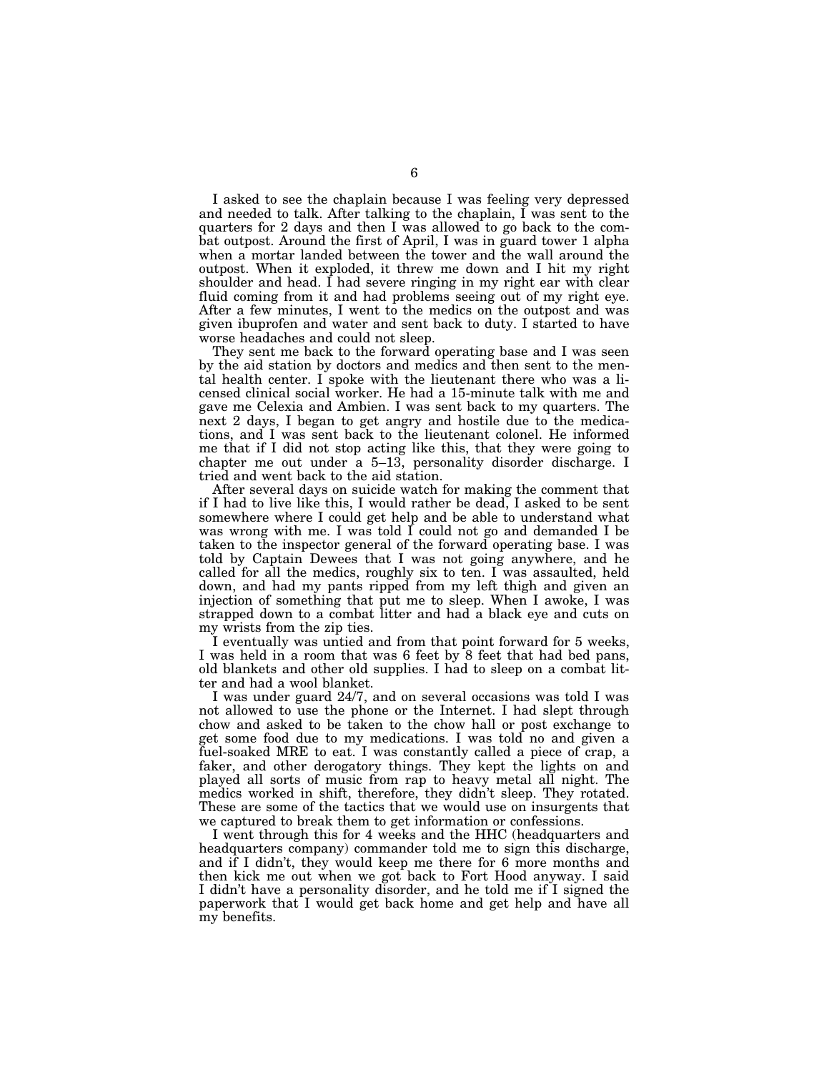I asked to see the chaplain because I was feeling very depressed and needed to talk. After talking to the chaplain, I was sent to the quarters for 2 days and then I was allowed to go back to the combat outpost. Around the first of April, I was in guard tower 1 alpha when a mortar landed between the tower and the wall around the outpost. When it exploded, it threw me down and I hit my right shoulder and head. I had severe ringing in my right ear with clear fluid coming from it and had problems seeing out of my right eye. After a few minutes, I went to the medics on the outpost and was given ibuprofen and water and sent back to duty. I started to have worse headaches and could not sleep.

They sent me back to the forward operating base and I was seen by the aid station by doctors and medics and then sent to the mental health center. I spoke with the lieutenant there who was a licensed clinical social worker. He had a 15-minute talk with me and gave me Celexia and Ambien. I was sent back to my quarters. The next 2 days, I began to get angry and hostile due to the medications, and I was sent back to the lieutenant colonel. He informed me that if I did not stop acting like this, that they were going to chapter me out under a 5–13, personality disorder discharge. I tried and went back to the aid station.

After several days on suicide watch for making the comment that if I had to live like this, I would rather be dead, I asked to be sent somewhere where I could get help and be able to understand what was wrong with me. I was told I could not go and demanded I be taken to the inspector general of the forward operating base. I was told by Captain Dewees that I was not going anywhere, and he called for all the medics, roughly six to ten. I was assaulted, held down, and had my pants ripped from my left thigh and given an injection of something that put me to sleep. When I awoke, I was strapped down to a combat litter and had a black eye and cuts on my wrists from the zip ties.

I eventually was untied and from that point forward for 5 weeks, I was held in a room that was 6 feet by 8 feet that had bed pans, old blankets and other old supplies. I had to sleep on a combat litter and had a wool blanket.

I was under guard 24/7, and on several occasions was told I was not allowed to use the phone or the Internet. I had slept through chow and asked to be taken to the chow hall or post exchange to get some food due to my medications. I was told no and given a fuel-soaked MRE to eat. I was constantly called a piece of crap, a faker, and other derogatory things. They kept the lights on and played all sorts of music from rap to heavy metal all night. The medics worked in shift, therefore, they didn't sleep. They rotated. These are some of the tactics that we would use on insurgents that we captured to break them to get information or confessions.

I went through this for 4 weeks and the HHC (headquarters and headquarters company) commander told me to sign this discharge, and if I didn't, they would keep me there for 6 more months and then kick me out when we got back to Fort Hood anyway. I said I didn't have a personality disorder, and he told me if I signed the paperwork that I would get back home and get help and have all my benefits.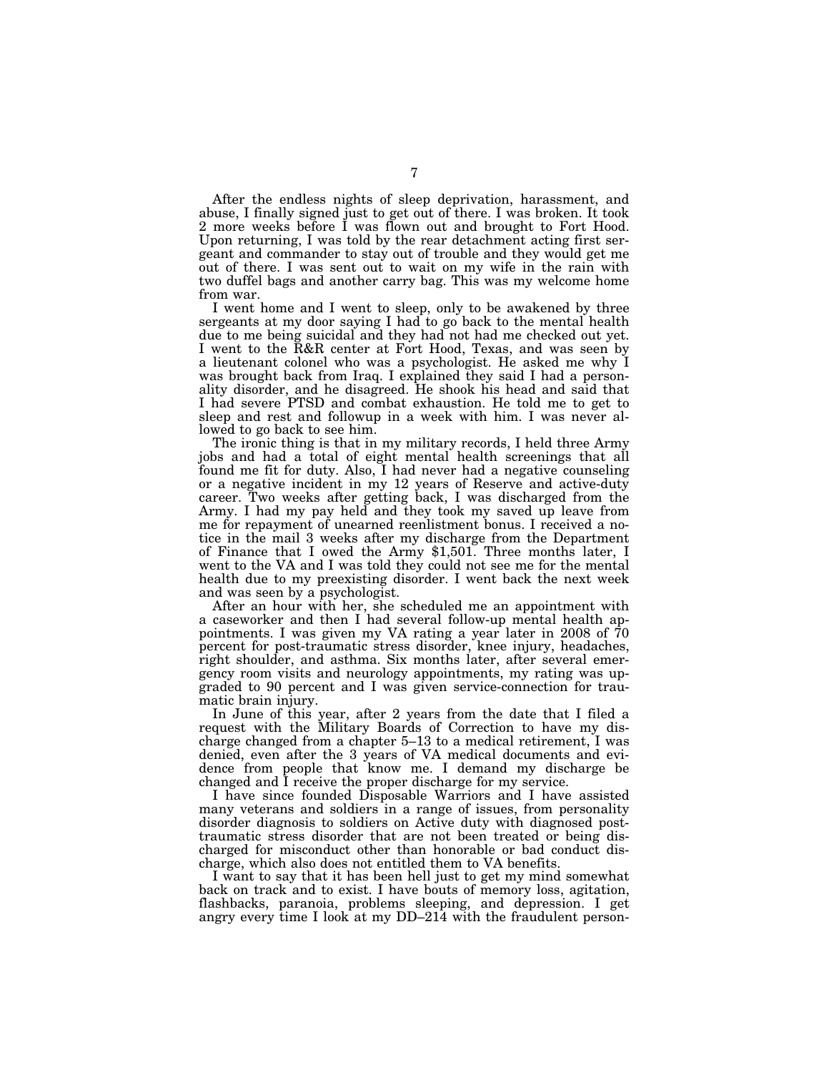After the endless nights of sleep deprivation, harassment, and abuse, I finally signed just to get out of there. I was broken. It took 2 more weeks before I was flown out and brought to Fort Hood. Upon returning, I was told by the rear detachment acting first sergeant and commander to stay out of trouble and they would get me out of there. I was sent out to wait on my wife in the rain with two duffel bags and another carry bag. This was my welcome home from war.

I went home and I went to sleep, only to be awakened by three sergeants at my door saying I had to go back to the mental health due to me being suicidal and they had not had me checked out yet. I went to the R&R center at Fort Hood, Texas, and was seen by a lieutenant colonel who was a psychologist. He asked me why I was brought back from Iraq. I explained they said I had a personality disorder, and he disagreed. He shook his head and said that I had severe PTSD and combat exhaustion. He told me to get to sleep and rest and followup in a week with him. I was never allowed to go back to see him.

The ironic thing is that in my military records, I held three Army jobs and had a total of eight mental health screenings that all found me fit for duty. Also, I had never had a negative counseling or a negative incident in my 12 years of Reserve and active-duty career. Two weeks after getting back, I was discharged from the Army. I had my pay held and they took my saved up leave from me for repayment of unearned reenlistment bonus. I received a notice in the mail 3 weeks after my discharge from the Department of Finance that I owed the Army \$1,501. Three months later, I went to the VA and I was told they could not see me for the mental health due to my preexisting disorder. I went back the next week and was seen by a psychologist.

After an hour with her, she scheduled me an appointment with a caseworker and then I had several follow-up mental health appointments. I was given my VA rating a year later in 2008 of 70 percent for post-traumatic stress disorder, knee injury, headaches, right shoulder, and asthma. Six months later, after several emergency room visits and neurology appointments, my rating was upgraded to 90 percent and I was given service-connection for traumatic brain injury.

In June of this year, after 2 years from the date that I filed a request with the Military Boards of Correction to have my discharge changed from a chapter 5–13 to a medical retirement, I was denied, even after the 3 years of VA medical documents and evidence from people that know me. I demand my discharge be changed and I receive the proper discharge for my service.

I have since founded Disposable Warriors and I have assisted many veterans and soldiers in a range of issues, from personality disorder diagnosis to soldiers on Active duty with diagnosed posttraumatic stress disorder that are not been treated or being discharged for misconduct other than honorable or bad conduct discharge, which also does not entitled them to VA benefits.

I want to say that it has been hell just to get my mind somewhat back on track and to exist. I have bouts of memory loss, agitation, flashbacks, paranoia, problems sleeping, and depression. I get angry every time I look at my DD–214 with the fraudulent person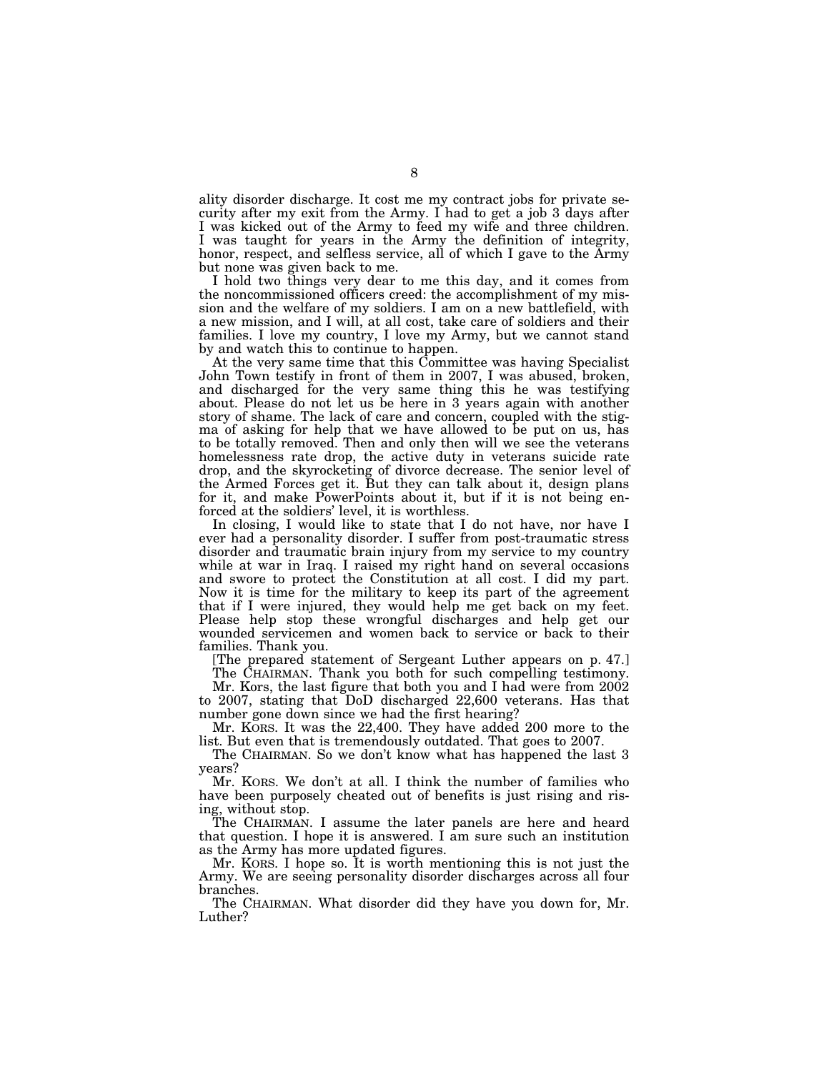ality disorder discharge. It cost me my contract jobs for private security after my exit from the Army. I had to get a job 3 days after I was kicked out of the Army to feed my wife and three children. I was taught for years in the Army the definition of integrity, honor, respect, and selfless service, all of which I gave to the Army but none was given back to me.

I hold two things very dear to me this day, and it comes from the noncommissioned officers creed: the accomplishment of my mission and the welfare of my soldiers. I am on a new battlefield, with a new mission, and I will, at all cost, take care of soldiers and their families. I love my country, I love my Army, but we cannot stand by and watch this to continue to happen.

At the very same time that this Committee was having Specialist John Town testify in front of them in 2007, I was abused, broken, and discharged for the very same thing this he was testifying about. Please do not let us be here in 3 years again with another story of shame. The lack of care and concern, coupled with the stigma of asking for help that we have allowed to be put on us, has to be totally removed. Then and only then will we see the veterans homelessness rate drop, the active duty in veterans suicide rate drop, and the skyrocketing of divorce decrease. The senior level of the Armed Forces get it. But they can talk about it, design plans for it, and make PowerPoints about it, but if it is not being enforced at the soldiers' level, it is worthless.

In closing, I would like to state that I do not have, nor have I ever had a personality disorder. I suffer from post-traumatic stress disorder and traumatic brain injury from my service to my country while at war in Iraq. I raised my right hand on several occasions and swore to protect the Constitution at all cost. I did my part. Now it is time for the military to keep its part of the agreement that if I were injured, they would help me get back on my feet. Please help stop these wrongful discharges and help get our wounded servicemen and women back to service or back to their families. Thank you.

[The prepared statement of Sergeant Luther appears on p. 47.] The CHAIRMAN. Thank you both for such compelling testimony.

Mr. Kors, the last figure that both you and I had were from 2002 to 2007, stating that DoD discharged 22,600 veterans. Has that number gone down since we had the first hearing?

Mr. KORS. It was the 22,400. They have added 200 more to the list. But even that is tremendously outdated. That goes to 2007.

The CHAIRMAN. So we don't know what has happened the last 3 years?

Mr. KORS. We don't at all. I think the number of families who have been purposely cheated out of benefits is just rising and rising, without stop.

The CHAIRMAN. I assume the later panels are here and heard that question. I hope it is answered. I am sure such an institution as the Army has more updated figures.

Mr. KORS. I hope so. It is worth mentioning this is not just the Army. We are seeing personality disorder discharges across all four branches.

The CHAIRMAN. What disorder did they have you down for, Mr. Luther?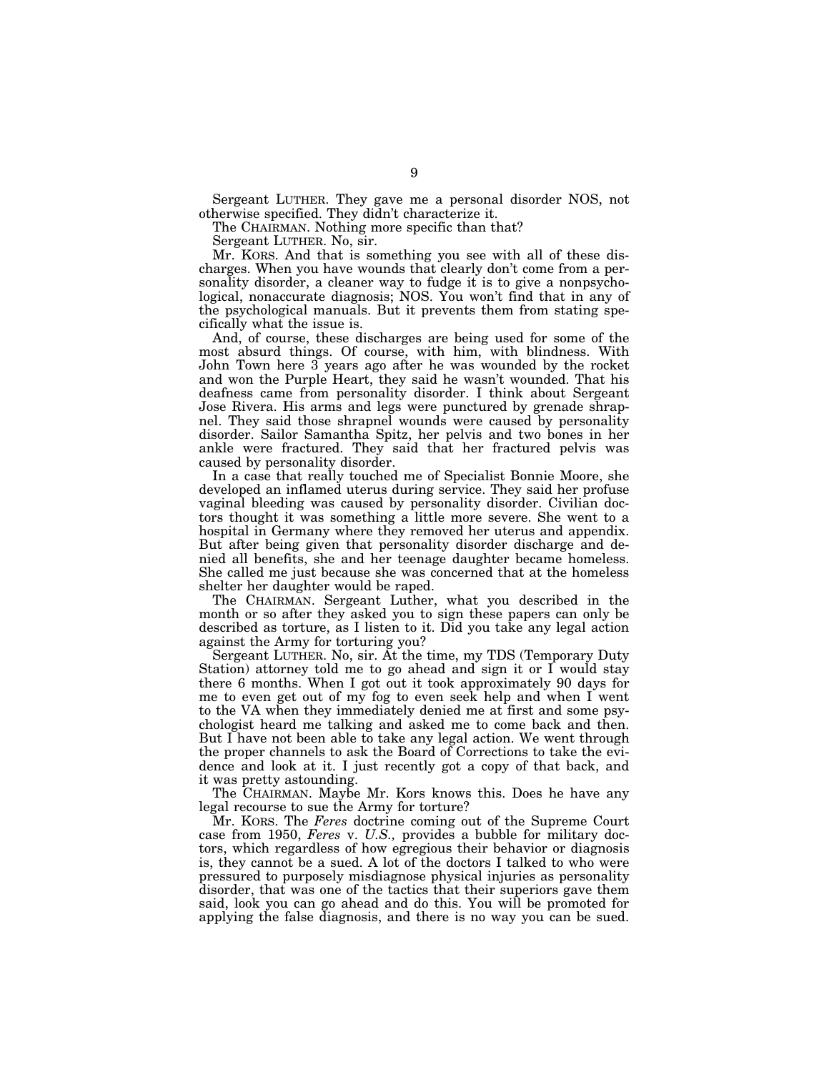Sergeant LUTHER. They gave me a personal disorder NOS, not otherwise specified. They didn't characterize it.

The CHAIRMAN. Nothing more specific than that?

Sergeant LUTHER. No, sir.

Mr. KORS. And that is something you see with all of these discharges. When you have wounds that clearly don't come from a personality disorder, a cleaner way to fudge it is to give a nonpsychological, nonaccurate diagnosis; NOS. You won't find that in any of the psychological manuals. But it prevents them from stating specifically what the issue is.

And, of course, these discharges are being used for some of the most absurd things. Of course, with him, with blindness. With John Town here 3 years ago after he was wounded by the rocket and won the Purple Heart, they said he wasn't wounded. That his deafness came from personality disorder. I think about Sergeant Jose Rivera. His arms and legs were punctured by grenade shrapnel. They said those shrapnel wounds were caused by personality disorder. Sailor Samantha Spitz, her pelvis and two bones in her ankle were fractured. They said that her fractured pelvis was caused by personality disorder.

In a case that really touched me of Specialist Bonnie Moore, she developed an inflamed uterus during service. They said her profuse vaginal bleeding was caused by personality disorder. Civilian doctors thought it was something a little more severe. She went to a hospital in Germany where they removed her uterus and appendix. But after being given that personality disorder discharge and denied all benefits, she and her teenage daughter became homeless. She called me just because she was concerned that at the homeless shelter her daughter would be raped.

The CHAIRMAN. Sergeant Luther, what you described in the month or so after they asked you to sign these papers can only be described as torture, as I listen to it. Did you take any legal action against the Army for torturing you?

Sergeant LUTHER. No, sir. At the time, my TDS (Temporary Duty Station) attorney told me to go ahead and sign it or I would stay there 6 months. When I got out it took approximately 90 days for me to even get out of my fog to even seek help and when I went to the VA when they immediately denied me at first and some psychologist heard me talking and asked me to come back and then. But I have not been able to take any legal action. We went through the proper channels to ask the Board of Corrections to take the evidence and look at it. I just recently got a copy of that back, and it was pretty astounding.

The CHAIRMAN. Maybe Mr. Kors knows this. Does he have any legal recourse to sue the Army for torture?

Mr. KORS. The *Feres* doctrine coming out of the Supreme Court case from 1950, *Feres* v. *U.S.,* provides a bubble for military doctors, which regardless of how egregious their behavior or diagnosis is, they cannot be a sued. A lot of the doctors I talked to who were pressured to purposely misdiagnose physical injuries as personality disorder, that was one of the tactics that their superiors gave them said, look you can go ahead and do this. You will be promoted for applying the false diagnosis, and there is no way you can be sued.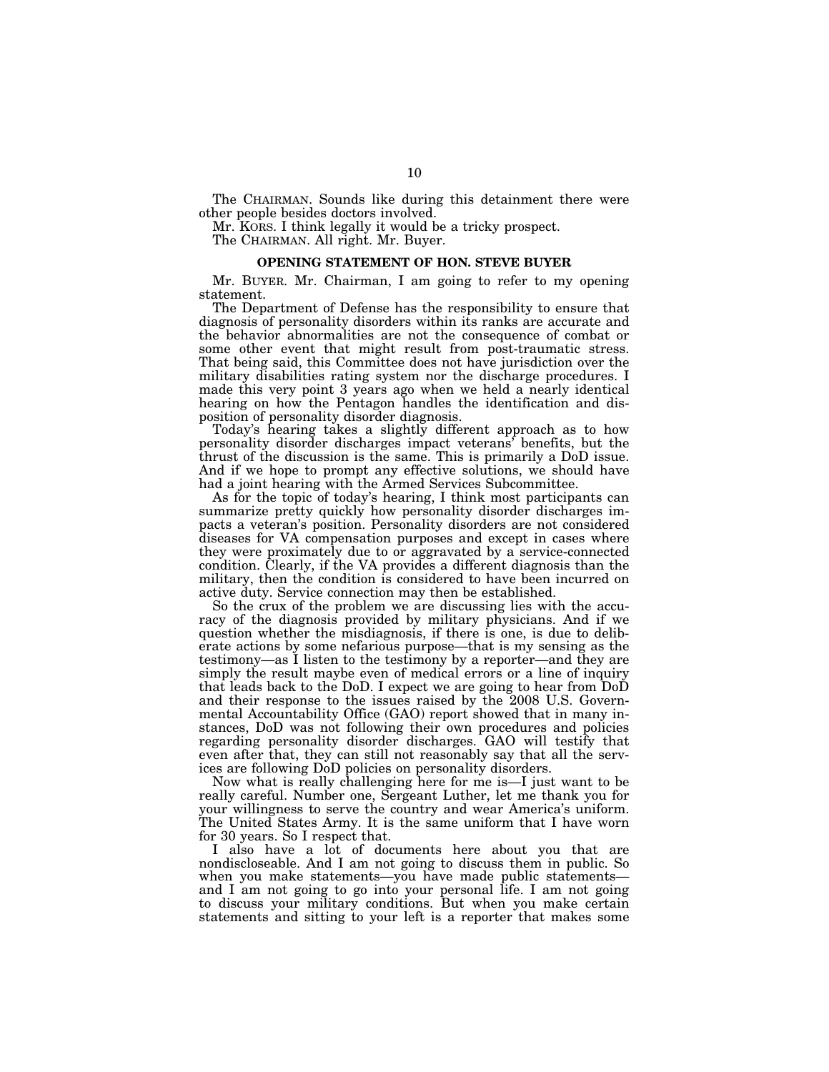The CHAIRMAN. Sounds like during this detainment there were other people besides doctors involved.

Mr. KORS. I think legally it would be a tricky prospect.

The CHAIRMAN. All right. Mr. Buyer.

#### **OPENING STATEMENT OF HON. STEVE BUYER**

Mr. BUYER. Mr. Chairman, I am going to refer to my opening statement.

The Department of Defense has the responsibility to ensure that diagnosis of personality disorders within its ranks are accurate and the behavior abnormalities are not the consequence of combat or some other event that might result from post-traumatic stress. That being said, this Committee does not have jurisdiction over the military disabilities rating system nor the discharge procedures. I made this very point 3 years ago when we held a nearly identical hearing on how the Pentagon handles the identification and disposition of personality disorder diagnosis.

Today's hearing takes a slightly different approach as to how personality disorder discharges impact veterans' benefits, but the thrust of the discussion is the same. This is primarily a DoD issue. And if we hope to prompt any effective solutions, we should have had a joint hearing with the Armed Services Subcommittee.

As for the topic of today's hearing, I think most participants can summarize pretty quickly how personality disorder discharges impacts a veteran's position. Personality disorders are not considered diseases for VA compensation purposes and except in cases where they were proximately due to or aggravated by a service-connected condition. Clearly, if the VA provides a different diagnosis than the military, then the condition is considered to have been incurred on active duty. Service connection may then be established.

So the crux of the problem we are discussing lies with the accuracy of the diagnosis provided by military physicians. And if we question whether the misdiagnosis, if there is one, is due to deliberate actions by some nefarious purpose—that is my sensing as the testimony—as I listen to the testimony by a reporter—and they are simply the result maybe even of medical errors or a line of inquiry that leads back to the DoD. I expect we are going to hear from DoD and their response to the issues raised by the 2008 U.S. Governmental Accountability Office (GAO) report showed that in many instances, DoD was not following their own procedures and policies regarding personality disorder discharges. GAO will testify that even after that, they can still not reasonably say that all the services are following DoD policies on personality disorders.

Now what is really challenging here for me is—I just want to be really careful. Number one, Sergeant Luther, let me thank you for your willingness to serve the country and wear America's uniform. The United States Army. It is the same uniform that I have worn for 30 years. So I respect that.

I also have a lot of documents here about you that are nondiscloseable. And I am not going to discuss them in public. So when you make statements—you have made public statements and I am not going to go into your personal life. I am not going to discuss your military conditions. But when you make certain statements and sitting to your left is a reporter that makes some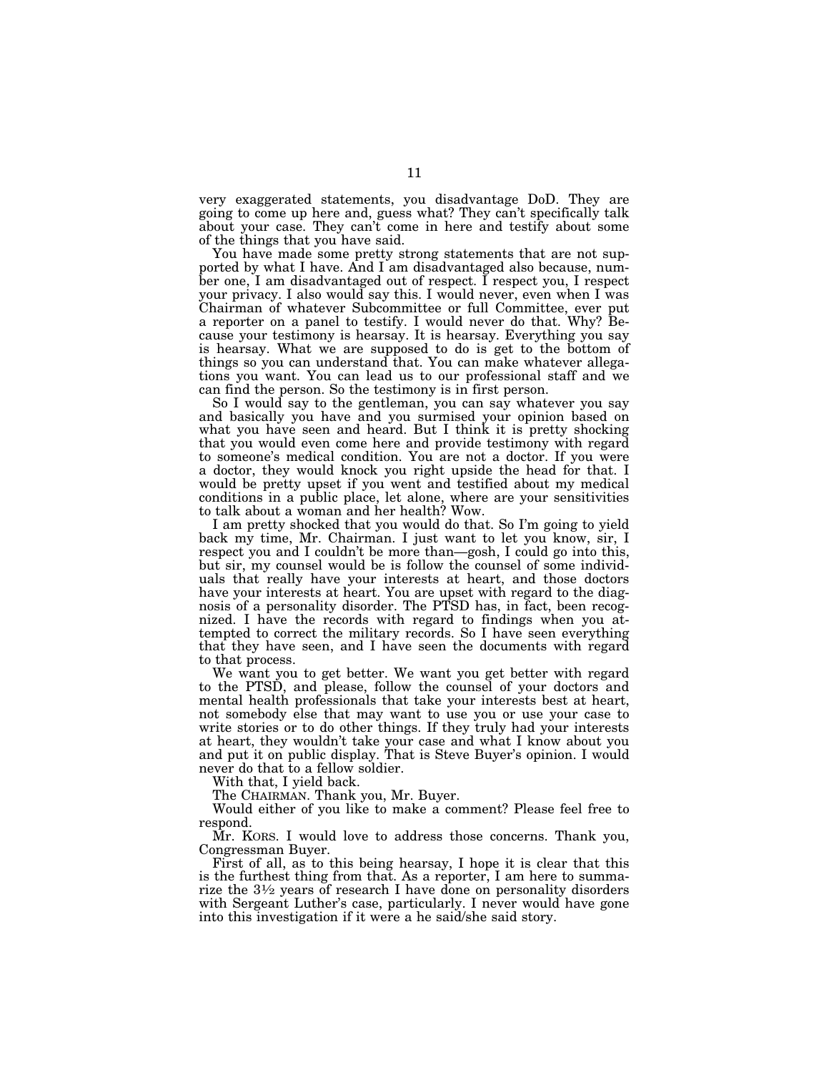very exaggerated statements, you disadvantage DoD. They are going to come up here and, guess what? They can't specifically talk about your case. They can't come in here and testify about some of the things that you have said.

You have made some pretty strong statements that are not supported by what I have. And I am disadvantaged also because, number one, I am disadvantaged out of respect. I respect you, I respect your privacy. I also would say this. I would never, even when I was Chairman of whatever Subcommittee or full Committee, ever put a reporter on a panel to testify. I would never do that. Why? Because your testimony is hearsay. It is hearsay. Everything you say is hearsay. What we are supposed to do is get to the bottom of things so you can understand that. You can make whatever allegations you want. You can lead us to our professional staff and we can find the person. So the testimony is in first person.

So I would say to the gentleman, you can say whatever you say and basically you have and you surmised your opinion based on what you have seen and heard. But I think it is pretty shocking that you would even come here and provide testimony with regard to someone's medical condition. You are not a doctor. If you were a doctor, they would knock you right upside the head for that. I would be pretty upset if you went and testified about my medical conditions in a public place, let alone, where are your sensitivities to talk about a woman and her health? Wow.

I am pretty shocked that you would do that. So I'm going to yield back my time, Mr. Chairman. I just want to let you know, sir, I respect you and I couldn't be more than—gosh, I could go into this, but sir, my counsel would be is follow the counsel of some individuals that really have your interests at heart, and those doctors have your interests at heart. You are upset with regard to the diagnosis of a personality disorder. The PTSD has, in fact, been recognized. I have the records with regard to findings when you attempted to correct the military records. So I have seen everything that they have seen, and I have seen the documents with regard to that process.

We want you to get better. We want you get better with regard to the PTSD, and please, follow the counsel of your doctors and mental health professionals that take your interests best at heart, not somebody else that may want to use you or use your case to write stories or to do other things. If they truly had your interests at heart, they wouldn't take your case and what I know about you and put it on public display. That is Steve Buyer's opinion. I would never do that to a fellow soldier.

With that, I yield back.

The CHAIRMAN. Thank you, Mr. Buyer.

Would either of you like to make a comment? Please feel free to respond.

Mr. KORS. I would love to address those concerns. Thank you, Congressman Buyer.

First of all, as to this being hearsay, I hope it is clear that this is the furthest thing from that. As a reporter, I am here to summarize the  $3\frac{1}{2}$  years of research I have done on personality disorders with Sergeant Luther's case, particularly. I never would have gone into this investigation if it were a he said/she said story.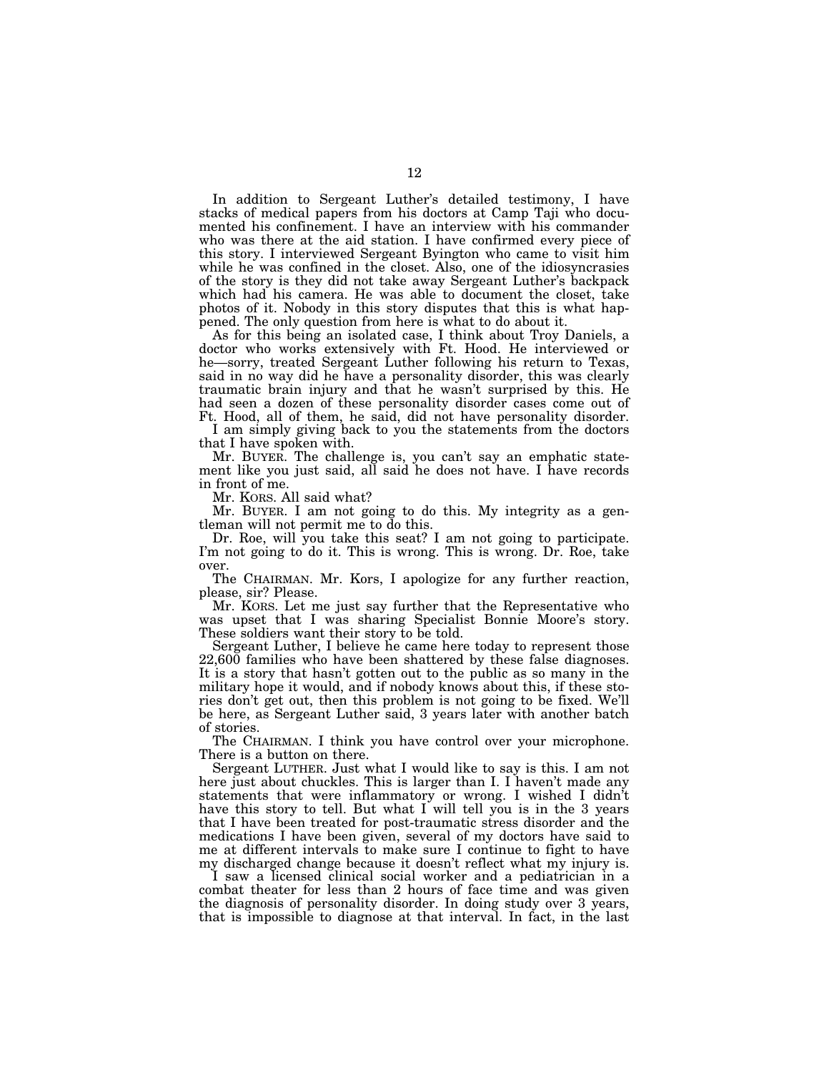In addition to Sergeant Luther's detailed testimony, I have stacks of medical papers from his doctors at Camp Taji who documented his confinement. I have an interview with his commander who was there at the aid station. I have confirmed every piece of this story. I interviewed Sergeant Byington who came to visit him while he was confined in the closet. Also, one of the idiosyncrasies of the story is they did not take away Sergeant Luther's backpack which had his camera. He was able to document the closet, take photos of it. Nobody in this story disputes that this is what happened. The only question from here is what to do about it.

As for this being an isolated case, I think about Troy Daniels, a doctor who works extensively with Ft. Hood. He interviewed or he—sorry, treated Sergeant Luther following his return to Texas, said in no way did he have a personality disorder, this was clearly traumatic brain injury and that he wasn't surprised by this. He had seen a dozen of these personality disorder cases come out of Ft. Hood, all of them, he said, did not have personality disorder.

I am simply giving back to you the statements from the doctors that I have spoken with.

Mr. BUYER. The challenge is, you can't say an emphatic statement like you just said, all said he does not have. I have records in front of me.

Mr. KORS. All said what?

Mr. BUYER. I am not going to do this. My integrity as a gentleman will not permit me to do this.

Dr. Roe, will you take this seat? I am not going to participate. I'm not going to do it. This is wrong. This is wrong. Dr. Roe, take over.

The CHAIRMAN. Mr. Kors, I apologize for any further reaction, please, sir? Please.

Mr. KORS. Let me just say further that the Representative who was upset that I was sharing Specialist Bonnie Moore's story. These soldiers want their story to be told.

Sergeant Luther, I believe he came here today to represent those 22,600 families who have been shattered by these false diagnoses. It is a story that hasn't gotten out to the public as so many in the military hope it would, and if nobody knows about this, if these stories don't get out, then this problem is not going to be fixed. We'll be here, as Sergeant Luther said, 3 years later with another batch of stories.

The CHAIRMAN. I think you have control over your microphone. There is a button on there.

Sergeant LUTHER. Just what I would like to say is this. I am not here just about chuckles. This is larger than I. I haven't made any statements that were inflammatory or wrong. I wished I didn't have this story to tell. But what I will tell you is in the 3 years that I have been treated for post-traumatic stress disorder and the medications I have been given, several of my doctors have said to me at different intervals to make sure I continue to fight to have my discharged change because it doesn't reflect what my injury is.

I saw a licensed clinical social worker and a pediatrician in a combat theater for less than 2 hours of face time and was given the diagnosis of personality disorder. In doing study over 3 years, that is impossible to diagnose at that interval. In fact, in the last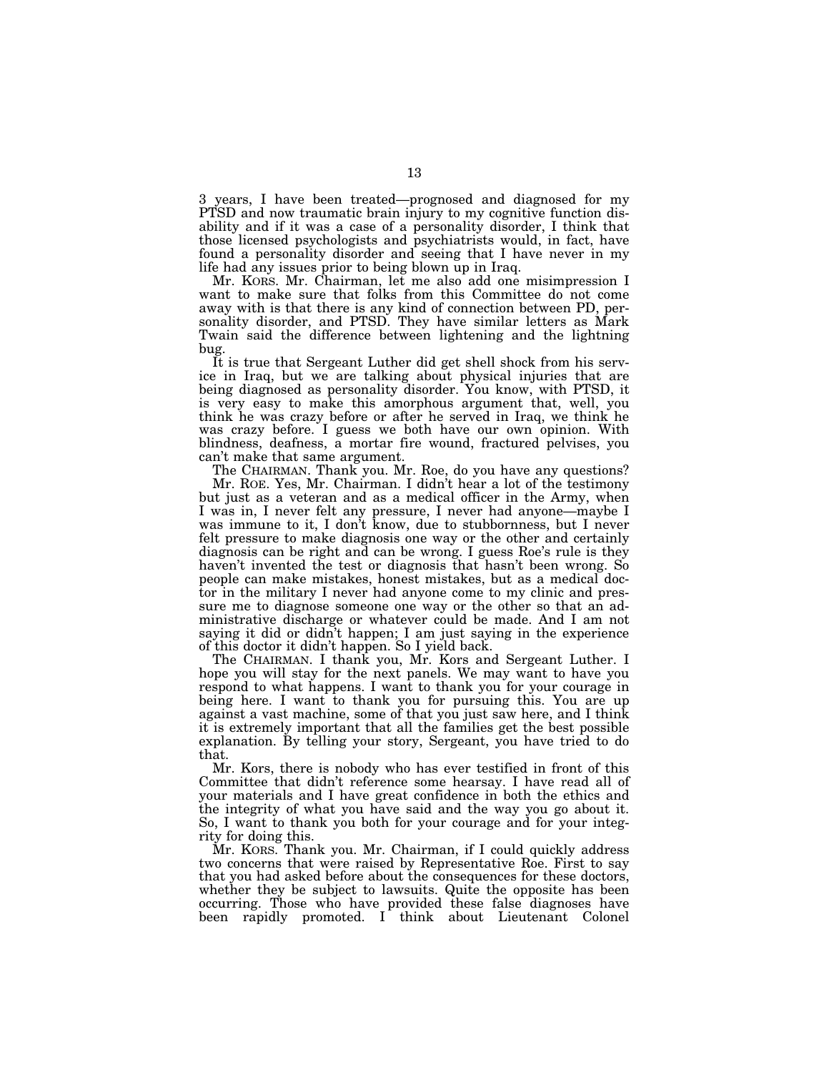3 years, I have been treated—prognosed and diagnosed for my PTSD and now traumatic brain injury to my cognitive function disability and if it was a case of a personality disorder, I think that those licensed psychologists and psychiatrists would, in fact, have found a personality disorder and seeing that I have never in my life had any issues prior to being blown up in Iraq.

Mr. KORS. Mr. Chairman, let me also add one misimpression I want to make sure that folks from this Committee do not come away with is that there is any kind of connection between PD, personality disorder, and PTSD. They have similar letters as Mark Twain said the difference between lightening and the lightning bug.

It is true that Sergeant Luther did get shell shock from his service in Iraq, but we are talking about physical injuries that are being diagnosed as personality disorder. You know, with PTSD, it is very easy to make this amorphous argument that, well, you think he was crazy before or after he served in Iraq, we think he was crazy before. I guess we both have our own opinion. With blindness, deafness, a mortar fire wound, fractured pelvises, you can't make that same argument.

The CHAIRMAN. Thank you. Mr. Roe, do you have any questions? Mr. ROE. Yes, Mr. Chairman. I didn't hear a lot of the testimony but just as a veteran and as a medical officer in the Army, when I was in, I never felt any pressure, I never had anyone—maybe I was immune to it, I don't know, due to stubbornness, but I never felt pressure to make diagnosis one way or the other and certainly diagnosis can be right and can be wrong. I guess Roe's rule is they haven't invented the test or diagnosis that hasn't been wrong. So people can make mistakes, honest mistakes, but as a medical doctor in the military I never had anyone come to my clinic and pressure me to diagnose someone one way or the other so that an administrative discharge or whatever could be made. And I am not saying it did or didn't happen; I am just saying in the experience of this doctor it didn't happen. So I yield back.

The CHAIRMAN. I thank you, Mr. Kors and Sergeant Luther. I hope you will stay for the next panels. We may want to have you respond to what happens. I want to thank you for your courage in being here. I want to thank you for pursuing this. You are up against a vast machine, some of that you just saw here, and I think it is extremely important that all the families get the best possible explanation. By telling your story, Sergeant, you have tried to do that.

Mr. Kors, there is nobody who has ever testified in front of this Committee that didn't reference some hearsay. I have read all of your materials and I have great confidence in both the ethics and the integrity of what you have said and the way you go about it. So, I want to thank you both for your courage and for your integrity for doing this.

Mr. KORS. Thank you. Mr. Chairman, if I could quickly address two concerns that were raised by Representative Roe. First to say that you had asked before about the consequences for these doctors, whether they be subject to lawsuits. Quite the opposite has been occurring. Those who have provided these false diagnoses have been rapidly promoted. I think about Lieutenant Colonel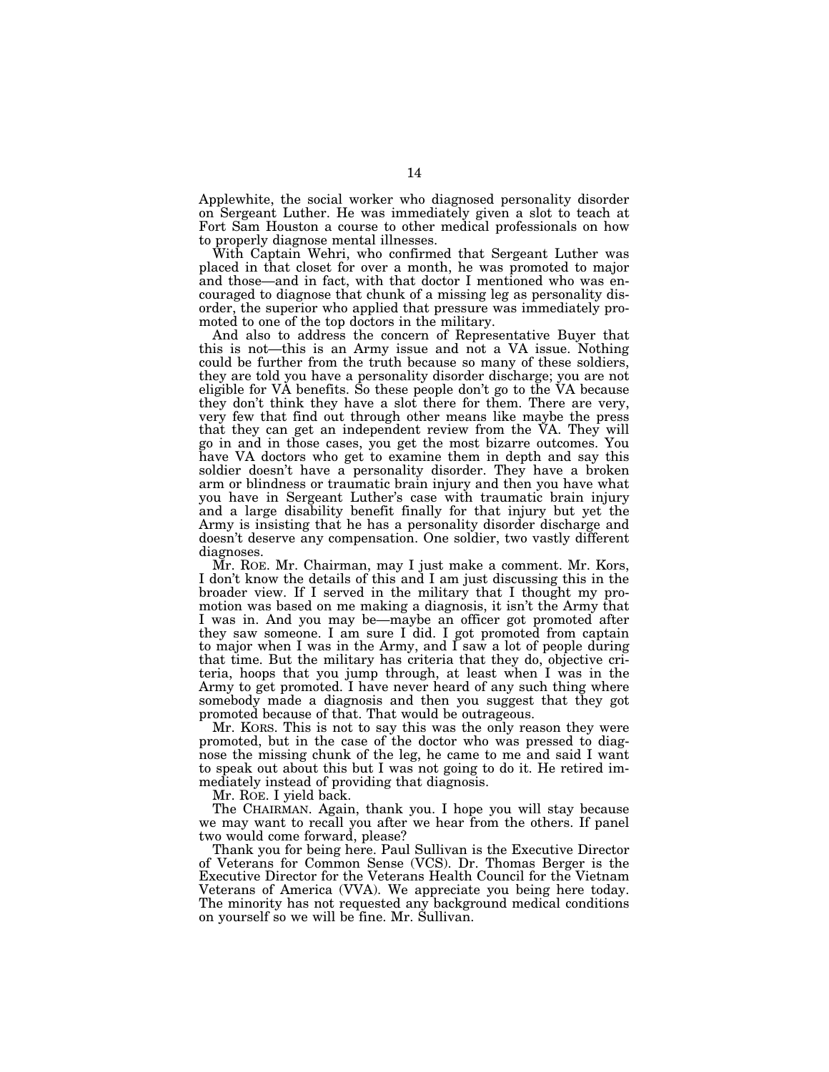Applewhite, the social worker who diagnosed personality disorder on Sergeant Luther. He was immediately given a slot to teach at Fort Sam Houston a course to other medical professionals on how to properly diagnose mental illnesses.

With Captain Wehri, who confirmed that Sergeant Luther was placed in that closet for over a month, he was promoted to major and those—and in fact, with that doctor I mentioned who was encouraged to diagnose that chunk of a missing leg as personality disorder, the superior who applied that pressure was immediately promoted to one of the top doctors in the military.

And also to address the concern of Representative Buyer that this is not—this is an Army issue and not a VA issue. Nothing could be further from the truth because so many of these soldiers, they are told you have a personality disorder discharge; you are not eligible for VA benefits. So these people don't go to the VA because they don't think they have a slot there for them. There are very, very few that find out through other means like maybe the press that they can get an independent review from the VA. They will go in and in those cases, you get the most bizarre outcomes. You have VA doctors who get to examine them in depth and say this soldier doesn't have a personality disorder. They have a broken arm or blindness or traumatic brain injury and then you have what you have in Sergeant Luther's case with traumatic brain injury and a large disability benefit finally for that injury but yet the Army is insisting that he has a personality disorder discharge and doesn't deserve any compensation. One soldier, two vastly different diagnoses.

Mr. ROE. Mr. Chairman, may I just make a comment. Mr. Kors, I don't know the details of this and I am just discussing this in the broader view. If I served in the military that I thought my promotion was based on me making a diagnosis, it isn't the Army that I was in. And you may be—maybe an officer got promoted after they saw someone. I am sure I did. I got promoted from captain to major when I was in the Army, and  $\overline{I}$  saw a lot of people during that time. But the military has criteria that they do, objective criteria, hoops that you jump through, at least when I was in the Army to get promoted. I have never heard of any such thing where somebody made a diagnosis and then you suggest that they got promoted because of that. That would be outrageous.

Mr. KORS. This is not to say this was the only reason they were promoted, but in the case of the doctor who was pressed to diagnose the missing chunk of the leg, he came to me and said I want to speak out about this but I was not going to do it. He retired immediately instead of providing that diagnosis.

Mr. ROE. I yield back.

The CHAIRMAN. Again, thank you. I hope you will stay because we may want to recall you after we hear from the others. If panel two would come forward, please?

Thank you for being here. Paul Sullivan is the Executive Director of Veterans for Common Sense (VCS). Dr. Thomas Berger is the Executive Director for the Veterans Health Council for the Vietnam Veterans of America (VVA). We appreciate you being here today. The minority has not requested any background medical conditions on yourself so we will be fine. Mr. Sullivan.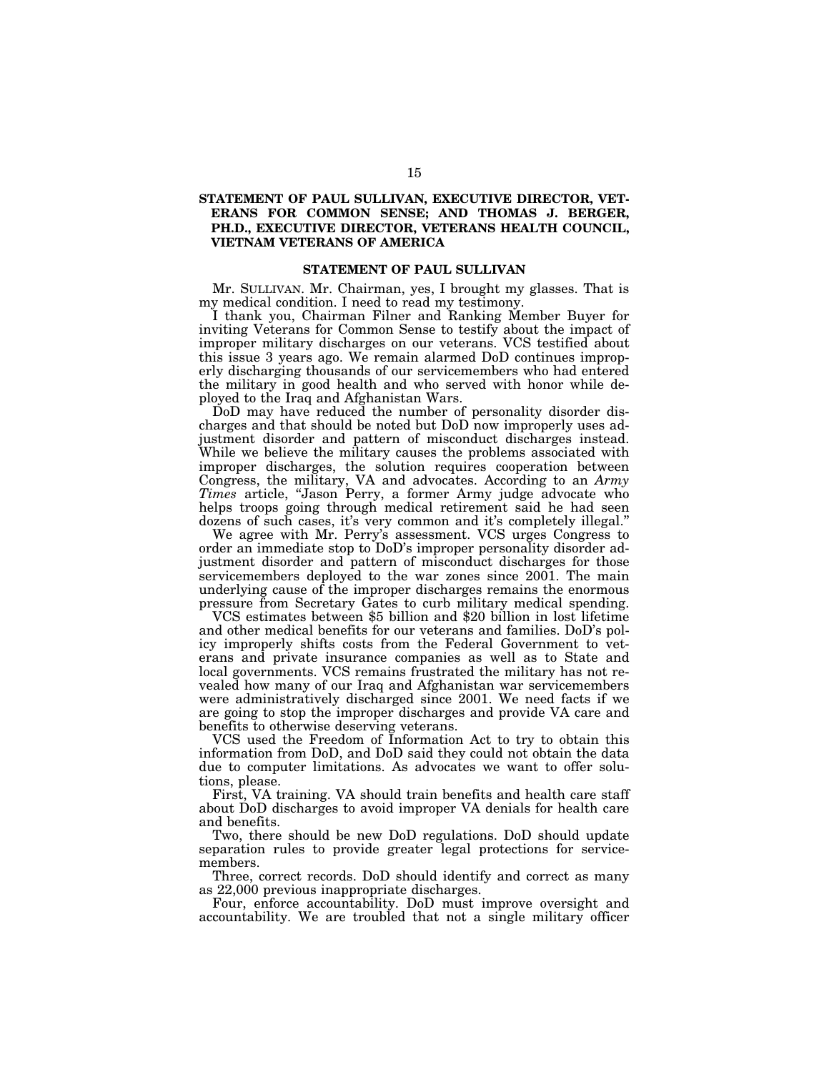#### **STATEMENT OF PAUL SULLIVAN, EXECUTIVE DIRECTOR, VET-ERANS FOR COMMON SENSE; AND THOMAS J. BERGER, PH.D., EXECUTIVE DIRECTOR, VETERANS HEALTH COUNCIL, VIETNAM VETERANS OF AMERICA**

#### **STATEMENT OF PAUL SULLIVAN**

Mr. SULLIVAN. Mr. Chairman, yes, I brought my glasses. That is my medical condition. I need to read my testimony.

I thank you, Chairman Filner and Ranking Member Buyer for inviting Veterans for Common Sense to testify about the impact of improper military discharges on our veterans. VCS testified about this issue 3 years ago. We remain alarmed DoD continues improperly discharging thousands of our servicemembers who had entered the military in good health and who served with honor while deployed to the Iraq and Afghanistan Wars.

DoD may have reduced the number of personality disorder discharges and that should be noted but DoD now improperly uses adjustment disorder and pattern of misconduct discharges instead. While we believe the military causes the problems associated with improper discharges, the solution requires cooperation between Congress, the military, VA and advocates. According to an *Army Times* article, ''Jason Perry, a former Army judge advocate who helps troops going through medical retirement said he had seen dozens of such cases, it's very common and it's completely illegal.''

We agree with Mr. Perry's assessment. VCS urges Congress to order an immediate stop to DoD's improper personality disorder adjustment disorder and pattern of misconduct discharges for those servicemembers deployed to the war zones since 2001. The main underlying cause of the improper discharges remains the enormous pressure from Secretary Gates to curb military medical spending.

VCS estimates between \$5 billion and \$20 billion in lost lifetime and other medical benefits for our veterans and families. DoD's policy improperly shifts costs from the Federal Government to veterans and private insurance companies as well as to State and local governments. VCS remains frustrated the military has not revealed how many of our Iraq and Afghanistan war servicemembers were administratively discharged since 2001. We need facts if we are going to stop the improper discharges and provide VA care and benefits to otherwise deserving veterans.

VCS used the Freedom of Information Act to try to obtain this information from DoD, and DoD said they could not obtain the data due to computer limitations. As advocates we want to offer solutions, please.

First, VA training. VA should train benefits and health care staff about DoD discharges to avoid improper VA denials for health care and benefits.

Two, there should be new DoD regulations. DoD should update separation rules to provide greater legal protections for servicemembers.

Three, correct records. DoD should identify and correct as many as 22,000 previous inappropriate discharges.

Four, enforce accountability. DoD must improve oversight and accountability. We are troubled that not a single military officer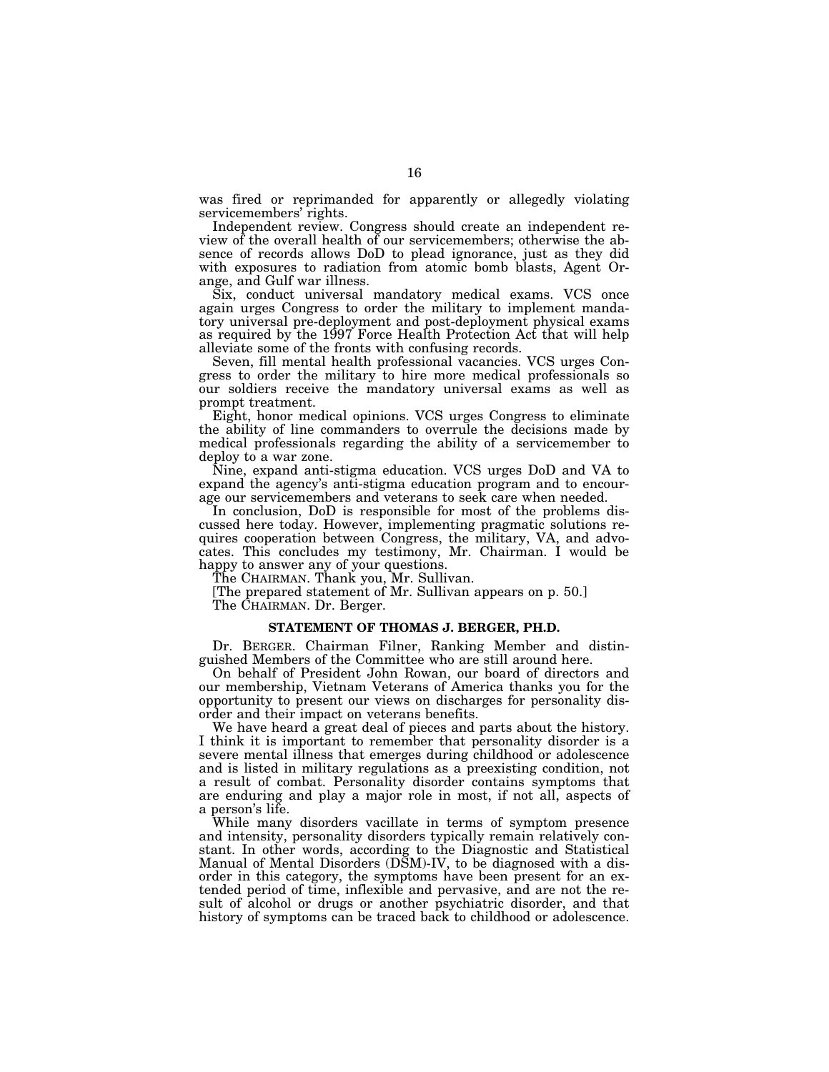was fired or reprimanded for apparently or allegedly violating servicemembers' rights.

Independent review. Congress should create an independent review of the overall health of our servicemembers; otherwise the absence of records allows DoD to plead ignorance, just as they did with exposures to radiation from atomic bomb blasts, Agent Orange, and Gulf war illness.

Six, conduct universal mandatory medical exams. VCS once again urges Congress to order the military to implement mandatory universal pre-deployment and post-deployment physical exams as required by the 1997 Force Health Protection Act that will help alleviate some of the fronts with confusing records.

Seven, fill mental health professional vacancies. VCS urges Congress to order the military to hire more medical professionals so our soldiers receive the mandatory universal exams as well as prompt treatment.

Eight, honor medical opinions. VCS urges Congress to eliminate the ability of line commanders to overrule the decisions made by medical professionals regarding the ability of a servicemember to deploy to a war zone.

Nine, expand anti-stigma education. VCS urges DoD and VA to expand the agency's anti-stigma education program and to encourage our servicemembers and veterans to seek care when needed.

In conclusion, DoD is responsible for most of the problems discussed here today. However, implementing pragmatic solutions requires cooperation between Congress, the military, VA, and advocates. This concludes my testimony, Mr. Chairman. I would be happy to answer any of your questions.

The CHAIRMAN. Thank you, Mr. Sullivan.

[The prepared statement of Mr. Sullivan appears on p. 50.] The CHAIRMAN. Dr. Berger.

#### **STATEMENT OF THOMAS J. BERGER, PH.D.**

Dr. BERGER. Chairman Filner, Ranking Member and distinguished Members of the Committee who are still around here.

On behalf of President John Rowan, our board of directors and our membership, Vietnam Veterans of America thanks you for the opportunity to present our views on discharges for personality disorder and their impact on veterans benefits.

We have heard a great deal of pieces and parts about the history. I think it is important to remember that personality disorder is a severe mental illness that emerges during childhood or adolescence and is listed in military regulations as a preexisting condition, not a result of combat. Personality disorder contains symptoms that are enduring and play a major role in most, if not all, aspects of a person's life.

While many disorders vacillate in terms of symptom presence and intensity, personality disorders typically remain relatively constant. In other words, according to the Diagnostic and Statistical Manual of Mental Disorders (DSM)-IV, to be diagnosed with a disorder in this category, the symptoms have been present for an extended period of time, inflexible and pervasive, and are not the result of alcohol or drugs or another psychiatric disorder, and that history of symptoms can be traced back to childhood or adolescence.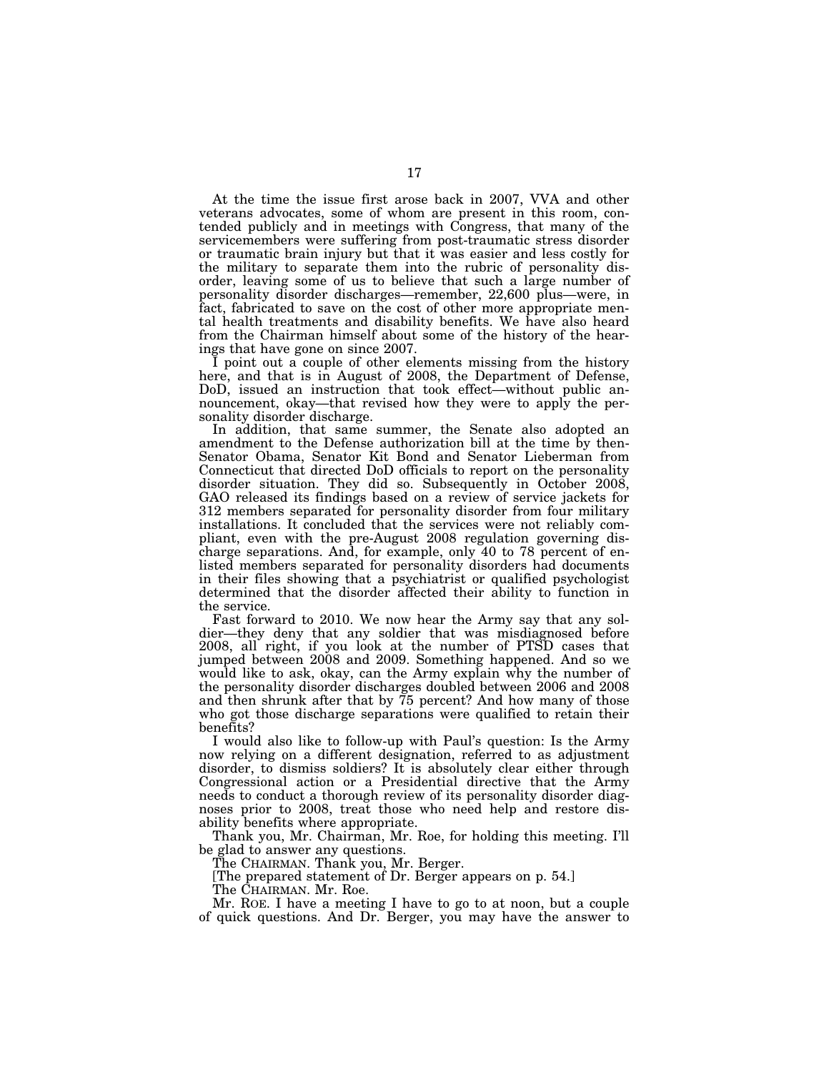At the time the issue first arose back in 2007, VVA and other veterans advocates, some of whom are present in this room, contended publicly and in meetings with Congress, that many of the servicemembers were suffering from post-traumatic stress disorder or traumatic brain injury but that it was easier and less costly for the military to separate them into the rubric of personality disorder, leaving some of us to believe that such a large number of personality disorder discharges—remember, 22,600 plus—were, in fact, fabricated to save on the cost of other more appropriate mental health treatments and disability benefits. We have also heard from the Chairman himself about some of the history of the hearings that have gone on since 2007.

I point out a couple of other elements missing from the history here, and that is in August of 2008, the Department of Defense, DoD, issued an instruction that took effect—without public announcement, okay—that revised how they were to apply the personality disorder discharge.

In addition, that same summer, the Senate also adopted an amendment to the Defense authorization bill at the time by then-Senator Obama, Senator Kit Bond and Senator Lieberman from Connecticut that directed DoD officials to report on the personality disorder situation. They did so. Subsequently in October 2008, GAO released its findings based on a review of service jackets for 312 members separated for personality disorder from four military installations. It concluded that the services were not reliably compliant, even with the pre-August 2008 regulation governing discharge separations. And, for example, only 40 to 78 percent of enlisted members separated for personality disorders had documents in their files showing that a psychiatrist or qualified psychologist determined that the disorder affected their ability to function in the service.

Fast forward to 2010. We now hear the Army say that any soldier—they deny that any soldier that was misdiagnosed before 2008, all right, if you look at the number of PTSD cases that jumped between 2008 and 2009. Something happened. And so we would like to ask, okay, can the Army explain why the number of the personality disorder discharges doubled between 2006 and 2008 and then shrunk after that by 75 percent? And how many of those who got those discharge separations were qualified to retain their benefits?

I would also like to follow-up with Paul's question: Is the Army now relying on a different designation, referred to as adjustment disorder, to dismiss soldiers? It is absolutely clear either through Congressional action or a Presidential directive that the Army needs to conduct a thorough review of its personality disorder diagnoses prior to 2008, treat those who need help and restore disability benefits where appropriate.

Thank you, Mr. Chairman, Mr. Roe, for holding this meeting. I'll be glad to answer any questions.

The CHAIRMAN. Thank you, Mr. Berger.

[The prepared statement of Dr. Berger appears on p. 54.]

The CHAIRMAN. Mr. Roe.

Mr. ROE. I have a meeting I have to go to at noon, but a couple of quick questions. And Dr. Berger, you may have the answer to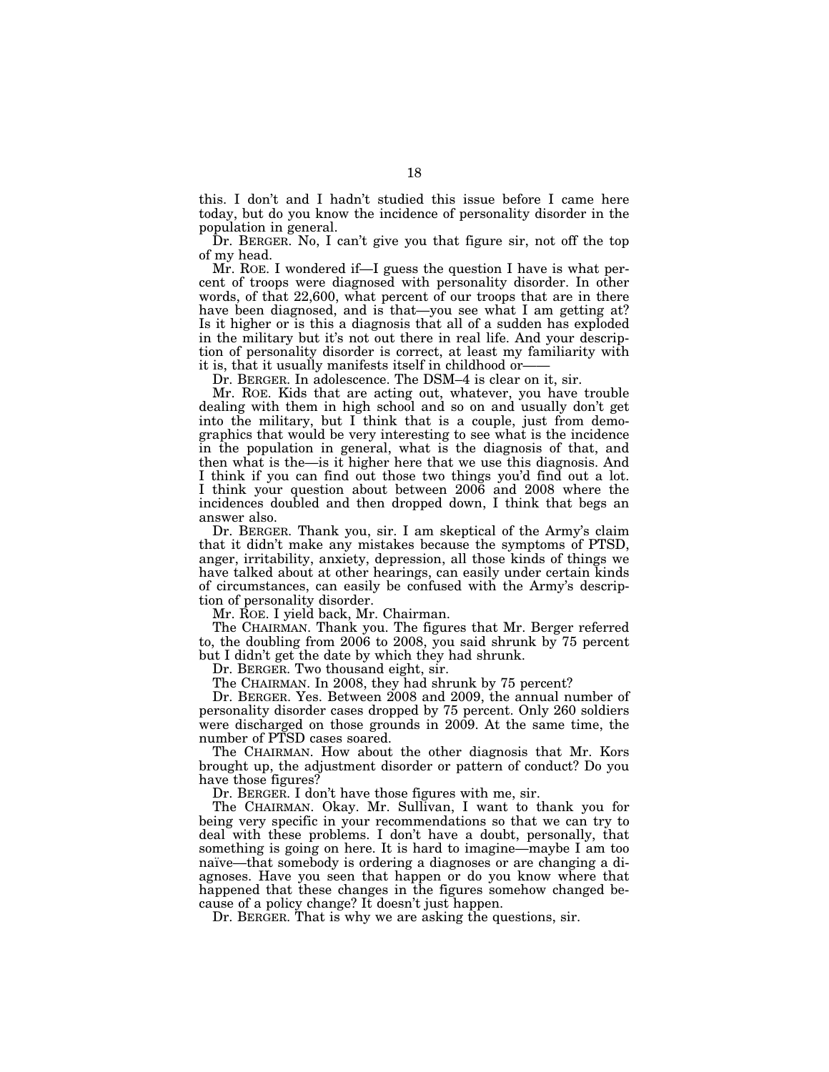this. I don't and I hadn't studied this issue before I came here today, but do you know the incidence of personality disorder in the population in general.

Dr. BERGER. No, I can't give you that figure sir, not off the top of my head.

Mr. ROE. I wondered if—I guess the question I have is what percent of troops were diagnosed with personality disorder. In other words, of that 22,600, what percent of our troops that are in there have been diagnosed, and is that—you see what I am getting at? Is it higher or is this a diagnosis that all of a sudden has exploded in the military but it's not out there in real life. And your description of personality disorder is correct, at least my familiarity with it is, that it usually manifests itself in childhood or-

Dr. BERGER. In adolescence. The DSM–4 is clear on it, sir.

Mr. ROE. Kids that are acting out, whatever, you have trouble dealing with them in high school and so on and usually don't get into the military, but I think that is a couple, just from demographics that would be very interesting to see what is the incidence in the population in general, what is the diagnosis of that, and then what is the—is it higher here that we use this diagnosis. And I think if you can find out those two things you'd find out a lot. I think your question about between 2006 and 2008 where the incidences doubled and then dropped down, I think that begs an answer also.

Dr. BERGER. Thank you, sir. I am skeptical of the Army's claim that it didn't make any mistakes because the symptoms of PTSD, anger, irritability, anxiety, depression, all those kinds of things we have talked about at other hearings, can easily under certain kinds of circumstances, can easily be confused with the Army's description of personality disorder.

Mr. ROE. I yield back, Mr. Chairman.

The CHAIRMAN. Thank you. The figures that Mr. Berger referred to, the doubling from 2006 to 2008, you said shrunk by 75 percent but I didn't get the date by which they had shrunk.

Dr. BERGER. Two thousand eight, sir.

The CHAIRMAN. In 2008, they had shrunk by 75 percent?

Dr. BERGER. Yes. Between 2008 and 2009, the annual number of personality disorder cases dropped by 75 percent. Only 260 soldiers were discharged on those grounds in 2009. At the same time, the number of PTSD cases soared.

The CHAIRMAN. How about the other diagnosis that Mr. Kors brought up, the adjustment disorder or pattern of conduct? Do you have those figures?

Dr. BERGER. I don't have those figures with me, sir.

The CHAIRMAN. Okay. Mr. Sullivan, I want to thank you for being very specific in your recommendations so that we can try to deal with these problems. I don't have a doubt, personally, that something is going on here. It is hard to imagine—maybe I am too naïve—that somebody is ordering a diagnoses or are changing a diagnoses. Have you seen that happen or do you know where that happened that these changes in the figures somehow changed because of a policy change? It doesn't just happen.

Dr. BERGER. That is why we are asking the questions, sir.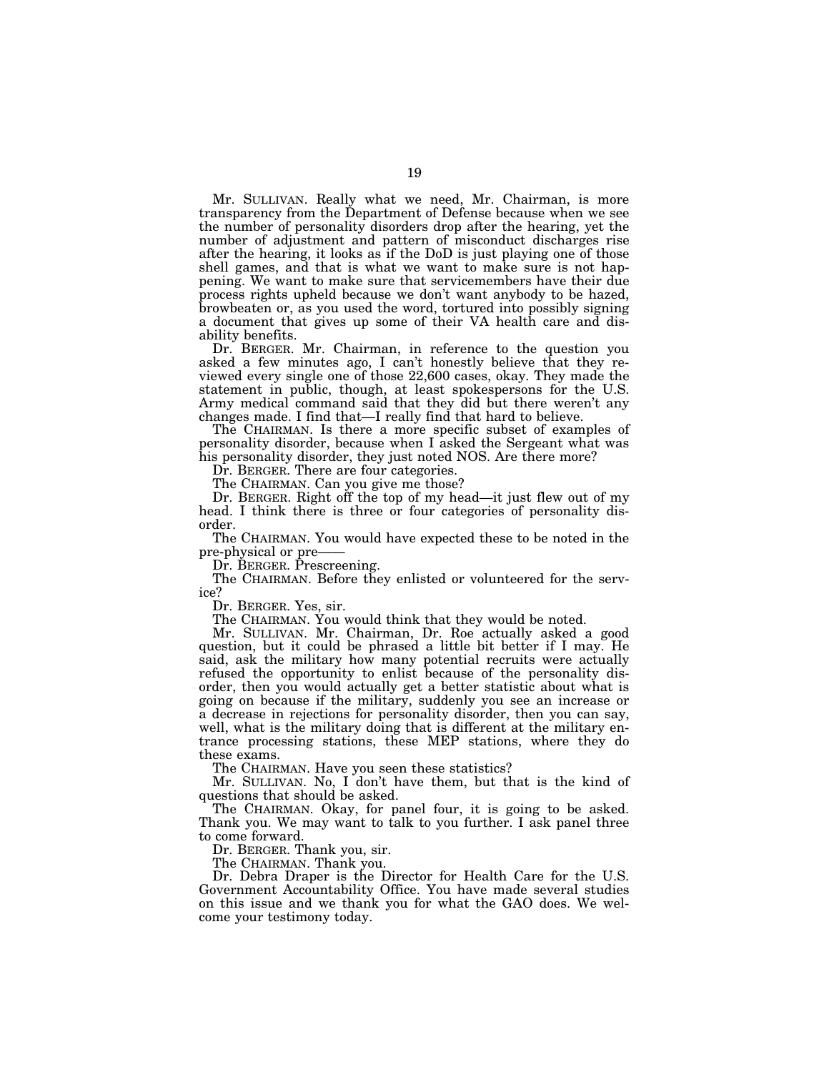Mr. SULLIVAN. Really what we need, Mr. Chairman, is more transparency from the Department of Defense because when we see the number of personality disorders drop after the hearing, yet the number of adjustment and pattern of misconduct discharges rise after the hearing, it looks as if the DoD is just playing one of those shell games, and that is what we want to make sure is not happening. We want to make sure that servicemembers have their due process rights upheld because we don't want anybody to be hazed, browbeaten or, as you used the word, tortured into possibly signing a document that gives up some of their VA health care and disability benefits.

Dr. BERGER. Mr. Chairman, in reference to the question you asked a few minutes ago, I can't honestly believe that they reviewed every single one of those 22,600 cases, okay. They made the statement in public, though, at least spokespersons for the U.S. Army medical command said that they did but there weren't any changes made. I find that—I really find that hard to believe.

The CHAIRMAN. Is there a more specific subset of examples of personality disorder, because when I asked the Sergeant what was his personality disorder, they just noted NOS. Are there more?

Dr. BERGER. There are four categories.

The CHAIRMAN. Can you give me those?

Dr. BERGER. Right off the top of my head—it just flew out of my head. I think there is three or four categories of personality disorder.

The CHAIRMAN. You would have expected these to be noted in the pre-physical or pre-

Dr. BERGER. Prescreening.

The CHAIRMAN. Before they enlisted or volunteered for the service?

Dr. BERGER. Yes, sir.

The CHAIRMAN. You would think that they would be noted.

Mr. SULLIVAN. Mr. Chairman, Dr. Roe actually asked a good question, but it could be phrased a little bit better if I may. He said, ask the military how many potential recruits were actually refused the opportunity to enlist because of the personality disorder, then you would actually get a better statistic about what is going on because if the military, suddenly you see an increase or a decrease in rejections for personality disorder, then you can say, well, what is the military doing that is different at the military entrance processing stations, these MEP stations, where they do these exams.

The CHAIRMAN. Have you seen these statistics?

Mr. SULLIVAN. No, I don't have them, but that is the kind of questions that should be asked.

The CHAIRMAN. Okay, for panel four, it is going to be asked. Thank you. We may want to talk to you further. I ask panel three to come forward.

Dr. BERGER. Thank you, sir.

The CHAIRMAN. Thank you.

Dr. Debra Draper is the Director for Health Care for the U.S. Government Accountability Office. You have made several studies on this issue and we thank you for what the GAO does. We welcome your testimony today.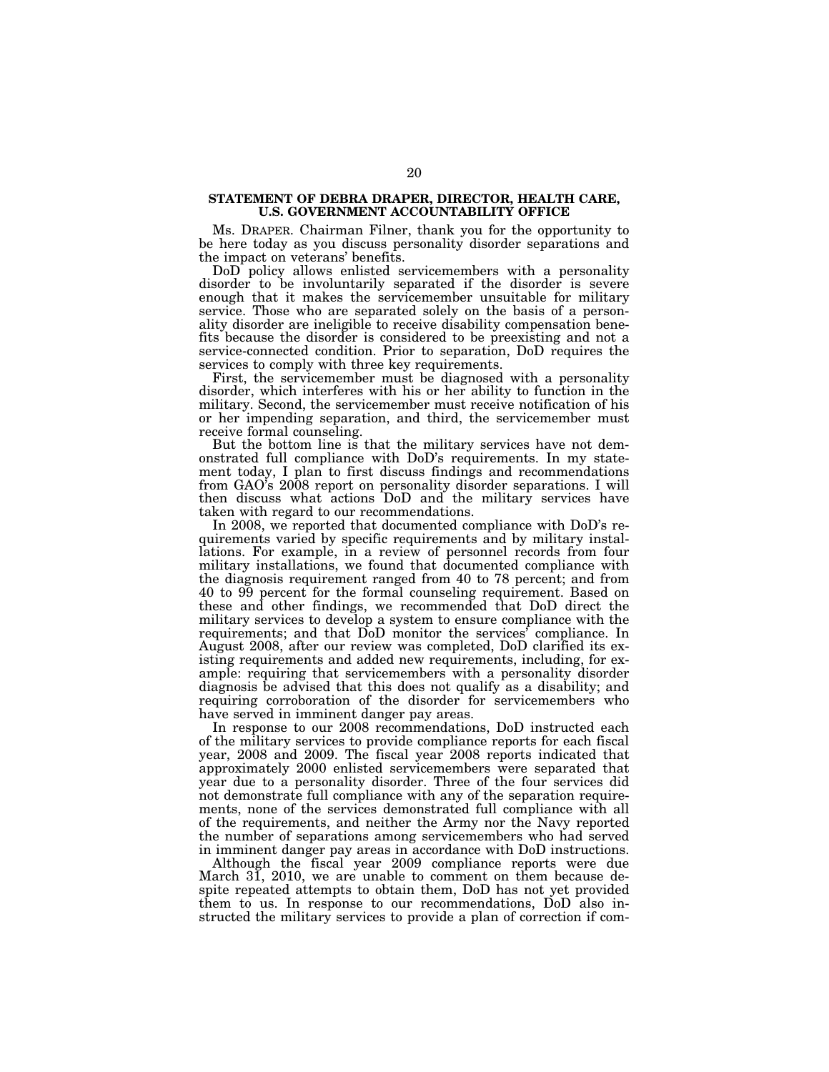#### **STATEMENT OF DEBRA DRAPER, DIRECTOR, HEALTH CARE, U.S. GOVERNMENT ACCOUNTABILITY OFFICE**

Ms. DRAPER. Chairman Filner, thank you for the opportunity to be here today as you discuss personality disorder separations and the impact on veterans' benefits.

DoD policy allows enlisted servicemembers with a personality disorder to be involuntarily separated if the disorder is severe enough that it makes the servicemember unsuitable for military service. Those who are separated solely on the basis of a personality disorder are ineligible to receive disability compensation benefits because the disorder is considered to be preexisting and not a service-connected condition. Prior to separation, DoD requires the services to comply with three key requirements.

First, the servicemember must be diagnosed with a personality disorder, which interferes with his or her ability to function in the military. Second, the servicemember must receive notification of his or her impending separation, and third, the servicemember must receive formal counseling.

But the bottom line is that the military services have not demonstrated full compliance with DoD's requirements. In my statement today, I plan to first discuss findings and recommendations from GAO's 2008 report on personality disorder separations. I will then discuss what actions DoD and the military services have taken with regard to our recommendations.

In 2008, we reported that documented compliance with DoD's requirements varied by specific requirements and by military installations. For example, in a review of personnel records from four military installations, we found that documented compliance with the diagnosis requirement ranged from 40 to 78 percent; and from 40 to 99 percent for the formal counseling requirement. Based on these and other findings, we recommended that DoD direct the military services to develop a system to ensure compliance with the requirements; and that DoD monitor the services' compliance. In August 2008, after our review was completed, DoD clarified its existing requirements and added new requirements, including, for example: requiring that servicemembers with a personality disorder diagnosis be advised that this does not qualify as a disability; and requiring corroboration of the disorder for servicemembers who have served in imminent danger pay areas.

In response to our 2008 recommendations, DoD instructed each of the military services to provide compliance reports for each fiscal year, 2008 and 2009. The fiscal year 2008 reports indicated that approximately 2000 enlisted servicemembers were separated that year due to a personality disorder. Three of the four services did not demonstrate full compliance with any of the separation requirements, none of the services demonstrated full compliance with all of the requirements, and neither the Army nor the Navy reported the number of separations among servicemembers who had served in imminent danger pay areas in accordance with DoD instructions.

Although the fiscal year 2009 compliance reports were due March 31, 2010, we are unable to comment on them because despite repeated attempts to obtain them, DoD has not yet provided them to us. In response to our recommendations, DoD also instructed the military services to provide a plan of correction if com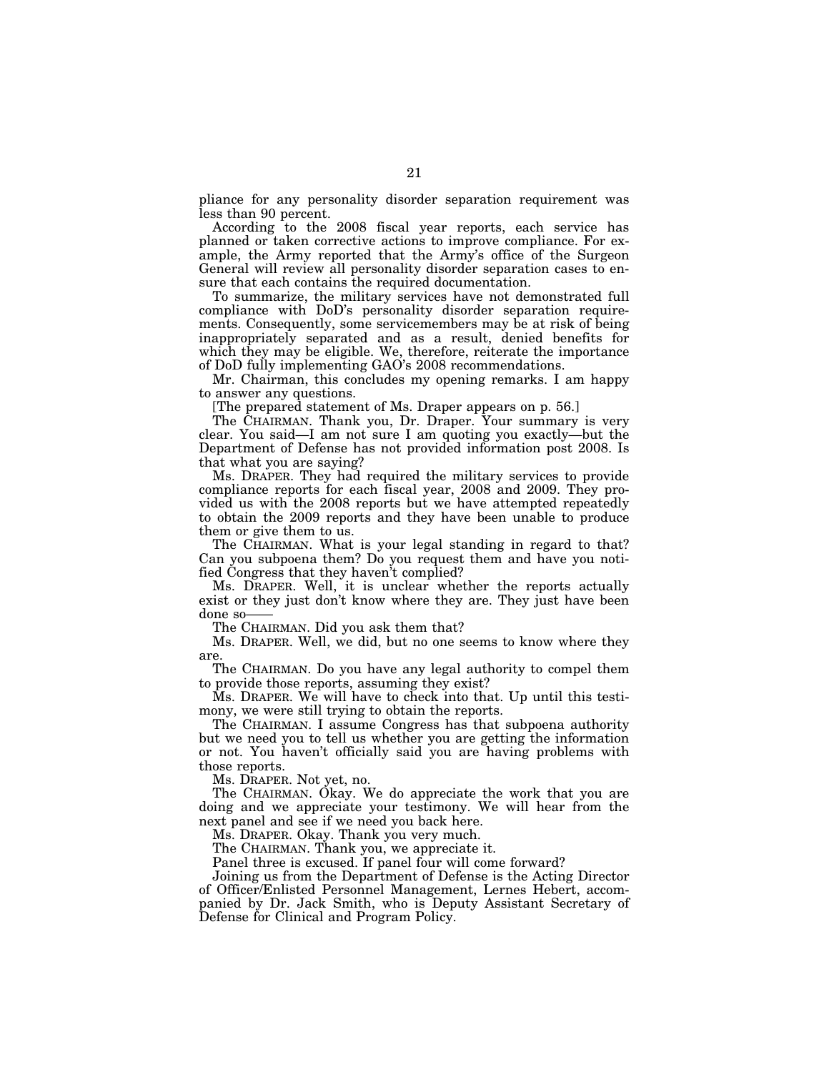pliance for any personality disorder separation requirement was less than 90 percent.

According to the 2008 fiscal year reports, each service has planned or taken corrective actions to improve compliance. For example, the Army reported that the Army's office of the Surgeon General will review all personality disorder separation cases to ensure that each contains the required documentation.

To summarize, the military services have not demonstrated full compliance with DoD's personality disorder separation requirements. Consequently, some servicemembers may be at risk of being inappropriately separated and as a result, denied benefits for which they may be eligible. We, therefore, reiterate the importance of DoD fully implementing GAO's 2008 recommendations.

Mr. Chairman, this concludes my opening remarks. I am happy to answer any questions.

[The prepared statement of Ms. Draper appears on p. 56.]

The CHAIRMAN. Thank you, Dr. Draper. Your summary is very clear. You said—I am not sure I am quoting you exactly—but the Department of Defense has not provided information post 2008. Is that what you are saying?

Ms. DRAPER. They had required the military services to provide compliance reports for each fiscal year, 2008 and 2009. They provided us with the 2008 reports but we have attempted repeatedly to obtain the 2009 reports and they have been unable to produce them or give them to us.

The CHAIRMAN. What is your legal standing in regard to that? Can you subpoena them? Do you request them and have you notified Congress that they haven't complied?

Ms. DRAPER. Well, it is unclear whether the reports actually exist or they just don't know where they are. They just have been done so-

The CHAIRMAN. Did you ask them that?

Ms. DRAPER. Well, we did, but no one seems to know where they are.

The CHAIRMAN. Do you have any legal authority to compel them to provide those reports, assuming they exist?

Ms. DRAPER. We will have to check into that. Up until this testimony, we were still trying to obtain the reports.

The CHAIRMAN. I assume Congress has that subpoena authority but we need you to tell us whether you are getting the information or not. You haven't officially said you are having problems with those reports.

Ms. DRAPER. Not yet, no.

The CHAIRMAN. Okay. We do appreciate the work that you are doing and we appreciate your testimony. We will hear from the next panel and see if we need you back here.

Ms. DRAPER. Okay. Thank you very much.

The CHAIRMAN. Thank you, we appreciate it.

Panel three is excused. If panel four will come forward?

Joining us from the Department of Defense is the Acting Director of Officer/Enlisted Personnel Management, Lernes Hebert, accompanied by Dr. Jack Smith, who is Deputy Assistant Secretary of Defense for Clinical and Program Policy.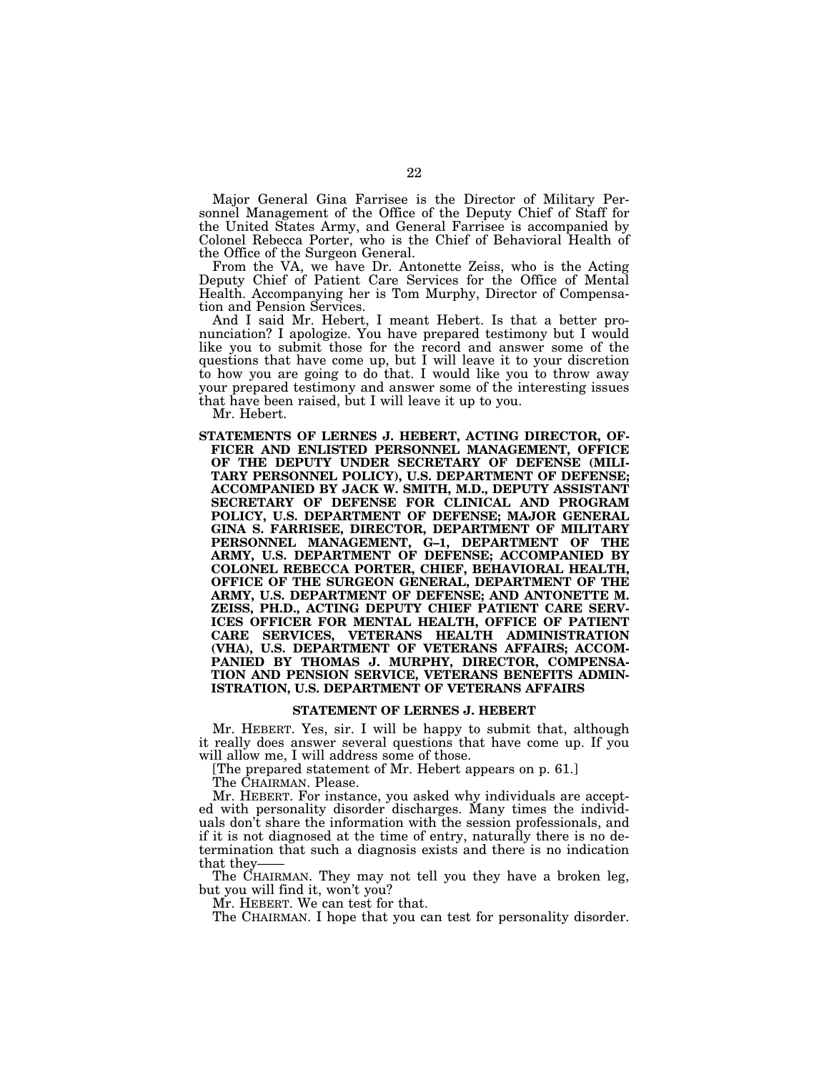Major General Gina Farrisee is the Director of Military Personnel Management of the Office of the Deputy Chief of Staff for the United States Army, and General Farrisee is accompanied by Colonel Rebecca Porter, who is the Chief of Behavioral Health of the Office of the Surgeon General.

From the VA, we have Dr. Antonette Zeiss, who is the Acting Deputy Chief of Patient Care Services for the Office of Mental Health. Accompanying her is Tom Murphy, Director of Compensation and Pension Services.

And I said Mr. Hebert, I meant Hebert. Is that a better pronunciation? I apologize. You have prepared testimony but I would like you to submit those for the record and answer some of the questions that have come up, but I will leave it to your discretion to how you are going to do that. I would like you to throw away your prepared testimony and answer some of the interesting issues that have been raised, but I will leave it up to you.

Mr. Hebert.

**STATEMENTS OF LERNES J. HEBERT, ACTING DIRECTOR, OF-FICER AND ENLISTED PERSONNEL MANAGEMENT, OFFICE OF THE DEPUTY UNDER SECRETARY OF DEFENSE (MILI-TARY PERSONNEL POLICY), U.S. DEPARTMENT OF DEFENSE; ACCOMPANIED BY JACK W. SMITH, M.D., DEPUTY ASSISTANT SECRETARY OF DEFENSE FOR CLINICAL AND PROGRAM POLICY, U.S. DEPARTMENT OF DEFENSE; MAJOR GENERAL GINA S. FARRISEE, DIRECTOR, DEPARTMENT OF MILITARY PERSONNEL MANAGEMENT, G–1, DEPARTMENT OF THE ARMY, U.S. DEPARTMENT OF DEFENSE; ACCOMPANIED BY COLONEL REBECCA PORTER, CHIEF, BEHAVIORAL HEALTH, OFFICE OF THE SURGEON GENERAL, DEPARTMENT OF THE ARMY, U.S. DEPARTMENT OF DEFENSE; AND ANTONETTE M. ZEISS, PH.D., ACTING DEPUTY CHIEF PATIENT CARE SERV-ICES OFFICER FOR MENTAL HEALTH, OFFICE OF PATIENT CARE SERVICES, VETERANS HEALTH ADMINISTRATION (VHA), U.S. DEPARTMENT OF VETERANS AFFAIRS; ACCOM-PANIED BY THOMAS J. MURPHY, DIRECTOR, COMPENSA-TION AND PENSION SERVICE, VETERANS BENEFITS ADMIN-ISTRATION, U.S. DEPARTMENT OF VETERANS AFFAIRS** 

#### **STATEMENT OF LERNES J. HEBERT**

Mr. HEBERT. Yes, sir. I will be happy to submit that, although it really does answer several questions that have come up. If you will allow me, I will address some of those.

[The prepared statement of Mr. Hebert appears on p. 61.]

The CHAIRMAN. Please.

Mr. HEBERT. For instance, you asked why individuals are accepted with personality disorder discharges. Many times the individuals don't share the information with the session professionals, and if it is not diagnosed at the time of entry, naturally there is no determination that such a diagnosis exists and there is no indication that they-

The CHAIRMAN. They may not tell you they have a broken leg, but you will find it, won't you?

Mr. HEBERT. We can test for that.

The CHAIRMAN. I hope that you can test for personality disorder.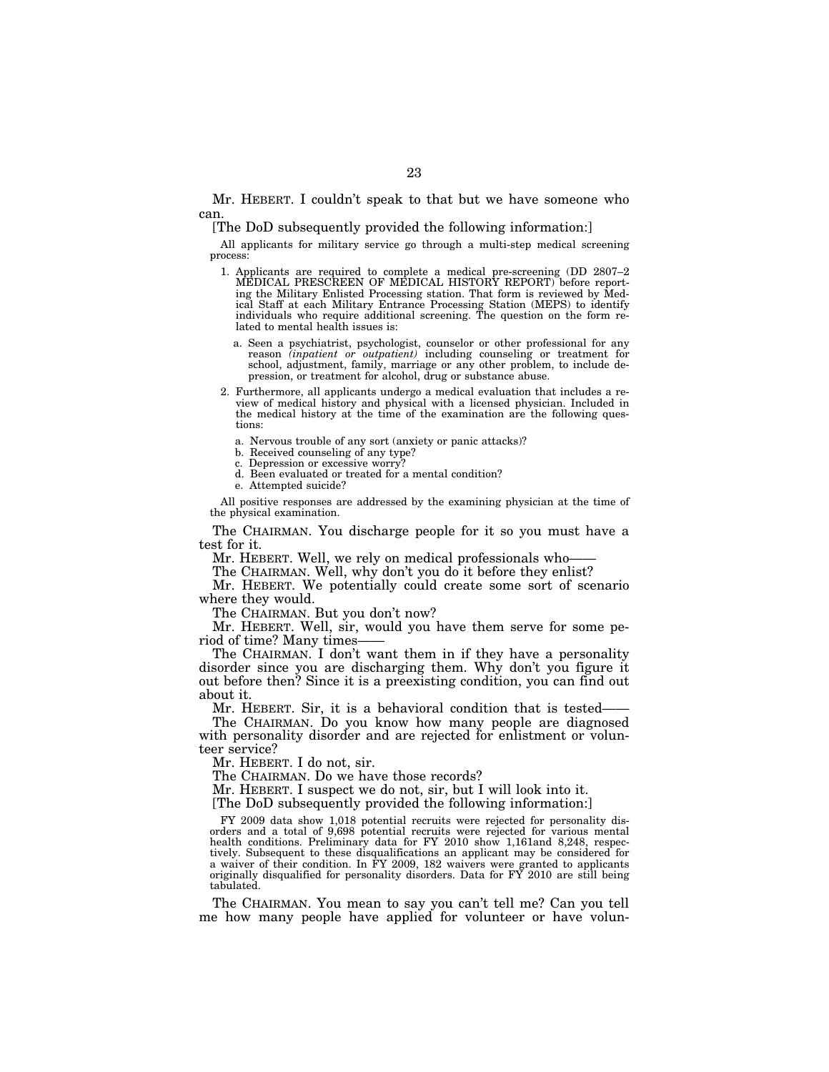Mr. HEBERT. I couldn't speak to that but we have someone who can.

[The DoD subsequently provided the following information:]

All applicants for military service go through a multi-step medical screening process:

1. Applicants are required to complete a medical pre-screening (DD 2807–2 MEDICAL PRESCREEN OF MEDICAL HISTORY REPORT) before reporting the Military Enlisted Processing station. That form is reviewed by Medical Staff at each Military Entrance Processing Station (MEPS) to identify individuals who require additional screening. The question on the form related to mental health issues is:

a. Seen a psychiatrist, psychologist, counselor or other professional for any reason *(inpatient or outpatient)* including counseling or treatment for school, adjustment, family, marriage or any other problem, to include depression, or treatment for alcohol, drug or substance abuse.

2. Furthermore, all applicants undergo a medical evaluation that includes a review of medical history and physical with a licensed physician. Included in the medical history at the time of the examination are the following questions:

a. Nervous trouble of any sort (anxiety or panic attacks)?

b. Received counseling of any type?

c. Depression or excessive worry?

d. Been evaluated or treated for a mental condition?

e. Attempted suicide?

All positive responses are addressed by the examining physician at the time of the physical examination.

The CHAIRMAN. You discharge people for it so you must have a test for it.

Mr. HEBERT. Well, we rely on medical professionals who-

The CHAIRMAN. Well, why don't you do it before they enlist?

Mr. HEBERT. We potentially could create some sort of scenario where they would.

The CHAIRMAN. But you don't now?

Mr. HEBERT. Well, sir, would you have them serve for some period of time? Many times-

The CHAIRMAN. I don't want them in if they have a personality disorder since you are discharging them. Why don't you figure it out before then? Since it is a preexisting condition, you can find out about it.

Mr. HEBERT. Sir, it is a behavioral condition that is tested–

The CHAIRMAN. Do you know how many people are diagnosed with personality disorder and are rejected for enlistment or volunteer service?

Mr. HEBERT. I do not, sir.

The CHAIRMAN. Do we have those records?

Mr. HEBERT. I suspect we do not, sir, but I will look into it.

[The DoD subsequently provided the following information:]

FY 2009 data show 1,018 potential recruits were rejected for personality disorders and a total of 9,698 potential recruits were rejected for various mental health conditions. Preliminary data for FY 2010 show 1,161and 8,248, respectively. Subsequent to these disqualifications an applicant may be considered for a waiver of their condition. In FY 2009, 182 waivers were granted to applicants originally disqualified for personality disorders. Data for FY 2010 are still being tabulated.

The CHAIRMAN. You mean to say you can't tell me? Can you tell me how many people have applied for volunteer or have volun-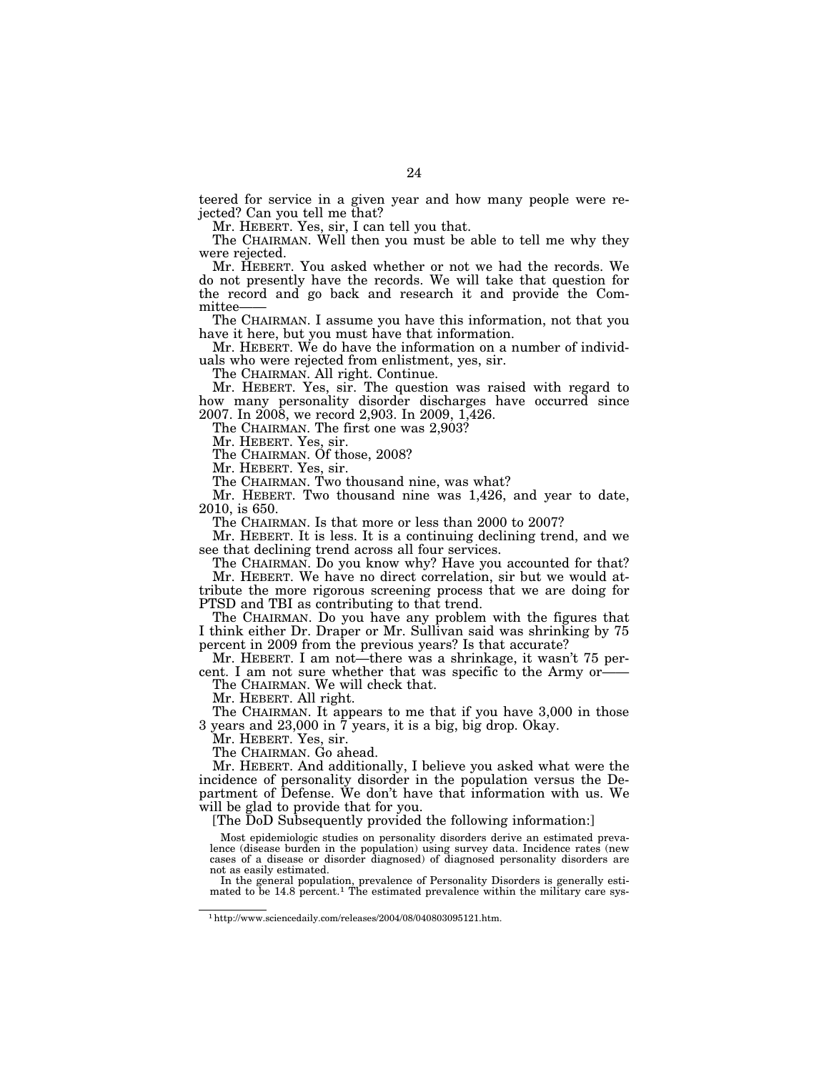teered for service in a given year and how many people were rejected? Can you tell me that?

Mr. HEBERT. Yes, sir, I can tell you that.

The CHAIRMAN. Well then you must be able to tell me why they were rejected.

Mr. HEBERT. You asked whether or not we had the records. We do not presently have the records. We will take that question for the record and go back and research it and provide the Committee-

The CHAIRMAN. I assume you have this information, not that you have it here, but you must have that information.

Mr. HEBERT. We do have the information on a number of individuals who were rejected from enlistment, yes, sir.

The CHAIRMAN. All right. Continue.

Mr. HEBERT. Yes, sir. The question was raised with regard to how many personality disorder discharges have occurred since 2007. In 2008, we record 2,903. In 2009, 1,426.

The CHAIRMAN. The first one was 2,903?

Mr. HEBERT. Yes, sir.

The CHAIRMAN. Of those, 2008?

Mr. HEBERT. Yes, sir.

The CHAIRMAN. Two thousand nine, was what?

Mr. HEBERT. Two thousand nine was 1,426, and year to date, 2010, is 650.

The CHAIRMAN. Is that more or less than 2000 to 2007?

Mr. HEBERT. It is less. It is a continuing declining trend, and we see that declining trend across all four services.

The CHAIRMAN. Do you know why? Have you accounted for that? Mr. HEBERT. We have no direct correlation, sir but we would at-

tribute the more rigorous screening process that we are doing for PTSD and TBI as contributing to that trend.

The CHAIRMAN. Do you have any problem with the figures that I think either Dr. Draper or Mr. Sullivan said was shrinking by 75 percent in 2009 from the previous years? Is that accurate?

Mr. HEBERT. I am not—there was a shrinkage, it wasn't 75 percent. I am not sure whether that was specific to the Army or-

The CHAIRMAN. We will check that.

Mr. HEBERT. All right.

The CHAIRMAN. It appears to me that if you have 3,000 in those 3 years and 23,000 in  $7$  years, it is a big, big drop. Okay.

Mr. HEBERT. Yes, sir.

The CHAIRMAN. Go ahead.

Mr. HEBERT. And additionally, I believe you asked what were the incidence of personality disorder in the population versus the Department of Defense. We don't have that information with us. We will be glad to provide that for you.

[The DoD Subsequently provided the following information:]

Most epidemiologic studies on personality disorders derive an estimated prevalence (disease burden in the population) using survey data. Incidence rates (new cases of a disease or disorder diagnosed) of diagnosed personality disorders are not as easily estimated.

In the general population, prevalence of Personality Disorders is generally estimated to be  $14.8$  percent.<sup>1</sup> The estimated prevalence within the military care sys-

<sup>1</sup>http://www.sciencedaily.com/releases/2004/08/040803095121.htm.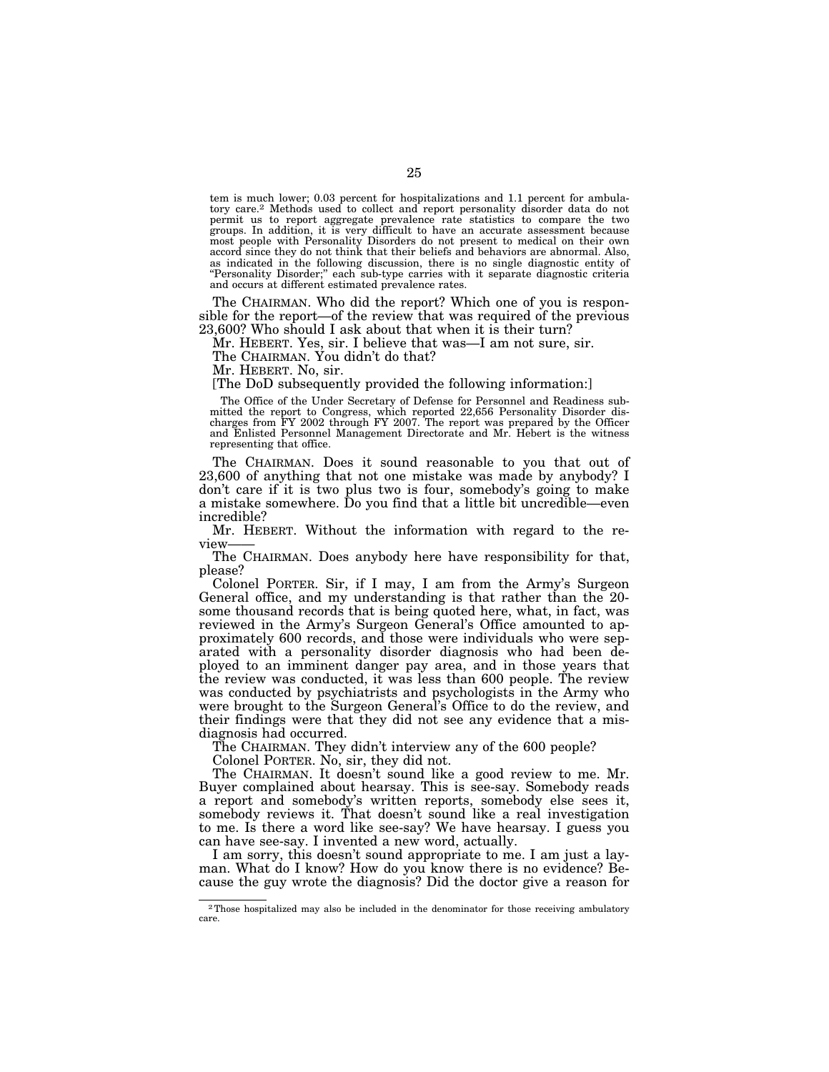tem is much lower; 0.03 percent for hospitalizations and 1.1 percent for ambulatory care.2 Methods used to collect and report personality disorder data do not permit us to report aggregate prevalence rate statistics to compare the two groups. In addition, it is very difficult to have an accurate assessment because most people with Personality Disorders do not present to medical on their own accord since they do not think that their beliefs and behaviors are abnormal. Also, as indicated in the following discussion, there is no single diagnostic entity of ''Personality Disorder;'' each sub-type carries with it separate diagnostic criteria and occurs at different estimated prevalence rates.

The CHAIRMAN. Who did the report? Which one of you is responsible for the report—of the review that was required of the previous 23,600? Who should I ask about that when it is their turn?

Mr. HEBERT. Yes, sir. I believe that was—I am not sure, sir.

The CHAIRMAN. You didn't do that?

Mr. HEBERT. No, sir.

[The DoD subsequently provided the following information:]

The Office of the Under Secretary of Defense for Personnel and Readiness submitted the report to Congress, which reported 22,656 Personality Disorder discharges from FY 2002 through FY 2007. The report was prepared by the Officer and Enlisted Personnel Management Directorate and Mr. Hebert is the witness representing that office.

The CHAIRMAN. Does it sound reasonable to you that out of 23,600 of anything that not one mistake was made by anybody? I don't care if it is two plus two is four, somebody's going to make a mistake somewhere. Do you find that a little bit uncredible—even incredible?

Mr. HEBERT. Without the information with regard to the review-

The CHAIRMAN. Does anybody here have responsibility for that, please?

Colonel PORTER. Sir, if I may, I am from the Army's Surgeon General office, and my understanding is that rather than the 20 some thousand records that is being quoted here, what, in fact, was reviewed in the Army's Surgeon General's Office amounted to approximately 600 records, and those were individuals who were separated with a personality disorder diagnosis who had been deployed to an imminent danger pay area, and in those years that the review was conducted, it was less than 600 people. The review was conducted by psychiatrists and psychologists in the Army who were brought to the Surgeon General's Office to do the review, and their findings were that they did not see any evidence that a misdiagnosis had occurred.

The CHAIRMAN. They didn't interview any of the 600 people?

Colonel PORTER. No, sir, they did not.

The CHAIRMAN. It doesn't sound like a good review to me. Mr. Buyer complained about hearsay. This is see-say. Somebody reads a report and somebody's written reports, somebody else sees it, somebody reviews it. That doesn't sound like a real investigation to me. Is there a word like see-say? We have hearsay. I guess you can have see-say. I invented a new word, actually.

I am sorry, this doesn't sound appropriate to me. I am just a layman. What do I know? How do you know there is no evidence? Because the guy wrote the diagnosis? Did the doctor give a reason for

<sup>2</sup>Those hospitalized may also be included in the denominator for those receiving ambulatory care.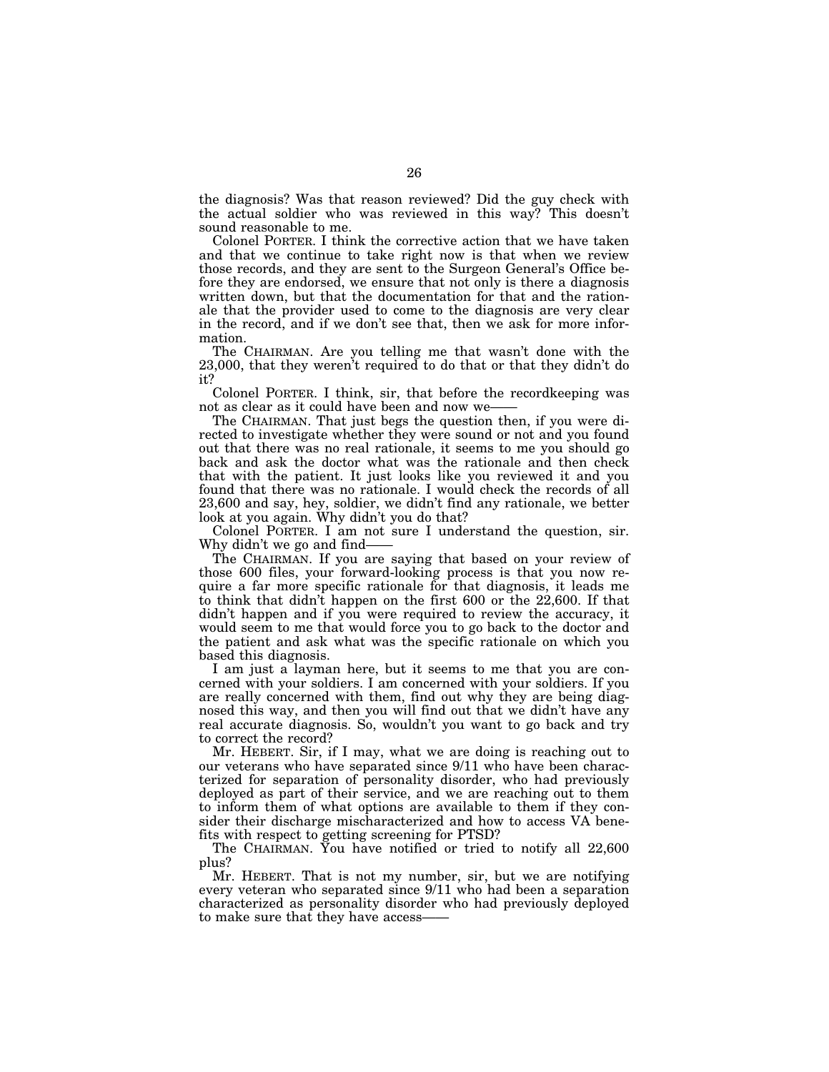the diagnosis? Was that reason reviewed? Did the guy check with the actual soldier who was reviewed in this way? This doesn't sound reasonable to me.

Colonel PORTER. I think the corrective action that we have taken and that we continue to take right now is that when we review those records, and they are sent to the Surgeon General's Office before they are endorsed, we ensure that not only is there a diagnosis written down, but that the documentation for that and the rationale that the provider used to come to the diagnosis are very clear in the record, and if we don't see that, then we ask for more information.

The CHAIRMAN. Are you telling me that wasn't done with the 23,000, that they weren't required to do that or that they didn't do it?

Colonel PORTER. I think, sir, that before the recordkeeping was not as clear as it could have been and now we-

The CHAIRMAN. That just begs the question then, if you were directed to investigate whether they were sound or not and you found out that there was no real rationale, it seems to me you should go back and ask the doctor what was the rationale and then check that with the patient. It just looks like you reviewed it and you found that there was no rationale. I would check the records of all 23,600 and say, hey, soldier, we didn't find any rationale, we better look at you again. Why didn't you do that?

Colonel PORTER. I am not sure I understand the question, sir. Why didn't we go and find-

The CHAIRMAN. If you are saying that based on your review of those 600 files, your forward-looking process is that you now require a far more specific rationale for that diagnosis, it leads me to think that didn't happen on the first 600 or the 22,600. If that didn't happen and if you were required to review the accuracy, it would seem to me that would force you to go back to the doctor and the patient and ask what was the specific rationale on which you based this diagnosis.

I am just a layman here, but it seems to me that you are concerned with your soldiers. I am concerned with your soldiers. If you are really concerned with them, find out why they are being diagnosed this way, and then you will find out that we didn't have any real accurate diagnosis. So, wouldn't you want to go back and try to correct the record?

Mr. HEBERT. Sir, if I may, what we are doing is reaching out to our veterans who have separated since 9/11 who have been characterized for separation of personality disorder, who had previously deployed as part of their service, and we are reaching out to them to inform them of what options are available to them if they consider their discharge mischaracterized and how to access VA benefits with respect to getting screening for PTSD?

The CHAIRMAN. You have notified or tried to notify all 22,600 plus?

Mr. HEBERT. That is not my number, sir, but we are notifying every veteran who separated since 9/11 who had been a separation characterized as personality disorder who had previously deployed to make sure that they have access-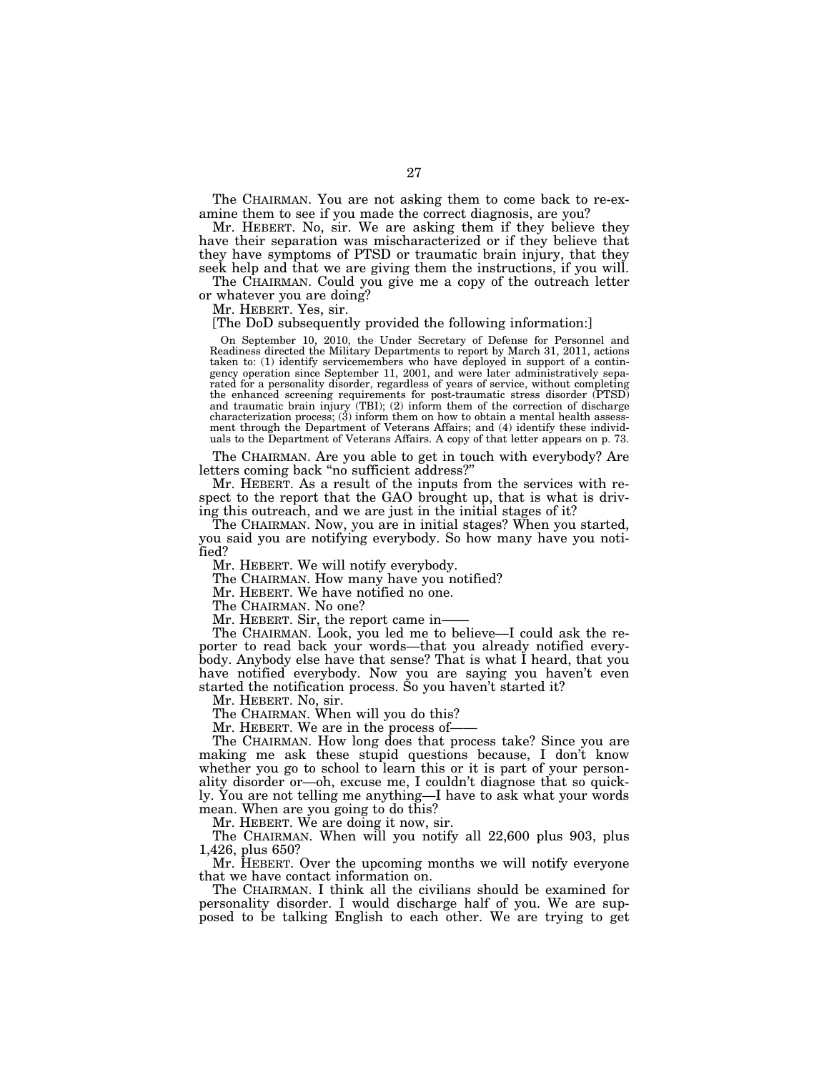The CHAIRMAN. You are not asking them to come back to re-examine them to see if you made the correct diagnosis, are you?

Mr. HEBERT. No, sir. We are asking them if they believe they have their separation was mischaracterized or if they believe that they have symptoms of PTSD or traumatic brain injury, that they seek help and that we are giving them the instructions, if you will.

The CHAIRMAN. Could you give me a copy of the outreach letter or whatever you are doing?

Mr. HEBERT. Yes, sir.

[The DoD subsequently provided the following information:]

On September 10, 2010, the Under Secretary of Defense for Personnel and Readiness directed the Military Departments to report by March 31, 2011, actions taken to: (1) identify servicemembers who have deployed in support of a contingency operation since September 11, 2001, and were later administratively separated for a personality disorder, regardless of years of service, without completing the enhanced screening requirements for post-traumatic stress disorder (PTSD) and traumatic brain injury (TBI); (2) inform them of the correction of discharge characterization process;  $(3)$  inform them on how to obtain a mental health assessment through the Department of Veterans Affairs; and (4) identify these individuals to the Department of Veterans Affairs. A copy of that letter appears on p. 73.

The CHAIRMAN. Are you able to get in touch with everybody? Are letters coming back ''no sufficient address?''

Mr. HEBERT. As a result of the inputs from the services with respect to the report that the GAO brought up, that is what is driving this outreach, and we are just in the initial stages of it?

The CHAIRMAN. Now, you are in initial stages? When you started, you said you are notifying everybody. So how many have you notified?

Mr. HEBERT. We will notify everybody.

The CHAIRMAN. How many have you notified?

Mr. HEBERT. We have notified no one.

The CHAIRMAN. No one?

Mr. HEBERT. Sir, the report came in-

The CHAIRMAN. Look, you led me to believe—I could ask the reporter to read back your words—that you already notified everybody. Anybody else have that sense? That is what I heard, that you have notified everybody. Now you are saying you haven't even started the notification process. So you haven't started it?

Mr. HEBERT. No, sir.

The CHAIRMAN. When will you do this?

Mr. HEBERT. We are in the process of-

The CHAIRMAN. How long does that process take? Since you are making me ask these stupid questions because, I don't know whether you go to school to learn this or it is part of your personality disorder or—oh, excuse me, I couldn't diagnose that so quickly. You are not telling me anything—I have to ask what your words mean. When are you going to do this?

Mr. HEBERT. We are doing it now, sir.

The CHAIRMAN. When will you notify all 22,600 plus 903, plus 1,426, plus 650?

Mr. HEBERT. Over the upcoming months we will notify everyone that we have contact information on.

The CHAIRMAN. I think all the civilians should be examined for personality disorder. I would discharge half of you. We are supposed to be talking English to each other. We are trying to get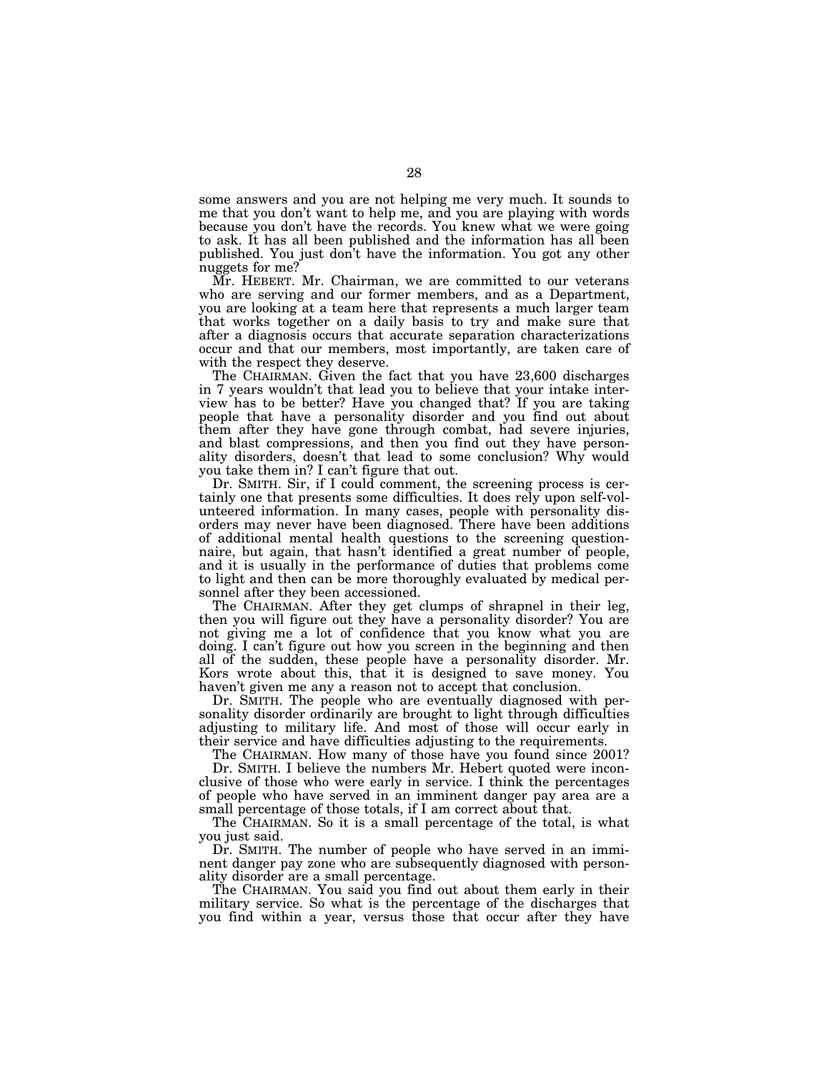some answers and you are not helping me very much. It sounds to me that you don't want to help me, and you are playing with words because you don't have the records. You knew what we were going to ask. It has all been published and the information has all been published. You just don't have the information. You got any other nuggets for me?

Mr. HEBERT. Mr. Chairman, we are committed to our veterans who are serving and our former members, and as a Department, you are looking at a team here that represents a much larger team that works together on a daily basis to try and make sure that after a diagnosis occurs that accurate separation characterizations occur and that our members, most importantly, are taken care of with the respect they deserve.

The CHAIRMAN. Given the fact that you have 23,600 discharges in 7 years wouldn't that lead you to believe that your intake interview has to be better? Have you changed that? If you are taking people that have a personality disorder and you find out about them after they have gone through combat, had severe injuries, and blast compressions, and then you find out they have personality disorders, doesn't that lead to some conclusion? Why would you take them in? I can't figure that out.

Dr. SMITH. Sir, if I could comment, the screening process is certainly one that presents some difficulties. It does rely upon self-volunteered information. In many cases, people with personality disorders may never have been diagnosed. There have been additions of additional mental health questions to the screening questionnaire, but again, that hasn't identified a great number of people, and it is usually in the performance of duties that problems come to light and then can be more thoroughly evaluated by medical personnel after they been accessioned.

The CHAIRMAN. After they get clumps of shrapnel in their leg, then you will figure out they have a personality disorder? You are not giving me a lot of confidence that you know what you are doing. I can't figure out how you screen in the beginning and then all of the sudden, these people have a personality disorder. Mr. Kors wrote about this, that it is designed to save money. You haven't given me any a reason not to accept that conclusion.

Dr. SMITH. The people who are eventually diagnosed with personality disorder ordinarily are brought to light through difficulties adjusting to military life. And most of those will occur early in their service and have difficulties adjusting to the requirements.

The CHAIRMAN. How many of those have you found since 2001?

Dr. SMITH. I believe the numbers Mr. Hebert quoted were inconclusive of those who were early in service. I think the percentages of people who have served in an imminent danger pay area are a small percentage of those totals, if I am correct about that.

The CHAIRMAN. So it is a small percentage of the total, is what you just said.

Dr. SMITH. The number of people who have served in an imminent danger pay zone who are subsequently diagnosed with personality disorder are a small percentage.

The CHAIRMAN. You said you find out about them early in their military service. So what is the percentage of the discharges that you find within a year, versus those that occur after they have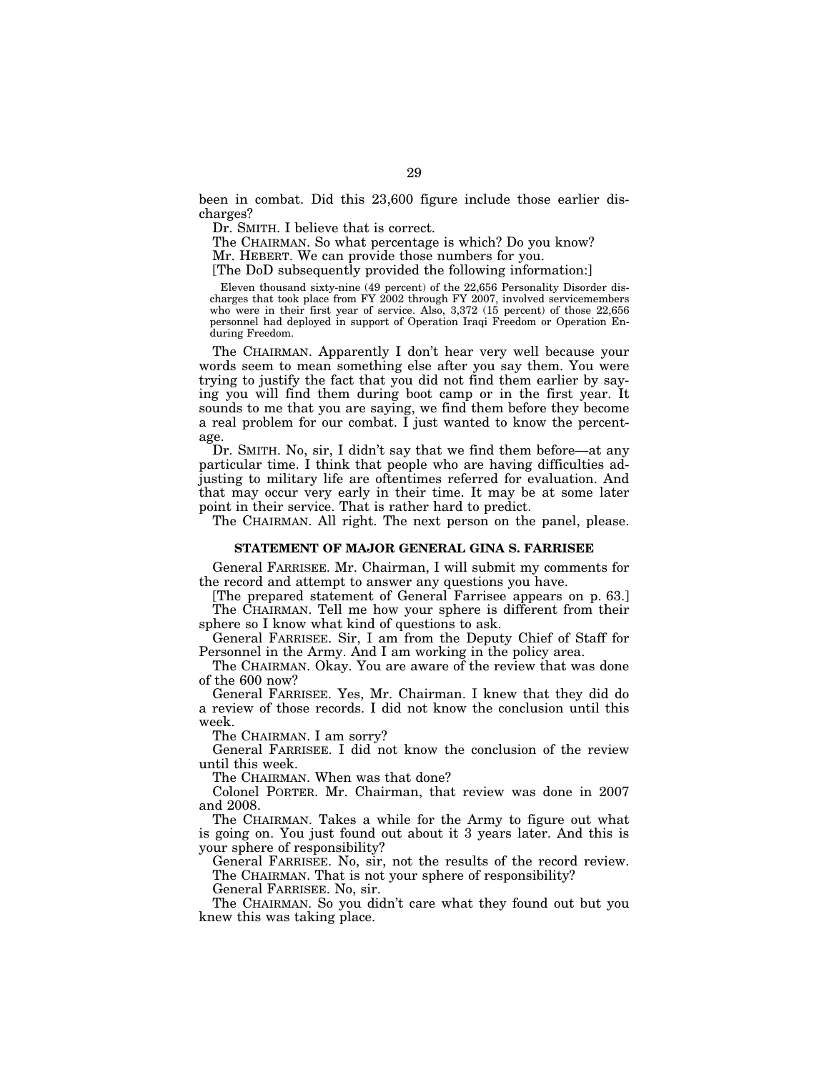been in combat. Did this 23,600 figure include those earlier discharges?

Dr. SMITH. I believe that is correct.

The CHAIRMAN. So what percentage is which? Do you know?

Mr. HEBERT. We can provide those numbers for you.

[The DoD subsequently provided the following information:]

Eleven thousand sixty-nine (49 percent) of the 22,656 Personality Disorder discharges that took place from FY 2002 through FY 2007, involved servicemembers who were in their first year of service. Also, 3,372 (15 percent) of those 22,656 personnel had deployed in support of Operation Iraqi Freedom or Operation Enduring Freedom.

The CHAIRMAN. Apparently I don't hear very well because your words seem to mean something else after you say them. You were trying to justify the fact that you did not find them earlier by saying you will find them during boot camp or in the first year. It sounds to me that you are saying, we find them before they become a real problem for our combat. I just wanted to know the percentage.

Dr. SMITH. No, sir, I didn't say that we find them before—at any particular time. I think that people who are having difficulties adjusting to military life are oftentimes referred for evaluation. And that may occur very early in their time. It may be at some later point in their service. That is rather hard to predict.

The CHAIRMAN. All right. The next person on the panel, please.

#### **STATEMENT OF MAJOR GENERAL GINA S. FARRISEE**

General FARRISEE. Mr. Chairman, I will submit my comments for the record and attempt to answer any questions you have.

[The prepared statement of General Farrisee appears on p. 63.] The CHAIRMAN. Tell me how your sphere is different from their sphere so I know what kind of questions to ask.

General FARRISEE. Sir, I am from the Deputy Chief of Staff for Personnel in the Army. And I am working in the policy area.

The CHAIRMAN. Okay. You are aware of the review that was done of the 600 now?

General FARRISEE. Yes, Mr. Chairman. I knew that they did do a review of those records. I did not know the conclusion until this week.

The CHAIRMAN. I am sorry?

General FARRISEE. I did not know the conclusion of the review until this week.

The CHAIRMAN. When was that done?

Colonel PORTER. Mr. Chairman, that review was done in 2007 and 2008.

The CHAIRMAN. Takes a while for the Army to figure out what is going on. You just found out about it 3 years later. And this is your sphere of responsibility?

General FARRISEE. No, sir, not the results of the record review. The CHAIRMAN. That is not your sphere of responsibility?

General FARRISEE. No, sir.

The CHAIRMAN. So you didn't care what they found out but you knew this was taking place.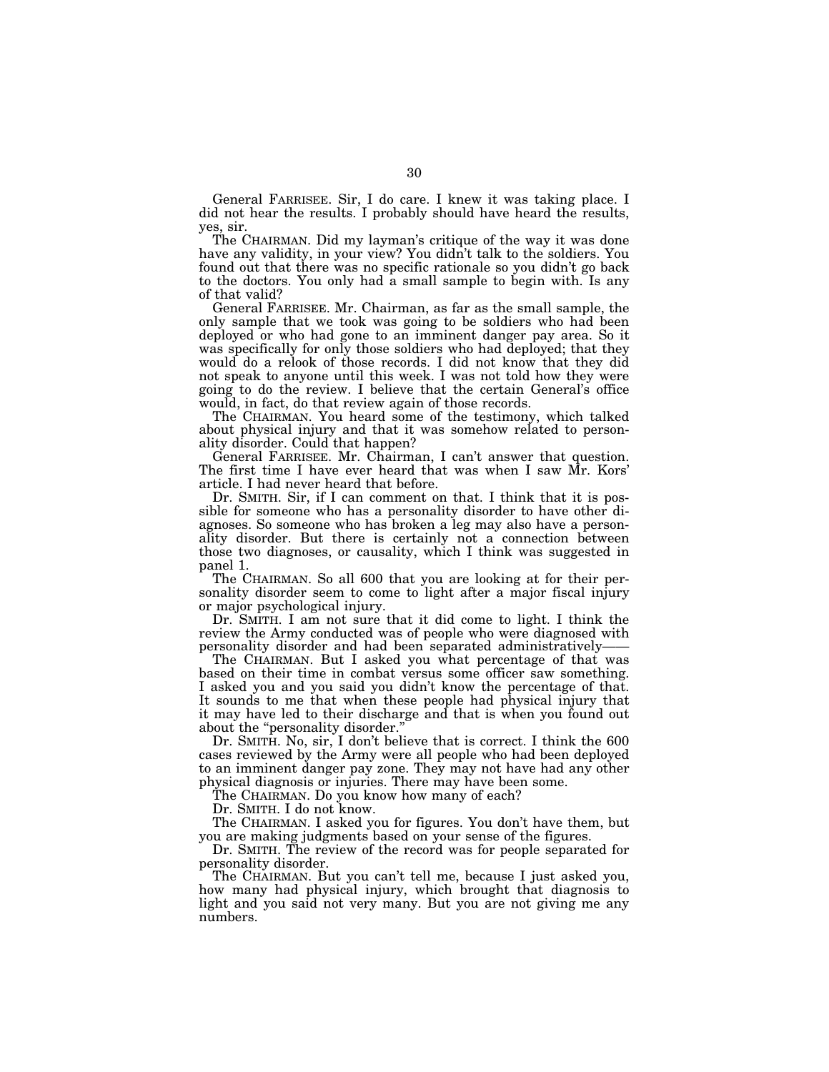General FARRISEE. Sir, I do care. I knew it was taking place. I did not hear the results. I probably should have heard the results, yes, sir.

The CHAIRMAN. Did my layman's critique of the way it was done have any validity, in your view? You didn't talk to the soldiers. You found out that there was no specific rationale so you didn't go back to the doctors. You only had a small sample to begin with. Is any of that valid?

General FARRISEE. Mr. Chairman, as far as the small sample, the only sample that we took was going to be soldiers who had been deployed or who had gone to an imminent danger pay area. So it was specifically for only those soldiers who had deployed; that they would do a relook of those records. I did not know that they did not speak to anyone until this week. I was not told how they were going to do the review. I believe that the certain General's office would, in fact, do that review again of those records.

The CHAIRMAN. You heard some of the testimony, which talked about physical injury and that it was somehow related to personality disorder. Could that happen?

General FARRISEE. Mr. Chairman, I can't answer that question. The first time I have ever heard that was when I saw Mr. Kors' article. I had never heard that before.

Dr. SMITH. Sir, if I can comment on that. I think that it is possible for someone who has a personality disorder to have other diagnoses. So someone who has broken a leg may also have a personality disorder. But there is certainly not a connection between those two diagnoses, or causality, which I think was suggested in panel 1.

The CHAIRMAN. So all 600 that you are looking at for their personality disorder seem to come to light after a major fiscal injury or major psychological injury.

Dr. SMITH. I am not sure that it did come to light. I think the review the Army conducted was of people who were diagnosed with personality disorder and had been separated administratively-

The CHAIRMAN. But I asked you what percentage of that was based on their time in combat versus some officer saw something. I asked you and you said you didn't know the percentage of that. It sounds to me that when these people had physical injury that it may have led to their discharge and that is when you found out about the "personality disorder."

Dr. SMITH. No, sir, I don't believe that is correct. I think the 600 cases reviewed by the Army were all people who had been deployed to an imminent danger pay zone. They may not have had any other physical diagnosis or injuries. There may have been some.

The CHAIRMAN. Do you know how many of each?

Dr. SMITH. I do not know.

The CHAIRMAN. I asked you for figures. You don't have them, but you are making judgments based on your sense of the figures.

Dr. SMITH. The review of the record was for people separated for personality disorder.

The CHAIRMAN. But you can't tell me, because I just asked you, how many had physical injury, which brought that diagnosis to light and you said not very many. But you are not giving me any numbers.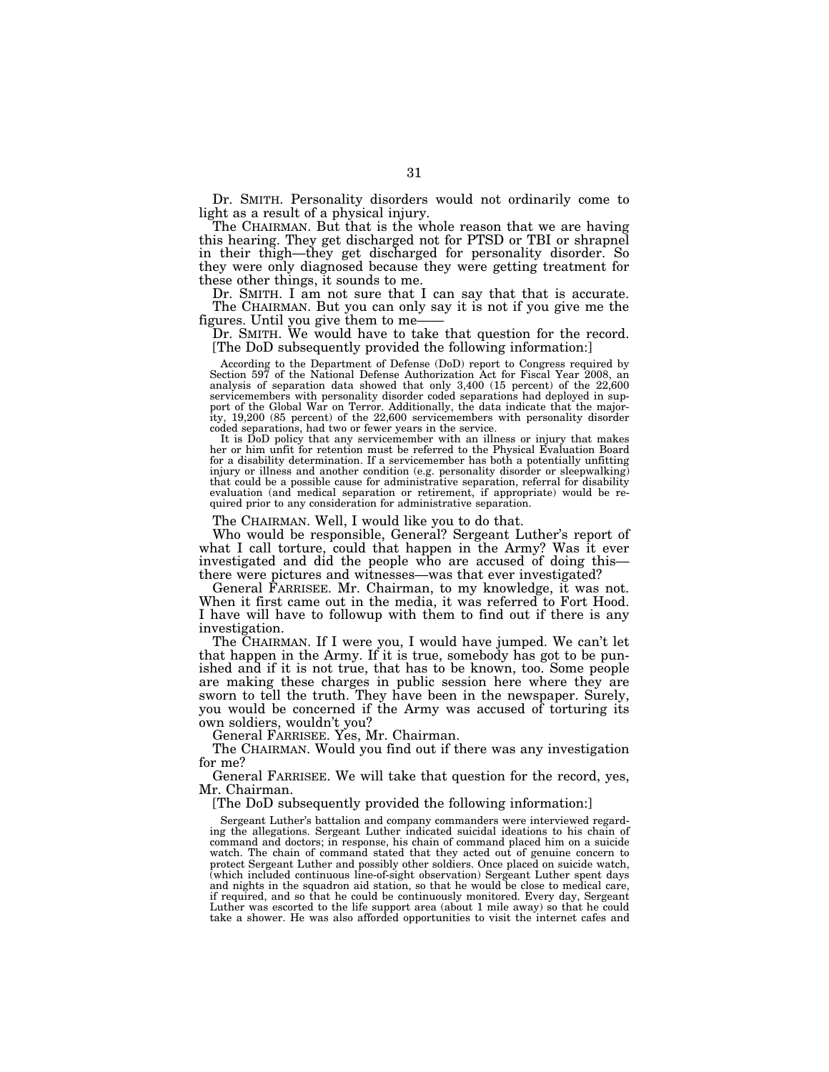Dr. SMITH. Personality disorders would not ordinarily come to light as a result of a physical injury.

The CHAIRMAN. But that is the whole reason that we are having this hearing. They get discharged not for PTSD or TBI or shrapnel in their thigh—they get discharged for personality disorder. So they were only diagnosed because they were getting treatment for these other things, it sounds to me.

Dr. SMITH. I am not sure that I can say that that is accurate. The CHAIRMAN. But you can only say it is not if you give me the figures. Until you give them to me-

Dr. SMITH. We would have to take that question for the record. [The DoD subsequently provided the following information:]

According to the Department of Defense (DoD) report to Congress required by Section 597 of the National Defense Authorization Act for Fiscal Year 2008, an analysis of separation data showed that only 3,400 (15 percent) of the 22,600 servicemembers with personality disorder coded separations had deployed in support of the Global War on Terror. Additionally, the data indicate that the major-ity, 19,200 (85 percent) of the 22,600 servicemembers with personality disorder coded separations, had two or fewer years in the service.

It is DoD policy that any servicemember with an illness or injury that makes her or him unfit for retention must be referred to the Physical Evaluation Board for a disability determination. If a servicemember has both a potentially unfitting injury or illness and another condition (e.g. personality disorder or sleepwalking) that could be a possible cause for administrative separation, referral for disability evaluation (and medical separation or retirement, if appropriate) would be required prior to any consideration for administrative separation.

The CHAIRMAN. Well, I would like you to do that.

Who would be responsible, General? Sergeant Luther's report of what I call torture, could that happen in the Army? Was it ever investigated and did the people who are accused of doing this there were pictures and witnesses—was that ever investigated?

General FARRISEE. Mr. Chairman, to my knowledge, it was not. When it first came out in the media, it was referred to Fort Hood. I have will have to followup with them to find out if there is any investigation.

The CHAIRMAN. If I were you, I would have jumped. We can't let that happen in the Army. If it is true, somebody has got to be punished and if it is not true, that has to be known, too. Some people are making these charges in public session here where they are sworn to tell the truth. They have been in the newspaper. Surely, you would be concerned if the Army was accused of torturing its own soldiers, wouldn't you?

General FARRISEE. Yes, Mr. Chairman.

The CHAIRMAN. Would you find out if there was any investigation for me?

General FARRISEE. We will take that question for the record, yes, Mr. Chairman.

[The DoD subsequently provided the following information:]

Sergeant Luther's battalion and company commanders were interviewed regarding the allegations. Sergeant Luther indicated suicidal ideations to his chain of command and doctors; in response, his chain of command placed him on a suicide watch. The chain of command stated that they acted out of genuine concern to protect Sergeant Luther and possibly other soldiers. Once placed on suicide watch, (which included continuous line-of-sight observation) Sergeant Luther spent days and nights in the squadron aid station, so that he would be close to medical care, if required, and so that he could be continuously monitored. Every day, Sergeant Luther was escorted to the life support area (about 1 mile away) so that he could take a shower. He was also afforded opportunities to visit the internet cafes and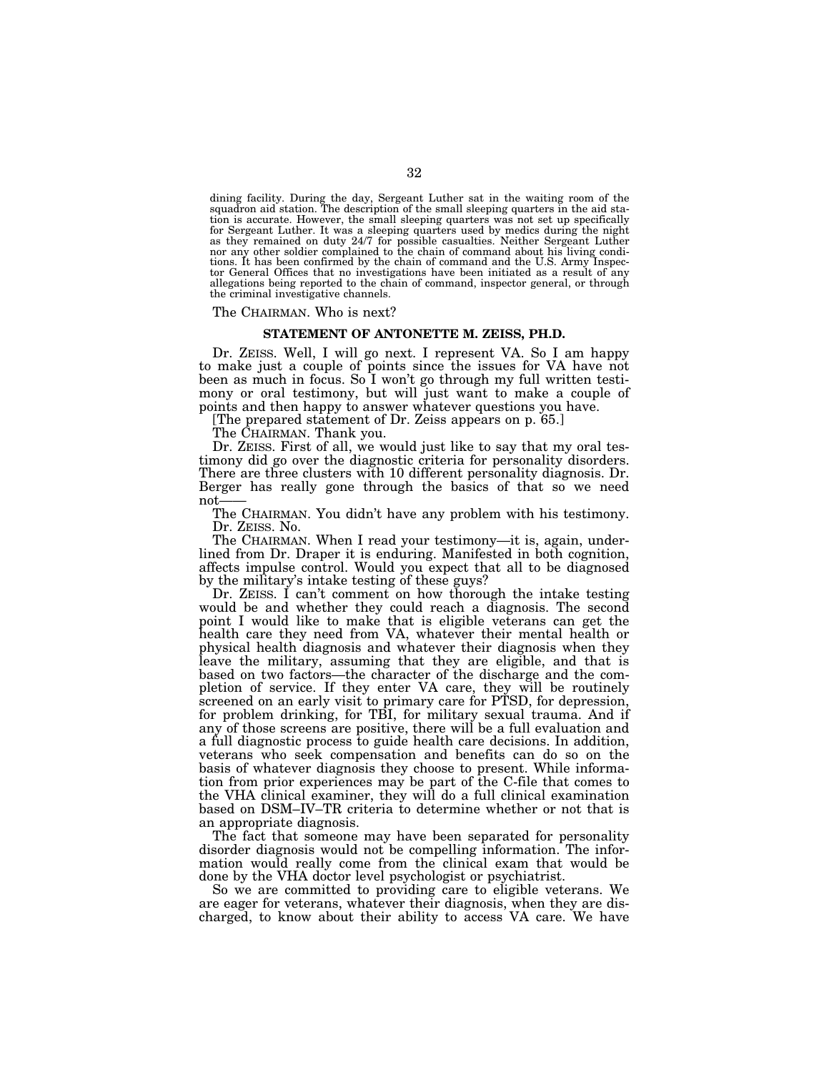dining facility. During the day, Sergeant Luther sat in the waiting room of the squadron aid station. The description of the small sleeping quarters in the aid station is accurate. However, the small sleeping quarters was not set up specifically for Sergeant Luther. It was a sleeping quarters used by medics during the night<br>as they remained on duty 24/7 for possible casualties. Neither Sergeant Luther<br>nor any other soldier complained to the chain of command about tions. It has been confirmed by the chain of command and the U.S. Army Inspector General Offices that no investigations have been initiated as a result of any allegations being reported to the chain of command, inspector general, or through the criminal investigative channels.

The CHAIRMAN. Who is next?

#### **STATEMENT OF ANTONETTE M. ZEISS, PH.D.**

Dr. ZEISS. Well, I will go next. I represent VA. So I am happy to make just a couple of points since the issues for VA have not been as much in focus. So I won't go through my full written testimony or oral testimony, but will just want to make a couple of points and then happy to answer whatever questions you have.

[The prepared statement of Dr. Zeiss appears on p. 65.]

The CHAIRMAN. Thank you.

Dr. ZEISS. First of all, we would just like to say that my oral testimony did go over the diagnostic criteria for personality disorders. There are three clusters with 10 different personality diagnosis. Dr. Berger has really gone through the basics of that so we need not-

The CHAIRMAN. You didn't have any problem with his testimony. Dr. ZEISS. No.

The CHAIRMAN. When I read your testimony—it is, again, underlined from Dr. Draper it is enduring. Manifested in both cognition, affects impulse control. Would you expect that all to be diagnosed by the military's intake testing of these guys?

Dr. ZEISS. I can't comment on how thorough the intake testing would be and whether they could reach a diagnosis. The second point I would like to make that is eligible veterans can get the health care they need from VA, whatever their mental health or physical health diagnosis and whatever their diagnosis when they leave the military, assuming that they are eligible, and that is based on two factors—the character of the discharge and the completion of service. If they enter VA care, they will be routinely screened on an early visit to primary care for PTSD, for depression, for problem drinking, for TBI, for military sexual trauma. And if any of those screens are positive, there will be a full evaluation and a full diagnostic process to guide health care decisions. In addition, veterans who seek compensation and benefits can do so on the basis of whatever diagnosis they choose to present. While information from prior experiences may be part of the C-file that comes to the VHA clinical examiner, they will do a full clinical examination based on DSM–IV–TR criteria to determine whether or not that is an appropriate diagnosis.

The fact that someone may have been separated for personality disorder diagnosis would not be compelling information. The information would really come from the clinical exam that would be done by the VHA doctor level psychologist or psychiatrist.

So we are committed to providing care to eligible veterans. We are eager for veterans, whatever their diagnosis, when they are discharged, to know about their ability to access VA care. We have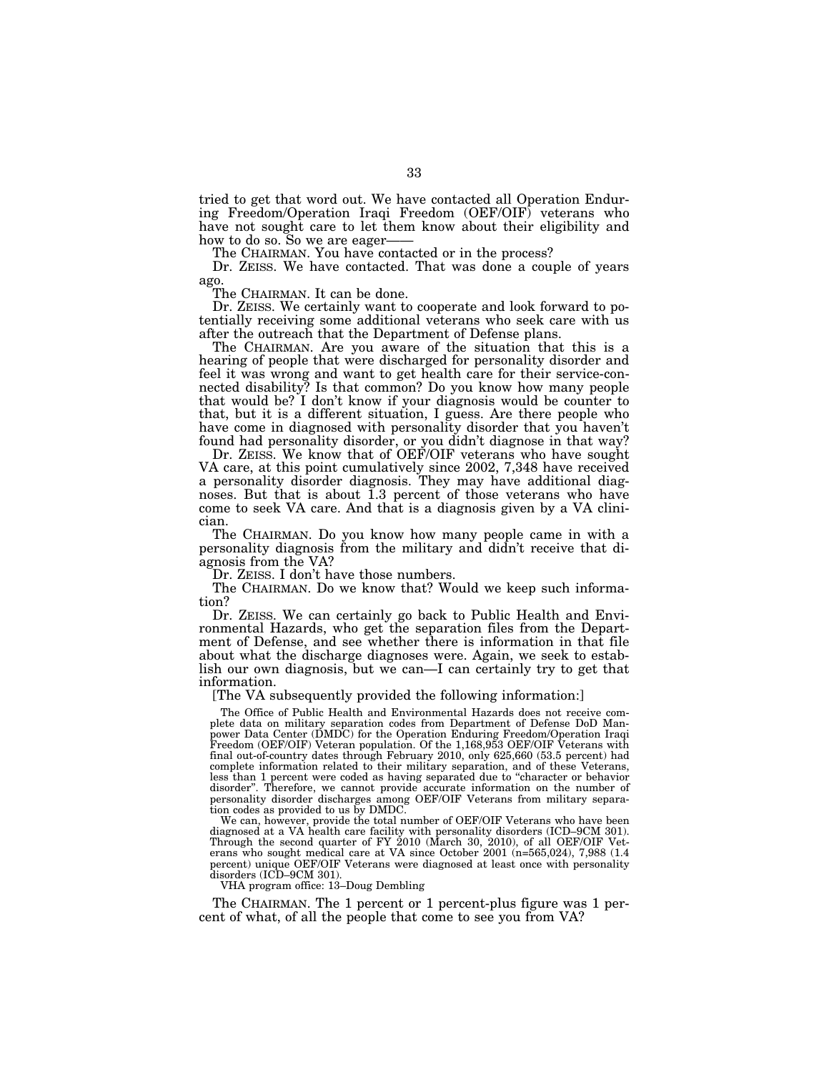tried to get that word out. We have contacted all Operation Enduring Freedom/Operation Iraqi Freedom (OEF/OIF) veterans who have not sought care to let them know about their eligibility and how to do so. So we are eager-

The CHAIRMAN. You have contacted or in the process?

Dr. ZEISS. We have contacted. That was done a couple of years ago.

The CHAIRMAN. It can be done.

Dr. ZEISS. We certainly want to cooperate and look forward to potentially receiving some additional veterans who seek care with us after the outreach that the Department of Defense plans.

The CHAIRMAN. Are you aware of the situation that this is a hearing of people that were discharged for personality disorder and feel it was wrong and want to get health care for their service-connected disability? Is that common? Do you know how many people that would be? I don't know if your diagnosis would be counter to that, but it is a different situation, I guess. Are there people who have come in diagnosed with personality disorder that you haven't found had personality disorder, or you didn't diagnose in that way?

Dr. ZEISS. We know that of OEF/OIF veterans who have sought VA care, at this point cumulatively since 2002, 7,348 have received a personality disorder diagnosis. They may have additional diagnoses. But that is about 1.3 percent of those veterans who have come to seek VA care. And that is a diagnosis given by a VA clinician.

The CHAIRMAN. Do you know how many people came in with a personality diagnosis from the military and didn't receive that diagnosis from the VA?

Dr. ZEISS. I don't have those numbers.

The CHAIRMAN. Do we know that? Would we keep such information?

Dr. ZEISS. We can certainly go back to Public Health and Environmental Hazards, who get the separation files from the Department of Defense, and see whether there is information in that file about what the discharge diagnoses were. Again, we seek to establish our own diagnosis, but we can—I can certainly try to get that information.

[The VA subsequently provided the following information:]

The Office of Public Health and Environmental Hazards does not receive complete data on military separation codes from Department of Defense DoD Man-power Data Center (DMDC) for the Operation Enduring Freedom/Operation Iraqi Freedom (OEF/OIF) Veteran population. Of the 1,168,953 OEF/OIF Veterans with final out-of-country dates through February 2010, only 625,660 (53.5 percent) had complete information related to their military separation, and of these Veterans, less than 1 percent were coded as having separated due to ''character or behavior disorder''. Therefore, we cannot provide accurate information on the number of personality disorder discharges among OEF/OIF Veterans from military separation codes as provided to us by DMDC.

We can, however, provide the total number of OEF/OIF Veterans who have been diagnosed at a VA health care facility with personality disorders (ICD–9CM 301). Through the second quarter of FY 2010 (March 30, 2010), of all OEF/OIF Veterans who sought medical care at VA since October 2001 (n=565,024), 7,988 (1.4 percent) unique OEF/OIF Veterans were diagnosed at least once with personality disorders (ICD–9CM 301).

VHA program office: 13–Doug Dembling

The CHAIRMAN. The 1 percent or 1 percent-plus figure was 1 percent of what, of all the people that come to see you from VA?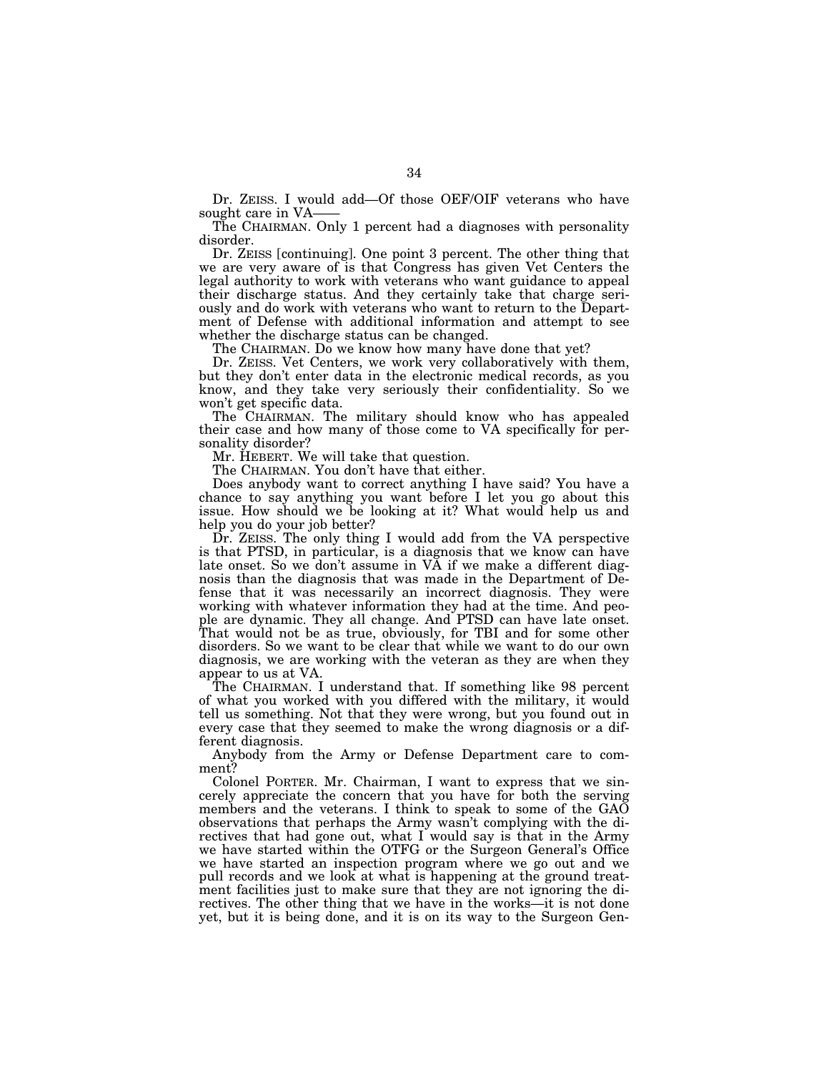Dr. ZEISS. I would add—Of those OEF/OIF veterans who have sought care in VA

The CHAIRMAN. Only 1 percent had a diagnoses with personality disorder.

Dr. ZEISS [continuing]. One point 3 percent. The other thing that we are very aware of is that Congress has given Vet Centers the legal authority to work with veterans who want guidance to appeal their discharge status. And they certainly take that charge seriously and do work with veterans who want to return to the Department of Defense with additional information and attempt to see whether the discharge status can be changed.

The CHAIRMAN. Do we know how many have done that yet?

Dr. ZEISS. Vet Centers, we work very collaboratively with them, but they don't enter data in the electronic medical records, as you know, and they take very seriously their confidentiality. So we won't get specific data.

The CHAIRMAN. The military should know who has appealed their case and how many of those come to VA specifically for personality disorder?

Mr. HEBERT. We will take that question.

The CHAIRMAN. You don't have that either.

Does anybody want to correct anything I have said? You have a chance to say anything you want before I let you go about this issue. How should we be looking at it? What would help us and help you do your job better?

Dr. ZEISS. The only thing I would add from the VA perspective is that PTSD, in particular, is a diagnosis that we know can have late onset. So we don't assume in VA if we make a different diagnosis than the diagnosis that was made in the Department of Defense that it was necessarily an incorrect diagnosis. They were working with whatever information they had at the time. And people are dynamic. They all change. And PTSD can have late onset. That would not be as true, obviously, for TBI and for some other disorders. So we want to be clear that while we want to do our own diagnosis, we are working with the veteran as they are when they appear to us at VA.

The CHAIRMAN. I understand that. If something like 98 percent of what you worked with you differed with the military, it would tell us something. Not that they were wrong, but you found out in every case that they seemed to make the wrong diagnosis or a different diagnosis.

Anybody from the Army or Defense Department care to comment?

Colonel PORTER. Mr. Chairman, I want to express that we sincerely appreciate the concern that you have for both the serving members and the veterans. I think to speak to some of the GAO observations that perhaps the Army wasn't complying with the directives that had gone out, what I would say is that in the Army we have started within the OTFG or the Surgeon General's Office we have started an inspection program where we go out and we pull records and we look at what is happening at the ground treatment facilities just to make sure that they are not ignoring the directives. The other thing that we have in the works—it is not done yet, but it is being done, and it is on its way to the Surgeon Gen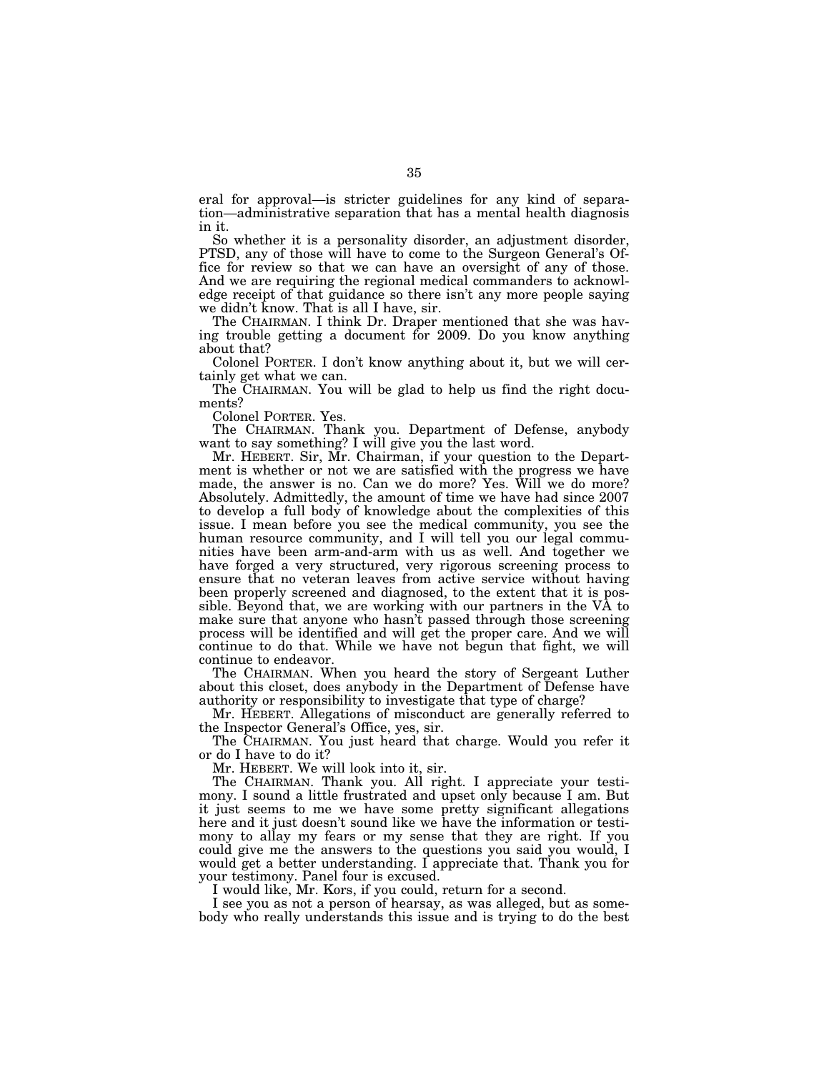eral for approval—is stricter guidelines for any kind of separation—administrative separation that has a mental health diagnosis in it.

So whether it is a personality disorder, an adjustment disorder, PTSD, any of those will have to come to the Surgeon General's Office for review so that we can have an oversight of any of those. And we are requiring the regional medical commanders to acknowledge receipt of that guidance so there isn't any more people saying we didn't know. That is all I have, sir.

The CHAIRMAN. I think Dr. Draper mentioned that she was having trouble getting a document for 2009. Do you know anything about that?

Colonel PORTER. I don't know anything about it, but we will certainly get what we can.

The CHAIRMAN. You will be glad to help us find the right documents?

Colonel PORTER. Yes.

The CHAIRMAN. Thank you. Department of Defense, anybody want to say something? I will give you the last word.

Mr. HEBERT. Sir, Mr. Chairman, if your question to the Department is whether or not we are satisfied with the progress we have made, the answer is no. Can we do more? Yes. Will we do more? Absolutely. Admittedly, the amount of time we have had since 2007 to develop a full body of knowledge about the complexities of this issue. I mean before you see the medical community, you see the human resource community, and I will tell you our legal communities have been arm-and-arm with us as well. And together we have forged a very structured, very rigorous screening process to ensure that no veteran leaves from active service without having been properly screened and diagnosed, to the extent that it is possible. Beyond that, we are working with our partners in the VA to make sure that anyone who hasn't passed through those screening process will be identified and will get the proper care. And we will continue to do that. While we have not begun that fight, we will continue to endeavor.

The CHAIRMAN. When you heard the story of Sergeant Luther about this closet, does anybody in the Department of Defense have authority or responsibility to investigate that type of charge?

Mr. HEBERT. Allegations of misconduct are generally referred to the Inspector General's Office, yes, sir.

The CHAIRMAN. You just heard that charge. Would you refer it or do I have to do it?

Mr. HEBERT. We will look into it, sir.

The CHAIRMAN. Thank you. All right. I appreciate your testimony. I sound a little frustrated and upset only because I am. But it just seems to me we have some pretty significant allegations here and it just doesn't sound like we have the information or testimony to allay my fears or my sense that they are right. If you could give me the answers to the questions you said you would, I would get a better understanding. I appreciate that. Thank you for your testimony. Panel four is excused.

I would like, Mr. Kors, if you could, return for a second.

I see you as not a person of hearsay, as was alleged, but as somebody who really understands this issue and is trying to do the best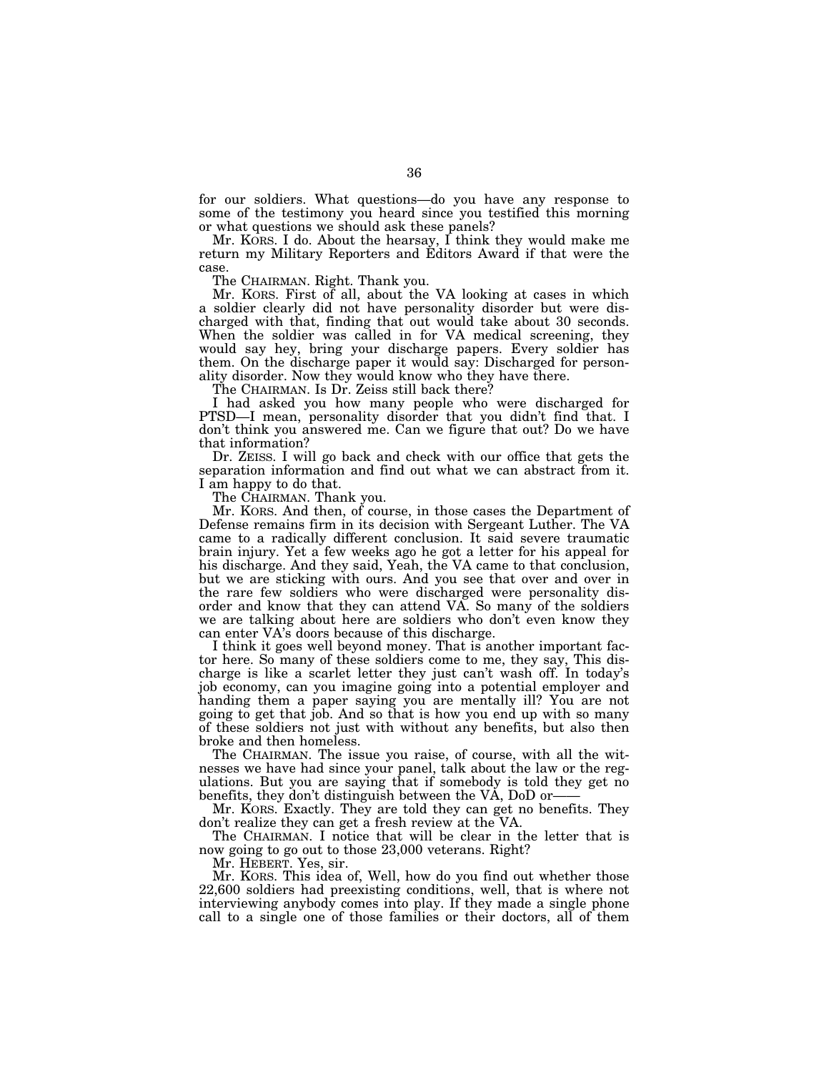for our soldiers. What questions—do you have any response to some of the testimony you heard since you testified this morning or what questions we should ask these panels?

Mr. KORS. I do. About the hearsay,  $\overline{I}$  think they would make me return my Military Reporters and Editors Award if that were the case.

The CHAIRMAN. Right. Thank you.

Mr. KORS. First of all, about the VA looking at cases in which a soldier clearly did not have personality disorder but were discharged with that, finding that out would take about 30 seconds. When the soldier was called in for VA medical screening, they would say hey, bring your discharge papers. Every soldier has them. On the discharge paper it would say: Discharged for personality disorder. Now they would know who they have there.

The CHAIRMAN. Is Dr. Zeiss still back there?

I had asked you how many people who were discharged for PTSD—I mean, personality disorder that you didn't find that. I don't think you answered me. Can we figure that out? Do we have that information?

Dr. ZEISS. I will go back and check with our office that gets the separation information and find out what we can abstract from it. I am happy to do that.

The CHAIRMAN. Thank you.

Mr. KORS. And then, of course, in those cases the Department of Defense remains firm in its decision with Sergeant Luther. The VA came to a radically different conclusion. It said severe traumatic brain injury. Yet a few weeks ago he got a letter for his appeal for his discharge. And they said, Yeah, the VA came to that conclusion, but we are sticking with ours. And you see that over and over in the rare few soldiers who were discharged were personality disorder and know that they can attend VA. So many of the soldiers we are talking about here are soldiers who don't even know they can enter VA's doors because of this discharge.

I think it goes well beyond money. That is another important factor here. So many of these soldiers come to me, they say, This discharge is like a scarlet letter they just can't wash off. In today's job economy, can you imagine going into a potential employer and handing them a paper saying you are mentally ill? You are not going to get that job. And so that is how you end up with so many of these soldiers not just with without any benefits, but also then broke and then homeless.

The CHAIRMAN. The issue you raise, of course, with all the witnesses we have had since your panel, talk about the law or the regulations. But you are saying that if somebody is told they get no benefits, they don't distinguish between the VA, DoD or——

Mr. KORS. Exactly. They are told they can get no benefits. They don't realize they can get a fresh review at the VA.

The CHAIRMAN. I notice that will be clear in the letter that is now going to go out to those 23,000 veterans. Right?

Mr. HEBERT. Yes, sir.

Mr. KORS. This idea of, Well, how do you find out whether those 22,600 soldiers had preexisting conditions, well, that is where not interviewing anybody comes into play. If they made a single phone call to a single one of those families or their doctors, all of them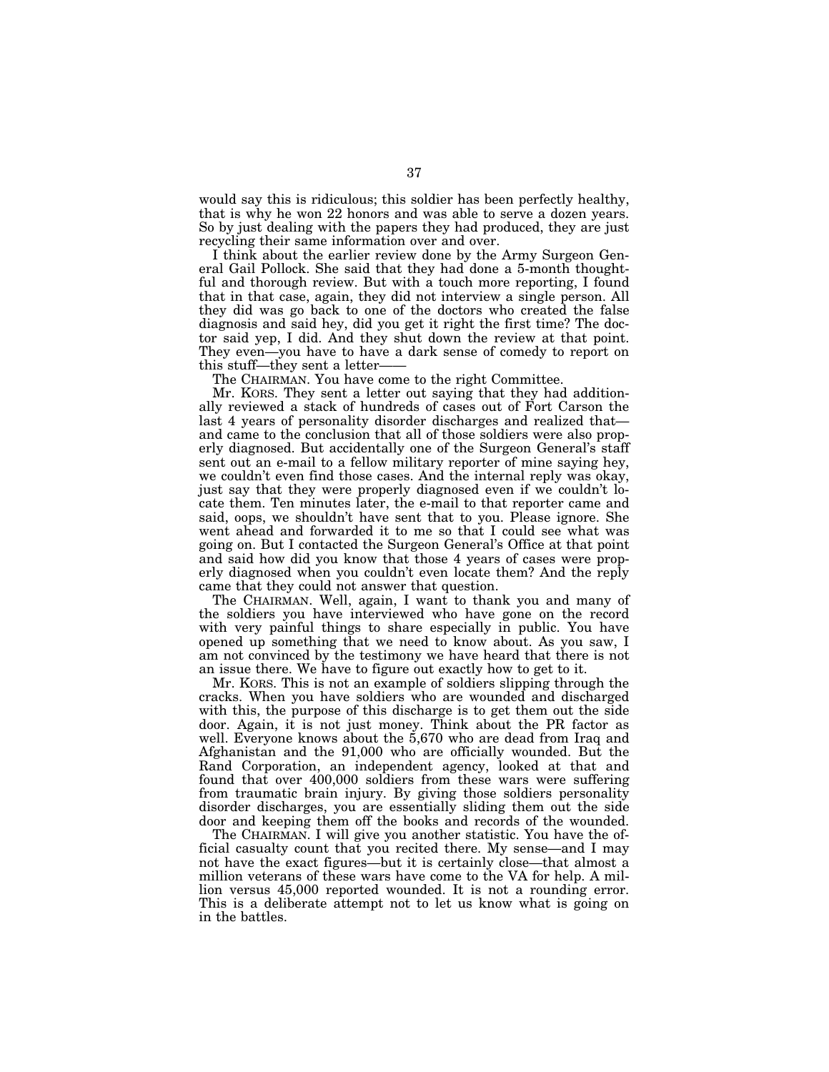would say this is ridiculous; this soldier has been perfectly healthy, that is why he won 22 honors and was able to serve a dozen years. So by just dealing with the papers they had produced, they are just recycling their same information over and over.

I think about the earlier review done by the Army Surgeon General Gail Pollock. She said that they had done a 5-month thoughtful and thorough review. But with a touch more reporting, I found that in that case, again, they did not interview a single person. All they did was go back to one of the doctors who created the false diagnosis and said hey, did you get it right the first time? The doctor said yep, I did. And they shut down the review at that point. They even—you have to have a dark sense of comedy to report on this stuff—they sent a letter-

The CHAIRMAN. You have come to the right Committee.

Mr. KORS. They sent a letter out saying that they had additionally reviewed a stack of hundreds of cases out of Fort Carson the last 4 years of personality disorder discharges and realized that and came to the conclusion that all of those soldiers were also properly diagnosed. But accidentally one of the Surgeon General's staff sent out an e-mail to a fellow military reporter of mine saying hey, we couldn't even find those cases. And the internal reply was okay, just say that they were properly diagnosed even if we couldn't locate them. Ten minutes later, the e-mail to that reporter came and said, oops, we shouldn't have sent that to you. Please ignore. She went ahead and forwarded it to me so that I could see what was going on. But I contacted the Surgeon General's Office at that point and said how did you know that those 4 years of cases were properly diagnosed when you couldn't even locate them? And the reply came that they could not answer that question.

The CHAIRMAN. Well, again, I want to thank you and many of the soldiers you have interviewed who have gone on the record with very painful things to share especially in public. You have opened up something that we need to know about. As you saw, I am not convinced by the testimony we have heard that there is not an issue there. We have to figure out exactly how to get to it.

Mr. KORS. This is not an example of soldiers slipping through the cracks. When you have soldiers who are wounded and discharged with this, the purpose of this discharge is to get them out the side door. Again, it is not just money. Think about the PR factor as well. Everyone knows about the 5,670 who are dead from Iraq and Afghanistan and the 91,000 who are officially wounded. But the Rand Corporation, an independent agency, looked at that and found that over 400,000 soldiers from these wars were suffering from traumatic brain injury. By giving those soldiers personality disorder discharges, you are essentially sliding them out the side door and keeping them off the books and records of the wounded.

The CHAIRMAN. I will give you another statistic. You have the official casualty count that you recited there. My sense—and I may not have the exact figures—but it is certainly close—that almost a million veterans of these wars have come to the VA for help. A million versus 45,000 reported wounded. It is not a rounding error. This is a deliberate attempt not to let us know what is going on in the battles.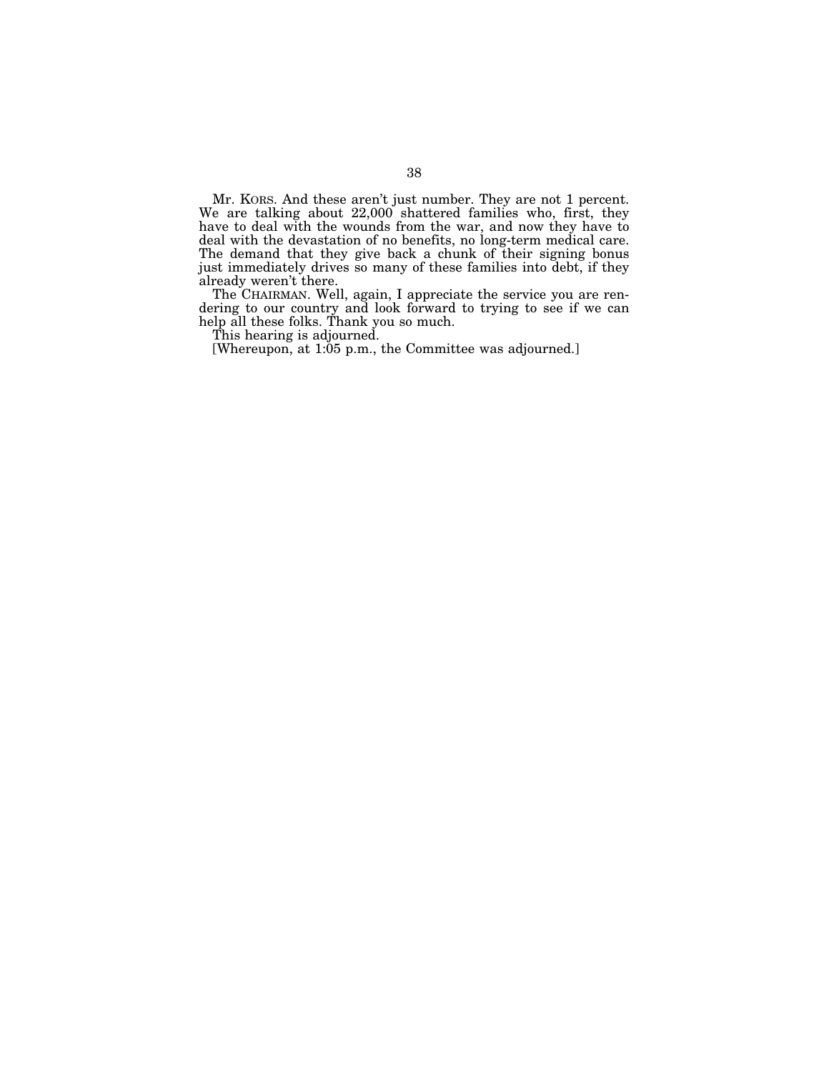Mr. KORS. And these aren't just number. They are not 1 percent. We are talking about 22,000 shattered families who, first, they have to deal with the wounds from the war, and now they have to deal with the devastation of no benefits, no long-term medical care. The demand that they give back a chunk of their signing bonus just immediately drives so many of these families into debt, if they already weren't there.

The CHAIRMAN. Well, again, I appreciate the service you are rendering to our country and look forward to trying to see if we can help all these folks. Thank you so much.

This hearing is adjourned.

[Whereupon, at 1:05 p.m., the Committee was adjourned.]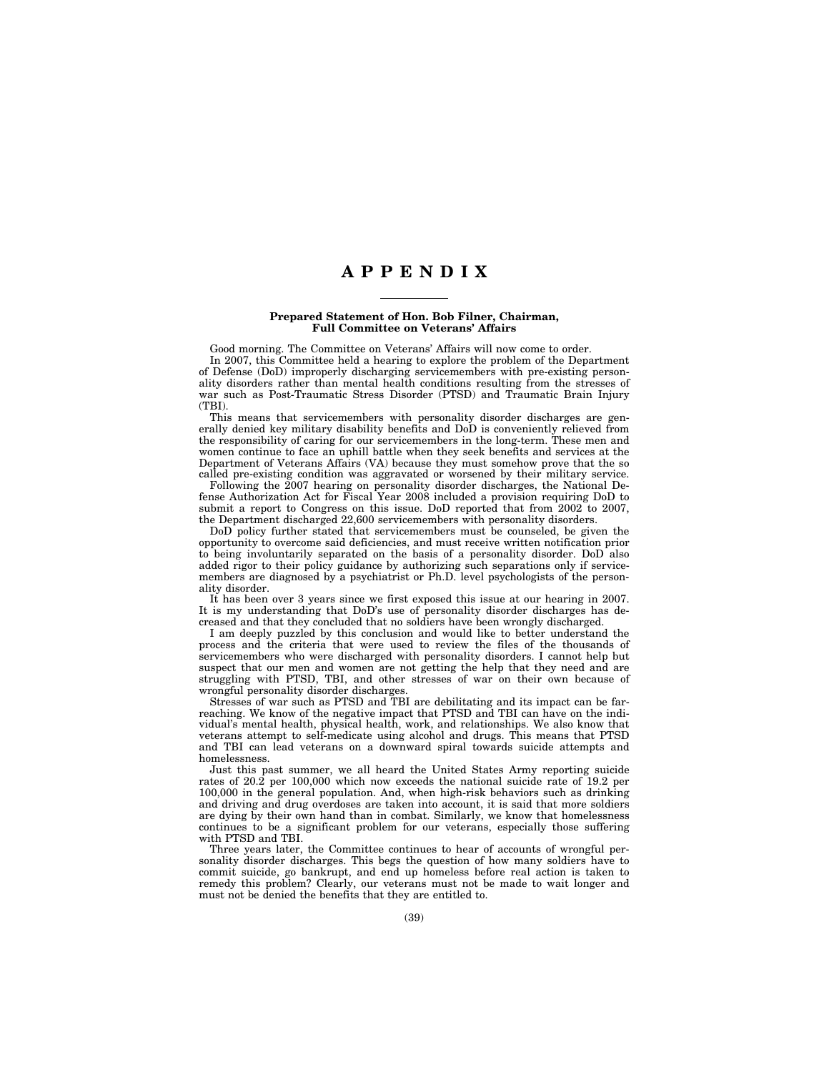## **A P P E N D I X**

#### **Prepared Statement of Hon. Bob Filner, Chairman, Full Committee on Veterans' Affairs**

Good morning. The Committee on Veterans' Affairs will now come to order. In 2007, this Committee held a hearing to explore the problem of the Department

of Defense (DoD) improperly discharging servicemembers with pre-existing personality disorders rather than mental health conditions resulting from the stresses of war such as Post-Traumatic Stress Disorder (PTSD) and Traumatic Brain Injury (TBI).

This means that servicemembers with personality disorder discharges are generally denied key military disability benefits and DoD is conveniently relieved from the responsibility of caring for our servicemembers in the long-term. These men and women continue to face an uphill battle when they seek benefits and services at the Department of Veterans Affairs (VA) because they must somehow prove that the so called pre-existing condition was aggravated or worsened by their military service.

Following the 2007 hearing on personality disorder discharges, the National Defense Authorization Act for Fiscal Year 2008 included a provision requiring DoD to submit a report to Congress on this issue. DoD reported that from 2002 to 2007, the Department discharged 22,600 servicemembers with personality disorders.

DoD policy further stated that servicemembers must be counseled, be given the opportunity to overcome said deficiencies, and must receive written notification prior to being involuntarily separated on the basis of a personality disorder. DoD also added rigor to their policy guidance by authorizing such separations only if servicemembers are diagnosed by a psychiatrist or Ph.D. level psychologists of the personality disorder.

It has been over 3 years since we first exposed this issue at our hearing in 2007. It is my understanding that DoD's use of personality disorder discharges has decreased and that they concluded that no soldiers have been wrongly discharged.

I am deeply puzzled by this conclusion and would like to better understand the process and the criteria that were used to review the files of the thousands of servicemembers who were discharged with personality disorders. I cannot help but suspect that our men and women are not getting the help that they need and are struggling with PTSD, TBI, and other stresses of war on their own because of wrongful personality disorder discharges.

Stresses of war such as PTSD and TBI are debilitating and its impact can be farreaching. We know of the negative impact that PTSD and TBI can have on the individual's mental health, physical health, work, and relationships. We also know that veterans attempt to self-medicate using alcohol and drugs. This means that PTSD and TBI can lead veterans on a downward spiral towards suicide attempts and homelessness.

Just this past summer, we all heard the United States Army reporting suicide rates of 20.2 per 100,000 which now exceeds the national suicide rate of 19.2 per 100,000 in the general population. And, when high-risk behaviors such as drinking and driving and drug overdoses are taken into account, it is said that more soldiers are dying by their own hand than in combat. Similarly, we know that homelessness continues to be a significant problem for our veterans, especially those suffering with PTSD and TBI.

Three years later, the Committee continues to hear of accounts of wrongful personality disorder discharges. This begs the question of how many soldiers have to commit suicide, go bankrupt, and end up homeless before real action is taken to remedy this problem? Clearly, our veterans must not be made to wait longer and must not be denied the benefits that they are entitled to.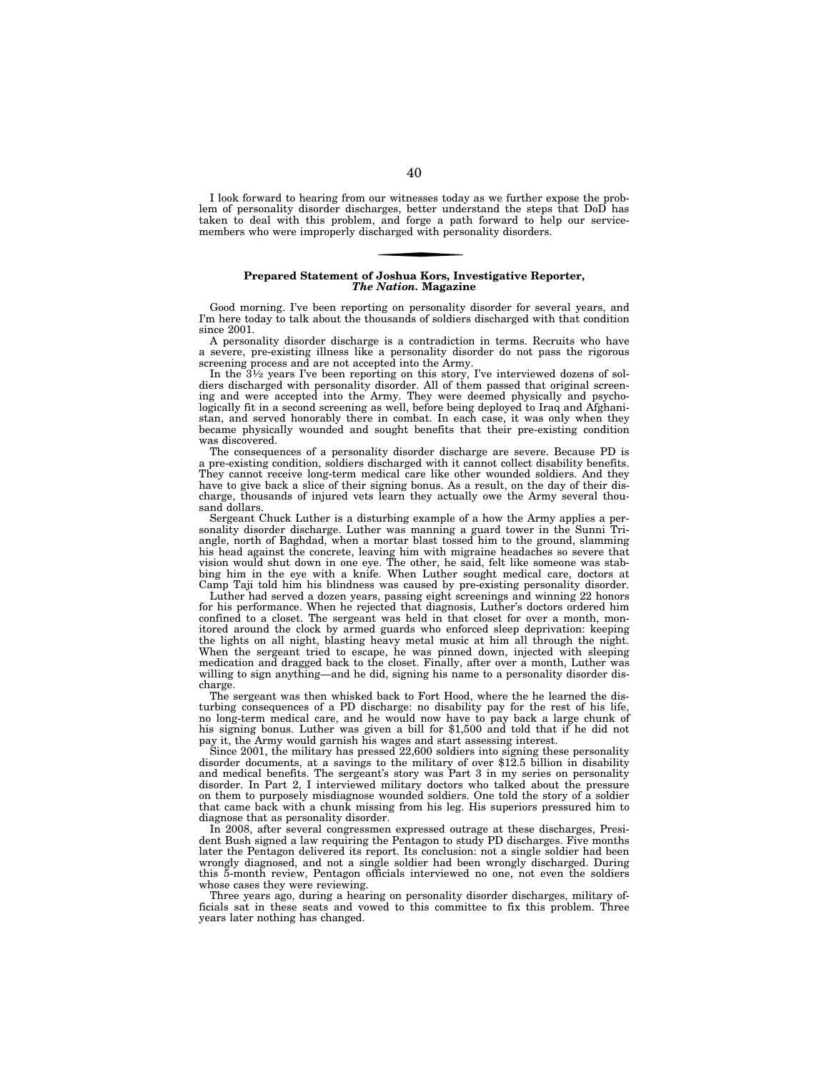I look forward to hearing from our witnesses today as we further expose the problem of personality disorder discharges, better understand the steps that DoD has taken to deal with this problem, and forge a path forward to help our servicemembers who were improperly discharged with personality disorders.

#### **Prepared Statement of Joshua Kors, Investigative Reporter,**  *The Nation.* **Magazine**

Good morning. I've been reporting on personality disorder for several years, and I'm here today to talk about the thousands of soldiers discharged with that condition since 2001.

A personality disorder discharge is a contradiction in terms. Recruits who have a severe, pre-existing illness like a personality disorder do not pass the rigorous screening process and are not accepted into the Army.

In the 31⁄2 years I've been reporting on this story, I've interviewed dozens of soldiers discharged with personality disorder. All of them passed that original screening and were accepted into the Army. They were deemed physically and psychologically fit in a second screening as well, before being deployed to Iraq and Afghanistan, and served honorably there in combat. In each case, it was only when they became physically wounded and sought benefits that their pre-existing condition was discovered.

The consequences of a personality disorder discharge are severe. Because PD is a pre-existing condition, soldiers discharged with it cannot collect disability benefits. They cannot receive long-term medical care like other wounded soldiers. And they have to give back a slice of their signing bonus. As a result, on the day of their discharge, thousands of injured vets learn they actually owe the Army several thousand dollars.

Sergeant Chuck Luther is a disturbing example of a how the Army applies a personality disorder discharge. Luther was manning a guard tower in the Sunni Triangle, north of Baghdad, when a mortar blast tossed him to the ground, slamming his head against the concrete, leaving him with migraine headaches so severe that vision would shut down in one eye. The other, he said, felt like someone was stabbing him in the eye with a knife. When Luther sought medical care, doctors at Camp Taji told him his blindness was caused by pre-existing personality disorder.

Luther had served a dozen years, passing eight screenings and winning 22 honors for his performance. When he rejected that diagnosis, Luther's doctors ordered him confined to a closet. The sergeant was held in that closet for over a month, monitored around the clock by armed guards who enforced sleep deprivation: keeping the lights on all night, blasting heavy metal music at him all through the night. When the sergeant tried to escape, he was pinned down, injected with sleeping medication and dragged back to the closet. Finally, after over a month, Luther was willing to sign anything—and he did, signing his name to a personality disorder discharge.

The sergeant was then whisked back to Fort Hood, where the he learned the disturbing consequences of a PD discharge: no disability pay for the rest of his life, no long-term medical care, and he would now have to pay back a large chunk of his signing bonus. Luther was given a bill for \$1,500 and told that if he did not pay it, the Army would garnish his wages and start assessing interest.

Since 2001, the military has pressed 22,600 soldiers into signing these personality disorder documents, at a savings to the military of over \$12.5 billion in disability and medical benefits. The sergeant's story was Part 3 in my series on personality disorder. In Part 2, I interviewed military doctors who talked about the pressure on them to purposely misdiagnose wounded soldiers. One told the story of a soldier that came back with a chunk missing from his leg. His superiors pressured him to diagnose that as personality disorder.

In 2008, after several congressmen expressed outrage at these discharges, President Bush signed a law requiring the Pentagon to study PD discharges. Five months later the Pentagon delivered its report. Its conclusion: not a single soldier had been wrongly diagnosed, and not a single soldier had been wrongly discharged. During this 5-month review, Pentagon officials interviewed no one, not even the soldiers whose cases they were reviewing.

Three years ago, during a hearing on personality disorder discharges, military officials sat in these seats and vowed to this committee to fix this problem. Three years later nothing has changed.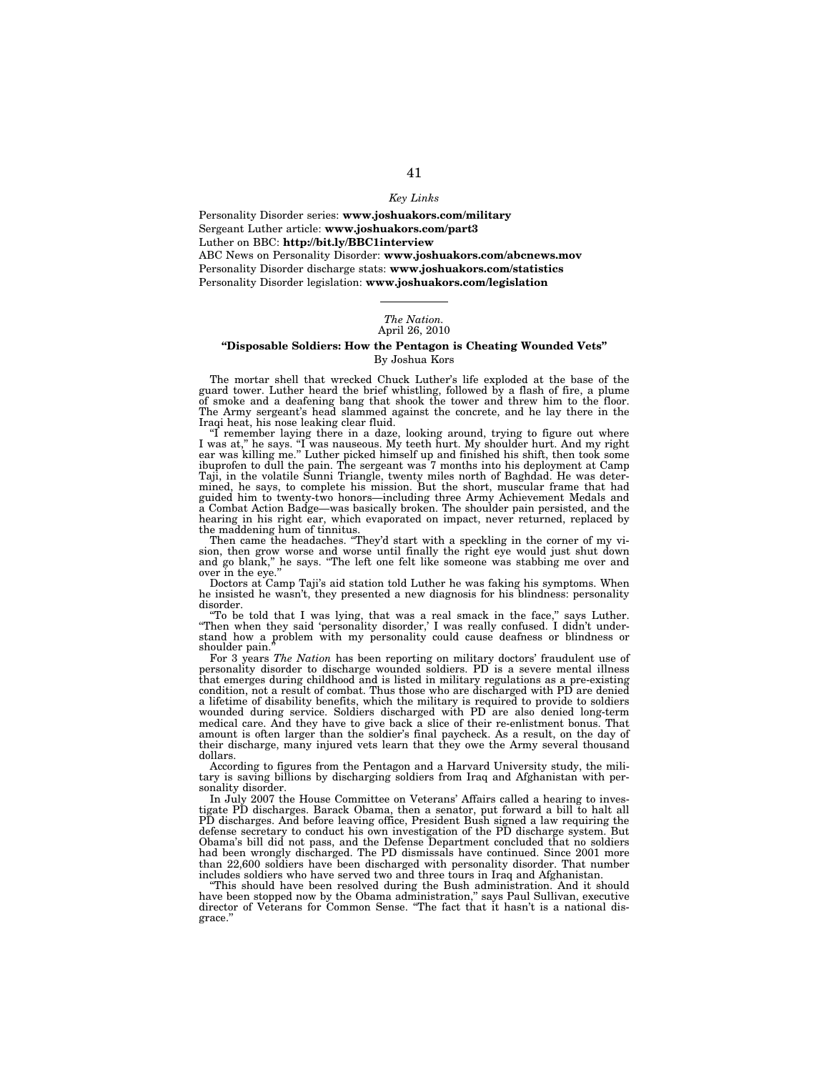#### *Key Links*

Personality Disorder series: **www.joshuakors.com/military**  Sergeant Luther article: **www.joshuakors.com/part3**  Luther on BBC: **http://bit.ly/BBC1interview**  ABC News on Personality Disorder: **www.joshuakors.com/abcnews.mov**  Personality Disorder discharge stats: **www.joshuakors.com/statistics**  Personality Disorder legislation: **www.joshuakors.com/legislation** 

# *The Nation.*  April 26, 2010

## **''Disposable Soldiers: How the Pentagon is Cheating Wounded Vets''**  By Joshua Kors

The mortar shell that wrecked Chuck Luther's life exploded at the base of the guard tower. Luther heard the brief whistling, followed by a flash of fire, a plume of smoke and a deafening bang that shook the tower and threw him to the floor. The Army sergeant's head slammed against the concrete, and he lay there in the Iraqi heat, his nose leaking clear fluid.

"I remember laying there in a daze, looking around, trying to figure out where I was at," he says. "I was nauseous. My teeth hurt. My shoulder hurt. And my right ear was killing me." Luther picked himself up and finished h guided him to twenty-two honors—including three Army Achievement Medals and<br>a Combat Action Badge—was basically broken. The shoulder pain persisted, and the<br>hearing in his right ear, which evaporated on impact, never retur the maddening hum of tinnitus.

Then came the headaches. "They'd start with a speckling in the corner of my vision, then grow worse and worse until finally the right eye would just shut down and go blank,'' he says. ''The left one felt like someone was stabbing me over and over in the eye.''

Doctors at Camp Taji's aid station told Luther he was faking his symptoms. When he insisted he wasn't, they presented a new diagnosis for his blindness: personality disorder.

''To be told that I was lying, that was a real smack in the face,'' says Luther. ''Then when they said 'personality disorder,' I was really confused. I didn't understand how a problem with my personality could cause deafness or blindness or shoulder pain.

For 3 years *The Nation* has been reporting on military doctors' fraudulent use of personality disorder to discharge wounded soldiers. PD is a severe mental illness that emerges during childhood and is listed in military regulations as a pre-existing condition, not a result of combat. Thus those who are discharged with PD are denied a lifetime of disability benefits, which the military is required to provide to soldiers wounded during service. Soldiers discharged with PD are also denied long-term medical care. And they have to give back a slice of their re-enlistment bonus. That amount is often larger than the soldier's final paycheck. As a result, on the day of their discharge, many injured vets learn that they owe the Army several thousand dollars.

According to figures from the Pentagon and a Harvard University study, the military is saving billions by discharging soldiers from Iraq and Afghanistan with personality disorder.

In July 2007 the House Committee on Veterans' Affairs called a hearing to investigate PD discharges. Barack Obama, then a senator, put forward a bill to halt all PD discharges. And before leaving office, President Bush signed a law requiring the defense secretary to conduct his own investigation of the PD discharge system. But Obama's bill did not pass, and the Defense Department concluded that no soldiers had been wrongly discharged. The PD dismissals have continued. Since 2001 more than 22,600 soldiers have been discharged with personality disorder. That number includes soldiers who have served two and three tours in Iraq and Afghanistan.

''This should have been resolved during the Bush administration. And it should have been stopped now by the Obama administration," says Paul Sullivan, executive director of Veterans for Common Sense. ''The fact that it hasn't is a national disgrace.''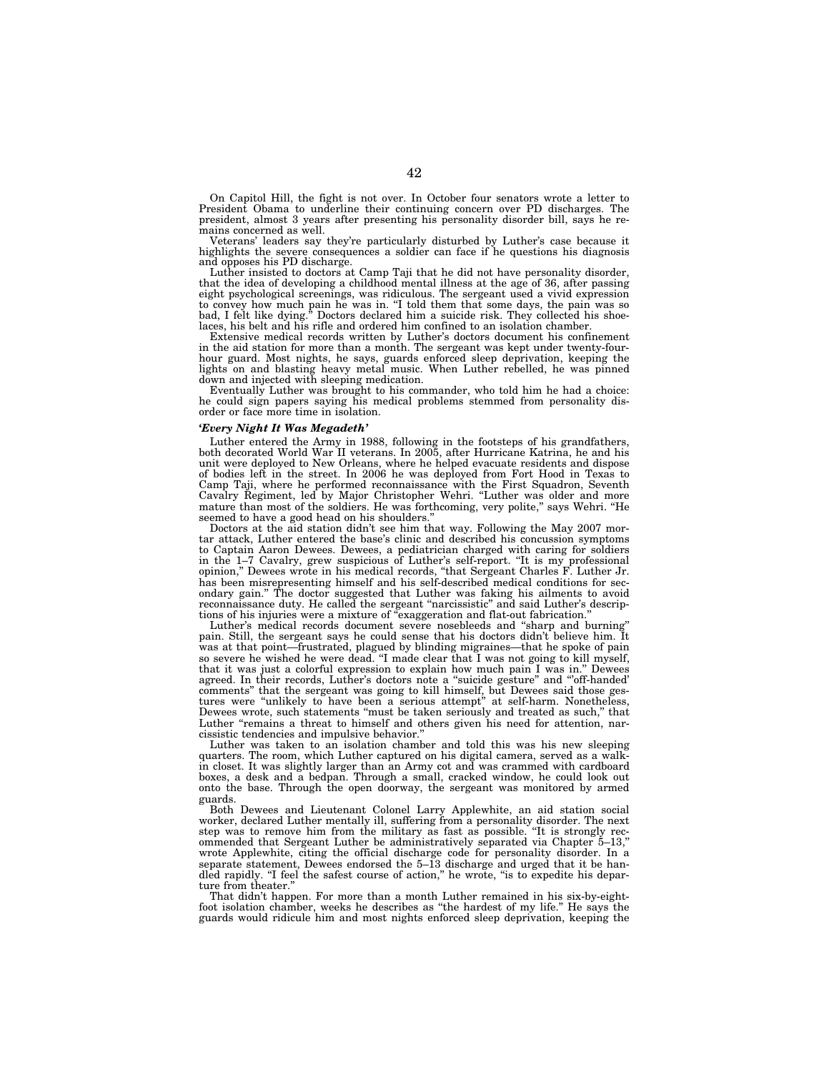On Capitol Hill, the fight is not over. In October four senators wrote a letter to President Obama to underline their continuing concern over PD discharges. The president, almost 3 years after presenting his personality disorder bill, says he remains concerned as well.

Veterans' leaders say they're particularly disturbed by Luther's case because it highlights the severe consequences a soldier can face if he questions his diagnosis and opposes his PD discharge.

Luther insisted to doctors at Camp Taji that he did not have personality disorder, that the idea of developing a childhood mental illness at the age of 36, after passing eight psychological screenings, was ridiculous. The sergeant used a vivid expression to convey how much pain he was in. "I told them that some days, the pain was so bad, I felt like dying.'' Doctors declared him a suicide risk. They collected his shoe-laces, his belt and his rifle and ordered him confined to an isolation chamber.

Extensive medical records written by Luther's doctors document his confinement in the aid station for more than a month. The sergeant was kept under twenty-fourhour guard. Most nights, he says, guards enforced sleep deprivation, keeping the lights on and blasting heavy metal music. When Luther rebelled, he was pinned

down and injected with sleeping medication. Eventually Luther was brought to his commander, who told him he had a choice: he could sign papers saying his medical problems stemmed from personality disorder or face more time in isolation.

#### *'Every Night It Was Megadeth'*

Luther entered the Army in 1988, following in the footsteps of his grandfathers, both decorated World War II veterans. In 2005, after Hurricane Katrina, he and his unit were deployed to New Orleans, where he helped evacuate residents and dispose of bodies left in the street. In 2006 he was deployed from Fort Hood in Texas to Camp Taji, where he performed reconnaissance with the First Squadron, Seventh Cavalry Regiment, led by Major Christopher Wehri. ''Luther was older and more mature than most of the soldiers. He was forthcoming, very polite," says Wehri. "He seemed to have a good head on his shoulders.

Doctors at the aid station didn't see him that way. Following the May 2007 mortar attack, Luther entered the base's clinic and described his concussion symptoms to Captain Aaron Dewees. Dewees, a pediatrician charged with caring for soldiers in the 1–7 Cavalry, grew suspicious of Luther's self-report. ''It is my professional opinion,'' Dewees wrote in his medical records, ''that Sergeant Charles F. Luther Jr. has been misrepresenting himself and his self-described medical conditions for secondary gain.'' The doctor suggested that Luther was faking his ailments to avoid reconnaissance duty. He called the sergeant ''narcissistic'' and said Luther's descriptions of his injuries were a mixture of ''exaggeration and flat-out fabrication.''

Luther's medical records document severe nosebleeds and "sharp and burning' pain. Still, the sergeant says he could sense that his doctors didn't believe him. It was at that point—frustrated, plagued by blinding migraines—that he spoke of pain so severe he wished he were dead. "I made clear that I was not going to kill myself, that it was just a colorful expression to explain how much pain I was in.'' Dewees agreed. In their records, Luther's doctors note a ''suicide gesture'' and '''off-handed' comments'' that the sergeant was going to kill himself, but Dewees said those gestures were ''unlikely to have been a serious attempt'' at self-harm. Nonetheless, Dewees wrote, such statements ''must be taken seriously and treated as such,'' that Luther "remains a threat to himself and others given his need for attention, narcissistic tendencies and impulsive behavior.''

Luther was taken to an isolation chamber and told this was his new sleeping quarters. The room, which Luther captured on his digital camera, served as a walkin closet. It was slightly larger than an Army cot and was crammed with cardboard boxes, a desk and a bedpan. Through a small, cracked window, he could look out onto the base. Through the open doorway, the sergeant was monitored by armed guards.

Both Dewees and Lieutenant Colonel Larry Applewhite, an aid station social worker, declared Luther mentally ill, suffering from a personality disorder. The next step was to remove him from the military as fast as possible. ''It is strongly recommended that Sergeant Luther be administratively separated via Chapter 5–13,'' wrote Applewhite, citing the official discharge code for personality disorder. In a separate statement, Dewees endorsed the 5-13 discharge and urged that it be handled rapidly. "I feel the safest course of action," he wrote, "is to expedite his departure from theater.''

That didn't happen. For more than a month Luther remained in his six-by-eight-foot isolation chamber, weeks he describes as ''the hardest of my life.'' He says the guards would ridicule him and most nights enforced sleep deprivation, keeping the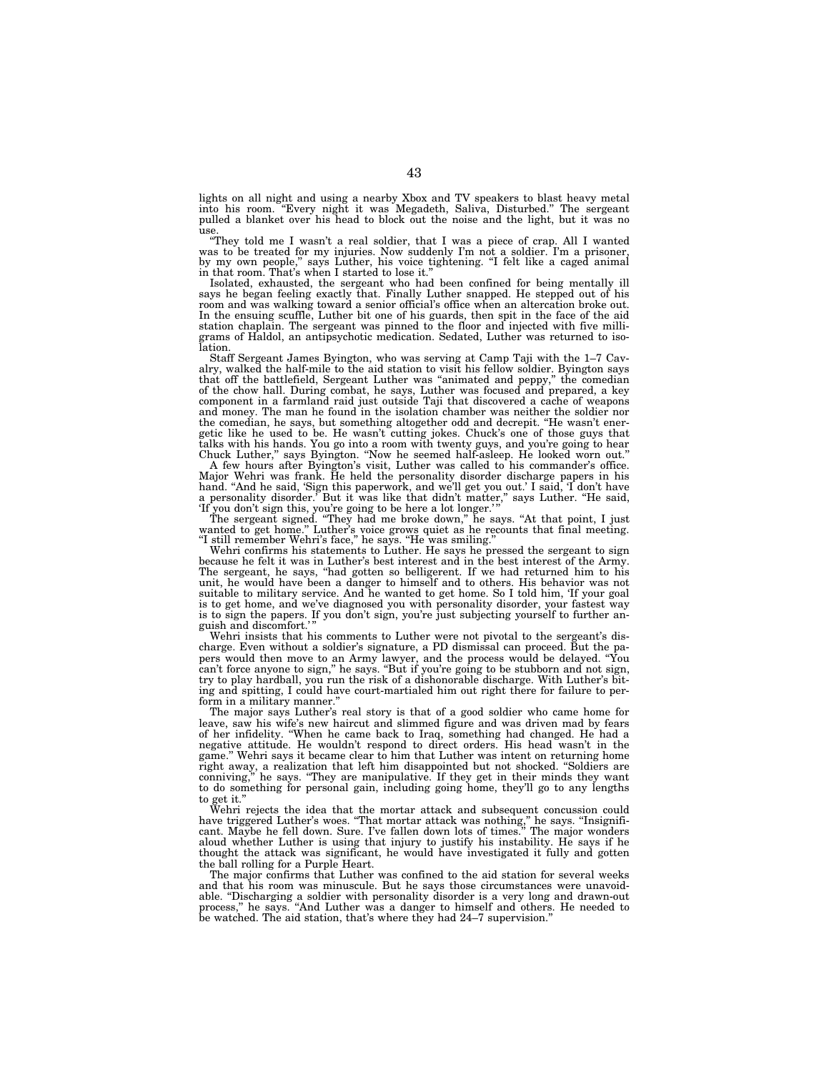lights on all night and using a nearby Xbox and TV speakers to blast heavy metal into his room. ''Every night it was Megadeth, Saliva, Disturbed.'' The sergeant pulled a blanket over his head to block out the noise and the light, but it was no

use. ''They told me I wasn't a real soldier, that I was a piece of crap. All I wanted was to be treated for my injuries. Now suddenly I'm not a soldier. I'm a prisoner, by my own people,'' says Luther, his voice tightening. ''I felt like a caged animal in that room. That's when I started to lose it.''

Isolated, exhausted, the sergeant who had been confined for being mentally ill says he began feeling exactly that. Finally Luther snapped. He stepped out of his room and was walking toward a senior official's office when an altercation broke out. In the ensuing scuffle, Luther bit one of his guards, then spit in the face of the aid station chaplain. The sergeant was pinned to the floor and injected with five milligrams of Haldol, an antipsychotic medication. Sedated, Luther was returned to iso-lation.

Staff Sergeant James Byington, who was serving at Camp Taji with the 1–7 Cav-alry, walked the half-mile to the aid station to visit his fellow soldier. Byington says that off the battlefield, Sergeant Luther was "animated and peppy," the comedian of the chow hall. During combat, he says, Luther was focused and prepared, a key component in a farmland raid just outside Taji that discovered a cache of weapons and money. The man he found in the isolation chamber was neither the soldier nor the comedian, he says, but something altogether odd and decrepit. ''He wasn't ener-getic like he used to be. He wasn't cutting jokes. Chuck's one of those guys that talks with his hands. You go into a room with twenty guys, and you're going to hear Chuck Luther,'' says Byington. ''Now he seemed half-asleep. He looked worn out.''

A few hours after Byington's visit, Luther was called to his commander's office. Major Wehri was frank. He held the personality disorder discharge papers in his hand. "And he said, 'Sign this paperwork, and we'll get you out.' I said, 'I don't have<br>a personality disorder.' But it was like that didn't matter," says Luther. "He said,<br>'If you don't sign this, you're going to be here

Wehri confirms his statements to Luther. He says he pressed the sergeant to sign because he felt it was in Luther's best interest and in the best interest of the Army. The sergeant, he says, ''had gotten so belligerent. If we had returned him to his unit, he would have been a danger to himself and to others. His behavior was not suitable to military service. And he wanted to get home. So I told him, 'If your goal is to get home, and we've diagnosed you with personality disorder, your fastest way is to sign the papers. If you don't sign, you're just subjecting yourself to further anguish and discomfort.'"

Wehri insists that his comments to Luther were not pivotal to the sergeant's discharge. Even without a soldier's signature, a PD dismissal can proceed. But the papers would then move to an Army lawyer, and the process would be delayed. ''You can't force anyone to sign,'' he says. ''But if you're going to be stubborn and not sign, try to play hardball, you run the risk of a dishonorable discharge. With Luther's biting and spitting, I could have court-martialed him out right there for failure to perform in a military manner.''

The major says Luther's real story is that of a good soldier who came home for leave, saw his wife's new haircut and slimmed figure and was driven mad by fears of her infidelity. ''When he came back to Iraq, something had changed. He had a negative attitude. He wouldn't respond to direct orders. His head wasn't in the game.'' Wehri says it became clear to him that Luther was intent on returning home right away, a realization that left him disappointed but not shocked. ''Soldiers are conniving,'' he says. ''They are manipulative. If they get in their minds they want to do something for personal gain, including going home, they'll go to any lengths to get it.''

Wehri rejects the idea that the mortar attack and subsequent concussion could have triggered Luther's woes. ''That mortar attack was nothing,'' he says. ''Insignificant. Maybe he fell down. Sure. I've fallen down lots of times.'' The major wonders aloud whether Luther is using that injury to justify his instability. He says if he thought the attack was significant, he would have investigated it fully and gotten the ball rolling for a Purple Heart.

The major confirms that Luther was confined to the aid station for several weeks and that his room was minuscule. But he says those circumstances were unavoidable. ''Discharging a soldier with personality disorder is a very long and drawn-out process,'' he says. ''And Luther was a danger to himself and others. He needed to be watched. The aid station, that's where they had 24–7 supervision.''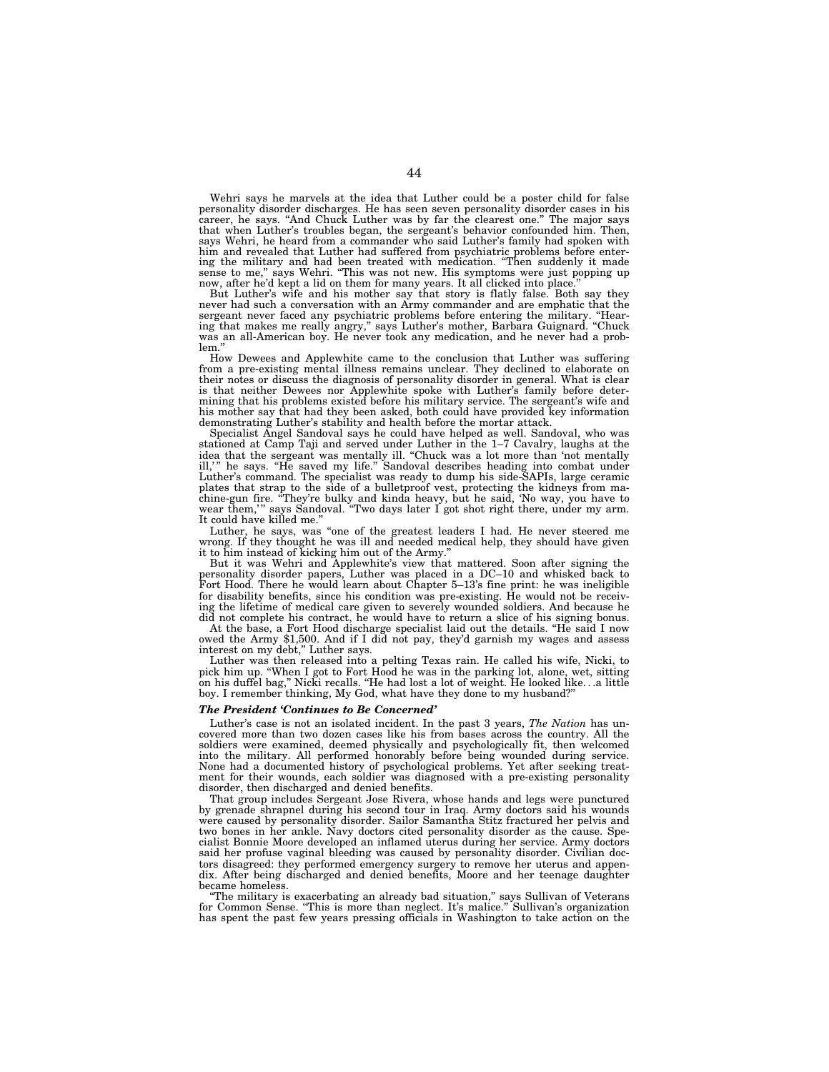Wehri says he marvels at the idea that Luther could be a poster child for false personality disorder discharges. He has seen seven personality disorder cases in his career, he says. "And Chuck Luther was by far the clearest one." The major says that when Luther's troubles began, the sergeant's behavior confounded him. Then, says Wehri, he heard from a commander who said Luther's family had spoken with him and revealed that Luther had suffered from psychiatric problems before enter-ing the military and had been treated with medication. ''Then suddenly it made sense to me," says Wehri. "This was not new. His symptoms were just popping up now, after he'd kept a lid on them for many years. It all clicked into place."<br>But Luther's wife and his mother say that story is flatly false.

never had such a conversation with an Army commander and are emphatic that the sergeant never faced any psychiatric problems before entering the military. ''Hear-ing that makes me really angry,'' says Luther's mother, Barbara Guignard. ''Chuck was an all-American boy. He never took any medication, and he never had a problem.

How Dewees and Applewhite came to the conclusion that Luther was suffering from a pre-existing mental illness remains unclear. They declined to elaborate on their notes or discuss the diagnosis of personality disorder in general. What is clear is that neither Dewees nor Applewhite spoke with Luther's family before determining that his problems existed before his military service. The sergeant's wife and his mother say that had they been asked, both could have provided key information demonstrating Luther's stability and health before the mortar attack.

Specialist Angel Sandoval says he could have helped as well. Sandoval, who was stationed at Camp Taji and served under Luther in the 1–7 Cavalry, laughs at the idea that the sergeant was mentally ill. ''Chuck was a lot more than 'not mentally ill,'" he says. "He saved my life." Sandoval describes heading into combat under Luther's command. The specialist was ready to dump his side-SAPIs, large ceramic plates that strap to the side of a bulletproof vest, protecting the kidneys from machine-gun fire. ''They're bulky and kinda heavy, but he said, 'No way, you have to wear them,'" says Sandoval. "Two days later I got shot right there, under my arm. It could have killed me.''

Luther, he says, was ''one of the greatest leaders I had. He never steered me wrong. If they thought he was ill and needed medical help, they should have given it to him instead of kicking him out of the Army.''

But it was Wehri and Applewhite's view that mattered. Soon after signing the personality disorder papers, Luther was placed in a DC–10 and whisked back to Fort Hood. There he would learn about Chapter 5–13's fine print: he was ineligible for disability benefits, since his condition was pre-existing. He would not be receiving the lifetime of medical care given to severely wounded soldiers. And because he did not complete his contract, he would have to return a slice of his signing bonus.

At the base, a Fort Hood discharge specialist laid out the details. ''He said I now owed the Army \$1,500. And if I did not pay, they'd garnish my wages and assess interest on my debt,'' Luther says.

Luther was then released into a pelting Texas rain. He called his wife, Nicki, to pick him up. ''When I got to Fort Hood he was in the parking lot, alone, wet, sitting on his duffel bag,'' Nicki recalls. ''He had lost a lot of weight. He looked like. . .a little boy. I remember thinking, My God, what have they done to my husband?''

#### *The President 'Continues to Be Concerned'*

Luther's case is not an isolated incident. In the past 3 years, *The Nation* has uncovered more than two dozen cases like his from bases across the country. All the soldiers were examined, deemed physically and psychologically fit, then welcomed into the military. All performed honorably before being wounded during service. None had a documented history of psychological problems. Yet after seeking treatment for their wounds, each soldier was diagnosed with a pre-existing personality disorder, then discharged and denied benefits.

That group includes Sergeant Jose Rivera, whose hands and legs were punctured by grenade shrapnel during his second tour in Iraq. Army doctors said his wounds were caused by personality disorder. Sailor Samantha Stitz fractured her pelvis and two bones in her ankle. Navy doctors cited personality disorder as the cause. Specialist Bonnie Moore developed an inflamed uterus during her service. Army doctors said her profuse vaginal bleeding was caused by personality disorder. Civilian doctors disagreed: they performed emergency surgery to remove her uterus and appendix. After being discharged and denied benefits, Moore and her teenage daughter became homeless.

''The military is exacerbating an already bad situation,'' says Sullivan of Veterans for Common Sense. ''This is more than neglect. It's malice.'' Sullivan's organization has spent the past few years pressing officials in Washington to take action on the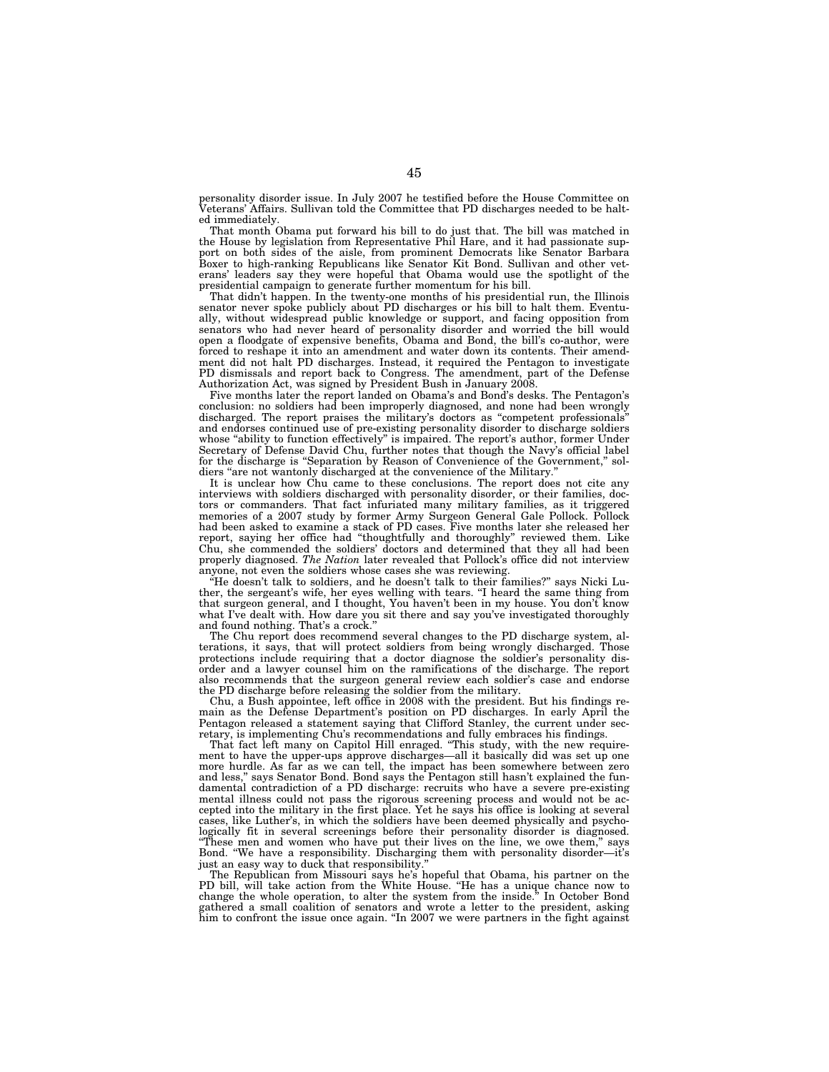personality disorder issue. In July 2007 he testified before the House Committee on Veterans' Affairs. Sullivan told the Committee that PD discharges needed to be halted immediately.

That month Obama put forward his bill to do just that. The bill was matched in the House by legislation from Representative Phil Hare, and it had passionate support on both sides of the aisle, from prominent Democrats like Senator Barbara Boxer to high-ranking Republicans like Senator Kit Bond. Sullivan and other veterans' leaders say they were hopeful that Obama would use the spotlight of the presidential campaign to generate further momentum for his bill.

That didn't happen. In the twenty-one months of his presidential run, the Illinois senator never spoke publicly about PD discharges or his bill to halt them. Eventually, without widespread public knowledge or support, and facing opposition from senators who had never heard of personality disorder and worried the bill would open a floodgate of expensive benefits, Obama and Bond, the bill's co-author, were forced to reshape it into an amendment and water down its contents. Their amendment did not halt PD discharges. Instead, it required the Pentagon to investigate PD dismissals and report back to Congress. The amendment, part of the Defense Authorization Act, was signed by President Bush in January 2008.

Five months later the report landed on Obama's and Bond's desks. The Pentagon's conclusion: no soldiers had been improperly diagnosed, and none had been wrongly discharged. The report praises the military's doctors as ''competent professionals'' and endorses continued use of pre-existing personality disorder to discharge soldiers whose "ability to function effectively" is impaired. The report's author, former Under Secretary of Defense David Chu, further notes that though the Navy's official label for the discharge is ''Separation by Reason of Convenience of the Government,'' soldiers ''are not wantonly discharged at the convenience of the Military.''

It is unclear how Chu came to these conclusions. The report does not cite any interviews with soldiers discharged with personality disorder, or their families, doctors or commanders. That fact infuriated many military families, as it triggered memories of a 2007 study by former Army Surgeon General Gale Pollock. Pollock had been asked to examine a stack of PD cases. Five months later she released her report, saying her office had ''thoughtfully and thoroughly'' reviewed them. Like Chu, she commended the soldiers' doctors and determined that they all had been properly diagnosed. *The Nation* later revealed that Pollock's office did not interview anyone, not even the soldiers whose cases she was reviewing.

 $\mathrm{``He}$  doesn't talk to soldiers, and he doesn't talk to their families?" says Nicki Luther, the sergeant's wife, her eyes welling with tears. ''I heard the same thing from that surgeon general, and I thought, You haven't been in my house. You don't know what I've dealt with. How dare you sit there and say you've investigated thoroughly and found nothing. That's a crock.''

The Chu report does recommend several changes to the PD discharge system, alterations, it says, that will protect soldiers from being wrongly discharged. Those protections include requiring that a doctor diagnose the soldier's personality disorder and a lawyer counsel him on the ramifications of the discharge. The report also recommends that the surgeon general review each soldier's case and endorse the PD discharge before releasing the soldier from the military.

Chu, a Bush appointee, left office in 2008 with the president. But his findings remain as the Defense Department's position on PD discharges. In early April the Pentagon released a statement saying that Clifford Stanley, the current under secretary, is implementing Chu's recommendations and fully embraces his findings.

That fact left many on Capitol Hill enraged. ''This study, with the new requirement to have the upper-ups approve discharges—all it basically did was set up one more hurdle. As far as we can tell, the impact has been somewhere between zero and less,'' says Senator Bond. Bond says the Pentagon still hasn't explained the fundamental contradiction of a PD discharge: recruits who have a severe pre-existing mental illness could not pass the rigorous screening process and would not be accepted into the military in the first place. Yet he says his office is looking at several cases, like Luther's, in which the soldiers have been deemed physically and psychologically fit in several screenings before their personality disorder is diagnosed. "These men and women who have put their lives on the line, we owe them, Bond. ''We have a responsibility. Discharging them with personality disorder—it's just an easy way to duck that responsibility.

The Republican from Missouri says he's hopeful that Obama, his partner on the PD bill, will take action from the White House. "He has a unique chance now to change the whole operation, to alter the system from the inside.'' In October Bond gathered a small coalition of senators and wrote a letter to the president, asking him to confront the issue once again. "In 2007 we were partners in the fight against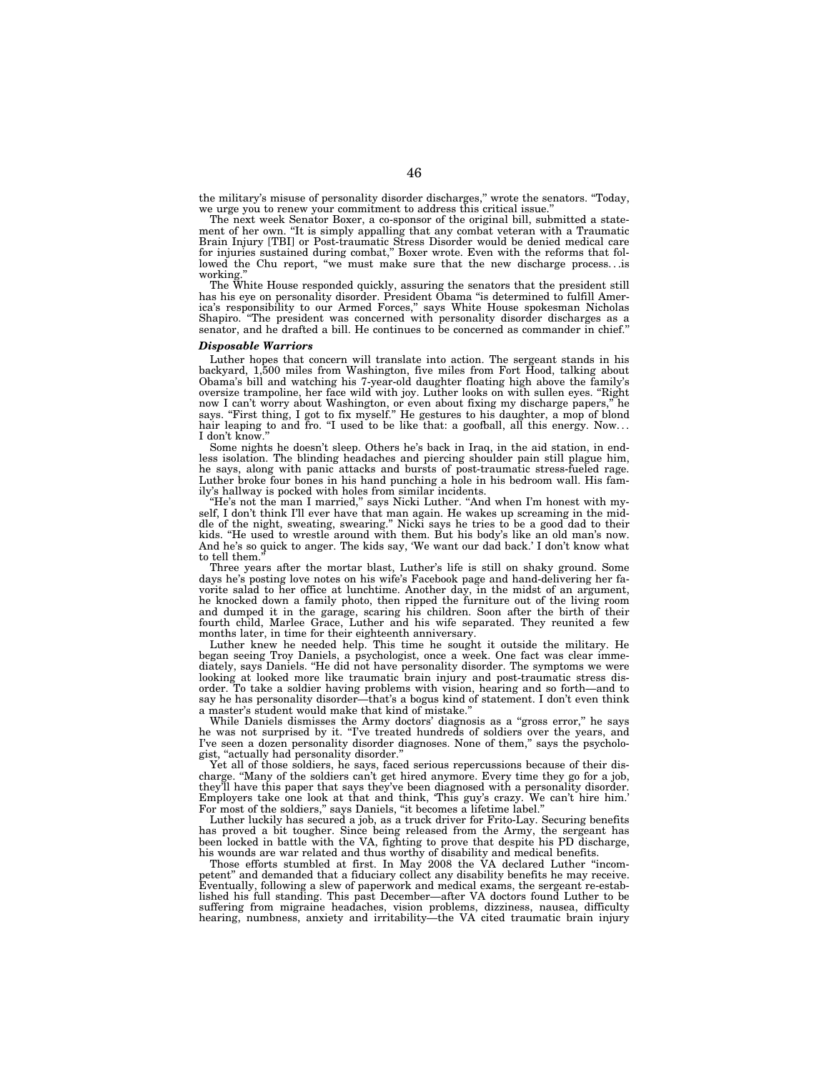the military's misuse of personality disorder discharges,'' wrote the senators. ''Today, we urge you to renew your commitment to address this critical issue.

The next week Senator Boxer, a co-sponsor of the original bill, submitted a statement of her own. "It is simply appalling that any combat veteran with a Traumatic Brain Injury [TBI] or Post-traumatic Stress Disorder would be denied medical care for injuries sustained during combat,'' Boxer wrote. Even with the reforms that followed the Chu report, "we must make sure that the new discharge process... is working.''

The White House responded quickly, assuring the senators that the president still has his eye on personality disorder. President Obama "is determined to fulfill America's responsibility to our Armed Forces,'' says White House spokesman Nicholas Shapiro. ''The president was concerned with personality disorder discharges as a senator, and he drafted a bill. He continues to be concerned as commander in chief.''

#### *Disposable Warriors*

Luther hopes that concern will translate into action. The sergeant stands in his backyard, 1,500 miles from Washington, five miles from Fort Hood, talking about Obama's bill and watching his 7-year-old daughter floating high above the family's oversize trampoline, her face wild with joy. Luther looks on with sullen eyes. "Right now I can't worry about Washington, or even about fixing my discharge papers,'' he says. "First thing, I got to fix myself." He gestures to his daughter, a mop of blond hair leaping to and fro. "I used to be like that: a goofball, all this energy. Now... I don't know.

Some nights he doesn't sleep. Others he's back in Iraq, in the aid station, in endless isolation. The blinding headaches and piercing shoulder pain still plague him, he says, along with panic attacks and bursts of post-traumatic stress-fueled rage. Luther broke four bones in his hand punching a hole in his bedroom wall. His family's hallway is pocked with holes from similar incidents.

''He's not the man I married,'' says Nicki Luther. ''And when I'm honest with myself, I don't think I'll ever have that man again. He wakes up screaming in the middle of the night, sweating, swearing.'' Nicki says he tries to be a good dad to their kids. ''He used to wrestle around with them. But his body's like an old man's now. And he's so quick to anger. The kids say, 'We want our dad back.' I don't know what to tell them.

Three years after the mortar blast, Luther's life is still on shaky ground. Some days he's posting love notes on his wife's Facebook page and hand-delivering her favorite salad to her office at lunchtime. Another day, in the midst of an argument, he knocked down a family photo, then ripped the furniture out of the living room and dumped it in the garage, scaring his children. Soon after the birth of their fourth child, Marlee Grace, Luther and his wife separated. They reunited a few months later, in time for their eighteenth anniversary.

Luther knew he needed help. This time he sought it outside the military. He began seeing Troy Daniels, a psychologist, once a week. One fact was clear immediately, says Daniels. ''He did not have personality disorder. The symptoms we were looking at looked more like traumatic brain injury and post-traumatic stress disorder. To take a soldier having problems with vision, hearing and so forth—and to say he has personality disorder—that's a bogus kind of statement. I don't even think a master's student would make that kind of mistake.''

While Daniels dismisses the Army doctors' diagnosis as a "gross error," he says he was not surprised by it. "I've treated hundreds of soldiers over the years, and I've seen a dozen personality disorder diagnoses. None of them," says the psychologist, "actually had personality disorder."

Yet all of those soldiers, he says, faced serious repercussions because of their discharge. ''Many of the soldiers can't get hired anymore. Every time they go for a job, they'll have this paper that says they've been diagnosed with a personality disorder. Employers take one look at that and think, 'This guy's crazy. We can't hire him.' For most of the soldiers," says Daniels, "it becomes a lifetime label.'

Luther luckily has secured a job, as a truck driver for Frito-Lay. Securing benefits has proved a bit tougher. Since being released from the Army, the sergeant has been locked in battle with the VA, fighting to prove that despite his PD discharge, his wounds are war related and thus worthy of disability and medical benefits.

Those efforts stumbled at first. In May 2008 the VA declared Luther "incompetent'' and demanded that a fiduciary collect any disability benefits he may receive. Eventually, following a slew of paperwork and medical exams, the sergeant re-established his full standing. This past December—after VA doctors found Luther to be suffering from migraine headaches, vision problems, dizziness, nausea, difficulty hearing, numbness, anxiety and irritability—the VA cited traumatic brain injury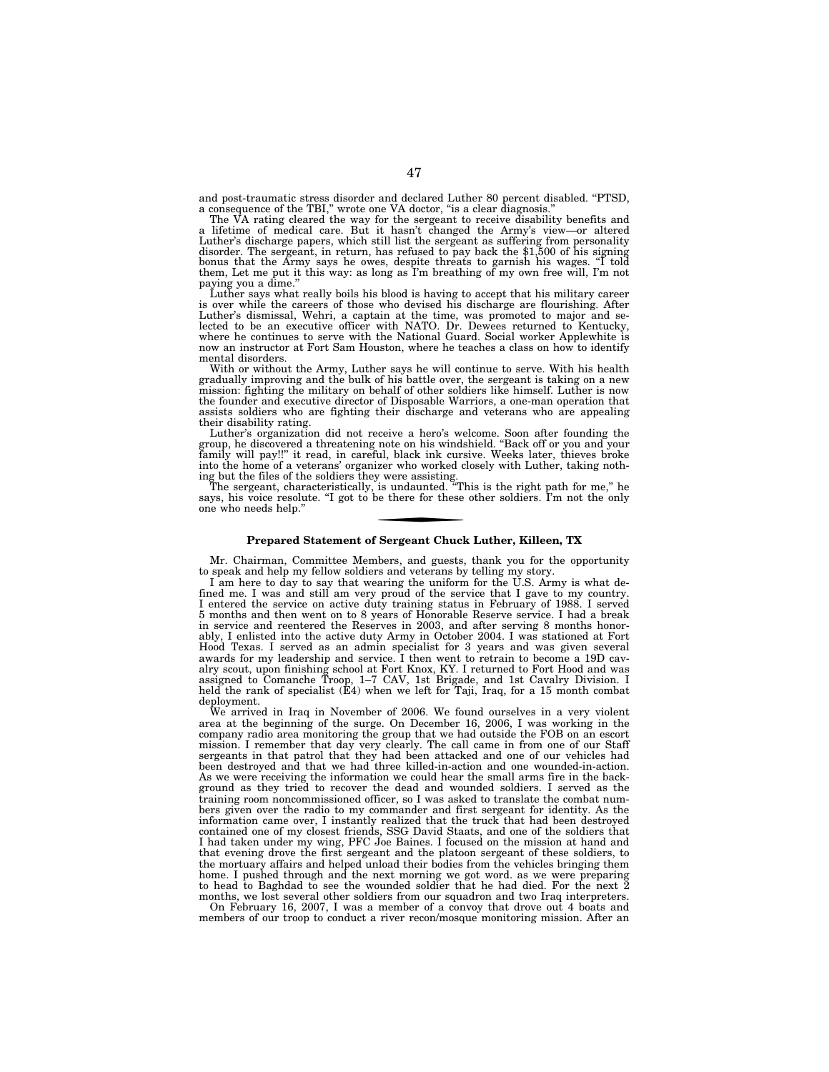and post-traumatic stress disorder and declared Luther 80 percent disabled. ''PTSD, a consequence of the TBI,'' wrote one VA doctor, ''is a clear diagnosis.''

The VA rating cleared the way for the sergeant to receive disability benefits and a lifetime of medical care. But it hasn't changed the Army's view—or altered Luther's discharge papers, which still list the sergeant as suffering from personality disorder. The sergeant, in return, has refused to pay back the \$1,500 of his signing bonus that the Army says he owes, despite threats to garnish his wages. "I told them, Let me put it this way: as long as I'm breathing of my own free will, I'm not paying you a dime."

Luther says what really boils his blood is having to accept that his military career is over while the careers of those who devised his discharge are flourishing. After Luther's dismissal, Wehri, a captain at the time, was promoted to major and se-lected to be an executive officer with NATO. Dr. Dewees returned to Kentucky, where he continues to serve with the National Guard. Social worker Applewhite is now an instructor at Fort Sam Houston, where he teaches a class on how to identify mental disorders.

With or without the Army, Luther says he will continue to serve. With his health gradually improving and the bulk of his battle over, the sergeant is taking on a new mission: fighting the military on behalf of other soldiers like himself. Luther is now the founder and executive director of Disposable Warriors, a one-man operation that assists soldiers who are fighting their discharge and veterans who are appealing their disability rating.

Luther's organization did not receive a hero's welcome. Soon after founding the group, he discovered a threatening note on his windshield. "Back off or you and your family will pay!!" it read, in careful, black ink cursive into the home of a veterans' organizer who worked closely with Luther, taking noth-

ing but the files of the soldiers they were assisting. The sergeant, characteristically, is undaunted. ''This is the right path for me,'' he says, his voice resolute. "I got to be there for these other soldiers. I'm not the only one who needs help.''

## **Prepared Statement of Sergeant Chuck Luther, Killeen, TX**

Mr. Chairman, Committee Members, and guests, thank you for the opportunity to speak and help my fellow soldiers and veterans by telling my story.

I am here to day to say that wearing the uniform for the U.S. Army is what defined me. I was and still am very proud of the service that I gave to my country. I entered the service on active duty training status in February of 1988. I served 5 months and then went on to 8 years of Honorable Reserve service. I had a break in service and reentered the Reserves in 2003, and after serving 8 months honorably, I enlisted into the active duty Army in October 2004. I was stationed at Fort Hood Texas. I served as an admin specialist for 3 years and was given several awards for my leadership and service. I then went to retrain to become a 19D cavalry scout, upon finishing school at Fort Knox, KY. I returned to Fort Hood and was assigned to Comanche Troop, 1–7 CAV, 1st Brigade, and 1st Cavalry Division. I held the rank of specialist (E4) when we left for Taji, Iraq, for a 15 month combat deployment.

We arrived in Iraq in November of 2006. We found ourselves in a very violent area at the beginning of the surge. On December 16, 2006, I was working in the company radio area monitoring the group that we had outside the FOB on an escort mission. I remember that day very clearly. The call came in from one of our Staff sergeants in that patrol that they had been attacked and one of our vehicles had been destroyed and that we had three killed-in-action and one wounded-in-action. As we were receiving the information we could hear the small arms fire in the background as they tried to recover the dead and wounded soldiers. I served as the training room noncommissioned officer, so I was asked to translate the combat numbers given over the radio to my commander and first sergeant for identity. As the information came over, I instantly realized that the truck that had been destroyed contained one of my closest friends, SSG David Staats, and one of the soldiers that I had taken under my wing, PFC Joe Baines. I focused on the mission at hand and that evening drove the first sergeant and the platoon sergeant of these soldiers, to the mortuary affairs and helped unload their bodies from the vehicles bringing them home. I pushed through and the next morning we got word. as we were preparing to head to Baghdad to see the wounded soldier that he had died. For the next  $\tilde{2}$ months, we lost several other soldiers from our squadron and two Iraq interpreters.

On February 16, 2007, I was a member of a convoy that drove out 4 boats and members of our troop to conduct a river recon/mosque monitoring mission. After an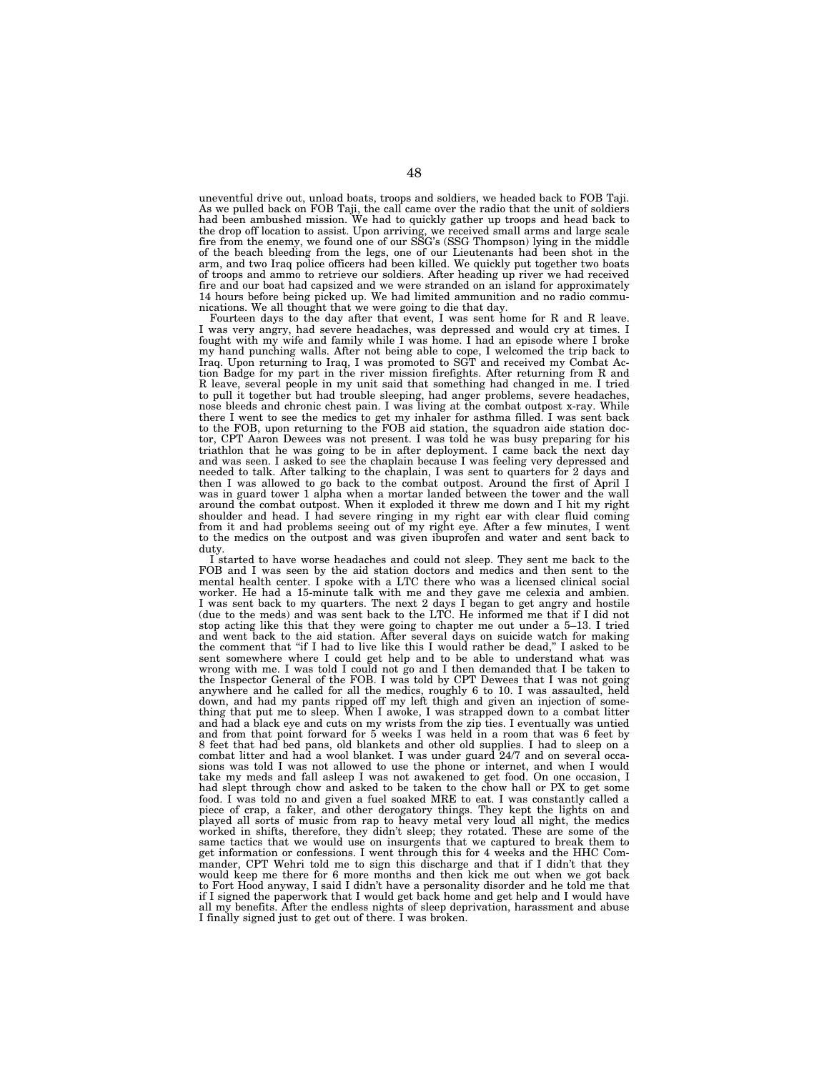uneventful drive out, unload boats, troops and soldiers, we headed back to FOB Taji. As we pulled back on FOB Taji, the call came over the radio that the unit of soldiers had been ambushed mission. We had to quickly gather up troops and head back to the drop off location to assist. Upon arriving, we received small arms and large scale fire from the enemy, we found one of our SSG's (SSG Thompson) lying in the middle of the beach bleeding from the legs, one of our Lieutenants had been shot in the arm, and two Iraq police officers had been killed. We quickly put together two boats of troops and ammo to retrieve our soldiers. After heading up river we had received fire and our boat had capsized and we were stranded on an island for approximately 14 hours before being picked up. We had limited ammunition and no radio communications. We all thought that we were going to die that day.

Fourteen days to the day after that event, I was sent home for R and R leave. I was very angry, had severe headaches, was depressed and would cry at times. I fought with my wife and family while I was home. I had an episode where I broke my hand punching walls. After not being able to cope, I welcomed the trip back to Iraq. Upon returning to Iraq, I was promoted to SGT and received my Combat Action Badge for my part in the river mission firefights. After returning from R and R leave, several people in my unit said that something had changed in me. I tried to pull it together but had trouble sleeping, had anger problems, severe headaches, nose bleeds and chronic chest pain. I was living at the combat outpost x-ray. While there I went to see the medics to get my inhaler for asthma filled. I was sent back to the FOB, upon returning to the FOB aid station, the squadron aide station doctor, CPT Aaron Dewees was not present. I was told he was busy preparing for his triathlon that he was going to be in after deployment. I came back the next day and was seen. I asked to see the chaplain because I was feeling very depressed and needed to talk. After talking to the chaplain, I was sent to quarters for 2 days and then I was allowed to go back to the combat outpost. Around the first of April I was in guard tower 1 alpha when a mortar landed between the tower and the wall around the combat outpost. When it exploded it threw me down and I hit my right shoulder and head. I had severe ringing in my right ear with clear fluid coming from it and had problems seeing out of my right eye. After a few minutes, I went to the medics on the outpost and was given ibuprofen and water and sent back to duty.

I started to have worse headaches and could not sleep. They sent me back to the FOB and I was seen by the aid station doctors and medics and then sent to the mental health center. I spoke with a LTC there who was a licensed clinical social worker. He had a 15-minute talk with me and they gave me celexia and ambien. I was sent back to my quarters. The next 2 days I began to get angry and hostile (due to the meds) and was sent back to the LTC. He informed me that if I did not stop acting like this that they were going to chapter me out under a 5–13. I tried and went back to the aid station. After several days on suicide watch for making the comment that ''if I had to live like this I would rather be dead,'' I asked to be sent somewhere where I could get help and to be able to understand what was wrong with me. I was told I could not go and I then demanded that I be taken to the Inspector General of the FOB. I was told by CPT Dewees that I was not going anywhere and he called for all the medics, roughly 6 to 10. I was assaulted, held down, and had my pants ripped off my left thigh and given an injection of something that put me to sleep. When I awoke, I was strapped down to a combat litter and had a black eye and cuts on my wrists from the zip ties. I eventually was untied and from that point forward for 5 weeks I was held in a room that was 6 feet by 8 feet that had bed pans, old blankets and other old supplies. I had to sleep on a combat litter and had a wool blanket. I was under guard 24/7 and on several occasions was told I was not allowed to use the phone or internet, and when I would take my meds and fall asleep I was not awakened to get food. On one occasion, I had slept through chow and asked to be taken to the chow hall or PX to get some food. I was told no and given a fuel soaked MRE to eat. I was constantly called a piece of crap, a faker, and other derogatory things. They kept the lights on and played all sorts of music from rap to heavy metal very loud all night, the medics worked in shifts, therefore, they didn't sleep; they rotated. These are some of the same tactics that we would use on insurgents that we captured to break them to get information or confessions. I went through this for 4 weeks and the HHC Commander, CPT Wehri told me to sign this discharge and that if I didn't that they would keep me there for 6 more months and then kick me out when we got back to Fort Hood anyway, I said I didn't have a personality disorder and he told me that if I signed the paperwork that I would get back home and get help and I would have all my benefits. After the endless nights of sleep deprivation, harassment and abuse I finally signed just to get out of there. I was broken.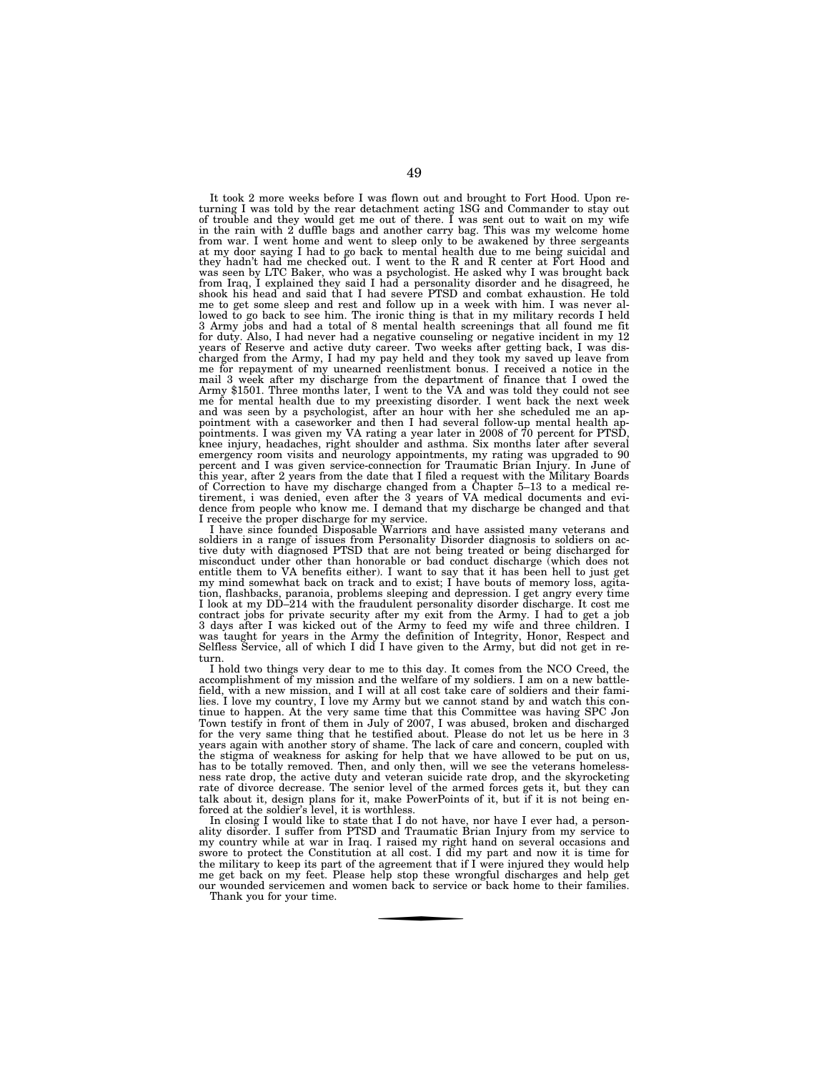It took 2 more weeks before I was flown out and brought to Fort Hood. Upon returning I was told by the rear detachment acting 1SG and Commander to stay out<br>of trouble and they would get me out of there. I was sent out to wait on my wife<br>in the rain with 2 duffle bags and another carry bag. This was from war. I went home and went to sleep only to be awakened by three sergeants at my door saying I had to go back to mental health due to me being suicidal and they hadn't had me checked out. I went to the R and R center at Fort Hood and was seen by LTC Baker, who was a psychologist. He asked why I was brought back from Iraq, I explained they said I had a personality disorder and he disagreed, he shook his head and said that I had severe PTSD and combat exhaustion. He told me to get some sleep and rest and follow up in a week with him. I was never allowed to go back to see him. The ironic thing is that in my military records I held 3 Army jobs and had a total of 8 mental health screenings that all found me fit for duty. Also, I had never had a negative counseling or negative incident in my 12 years of Reserve and active duty career. Two weeks after getting back, I was discharged from the Army, I had my pay held and they took my saved up leave from me for repayment of my unearned reenlistment bonus. I received a notice in the mail 3 week after my discharge from the department of finance that I owed the Army \$1501. Three months later, I went to the VA and was told they could not see me for mental health due to my preexisting disorder. I went back the next week and was seen by a psychologist, after an hour with her she scheduled me an appointment with a caseworker and then I had several follow-up mental health ap-pointments. I was given my VA rating a year later in 2008 of 70 percent for PTSD, knee injury, headaches, right shoulder and asthma. Six months later after several emergency room visits and neurology appointments, my rating was upgraded to 90 percent and I was given service-connection for Traumatic Brian Injury. In June of this year, after 2 years from the date that I filed a request with the Military Boards of Correction to have my discharge changed from a Chapter 5–13 to a medical re-<br>tirement, i was denied, even after the 3 years of VA medical documents and evi-<br>dence from people who know me. I demand that my discharge be c I receive the proper discharge for my service. I have since founded Disposable Warriors and have assisted many veterans and

soldiers in a range of issues from Personality Disorder diagnosis to soldiers on active duty with diagnosed PTSD that are not being treated or being discharged for misconduct under other than honorable or bad conduct discharge (which does not entitle them to VA benefits either). I want to say that it has been hell to just get my mind somewhat back on track and to exist; I have bouts of memory loss, agitation, flashbacks, paranoia, problems sleeping and depression. I get angry every time I look at my DD–214 with the fraudulent personality disorder discharge. It cost me contract jobs for private security after my exit from the Army. I had to get a job 3 days after I was kicked out of the Army to feed my wife and three children. I was taught for years in the Army the definition of Integrity, Honor, Respect and Selfless Service, all of which I did I have given to the Army, but did not get in return.

I hold two things very dear to me to this day. It comes from the NCO Creed, the accomplishment of my mission and the welfare of my soldiers. I am on a new battlefield, with a new mission, and I will at all cost take care of soldiers and their families. I love my country, I love my Army but we cannot stand by and watch this continue to happen. At the very same time that this Committee was having SPC Jon Town testify in front of them in July of 2007, I was abused, broken and discharged for the very same thing that he testified about. Please do not let us be here in 3 years again with another story of shame. The lack of care and concern, coupled with the stigma of weakness for asking for help that we have allowed to be put on us, has to be totally removed. Then, and only then, will we see the veterans homelessness rate drop, the active duty and veteran suicide rate drop, and the skyrocketing rate of divorce decrease. The senior level of the armed forces gets it, but they can talk about it, design plans for it, make PowerPoints of it, but if it is not being enforced at the soldier's level, it is worthless.

In closing I would like to state that I do not have, nor have I ever had, a personality disorder. I suffer from PTSD and Traumatic Brian Injury from my service to my country while at war in Iraq. I raised my right hand on several occasions and swore to protect the Constitution at all cost. I did my part and now it is time for the military to keep its part of the agreement that if I were injured they would help me get back on my feet. Please help stop these wrongful discharges and help get our wounded servicemen and women back to service or back home to their families.

Thank you for your time.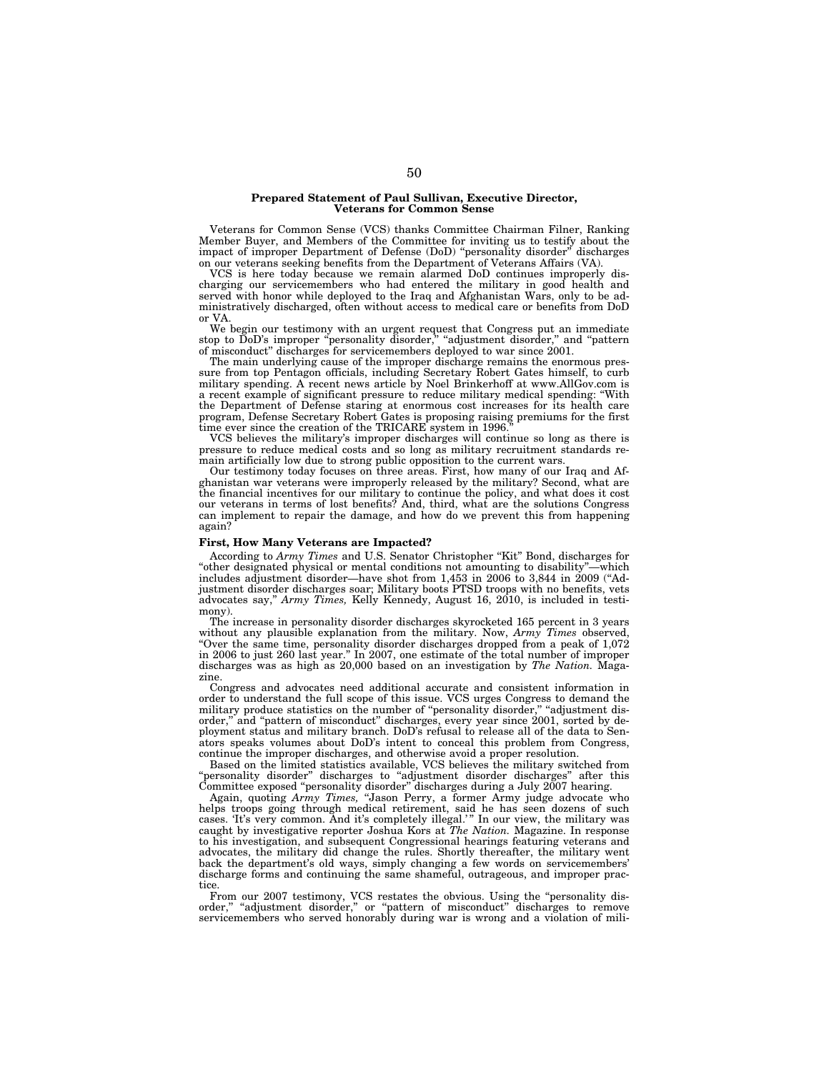## **Prepared Statement of Paul Sullivan, Executive Director, Veterans for Common Sense**

Veterans for Common Sense (VCS) thanks Committee Chairman Filner, Ranking Member Buyer, and Members of the Committee for inviting us to testify about the impact of improper Department of Defense (DoD) ''personality disorder'' discharges on our veterans seeking benefits from the Department of Veterans Affairs (VA).

VCS is here today because we remain alarmed DoD continues improperly discharging our servicemembers who had entered the military in good health and served with honor while deployed to the Iraq and Afghanistan Wars, only to be administratively discharged, often without access to medical care or benefits from DoD or VA.

We begin our testimony with an urgent request that Congress put an immediate stop to DoD's improper ''personality disorder,'' ''adjustment disorder,'' and ''pattern of misconduct'' discharges for servicemembers deployed to war since 2001.

The main underlying cause of the improper discharge remains the enormous pressure from top Pentagon officials, including Secretary Robert Gates himself, to curb military spending. A recent news article by Noel Brinkerhoff at www.AllGov.com is a recent example of significant pressure to reduce military medical spending: ''With the Department of Defense staring at enormous cost increases for its health care program, Defense Secretary Robert Gates is proposing raising premiums for the first time ever since the creation of the TRICARE system in 1996.

VCS believes the military's improper discharges will continue so long as there is pressure to reduce medical costs and so long as military recruitment standards remain artificially low due to strong public opposition to the current wars.

Our testimony today focuses on three areas. First, how many of our Iraq and Afghanistan war veterans were improperly released by the military? Second, what are the financial incentives for our military to continue the policy, and what does it cost our veterans in terms of lost benefits? And, third, what are the solutions Congress can implement to repair the damage, and how do we prevent this from happening again?

## **First, How Many Veterans are Impacted?**

According to *Army Times* and U.S. Senator Christopher ''Kit'' Bond, discharges for ''other designated physical or mental conditions not amounting to disability''—which includes adjustment disorder—have shot from 1,453 in 2006 to 3,844 in 2009 (''Adjustment disorder discharges soar; Military boots PTSD troops with no benefits, vets advocates say,'' *Army Times,* Kelly Kennedy, August 16, 2010, is included in testimony).

The increase in personality disorder discharges skyrocketed 165 percent in 3 years without any plausible explanation from the military. Now, *Army Times* observed, "Over the same time, personality disorder discharges dropped from a peak of  $1,072$ in 2006 to just 260 last year.'' In 2007, one estimate of the total number of improper discharges was as high as 20,000 based on an investigation by *The Nation.* Magazine.

Congress and advocates need additional accurate and consistent information in order to understand the full scope of this issue. VCS urges Congress to demand the military produce statistics on the number of "personality disorder," "adjustment disorder,'' and ''pattern of misconduct'' discharges, every year since 2001, sorted by deployment status and military branch. DoD's refusal to release all of the data to Senators speaks volumes about DoD's intent to conceal this problem from Congress, continue the improper discharges, and otherwise avoid a proper resolution.

Based on the limited statistics available, VCS believes the military switched from ''personality disorder'' discharges to ''adjustment disorder discharges'' after this Committee exposed ''personality disorder'' discharges during a July 2007 hearing.

Again, quoting *Army Times,* ''Jason Perry, a former Army judge advocate who helps troops going through medical retirement, said he has seen dozens of such cases. 'It's very common. And it's completely illegal.' '' In our view, the military was caught by investigative reporter Joshua Kors at *The Nation.* Magazine. In response to his investigation, and subsequent Congressional hearings featuring veterans and advocates, the military did change the rules. Shortly thereafter, the military went back the department's old ways, simply changing a few words on servicemembers' discharge forms and continuing the same shameful, outrageous, and improper practice.

From our 2007 testimony, VCS restates the obvious. Using the "personality disorder,'' ''adjustment disorder,'' or ''pattern of misconduct'' discharges to remove servicemembers who served honorably during war is wrong and a violation of mili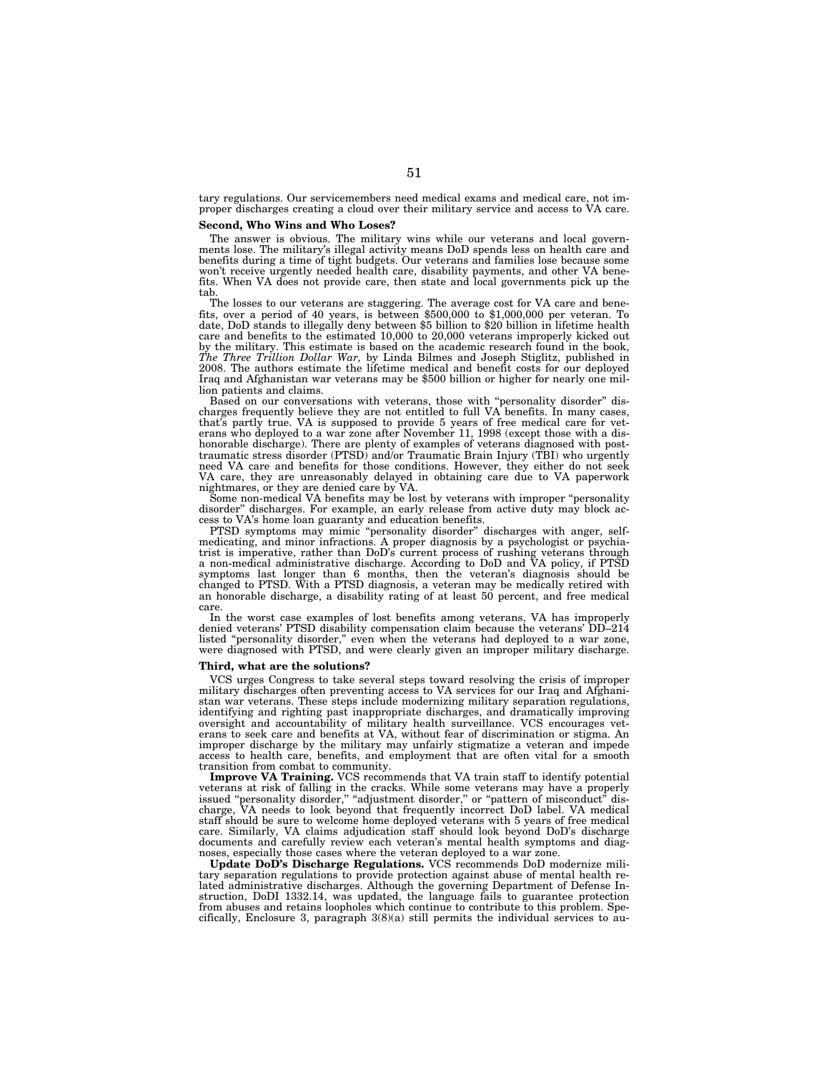tary regulations. Our servicemembers need medical exams and medical care, not improper discharges creating a cloud over their military service and access to VA care.

#### **Second, Who Wins and Who Loses?**

The answer is obvious. The military wins while our veterans and local governments lose. The military's illegal activity means DoD spends less on health care and benefits during a time of tight budgets. Our veterans and families lose because some won't receive urgently needed health care, disability payments, and other VA benefits. When VA does not provide care, then state and local governments pick up the tab.

The losses to our veterans are staggering. The average cost for VA care and benefits, over a period of 40 years, is between \$500,000 to \$1,000,000 per veteran. To date, DoD stands to illegally deny between \$5 billion to \$20 billion in lifetime health care and benefits to the estimated 10,000 to 20,000 veterans improperly kicked out by the military. This estimate is based on the academic research found in the book, *The Three Trillion Dollar War,* by Linda Bilmes and Joseph Stiglitz, published in 2008. The authors estimate the lifetime medical and benefit costs for our deployed Iraq and Afghanistan war veterans may be \$500 billion or higher for nearly one million patients and claims.

Based on our conversations with veterans, those with ''personality disorder'' discharges frequently believe they are not entitled to full VA benefits. In many cases, that's partly true. VA is supposed to provide 5 years of free medical care for veterans who deployed to a war zone after November 11, 1998 (except those with a dishonorable discharge). There are plenty of examples of veterans diagnosed with posttraumatic stress disorder (PTSD) and/or Traumatic Brain Injury (TBI) who urgently need VA care and benefits for those conditions. However, they either do not seek VA care, they are unreasonably delayed in obtaining care due to VA paperwork nightmares, or they are denied care by VA.

Some non-medical VA benefits may be lost by veterans with improper ''personality disorder'' discharges. For example, an early release from active duty may block access to VA's home loan guaranty and education benefits.

PTSD symptoms may mimic "personality disorder" discharges with anger, selfmedicating, and minor infractions. A proper diagnosis by a psychologist or psychiatrist is imperative, rather than DoD's current process of rushing veterans through a non-medical administrative discharge. According to DoD and VA policy, if PTSD symptoms last longer than 6 months, then the veteran's diagnosis should be changed to PTSD. With a PTSD diagnosis, a veteran may be medically retired with an honorable discharge, a disability rating of at least 50 percent, and free medical care.

In the worst case examples of lost benefits among veterans, VA has improperly denied veterans' PTSD disability compensation claim because the veterans' DD–214 listed "personality disorder," even when the veterans had deployed to a war zone, were diagnosed with PTSD, and were clearly given an improper military discharge.

#### **Third, what are the solutions?**

VCS urges Congress to take several steps toward resolving the crisis of improper military discharges often preventing access to VA services for our Iraq and Afghanistan war veterans. These steps include modernizing military separation regulations, identifying and righting past inappropriate discharges, and dramatically improving oversight and accountability of military health surveillance. VCS encourages veterans to seek care and benefits at VA, without fear of discrimination or stigma. An improper discharge by the military may unfairly stigmatize a veteran and impede access to health care, benefits, and employment that are often vital for a smooth transition from combat to community.

**Improve VA Training.** VCS recommends that VA train staff to identify potential veterans at risk of falling in the cracks. While some veterans may have a properly issued ''personality disorder,'' ''adjustment disorder,'' or ''pattern of misconduct'' discharge, VA needs to look beyond that frequently incorrect DoD label. VA medical staff should be sure to welcome home deployed veterans with 5 years of free medical care. Similarly, VA claims adjudication staff should look beyond DoD's discharge documents and carefully review each veteran's mental health symptoms and diagnoses, especially those cases where the veteran deployed to a war zone.

**Update DoD's Discharge Regulations.** VCS recommends DoD modernize military separation regulations to provide protection against abuse of mental health related administrative discharges. Although the governing Department of Defense Instruction, DoDI 1332.14, was updated, the language fails to guarantee protection from abuses and retains loopholes which continue to contribute to this problem. Specifically, Enclosure 3, paragraph  $3(8)(a)$  still permits the individual services to au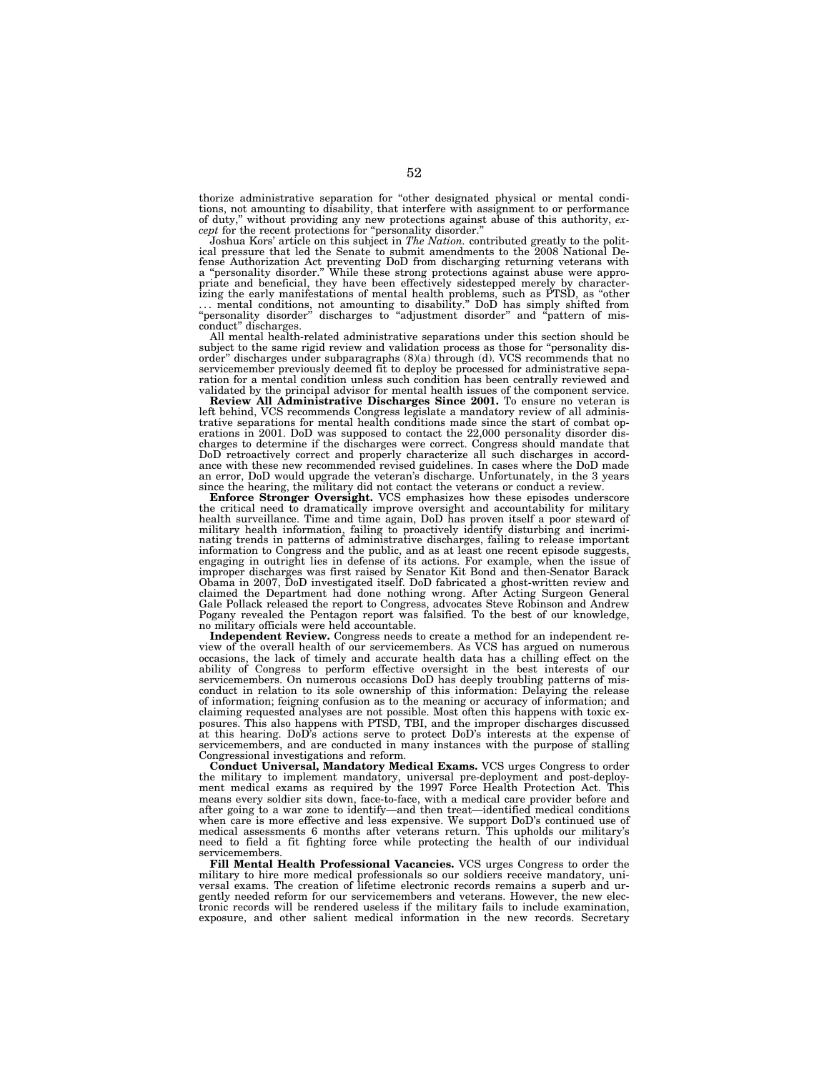thorize administrative separation for ''other designated physical or mental conditions, not amounting to disability, that interfere with assignment to or performance of duty," without providing any new protections against abuse of this authority, exof duty,'' without providing any new protections against abuse of this authority, *ex- cept* for the recent protections for ''personality disorder.''

Joshua Kors' article on this subject in *The Nation.* contributed greatly to the political pressure that led the Senate to submit amendments to the 2008 National Defense Authorization Act preventing DoD from discharging returning veterans with<br>a "personality disorder." While these strong protections against abuse were appro-<br>priate and beneficial, they have been effectively sidestepp izing the early manifestations of mental health problems, such as PTSD, as "other ... mental conditions, not amounting to disability." DoD has simply shifted from ''personality disorder'' discharges to ''adjustment disorder'' and ''pattern of mis-conduct'' discharges.

All mental health-related administrative separations under this section should be subject to the same rigid review and validation process as those for ''personality disorder'' discharges under subparagraphs (8)(a) through (d). VCS recommends that no servicemember previously deemed fit to deploy be processed for administrative separation for a mental condition unless such condition has been centrally reviewed and validated by the principal advisor for mental health issues of the component service.

**Review All Administrative Discharges Since 2001.** To ensure no veteran is left behind, VCS recommends Congress legislate a mandatory review of all administrative separations for mental health conditions made since the start of combat op-erations in 2001. DoD was supposed to contact the 22,000 personality disorder discharges to determine if the discharges were correct. Congress should mandate that DoD retroactively correct and properly characterize all such discharges in accordance with these new recommended revised guidelines. In cases where the DoD made an error, DoD would upgrade the veteran's discharge. Unfortunately, in the 3 years since the hearing, the military did not contact the veterans or conduct a review.

**Enforce Stronger Oversight.** VCS emphasizes how these episodes underscore the critical need to dramatically improve oversight and accountability for military health surveillance. Time and time again, DoD has proven itself a poor steward of military health information, failing to proactively identify disturbing and incrimi-nating trends in patterns of administrative discharges, failing to release important information to Congress and the public, and as at least one recent episode suggests, engaging in outright lies in defense of its actions. For example, when the issue of improper discharges was first raised by Senator Kit Bond and then-Senator Barack Obama in 2007, DoD investigated itself. DoD fabricated a ghost-written review and claimed the Department had done nothing wrong. After Acting Surgeon General Gale Pollack released the report to Congress, advocates Steve Robinson and Andrew Pogany revealed the Pentagon report was falsified. To the best of our knowledge, no military officials were held accountable.

**Independent Review.** Congress needs to create a method for an independent review of the overall health of our servicemembers. As VCS has argued on numerous occasions, the lack of timely and accurate health data has a chilling effect on the ability of Congress to perform effective oversight in the best interests of our servicemembers. On numerous occasions DoD has deeply troubling patterns of misconduct in relation to its sole ownership of this information: Delaying the release of information; feigning confusion as to the meaning or accuracy of information; and claiming requested analyses are not possible. Most often this happens with toxic exposures. This also happens with PTSD, TBI, and the improper discharges discussed at this hearing. DoD's actions serve to protect DoD's interests at the expense of servicemembers, and are conducted in many instances with the purpose of stalling Congressional investigations and reform.

**Conduct Universal, Mandatory Medical Exams.** VCS urges Congress to order the military to implement mandatory, universal pre-deployment and post-deployment medical exams as required by the 1997 Force Health Protection Act. This means every soldier sits down, face-to-face, with a medical care provider before and after going to a war zone to identify—and then treat—identified medical conditions when care is more effective and less expensive. We support DoD's continued use of medical assessments 6 months after veterans return. This upholds our military's need to field a fit fighting force while protecting the health of our individual servicemembers.

**Fill Mental Health Professional Vacancies.** VCS urges Congress to order the military to hire more medical professionals so our soldiers receive mandatory, universal exams. The creation of lifetime electronic records remains a superb and urgently needed reform for our servicemembers and veterans. However, the new electronic records will be rendered useless if the military fails to include examination, exposure, and other salient medical information in the new records. Secretary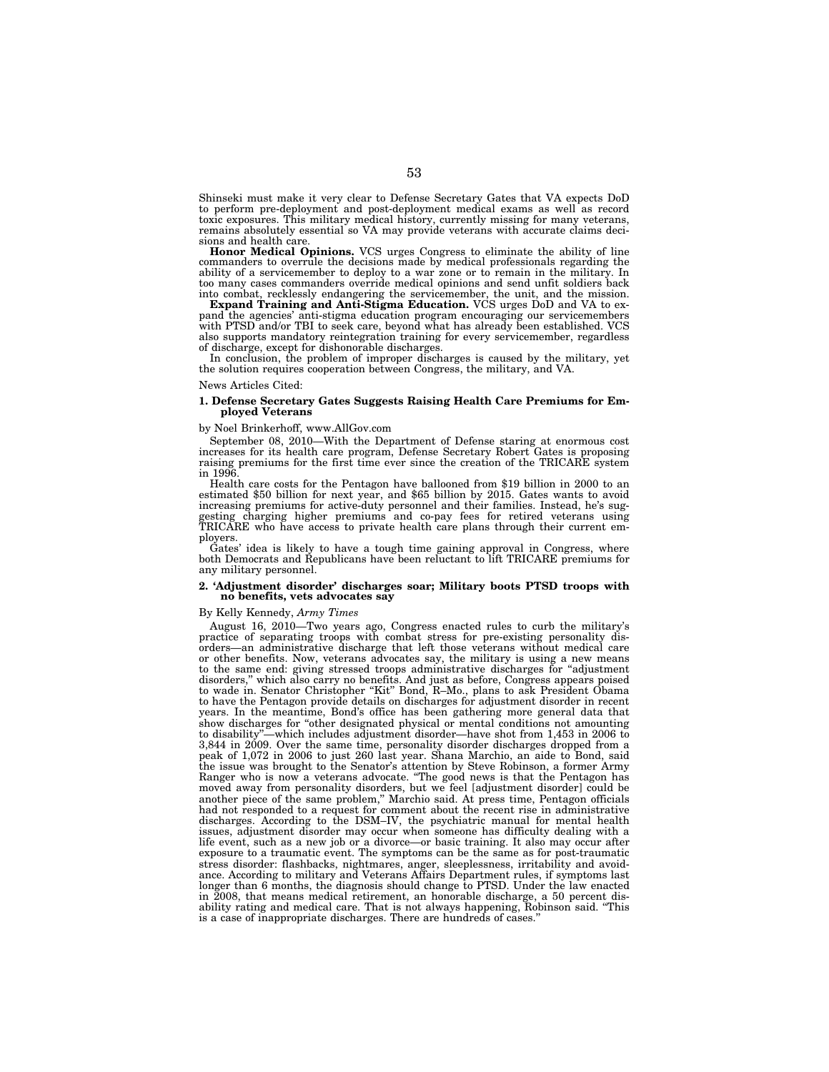Shinseki must make it very clear to Defense Secretary Gates that VA expects DoD to perform pre-deployment and post-deployment medical exams as well as record toxic exposures. This military medical history, currently missing for many veterans, remains absolutely essential so VA may provide veterans with accurate claims decisions and health care.

**Honor Medical Opinions.** VCS urges Congress to eliminate the ability of line commanders to overrule the decisions made by medical professionals regarding the ability of a servicemember to deploy to a war zone or to remain in the military. In too many cases commanders override medical opinions and send unfit soldiers back

into combat, recklessly endangering the servicemember, the unit, and the mission. **Expand Training and Anti-Stigma Education.** VCS urges DoD and VA to expand the agencies' anti-stigma education program encouraging our servicemembers with PTSD and/or TBI to seek care, beyond what has already been established. VCS also supports mandatory reintegration training for every servicemember, regardless of discharge, except for dishonorable discharges.

In conclusion, the problem of improper discharges is caused by the military, yet the solution requires cooperation between Congress, the military, and VA.

## News Articles Cited:

## **1. Defense Secretary Gates Suggests Raising Health Care Premiums for Employed Veterans**

#### by Noel Brinkerhoff, www.AllGov.com

September 08, 2010—With the Department of Defense staring at enormous cost increases for its health care program, Defense Secretary Robert Gates is proposing raising premiums for the first time ever since the creation of the TRICARE system in 1996.<br>Health care costs for the Pentagon have ballooned from \$19 billion in 2000 to an

estimated \$50 billion for next year, and \$65 billion by 2015. Gates wants to avoid increasing premiums for active-duty personnel and their families. Instead, he's suggesting charging higher premiums and co-pay fees for retired veterans using TRICARE who have access to private health care plans through their current employers.

Gates' idea is likely to have a tough time gaining approval in Congress, where both Democrats and Republicans have been reluctant to lift TRICARE premiums for any military personnel.

#### **2. 'Adjustment disorder' discharges soar; Military boots PTSD troops with no benefits, vets advocates say**

#### By Kelly Kennedy, *Army Times*

August 16, 2010—Two years ago, Congress enacted rules to curb the military's practice of separating troops with combat stress for pre-existing personality dis-orders—an administrative discharge that left those veterans without medical care or other benefits. Now, veterans advocates say, the military is using a new means to the same end: giving stressed troops administrative discharges for ''adjustment disorders,'' which also carry no benefits. And just as before, Congress appears poised to wade in. Senator Christopher ''Kit'' Bond, R–Mo., plans to ask President Obama to have the Pentagon provide details on discharges for adjustment disorder in recent years. In the meantime, Bond's office has been gathering more general data that show discharges for ''other designated physical or mental conditions not amounting to disability''—which includes adjustment disorder—have shot from 1,453 in 2006 to 3,844 in 2009. Over the same time, personality disorder discharges dropped from a peak of 1,072 in 2006 to just 260 last year. Shana Marchio, an aide to Bond, said the issue was brought to the Senator's attention by Steve Robinson, a former Army Ranger who is now a veterans advocate. ''The good news is that the Pentagon has moved away from personality disorders, but we feel [adjustment disorder] could be another piece of the same problem,'' Marchio said. At press time, Pentagon officials had not responded to a request for comment about the recent rise in administrative discharges. According to the DSM–IV, the psychiatric manual for mental health issues, adjustment disorder may occur when someone has difficulty dealing with a life event, such as a new job or a divorce—or basic training. It also may occur after exposure to a traumatic event. The symptoms can be the same as for post-traumatic stress disorder: flashbacks, nightmares, anger, sleeplessness, irritability and avoidance. According to military and Veterans Affairs Department rules, if symptoms last longer than 6 months, the diagnosis should change to PTSD. Under the law enacted in 2008, that means medical retirement, an honorable discharge, a 50 percent disability rating and medical care. That is not always happening, Robinson said. ''This is a case of inappropriate discharges. There are hundreds of cases.''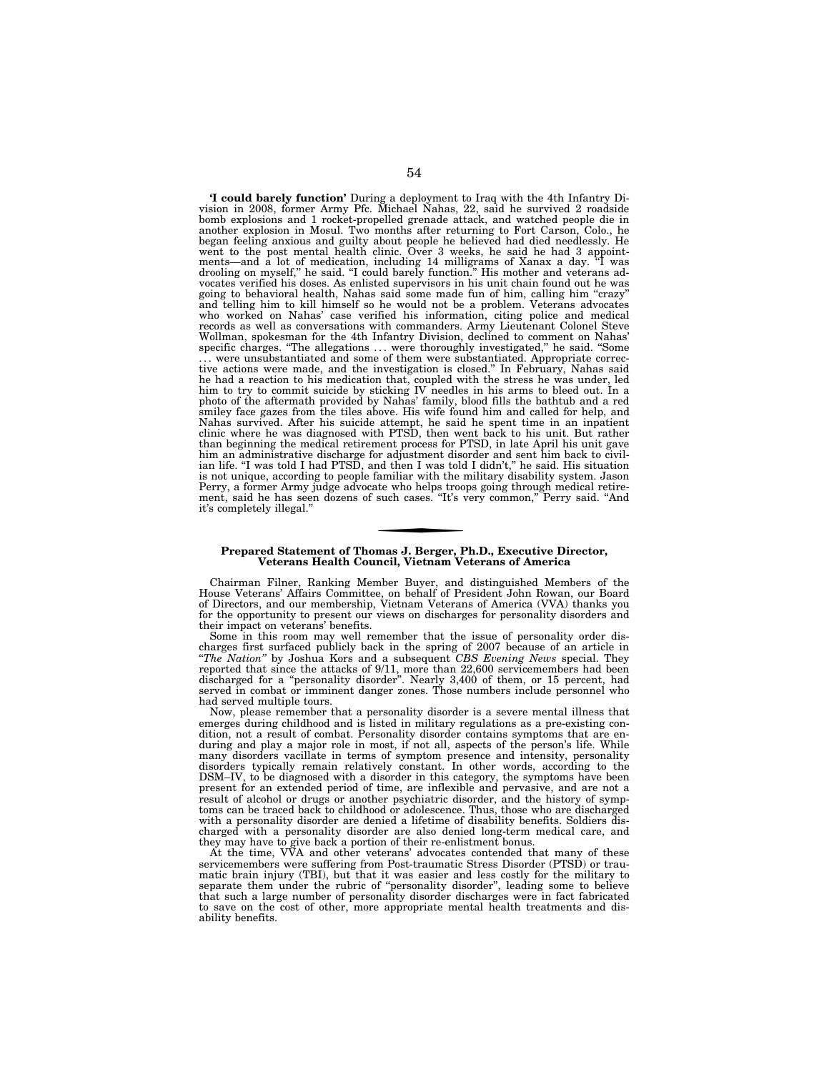**T could barely function'** During a deployment to Iraq with the 4th Infantry Division in 2008, former Army Pfc. Michael Nahas, 22, said he survived 2 roadside bomb explosions and 1 rocket-propelled grenade attack, and watc began feeling anxious and guilty about people he believed had died needlessly. He<br>went to the post mental health clinic. Over 3 weeks, he said he had 3 appoint-<br>ments—and a lot of medication, including 14 milligrams of Xan vocates verified his doses. As enlisted supervisors in his unit chain found out he was going to behavioral health, Nahas said some made fun of him, calling him ''crazy'' and telling him to kill himself so he would not be a problem. Veterans advocates who worked on Nahas' case verified his information, citing police and medical records as well as conversations with commanders. Army Lieutenant Colonel Steve Wollman, spokesman for the 4th Infantry Division, declined to comment on Nahas' specific charges. ''The allegations . . . were thoroughly investigated,'' he said. ''Some . . . were unsubstantiated and some of them were substantiated. Appropriate correc-tive actions were made, and the investigation is closed.'' In February, Nahas said he had a reaction to his medication that, coupled with the stress he was under, led him to try to commit suicide by sticking IV needles in his arms to bleed out. In a photo of the aftermath provided by Nahas' family, blood fills the bathtub and a red smiley face gazes from the tiles above. His wife found him and called for help, and Nahas survived. After his suicide attempt, he said he spent time in an inpatient clinic where he was diagnosed with PTSD, then went back to his unit. But rather than beginning the medical retirement process for PTSD, in late April his unit gave him an administrative discharge for adjustment disorder and sent him back to civilian life. "I was told I had PTSD, and then I was told I didn't," he said. His situation<br>is not unique, according to people familiar with the military disability system. Jason Perry, a former Army judge advocate who helps troops going through medical retire-ment, said he has seen dozens of such cases. ''It's very common,'' Perry said. ''And it's completely illegal.''

#### **Prepared Statement of Thomas J. Berger, Ph.D., Executive Director, Veterans Health Council, Vietnam Veterans of America**

Chairman Filner, Ranking Member Buyer, and distinguished Members of the House Veterans' Affairs Committee, on behalf of President John Rowan, our Board of Directors, and our membership, Vietnam Veterans of America (VVA) thanks you for the opportunity to present our views on discharges for personality disorders and their impact on veterans' benefits.

Some in this room may well remember that the issue of personality order discharges first surfaced publicly back in the spring of 2007 because of an article in ''*The Nation''* by Joshua Kors and a subsequent *CBS Evening News* special. They reported that since the attacks of 9/11, more than 22,600 servicemembers had been discharged for a ''personality disorder''. Nearly 3,400 of them, or 15 percent, had served in combat or imminent danger zones. Those numbers include personnel who had served multiple tours.

Now, please remember that a personality disorder is a severe mental illness that emerges during childhood and is listed in military regulations as a pre-existing condition, not a result of combat. Personality disorder contains symptoms that are enduring and play a major role in most, if not all, aspects of the person's life. While many disorders vacillate in terms of symptom presence and intensity, personality disorders typically remain relatively constant. In other words, according to the DSM–IV, to be diagnosed with a disorder in this category, the symptoms have been present for an extended period of time, are inflexible and pervasive, and are not a result of alcohol or drugs or another psychiatric disorder, and the history of symptoms can be traced back to childhood or adolescence. Thus, those who are discharged with a personality disorder are denied a lifetime of disability benefits. Soldiers discharged with a personality disorder are also denied long-term medical care, and they may have to give back a portion of their re-enlistment bonus.

At the time, VVA and other veterans' advocates contended that many of these servicemembers were suffering from Post-traumatic Stress Disorder (PTSD) or traumatic brain injury (TBI), but that it was easier and less costly for the military to separate them under the rubric of ''personality disorder'', leading some to believe that such a large number of personality disorder discharges were in fact fabricated to save on the cost of other, more appropriate mental health treatments and disability benefits.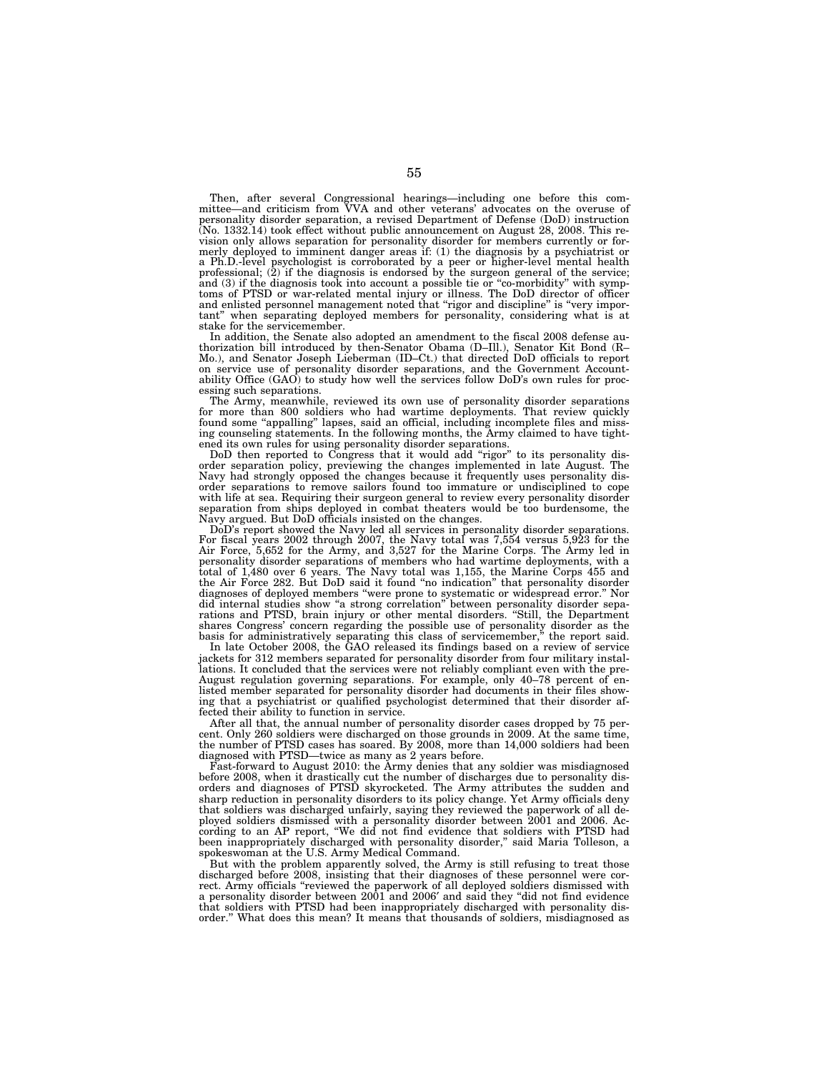Then, after several Congressional hearings—including one before this com-mittee—and criticism from VVA and other veterans' advocates on the overuse of personality disorder separation, a revised Department of Defense (DoD) instruction (No. 1332.14) took effect without public announcement on August 28, 2008. This revision only allows separation for personality disorder for members currently or for-merly deployed to imminent danger areas if: (1) the diagnosis by a psychiatrist or a Ph.D.-level psychologist is corroborated by a peer or higher-level mental health professional; (2) if the diagnosis is endorsed by the surgeon general of the service; and (3) if the diagnosis took into account a possible tie or "co-morbidity" with symptoms of PTSD or war-related mental injury or illness. The DoD director of officer<br>and enlisted personnel management noted that "rigor and tant'' when separating deployed members for personality, considering what is at stake for the servicemember.

In addition, the Senate also adopted an amendment to the fiscal 2008 defense authorization bill introduced by then-Senator Obama (D–Ill.), Senator Kit Bond (R– Mo.), and Senator Joseph Lieberman (ID–Ct.) that directed DoD officials to report on service use of personality disorder separations, and the Government Accountability Office (GAO) to study how well the services follow DoD's own rules for processing such separations.

The Army, meanwhile, reviewed its own use of personality disorder separations for more than 800 soldiers who had wartime deployments. That review quickly found some ''appalling'' lapses, said an official, including incomplete files and miss-ing counseling statements. In the following months, the Army claimed to have tight-

ened its own rules for using personality disorder separations.<br>
DoD then reported to Congress that it would add "rigor" to its personality disorder separation policy, previewing the changes implemented in late August. The Navy had strongly opposed the changes because it frequently uses personality disorder separations to remove sailors found too immature or undisciplined to cope with life at sea. Requiring their surgeon general to review every personality disorder separation from ships deployed in combat theaters would be too burdensome, the Navy argued. But DoD officials insisted on the changes.

DoD's report showed the Navy led all services in personality disorder separations.<br>For fiscal years 2002 through 2007, the Navy total was 7,554 versus 5,923 for the<br>Air Force, 5,652 for the Army, and 3,527 for the Marine C personality disorder separations of members who had wartime deployments, with a total of 1,480 over 6 years. The Navy total was 1,155, the Marine Corps 455 and<br>the Air Force 282. But DoD said it found "no indication" that personality disorder<br>diagnoses of deployed members "were prone to systematic or rations and PTSD, brain injury or other mental disorders. ''Still, the Department shares Congress' concern regarding the possible use of personality disorder as the basis for administratively separating this class of servicemember,'' the report said.

In late October 2008, the GAO released its findings based on a review of service jackets for 312 members separated for personality disorder from four military installations. It concluded that the services were not reliably compliant even with the pre-August regulation governing separations. For example, only 40–78 percent of enlisted member separated for personality disorder had documents in their files showing that a psychiatrist or qualified psychologist determined that their disorder affected their ability to function in service.

After all that, the annual number of personality disorder cases dropped by 75 percent. Only 260 soldiers were discharged on those grounds in 2009. At the same time, the number of PTSD cases has soared. By 2008, more than 14,000 soldiers had been diagnosed with PTSD—twice as many as 2 years before.

Fast-forward to August 2010: the Army denies that any soldier was misdiagnosed before 2008, when it drastically cut the number of discharges due to personality disorders and diagnoses of PTSD skyrocketed. The Army attributes the sudden and sharp reduction in personality disorders to its policy change. Yet Army officials deny that soldiers was discharged unfairly, saying they reviewed the paperwork of all deployed soldiers dismissed with a personality disorder between 2001 and 2006. According to an AP report, ''We did not find evidence that soldiers with PTSD had been inappropriately discharged with personality disorder,'' said Maria Tolleson, a spokeswoman at the U.S. Army Medical Command.

But with the problem apparently solved, the Army is still refusing to treat those discharged before 2008, insisting that their diagnoses of these personnel were correct. Army officials "reviewed the paperwork of all deployed soldiers dismissed with a personality disorder between 2001 and 2006′ and said they ''did not find evidence that soldiers with PTSD had been inappropriately discharged with personality disorder.'' What does this mean? It means that thousands of soldiers, misdiagnosed as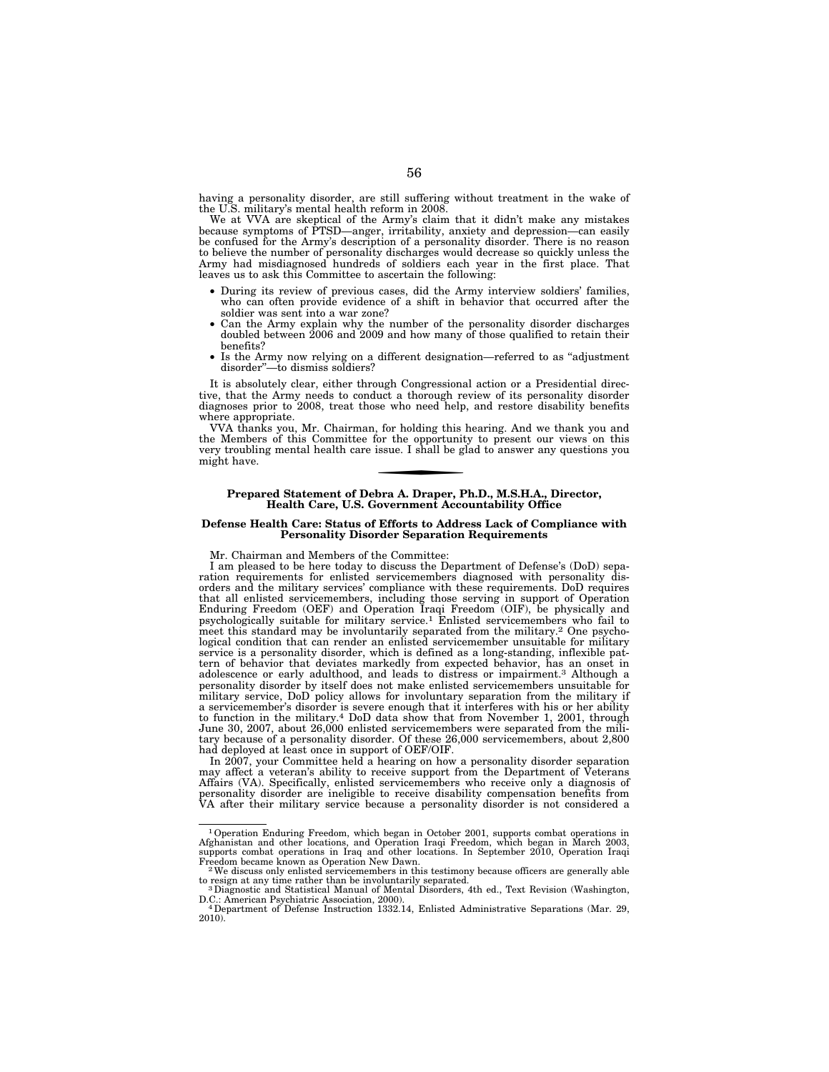having a personality disorder, are still suffering without treatment in the wake of the U.S. military's mental health reform in 2008.

We at VVA are skeptical of the Army's claim that it didn't make any mistakes because symptoms of PTSD—anger, irritability, anxiety and depression—can easily be confused for the Army's description of a personality disorder. There is no reason to believe the number of personality discharges would decrease so quickly unless the Army had misdiagnosed hundreds of soldiers each year in the first place. That leaves us to ask this Committee to ascertain the following:

- During its review of previous cases, did the Army interview soldiers' families, who can often provide evidence of a shift in behavior that occurred after the soldier was sent into a war zone?
- Can the Army explain why the number of the personality disorder discharges doubled between 2006 and 2009 and how many of those qualified to retain their benefits?
- Is the Army now relying on a different designation—referred to as ''adjustment disorder''—to dismiss soldiers?

It is absolutely clear, either through Congressional action or a Presidential directive, that the Army needs to conduct a thorough review of its personality disorder diagnoses prior to 2008, treat those who need help, and restore disability benefits where appropriate.

VVA thanks you, Mr. Chairman, for holding this hearing. And we thank you and the Members of this Committee for the opportunity to present our views on this very troubling mental health care issue. I shall be glad to answer any questions you might have.

## **Prepared Statement of Debra A. Draper, Ph.D., M.S.H.A., Director, Health Care, U.S. Government Accountability Office**

#### **Defense Health Care: Status of Efforts to Address Lack of Compliance with Personality Disorder Separation Requirements**

Mr. Chairman and Members of the Committee:

I am pleased to be here today to discuss the Department of Defense's (DoD) separation requirements for enlisted servicemembers diagnosed with personality disorders and the military services' compliance with these requirements. DoD requires that all enlisted servicemembers, including those serving in support of Operation Enduring Freedom (OEF) and Operation Iraqi Freedom (OIF), be physically and psychologically suitable for military service.1 Enlisted servicemembers who fail to meet this standard may be involuntarily separated from the military.<sup>2</sup> One psychological condition that can render an enlisted servicemember unsuitable for military service is a personality disorder, which is defined as a long-standing, inflexible pattern of behavior that deviates markedly from expected behavior, has an onset in adolescence or early adulthood, and leads to distress or impairment.3 Although a personality disorder by itself does not make enlisted servicemembers unsuitable for military service, DoD policy allows for involuntary separation from the military if a servicemember's disorder is severe enough that it interferes with his or her ability to function in the military.4 DoD data show that from November 1, 2001, through June 30, 2007, about 26,000 enlisted servicemembers were separated from the military because of a personality disorder. Of these 26,000 servicemembers, about 2,800 had deployed at least once in support of OEF/OIF.

In  $2007$ , your Committee held a hearing on how a personality disorder separation may affect a veteran's ability to receive support from the Department of Veterans Affairs (VA). Specifically, enlisted servicemembers who receive only a diagnosis of personality disorder are ineligible to receive disability compensation benefits from VA after their military service because a personality disorder is not considered a

<sup>1</sup>Operation Enduring Freedom, which began in October 2001, supports combat operations in Afghanistan and other locations, and Operation Iraqi Freedom, which began in March 2003, supports combat operations in Iraq and other locations. In September 2010, Operation Iraqi Freedom became known as Operation New Dawn.

<sup>&</sup>lt;sup>2</sup>We discuss only enlisted servicemembers in this testimony because officers are generally able to resign at any time rather than be involuntarily separated. 3Diagnostic and Statistical Manual of Mental Disorders, 4th ed., Text Revision (Washington,

D.C.: American Psychiatric Association, 2000). 4Department of Defense Instruction 1332.14, Enlisted Administrative Separations (Mar. 29,

<sup>2010).</sup>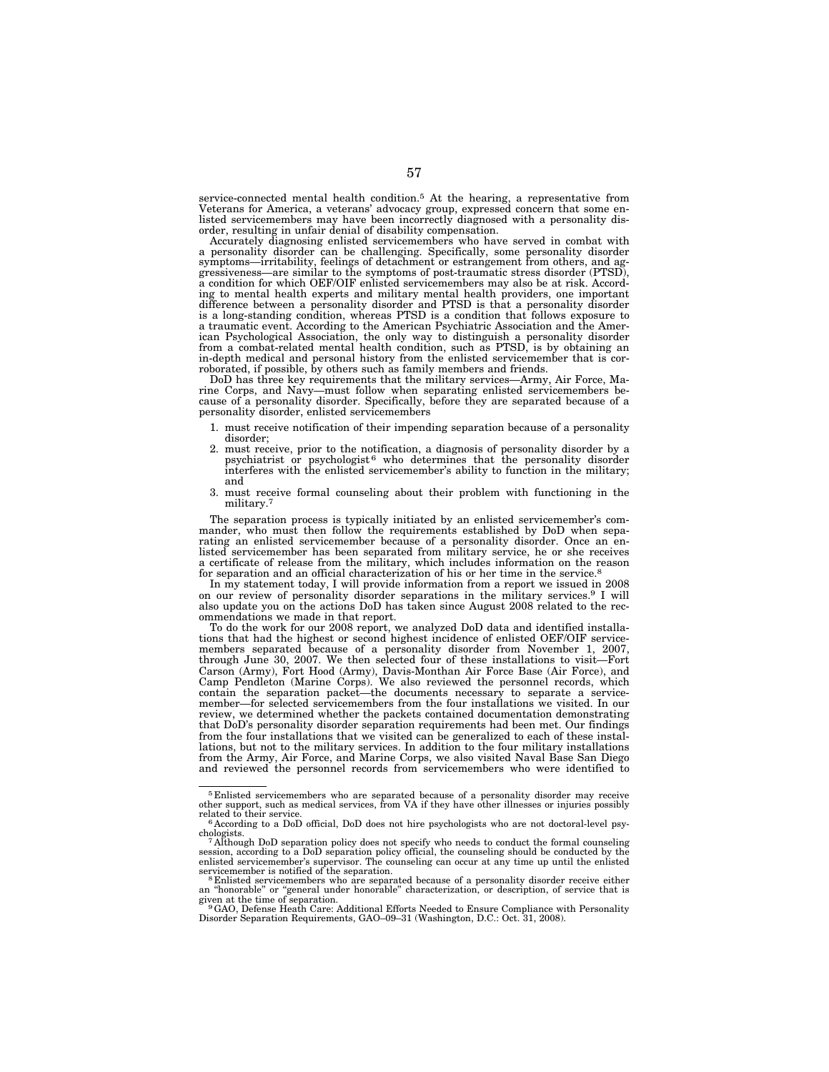service-connected mental health condition.5 At the hearing, a representative from Veterans for America, a veterans' advocacy group, expressed concern that some enlisted servicemembers may have been incorrectly diagnosed with a personality disorder, resulting in unfair denial of disability compensation.

Accurately diagnosing enlisted servicemembers who have served in combat with a personality disorder can be challenging. Specifically, some personality disorder symptoms—irritability, feelings of detachment or estrangement from others, and aggressiveness—are similar to the symptoms of post-traumatic stress disorder (PTSD), a condition for which OEF/OIF enlisted servicemembers may also be at risk. According to mental health experts and military mental health providers, one important difference between a personality disorder and PTSD is that a personality disorder is a long-standing condition, whereas PTSD is a condition that follows exposure to a traumatic event. According to the American Psychiatric Association and the American Psychological Association, the only way to distinguish a personality disorder from a combat-related mental health condition, such as PTSD, is by obtaining an in-depth medical and personal history from the enlisted servicemember that is cor-roborated, if possible, by others such as family members and friends.

DoD has three key requirements that the military services—Army, Air Force, Marine Corps, and Navy—must follow when separating enlisted servicemembers because of a personality disorder. Specifically, before they are separated because of a personality disorder, enlisted servicemembers

- 1. must receive notification of their impending separation because of a personality disorder;
- 2. must receive, prior to the notification, a diagnosis of personality disorder by a psychiatrist or psychologist 6 who determines that the personality disorder interferes with the enlisted servicemember's ability to function in the military; and
- 3. must receive formal counseling about their problem with functioning in the military.<sup>7</sup>

The separation process is typically initiated by an enlisted servicemember's commander, who must then follow the requirements established by DoD when separating an enlisted servicemember because of a personality disorder. Once an enlisted servicemember has been separated from military service, he or she receives a certificate of release from the military, which includes information on the reason for separation and an official characterization of his or her time in the service.<sup>8</sup>

In my statement today, I will provide information from a report we issued in 2008 on our review of personality disorder separations in the military services.9 I will also update you on the actions DoD has taken since August 2008 related to the recommendations we made in that report.

To do the work for our 2008 report, we analyzed DoD data and identified installations that had the highest or second highest incidence of enlisted OEF/OIF servicemembers separated because of a personality disorder from November 1, 2007, through June 30, 2007. We then selected four of these installations to visit—Fort Carson (Army), Fort Hood (Army), Davis-Monthan Air Force Base (Air Force), and Camp Pendleton (Marine Corps). We also reviewed the personnel records, which contain the separation packet—the documents necessary to separate a servicemember—for selected servicemembers from the four installations we visited. In our review, we determined whether the packets contained documentation demonstrating that DoD's personality disorder separation requirements had been met. Our findings from the four installations that we visited can be generalized to each of these installations, but not to the military services. In addition to the four military installations from the Army, Air Force, and Marine Corps, we also visited Naval Base San Diego and reviewed the personnel records from servicemembers who were identified to

<sup>5</sup> Enlisted servicemembers who are separated because of a personality disorder may receive other support, such as medical services, from VA if they have other illnesses or injuries possibly

related to their service.<br><sup>6</sup> According to a DoD official, DoD does not hire psychologists who are not doctoral-level psy-<br>chologists.

<sup>&</sup>lt;sup>7</sup> Although DoD separation policy does not specify who needs to conduct the formal counseling session, according to a DoD separation policy official, the counseling should be conducted by the enlisted servicemember's supervisor. The counseling can occur at any time up until the enlisted

servicemember is notified of the separation.<br>
<sup>8</sup> Enlisted servicemembers who are separated because of a personality disorder receive either<br>
an "honorable" or "general under honorable" characterization, or description, of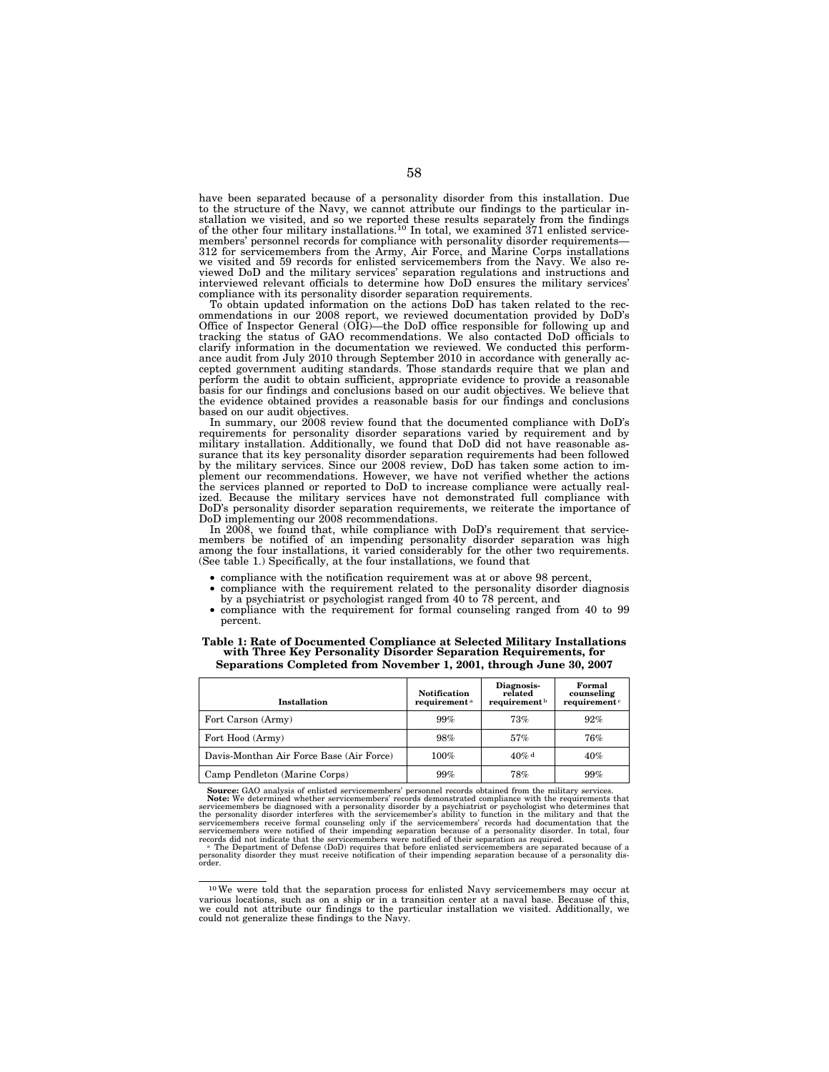have been separated because of a personality disorder from this installation. Due to the structure of the Navy, we cannot attribute our findings to the particular installation we visited, and so we reported these results separately from the findings<br>of the other four military installations.<sup>10</sup> In total, we examined 371 enlisted servicemembers' personnel records for compliance with personality disorder requirements— 312 for servicemembers from the Army, Air Force, and Marine Corps installations we visited and 59 records for enlisted servicemembers from the Navy. We also reviewed DoD and the military services' separation regulations and instructions and interviewed relevant officials to determine how DoD ensures the military services' compliance with its personality disorder separation requirements.

To obtain updated information on the actions DoD has taken related to the recommendations in our 2008 report, we reviewed documentation provided by DoD's Office of Inspector General (OIG)—the DoD office responsible for following up and tracking the status of GAO recommendations. We also contacted DoD officials to clarify information in the documentation we reviewed. We conducted this performance audit from July 2010 through September 2010 in accordance with generally accepted government auditing standards. Those standards require that we plan and perform the audit to obtain sufficient, appropriate evidence to provide a reasonable basis for our findings and conclusions based on our audit objectives. We believe that the evidence obtained provides a reasonable basis for our findings and conclusions based on our audit objectives.

In summary, our 2008 review found that the documented compliance with DoD's requirements for personality disorder separations varied by requirement and by military installation. Additionally, we found that DoD did not have reasonable as-surance that its key personality disorder separation requirements had been followed by the military services. Since our 2008 review, DoD has taken some action to implement our recommendations. However, we have not verified whether the actions the services planned or reported to DoD to increase compliance were actually realized. Because the military services have not demonstrated full compliance with DoD's personality disorder separation requirements, we reiterate the importance of DoD implementing our 2008 recommendations.

In 2008, we found that, while compliance with DoD's requirement that servicemembers be notified of an impending personality disorder separation was high among the four installations, it varied considerably for the other two requirements. (See table 1.) Specifically, at the four installations, we found that

- 
- compliance with the notification requirement was at or above 98 percent, compliance with the requirement related to the personality disorder diagnosis
- compliance with the requirement for formal counseling ranged from 40 to 99 percent.

| Table 1: Rate of Documented Compliance at Selected Military Installations |
|---------------------------------------------------------------------------|
| with Three Key Personality Disorder Separation Requirements, for          |
| Separations Completed from November 1, 2001, through June 30, 2007        |

| Installation                             | <b>Notification</b><br>requirement <sup>a</sup> | Diagnosis-<br>related<br>requirement <sup>b</sup> | Formal<br>counseling<br>requirement <sup>c</sup> |  |
|------------------------------------------|-------------------------------------------------|---------------------------------------------------|--------------------------------------------------|--|
| Fort Carson (Army)                       | 99%                                             | 73%                                               | 92%                                              |  |
| Fort Hood (Army)                         | $98\%$                                          | 57%                                               | 76%                                              |  |
| Davis-Monthan Air Force Base (Air Force) | $100\%$                                         | $40\%$ <sup>d</sup>                               | 40%                                              |  |
| Camp Pendleton (Marine Corps)            | 99%                                             | 78%                                               | $99\%$                                           |  |

**Source:** GAO analysis of enlisted service<br>members' personnel records obtained from the military services. To<br>the: We determined whelther services members in the service members be<br>diagnosed with a personality disorder by

<sup>10</sup>We were told that the separation process for enlisted Navy servicemembers may occur at various locations, such as on a ship or in a transition center at a naval base. Because of this, we could not attribute our findings to the particular installation we visited. Additionally, we could not generalize these findings to the Navy.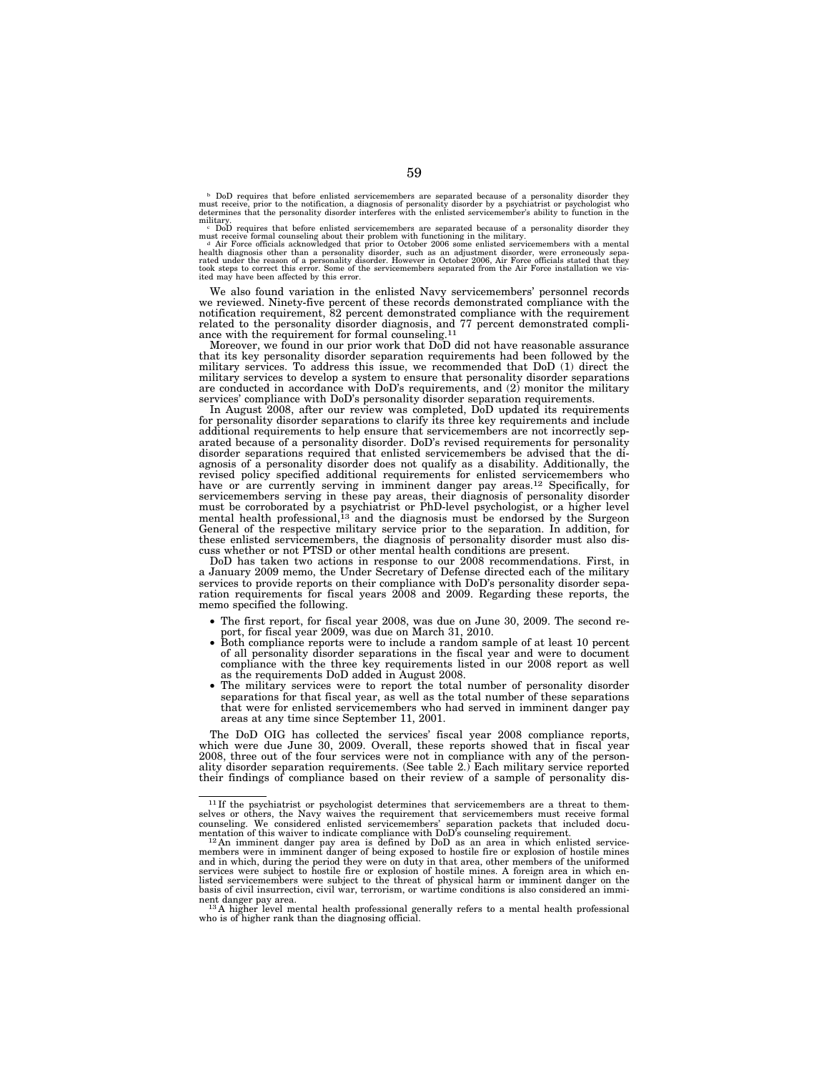b DoD requires that before enlisted servicemembers are separated because of a personality disorder they<br>must receive, prior to the notification, a diagnosis of personality disorder by a psychiatrist or psychologist who<br>det

military. <sup>c</sup> DoD requires that before enlisted servicemembers are separated because of a personality disorder they must receive formal counseling about their problem with functioning in the military. <sup>d</sup> Air Force officials acknowledged that prior to October 2006 some enlisted servicemembers with a mental

health diagnosis other than a personality disorder, such as an adjustment disorder, were erroneously sepa-<br>rated under the reason of a personality disorder. However in October 2006, Air Force officials stated that they<br>too ited may have been affected by this error.

We also found variation in the enlisted Navy servicemembers' personnel records we reviewed. Ninety-five percent of these records demonstrated compliance with the notification requirement, 82 percent demonstrated compliance with the requirement related to the personality disorder diagnosis, and 77 percent demonstrated compliance with the requirement for formal counseling.11

Moreover, we found in our prior work that DoD did not have reasonable assurance that its key personality disorder separation requirements had been followed by the military services. To address this issue, we recommended that DoD (1) direct the military services to develop a system to ensure that personality disorder separations are conducted in accordance with DoD's requirements, and (2) monitor the military services' compliance with DoD's personality disorder separation requirements.

In August 2008, after our review was completed, DoD updated its requirements for personality disorder separations to clarify its three key requirements and include additional requirements to help ensure that servicemembers are not incorrectly separated because of a personality disorder. DoD's revised requirements for personality disorder separations required that enlisted servicemembers be advised that the diagnosis of a personality disorder does not qualify as a disability. Additionally, the revised policy specified additional requirements for enlisted servicemembers who have or are currently serving in imminent danger pay areas.<sup>12</sup> Specifically, for servicemembers serving in these pay areas, their diagnosis of personality disorder must be corroborated by a psychiatrist or PhD-level psychologist, or a higher level mental health professional,<sup>13</sup> and the diagnosis must be endorsed by the Surgeon General of the respective military service prior to the separation. In addition, for these enlisted servicemembers, the diagnosis of personality disorder must also discuss whether or not PTSD or other mental health conditions are present.

DoD has taken two actions in response to our 2008 recommendations. First, in a January 2009 memo, the Under Secretary of Defense directed each of the military services to provide reports on their compliance with DoD's personality disorder separation requirements for fiscal years 2008 and 2009. Regarding these reports, the memo specified the following.

- The first report, for fiscal year 2008, was due on June 30, 2009. The second report, for fiscal year 2009, was due on March 31, 2010.
- Both compliance reports were to include a random sample of at least 10 percent of all personality disorder separations in the fiscal year and were to document compliance with the three key requirements listed in our 2008 report as well as the requirements DoD added in August 2008.
- The military services were to report the total number of personality disorder separations for that fiscal year, as well as the total number of these separations that were for enlisted servicemembers who had served in imminent danger pay areas at any time since September 11, 2001.

The DoD OIG has collected the services' fiscal year 2008 compliance reports, which were due June 30, 2009. Overall, these reports showed that in fiscal year 2008, three out of the four services were not in compliance with any of the personality disorder separation requirements. (See table 2.) Each military service reported their findings of compliance based on their review of a sample of personality dis-

<sup>11</sup> If the psychiatrist or psychologist determines that servicemembers are a threat to them-selves or others, the Navy waives the requirement that servicemembers must receive formal counseling. We considered enlisted servicemembers' separation packets that included docu-<br>mentation of this waiver to indicate compliance with DoD's counseling requirement.<br><sup>12</sup>An imminent danger pay area is defined by DoD

members were in imminent danger of being exposed to hostile fire or explosion of hostile mines and in which, during the period they were on duty in that area, other members of the uniformed services were subject to hostile fire or explosion of hostile mines. A foreign area in which enlisted servicemembers were subject to the threat of physical harm or imminent danger on the basis of civil insurrection, civil war, terrorism, or wartime conditions is also considered an immi-

nent danger pay area.<br><sup>13</sup> A higher level mental health professional generally refers to a mental health professional<br>who is of higher rank than the diagnosing official.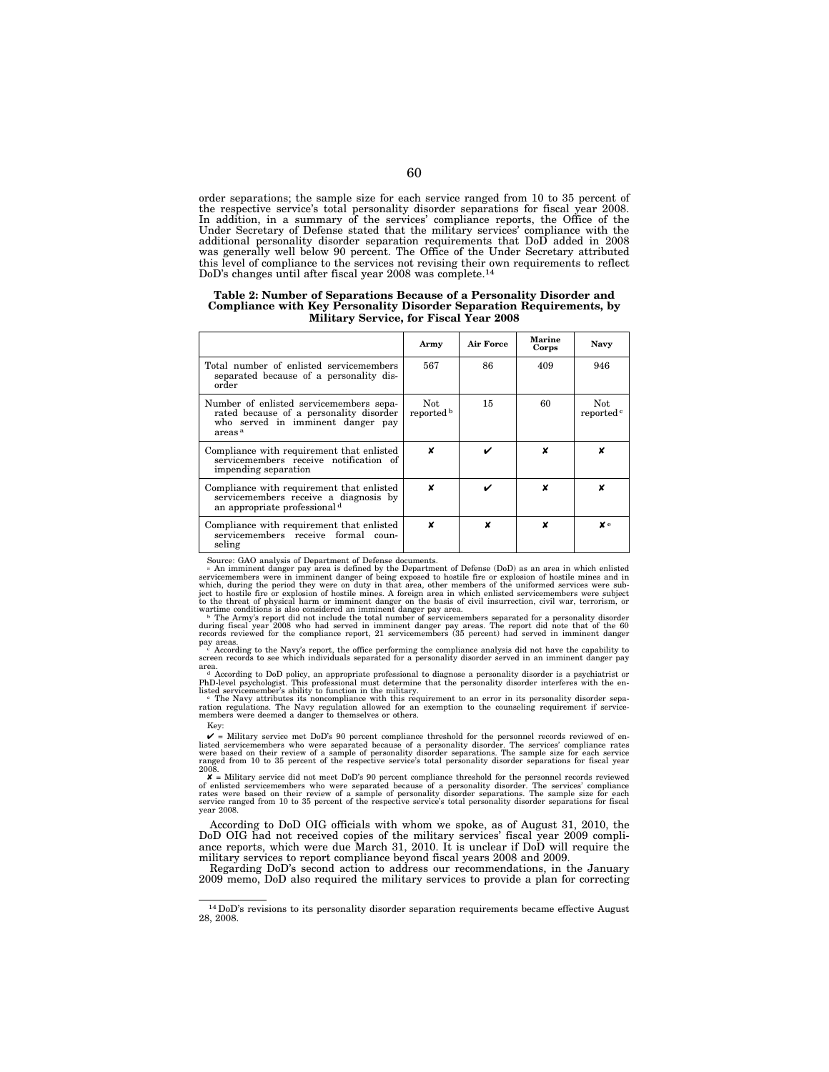order separations; the sample size for each service ranged from 10 to 35 percent of the respective service's total personality disorder separations for fiscal year 2008. In addition, in a summary of the services' compliance reports, the Office of the Under Secretary of Defense stated that the military services' compliance with the additional personality disorder separation requirements that DoD added in 2008 was generally well below 90 percent. The Office of the Under Secretary attributed this level of compliance to the services not revising their own requirements to reflect DoD's changes until after fiscal year 2008 was complete.14

#### **Table 2: Number of Separations Because of a Personality Disorder and Compliance with Key Personality Disorder Separation Requirements, by Military Service, for Fiscal Year 2008**

|                                                                                                                                               | Army                         | Air Force | Marine<br>Corps | Navy                         |
|-----------------------------------------------------------------------------------------------------------------------------------------------|------------------------------|-----------|-----------------|------------------------------|
| Total number of enlisted servicemembers<br>separated because of a personality dis-<br>order                                                   | 567                          | 86        | 409             | 946                          |
| Number of enlisted servicemembers sepa-<br>rated because of a personality disorder<br>who served in imminent danger pay<br>areas <sup>a</sup> | Not<br>reported <sup>b</sup> | 15        | 60              | Not<br>reported <sup>c</sup> |
| Compliance with requirement that enlisted<br>servicemembers receive notification of<br>impending separation                                   | x                            |           | ×               | x                            |
| Compliance with requirement that enlisted<br>servicemembers receive a diagnosis by<br>an appropriate professional <sup>d</sup>                | x                            |           | x               | x                            |
| Compliance with requirement that enlisted<br>servicemembers receive formal coun-<br>seling                                                    | x                            | x         | ×               | $\boldsymbol{\mathsf{x}}$ e  |

Source: GAO analysis of Department of Defense documents.<br>The minimum and many and minimum danger pay area is defined by the Department of Defense (DoD) as an area in which enlisted<br>servicemembers were in imminent danger of

pay areas.<br>- " According to the Navy's report, the office performing the compliance analysis did not have the capability to<br>screen records to see which individuals separated for a personality disorder served in an imminent

area.<br>" According to DoD policy, an appropriate professional to diagnose a personality disorder is a psychiatrist or<br>PhD-level psychologist. This professional must determine that the personality disorder interferes with th

listed servicemember's ability to function in the military.<br>
"The Navy attributes its noncompliance with this requirement to an error in its personality disorder separation<br>
ration regulations. The Navy regulation allowed

Key:

 $\checkmark$  = Military service met DoD's 90 percent compliance threshold for the personnel records reviewed of en-<br>listed servicemembers who were separated because of a personality disorder. The services' compliance rates<br>were

**2008**.<br> **A**  $\bullet$  Military service did not meet DoD's 90 percent compliance threshold for the personnel records reviewed<br>
of enlisted servicemembers who were separated because of a personality disorder. The services' comp year 2008.

According to DoD OIG officials with whom we spoke, as of August 31, 2010, the DoD OIG had not received copies of the military services' fiscal year 2009 compliance reports, which were due March 31, 2010. It is unclear if DoD will require the military services to report compliance beyond fiscal years 2008 and 2009.

Regarding DoD's second action to address our recommendations, in the January 2009 memo, DoD also required the military services to provide a plan for correcting

<sup>14</sup>DoD's revisions to its personality disorder separation requirements became effective August 28, 2008.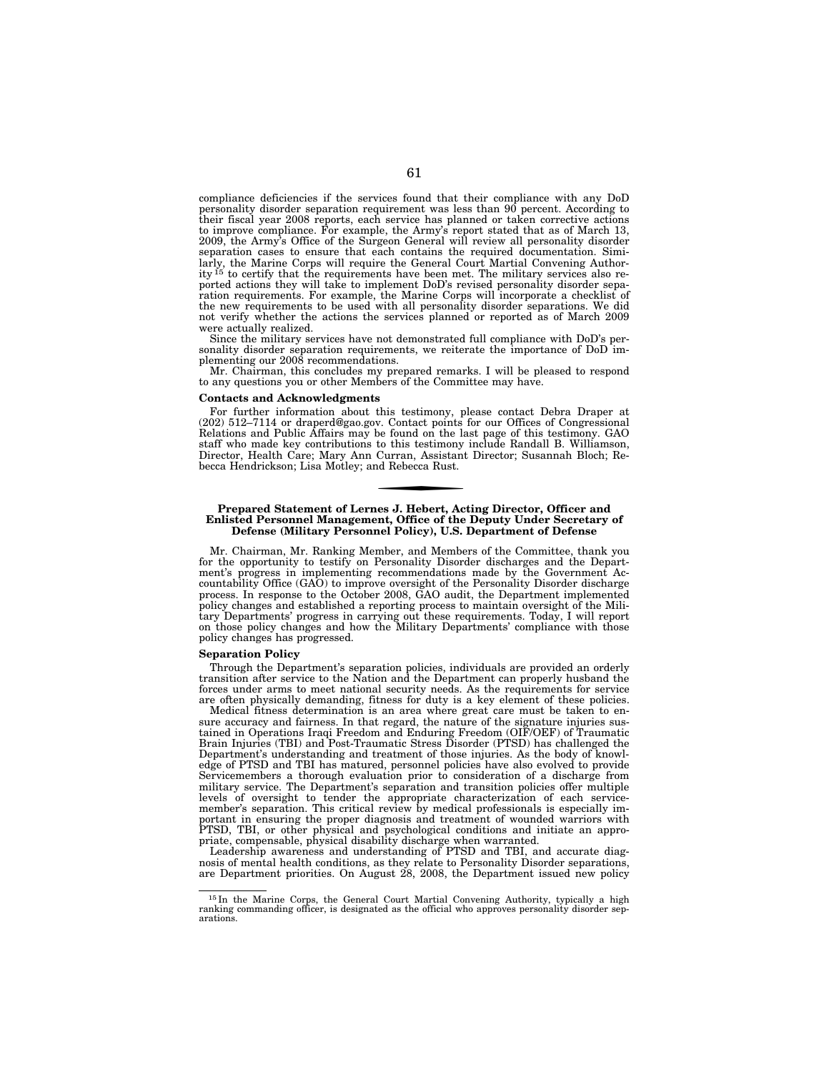compliance deficiencies if the services found that their compliance with any DoD personality disorder separation requirement was less than 90 percent. According to their fiscal year 2008 reports, each service has planned or taken corrective actions to improve compliance. For example, the Army's report stated that as of March 13, 2009, the Army's Office of the Surgeon General will review all personality disorder separation cases to ensure that each contains the required documentation. Similarly, the Marine Corps will require the General Court Martial Convening Author-<br>ity <sup>15</sup> to certify that the requirements have been met. The military services also reported actions they will take to implement DoD's revised personality disorder separation requirements. For example, the Marine Corps will incorporate a checklist of the new requirements to be used with all personality disorder separations. We did not verify whether the actions the services planned or reported as of March 2009 were actually realized.

Since the military services have not demonstrated full compliance with DoD's personality disorder separation requirements, we reiterate the importance of DoD implementing our 2008 recommendations.

Mr. Chairman, this concludes my prepared remarks. I will be pleased to respond to any questions you or other Members of the Committee may have.

#### **Contacts and Acknowledgments**

For further information about this testimony, please contact Debra Draper at (202) 512–7114 or draperd@gao.gov. Contact points for our Offices of Congressional Relations and Public Affairs may be found on the last page of this testimony. GAO staff who made key contributions to this testimony include Randall B. Williamson, Director, Health Care; Mary Ann Curran, Assistant Director; Susannah Bloch; Rebecca Hendrickson; Lisa Motley; and Rebecca Rust.

#### **Prepared Statement of Lernes J. Hebert, Acting Director, Officer and Enlisted Personnel Management, Office of the Deputy Under Secretary of Defense (Military Personnel Policy), U.S. Department of Defense**

Mr. Chairman, Mr. Ranking Member, and Members of the Committee, thank you for the opportunity to testify on Personality Disorder discharges and the Department's progress in implementing recommendations made by the Government Accountability Office (GAO) to improve oversight of the Personality Disorder discharge process. In response to the October 2008, GAO audit, the Department implemented policy changes and established a reporting process to maintain oversight of the Military Departments' progress in carrying out these requirements. Today, I will report on those policy changes and how the Military Departments' compliance with those policy changes has progressed.

#### **Separation Policy**

Through the Department's separation policies, individuals are provided an orderly transition after service to the Nation and the Department can properly husband the forces under arms to meet national security needs. As the requirements for service are often physically demanding, fitness for duty is a key element of these policies.

Medical fitness determination is an area where great care must be taken to ensure accuracy and fairness. In that regard, the nature of the signature injuries sustained in Operations Iraqi Freedom and Enduring Freedom (OIF/OEF) of Traumatic Brain Injuries (TBI) and Post-Traumatic Stress Disorder (PTSD) has challenged the Department's understanding and treatment of those injuries. As the body of knowledge of PTSD and TBI has matured, personnel policies have also evolved to provide Servicemembers a thorough evaluation prior to consideration of a discharge from military service. The Department's separation and transition policies offer multiple levels of oversight to tender the appropriate characterization of each servicemember's separation. This critical review by medical professionals is especially important in ensuring the proper diagnosis and treatment of wounded warriors with PTSD, TBI, or other physical and psychological conditions and initiate an appropriate, compensable, physical disability discharge when warranted.

Leadership awareness and understanding of PTSD and TBI, and accurate diagnosis of mental health conditions, as they relate to Personality Disorder separations, are Department priorities. On August 28, 2008, the Department issued new policy

<sup>&</sup>lt;sup>15</sup> In the Marine Corps, the General Court Martial Convening Authority, typically a high ranking commanding officer, is designated as the official who approves personality disorder separations.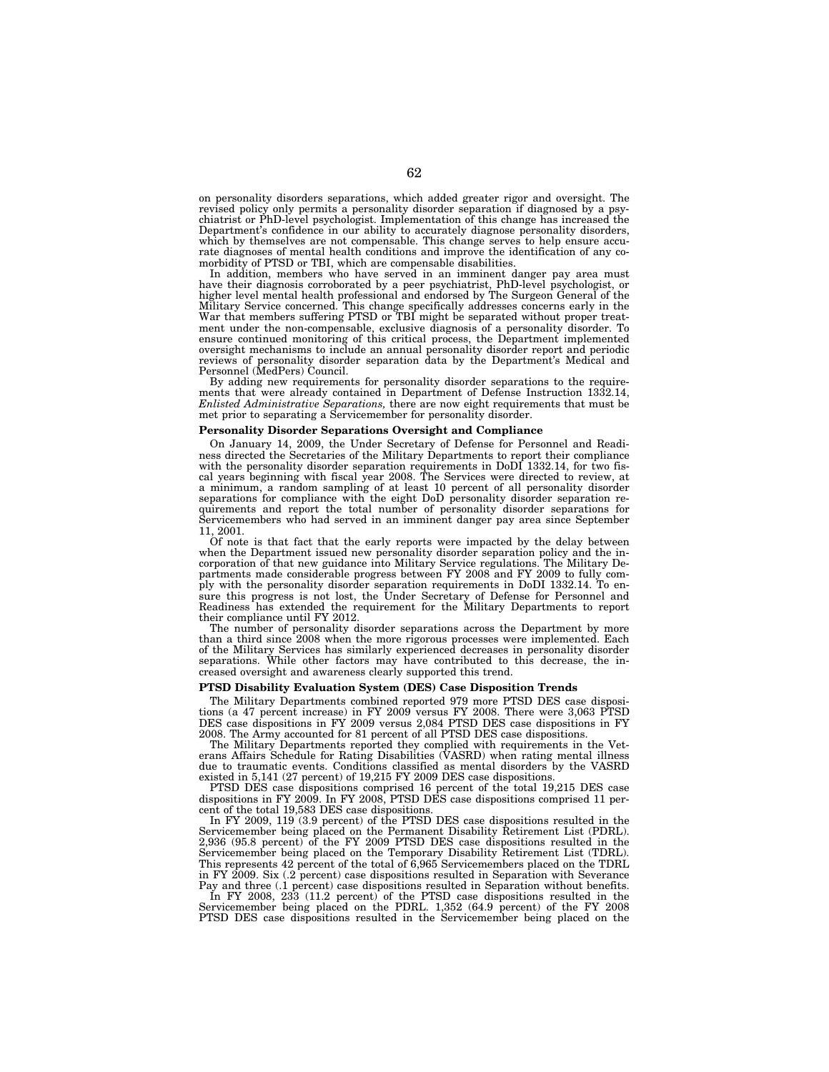on personality disorders separations, which added greater rigor and oversight. The revised policy only permits a personality disorder separation if diagnosed by a psychiatrist or PhD-level psychologist. Implementation of this change has increased the Department's confidence in our ability to accurately diagnose personality disorders, which by themselves are not compensable. This change serves to help ensure accurate diagnoses of mental health conditions and improve the identification of any comorbidity of PTSD or TBI, which are compensable disabilities.

In addition, members who have served in an imminent danger pay area must have their diagnosis corroborated by a peer psychiatrist, PhD-level psychologist, or higher level mental health professional and endorsed by The Surgeon General of the Military Service concerned. This change specifically addresses concerns early in the War that members suffering PTSD or TBI might be separated without proper treatment under the non-compensable, exclusive diagnosis of a personality disorder. To ensure continued monitoring of this critical process, the Department implemented oversight mechanisms to include an annual personality disorder report and periodic reviews of personality disorder separation data by the Department's Medical and Personnel (MedPers) Council.

By adding new requirements for personality disorder separations to the requirements that were already contained in Department of Defense Instruction 1332.14, *Enlisted Administrative Separations,* there are now eight requirements that must be met prior to separating a Servicemember for personality disorder.

#### **Personality Disorder Separations Oversight and Compliance**

On January 14, 2009, the Under Secretary of Defense for Personnel and Readiness directed the Secretaries of the Military Departments to report their compliance with the personality disorder separation requirements in DoDI 1332.14, for two fiscal years beginning with fiscal year 2008. The Services were directed to review, at a minimum, a random sampling of at least 10 percent of all personality disorder separations for compliance with the eight DoD personality disorder separation requirements and report the total number of personality disorder separations for Servicemembers who had served in an imminent danger pay area since September 11, 2001.

Of note is that fact that the early reports were impacted by the delay between when the Department issued new personality disorder separation policy and the incorporation of that new guidance into Military Service regulations. The Military Departments made considerable progress between FY 2008 and FY 2009 to fully comply with the personality disorder separation requirements in DoDI 1332.14. To ensure this progress is not lost, the Under Secretary of Defense for Personnel and Readiness has extended the requirement for the Military Departments to report their compliance until FY 2012.

The number of personality disorder separations across the Department by more than a third since 2008 when the more rigorous processes were implemented. Each of the Military Services has similarly experienced decreases in personality disorder separations. While other factors may have contributed to this decrease, the increased oversight and awareness clearly supported this trend.

## **PTSD Disability Evaluation System (DES) Case Disposition Trends**

The Military Departments combined reported 979 more PTSD DES case dispositions (a 47 percent increase) in FY 2009 versus FY 2008. There were 3,063 PTSD DES case dispositions in FY 2009 versus 2,084 PTSD DES case dispositions in FY 2008. The Army accounted for 81 percent of all PTSD DES case dispositions.

The Military Departments reported they complied with requirements in the Veterans Affairs Schedule for Rating Disabilities (VASRD) when rating mental illness due to traumatic events. Conditions classified as mental disorders by the VASRD existed in 5,141 (27 percent) of 19,215 FY 2009 DES case dispositions.

PTSD DES case dispositions comprised 16 percent of the total 19,215 DES case dispositions in FY 2009. In FY 2008, PTSD DES case dispositions comprised 11 percent of the total 19,583 DES case dispositions.

In FY 2009, 119 (3.9 percent) of the PTSD DES case dispositions resulted in the Servicemember being placed on the Permanent Disability Retirement List (PDRL). 2,936 (95.8 percent) of the FY 2009 PTSD DES case dispositions resulted in the Servicemember being placed on the Temporary Disability Retirement List (TDRL). This represents 42 percent of the total of 6,965 Servicemembers placed on the TDRL in FY 2009. Six (.2 percent) case dispositions resulted in Separation with Severance Pay and three (.1 percent) case dispositions resulted in Separation without benefits.

In FY 2008, 233 (11.2 percent) of the PTSD case dispositions resulted in the Servicemember being placed on the PDRL. 1,352 (64.9 percent) of the FY 2008 PTSD DES case dispositions resulted in the Servicemember being placed on the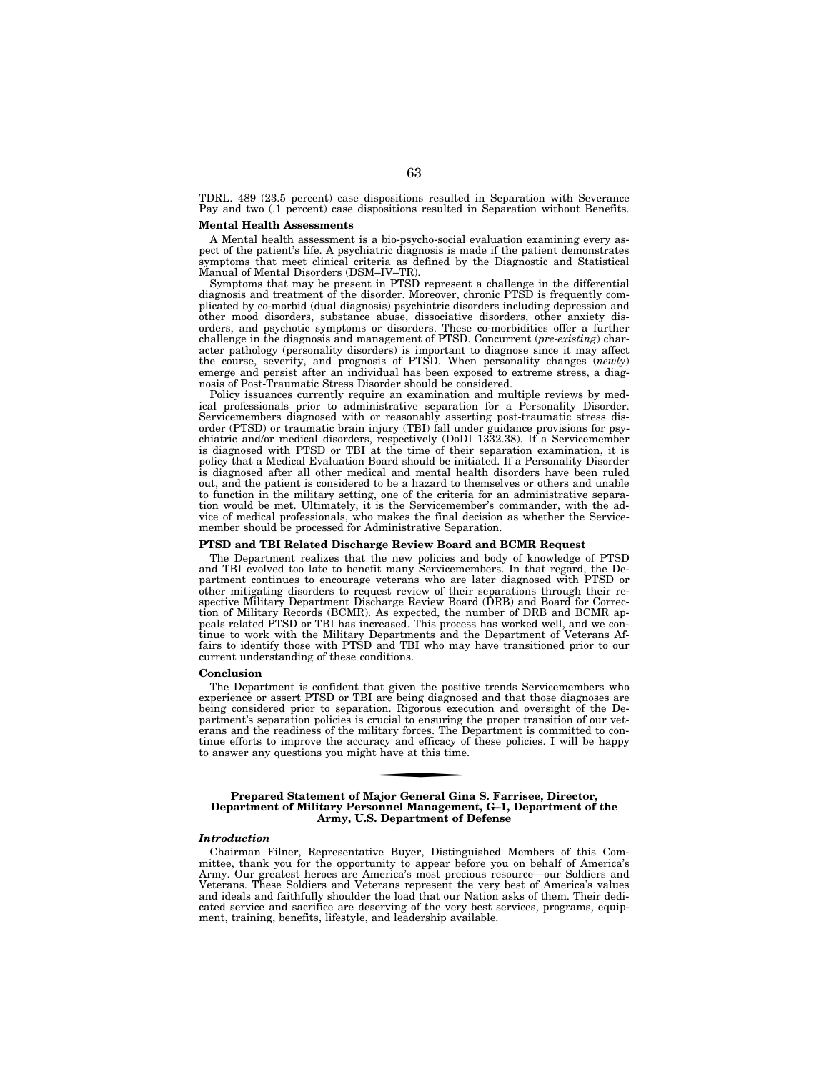TDRL. 489 (23.5 percent) case dispositions resulted in Separation with Severance Pay and two (.1 percent) case dispositions resulted in Separation without Benefits.

## **Mental Health Assessments**

A Mental health assessment is a bio-psycho-social evaluation examining every aspect of the patient's life. A psychiatric diagnosis is made if the patient demonstrates symptoms that meet clinical criteria as defined by the Diagnostic and Statistical Manual of Mental Disorders (DSM–IV–TR).

Symptoms that may be present in PTSD represent a challenge in the differential diagnosis and treatment of the disorder. Moreover, chronic PTSD is frequently complicated by co-morbid (dual diagnosis) psychiatric disorders including depression and other mood disorders, substance abuse, dissociative disorders, other anxiety disorders, and psychotic symptoms or disorders. These co-morbidities offer a further challenge in the diagnosis and management of PTSD. Concurrent (*pre-existing*) character pathology (personality disorders) is important to diagnose since it may affect the course, severity, and prognosis of PTSD. When personality changes (*newly*) emerge and persist after an individual has been exposed to extreme stress, a diagnosis of Post-Traumatic Stress Disorder should be considered.

Policy issuances currently require an examination and multiple reviews by medical professionals prior to administrative separation for a Personality Disorder. Servicemembers diagnosed with or reasonably asserting post-traumatic stress disorder (PTSD) or traumatic brain injury (TBI) fall under guidance provisions for psychiatric and/or medical disorders, respectively (DoDI 1332.38). If a Servicemember is diagnosed with PTSD or TBI at the time of their separation examination, it is policy that a Medical Evaluation Board should be initiated. If a Personality Disorder is diagnosed after all other medical and mental health disorders have been ruled out, and the patient is considered to be a hazard to themselves or others and unable to function in the military setting, one of the criteria for an administrative separation would be met. Ultimately, it is the Servicemember's commander, with the advice of medical professionals, who makes the final decision as whether the Servicemember should be processed for Administrative Separation.

## **PTSD and TBI Related Discharge Review Board and BCMR Request**

The Department realizes that the new policies and body of knowledge of PTSD and TBI evolved too late to benefit many Servicemembers. In that regard, the Department continues to encourage veterans who are later diagnosed with PTSD or other mitigating disorders to request review of their separations through their respective Military Department Discharge Review Board (DRB) and Board for Correction of Military Records (BCMR). As expected, the number of DRB and BCMR appeals related PTSD or TBI has increased. This process has worked well, and we continue to work with the Military Departments and the Department of Veterans Affairs to identify those with PTSD and TBI who may have transitioned prior to our current understanding of these conditions.

#### **Conclusion**

The Department is confident that given the positive trends Servicemembers who experience or assert PTSD or TBI are being diagnosed and that those diagnoses are being considered prior to separation. Rigorous execution and oversight of the Department's separation policies is crucial to ensuring the proper transition of our veterans and the readiness of the military forces. The Department is committed to continue efforts to improve the accuracy and efficacy of these policies. I will be happy to answer any questions you might have at this time.

#### **Prepared Statement of Major General Gina S. Farrisee, Director, Department of Military Personnel Management, G–1, Department of the Army, U.S. Department of Defense**

## *Introduction*

Chairman Filner, Representative Buyer, Distinguished Members of this Committee, thank you for the opportunity to appear before you on behalf of America's Army. Our greatest heroes are America's most precious resource—our Soldiers and Veterans. These Soldiers and Veterans represent the very best of America's values and ideals and faithfully shoulder the load that our Nation asks of them. Their dedicated service and sacrifice are deserving of the very best services, programs, equipment, training, benefits, lifestyle, and leadership available.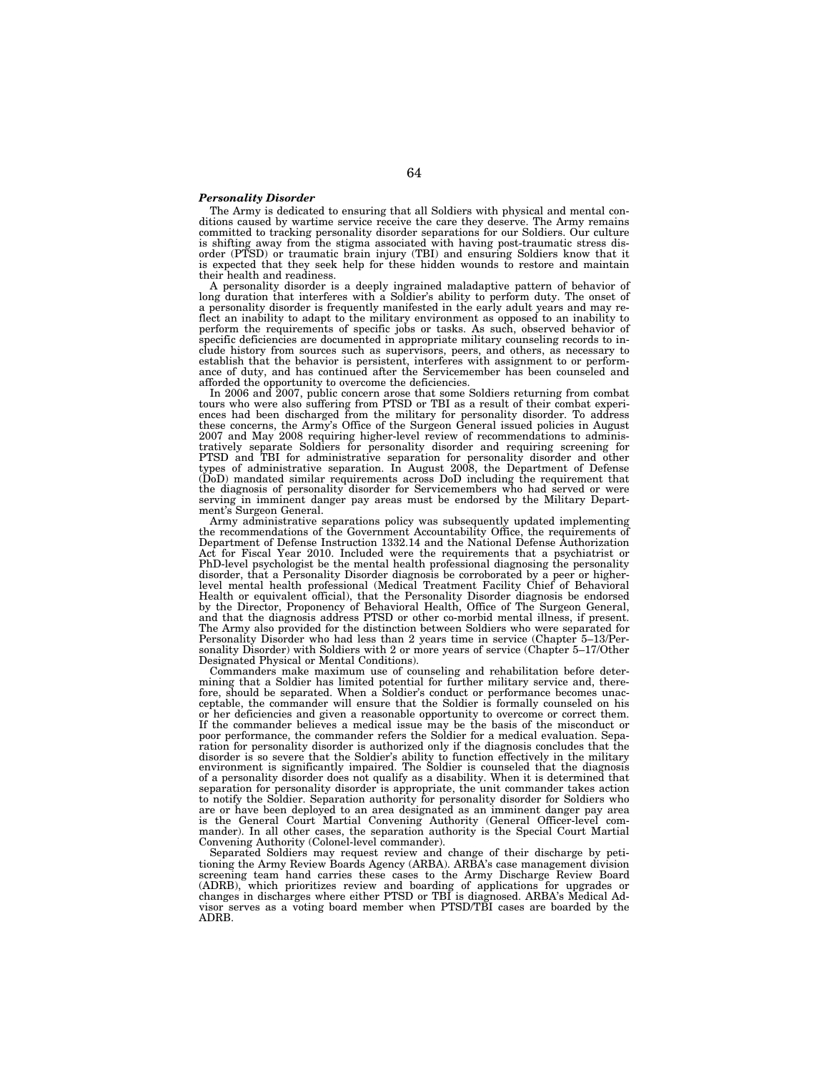## *Personality Disorder*

The Army is dedicated to ensuring that all Soldiers with physical and mental conditions caused by wartime service receive the care they deserve. The Army remains committed to tracking personality disorder separations for our Soldiers. Our culture is shifting away from the stigma associated with having post-traumatic stress disorder (PTSD) or traumatic brain injury (TBI) and ensuring Soldiers know that it is expected that they seek help for these hidden wounds to restore and maintain their health and readiness.

A personality disorder is a deeply ingrained maladaptive pattern of behavior of long duration that interferes with a Soldier's ability to perform duty. The onset of a personality disorder is frequently manifested in the early adult years and may re-flect an inability to adapt to the military environment as opposed to an inability to perform the requirements of specific jobs or tasks. As such, observed behavior of specific deficiencies are documented in appropriate military counseling records to include history from sources such as supervisors, peers, and others, as necessary to establish that the behavior is persistent, interferes with assignment to or performance of duty, and has continued after the Servicemember has been counseled and afforded the opportunity to overcome the deficiencies.

In 2006 and 2007, public concern arose that some Soldiers returning from combat tours who were also suffering from PTSD or TBI as a result of their combat experiences had been discharged from the military for personality disorder. To address these concerns, the Army's Office of the Surgeon General issued policies in August 2007 and May 2008 requiring higher-level review of recommendations to administratively separate Soldiers for personality disorder and requiring screening for PTSD and TBI for administrative separation for personality disorder and other types of administrative separation. In August 2008, the Department of Defense (DoD) mandated similar requirements across DoD including the requirement that the diagnosis of personality disorder for Servicemembers who had served or were serving in imminent danger pay areas must be endorsed by the Military Department's Surgeon General.

Army administrative separations policy was subsequently updated implementing the recommendations of the Government Accountability Office, the requirements of Department of Defense Instruction 1332.14 and the National Defense Authorization Act for Fiscal Year 2010. Included were the requirements that a psychiatrist or PhD-level psychologist be the mental health professional diagnosing the personality disorder, that a Personality Disorder diagnosis be corroborated by a peer or higherlevel mental health professional (Medical Treatment Facility Chief of Behavioral Health or equivalent official), that the Personality Disorder diagnosis be endorsed by the Director, Proponency of Behavioral Health, Office of The Surgeon General, and that the diagnosis address PTSD or other co-morbid mental illness, if present. The Army also provided for the distinction between Soldiers who were separated for Personality Disorder who had less than 2 years time in service (Chapter 5–13/Personality Disorder) with Soldiers with 2 or more years of service (Chapter 5–17/Other Designated Physical or Mental Conditions).

Commanders make maximum use of counseling and rehabilitation before determining that a Soldier has limited potential for further military service and, therefore, should be separated. When a Soldier's conduct or performance becomes unacceptable, the commander will ensure that the Soldier is formally counseled on his or her deficiencies and given a reasonable opportunity to overcome or correct them. If the commander believes a medical issue may be the basis of the misconduct or poor performance, the commander refers the Soldier for a medical evaluation. Separation for personality disorder is authorized only if the diagnosis concludes that the disorder is so severe that the Soldier's ability to function effectively in the military environment is significantly impaired. The Soldier is counseled that the diagnosis of a personality disorder does not qualify as a disability. When it is determined that separation for personality disorder is appropriate, the unit commander takes action to notify the Soldier. Separation authority for personality disorder for Soldiers who are or have been deployed to an area designated as an imminent danger pay area is the General Court Martial Convening Authority (General Officer-level commander). In all other cases, the separation authority is the Special Court Martial Convening Authority (Colonel-level commander).

Separated Soldiers may request review and change of their discharge by petitioning the Army Review Boards Agency (ARBA). ARBA's case management division screening team hand carries these cases to the Army Discharge Review Board (ADRB), which prioritizes review and boarding of applications for upgrades or changes in discharges where either PTSD or TBI is diagnosed. ARBA's Medical Advisor serves as a voting board member when PTSD/TBI cases are boarded by the ADRB.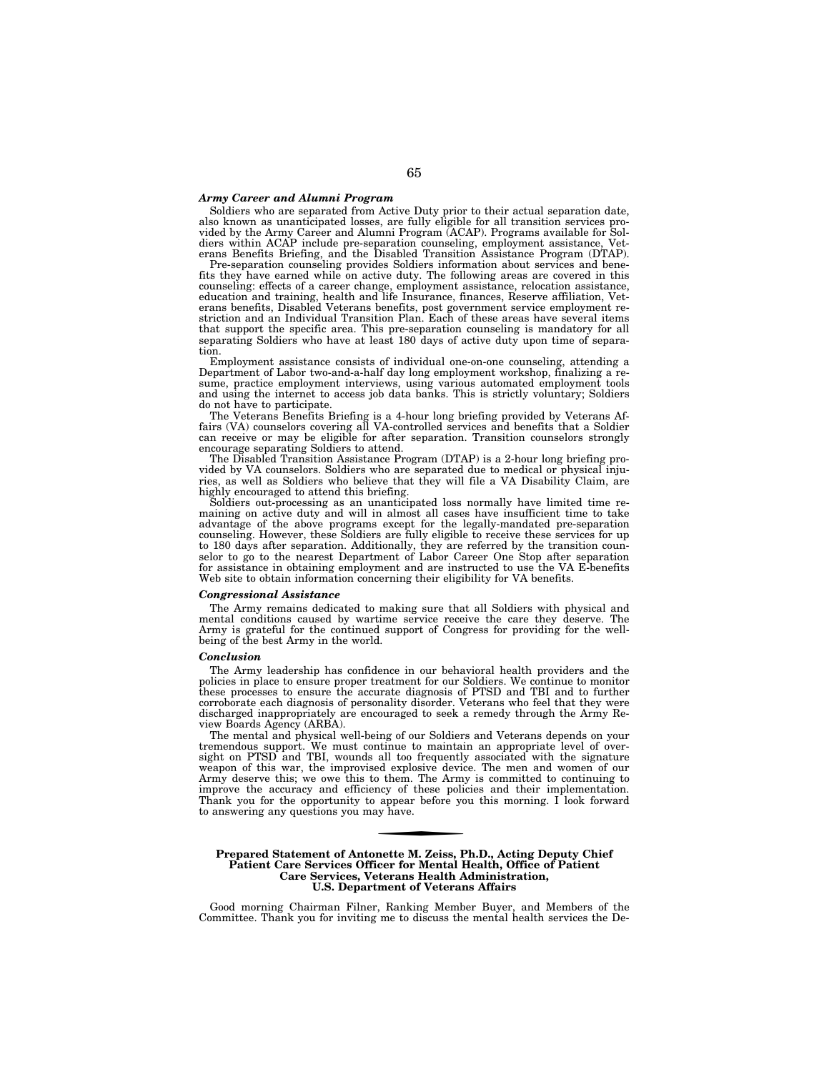#### *Army Career and Alumni Program*

Soldiers who are separated from Active Duty prior to their actual separation date, also known as unanticipated losses, are fully eligible for all transition services provided by the Army Career and Alumni Program (ACAP). Programs available for Soldiers within ACAP include pre-separation counseling, employment assistance, Vet-erans Benefits Briefing, and the Disabled Transition Assistance Program (DTAP).

Pre-separation counseling provides Soldiers information about services and bene-fits they have earned while on active duty. The following areas are covered in this counseling: effects of a career change, employment assistance, relocation assistance, education and training, health and life Insurance, finances, Reserve affiliation, Veterans benefits, Disabled Veterans benefits, post government service employment restriction and an Individual Transition Plan. Each of these areas have several items that support the specific area. This pre-separation counseling is mandatory for all separating Soldiers who have at least 180 days of active duty upon time of separation.

Employment assistance consists of individual one-on-one counseling, attending a Department of Labor two-and-a-half day long employment workshop, finalizing a resume, practice employment interviews, using various automated employment tools and using the internet to access job data banks. This is strictly voluntary; Soldiers do not have to participate.

The Veterans Benefits Briefing is a 4-hour long briefing provided by Veterans Affairs (VA) counselors covering all VA-controlled services and benefits that a Soldier can receive or may be eligible for after separation. Transition counselors strongly encourage separating Soldiers to attend.

The Disabled Transition Assistance Program (DTAP) is a 2-hour long briefing provided by VA counselors. Soldiers who are separated due to medical or physical injuries, as well as Soldiers who believe that they will file a VA Disability Claim, are highly encouraged to attend this briefing.

Soldiers out-processing as an unanticipated loss normally have limited time remaining on active duty and will in almost all cases have insufficient time to take advantage of the above programs except for the legally-mandated pre-separation counseling. However, these Soldiers are fully eligible to receive these services for up to 180 days after separation. Additionally, they are referred by the transition counselor to go to the nearest Department of Labor Career One Stop after separation for assistance in obtaining employment and are instructed to use the VA E-benefits Web site to obtain information concerning their eligibility for VA benefits.

#### *Congressional Assistance*

The Army remains dedicated to making sure that all Soldiers with physical and mental conditions caused by wartime service receive the care they deserve. The Army is grateful for the continued support of Congress for providing for the wellbeing of the best Army in the world.

#### *Conclusion*

The Army leadership has confidence in our behavioral health providers and the policies in place to ensure proper treatment for our Soldiers. We continue to monitor these processes to ensure the accurate diagnosis of PTSD and TBI and to further corroborate each diagnosis of personality disorder. Veterans who feel that they were discharged inappropriately are encouraged to seek a remedy through the Army Review Boards Agency (ARBA).

The mental and physical well-being of our Soldiers and Veterans depends on your tremendous support. We must continue to maintain an appropriate level of oversight on PTSD and TBI, wounds all too frequently associated with the signature weapon of this war, the improvised explosive device. The men and women of our Army deserve this; we owe this to them. The Army is committed to continuing to improve the accuracy and efficiency of these policies and their implementation. Thank you for the opportunity to appear before you this morning. I look forward to answering any questions you may have.

#### **Prepared Statement of Antonette M. Zeiss, Ph.D., Acting Deputy Chief Patient Care Services Officer for Mental Health, Office of Patient Care Services, Veterans Health Administration, U.S. Department of Veterans Affairs**

Good morning Chairman Filner, Ranking Member Buyer, and Members of the Committee. Thank you for inviting me to discuss the mental health services the De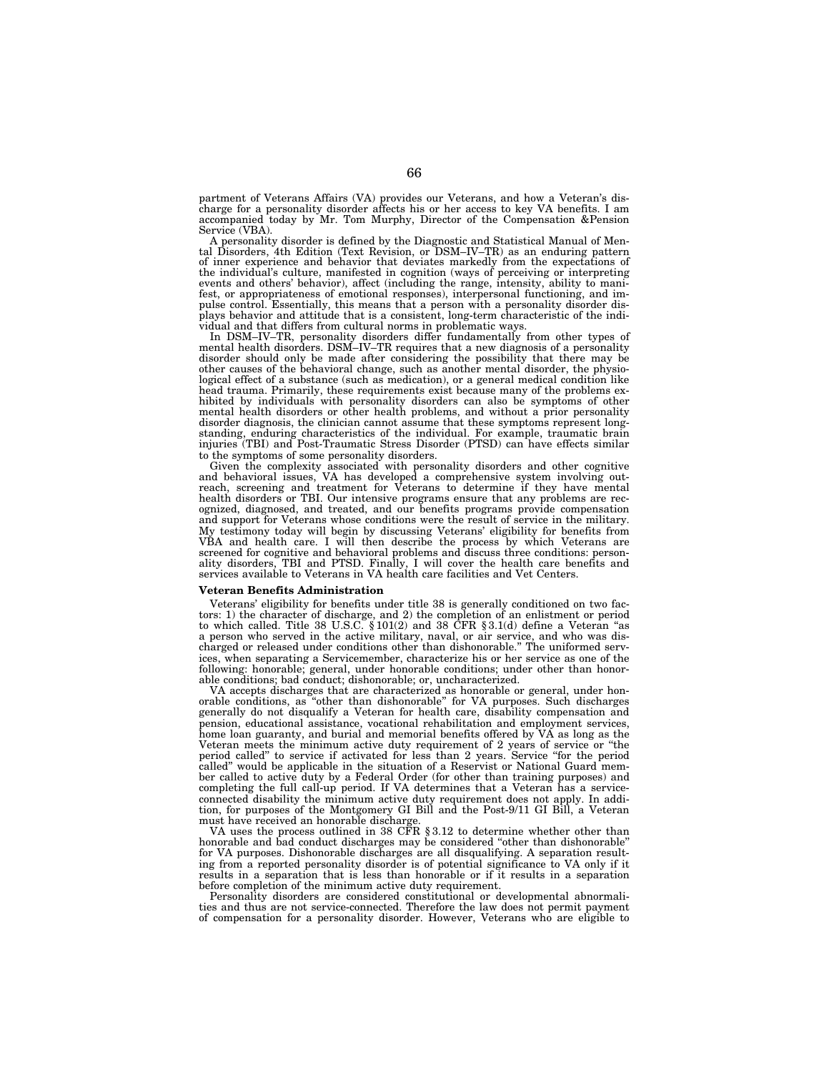partment of Veterans Affairs (VA) provides our Veterans, and how a Veteran's dis-charge for a personality disorder affects his or her access to key VA benefits. I am accompanied today by Mr. Tom Murphy, Director of the Compensation &Pension Service (VBA).

A personality disorder is defined by the Diagnostic and Statistical Manual of Mental Disorders, 4th Edition (Text Revision, or DSM–IV–TR) as an enduring pattern of inner experience and behavior that deviates markedly from the expectations of the individual's culture, manifested in cognition (ways of perceiving or interpreting events and others' behavior), affect (including the range, intensity, ability to manifest, or appropriateness of emotional responses), interpersonal functioning, and impulse control. Essentially, this means that a person with a personality disorder displays behavior and attitude that is a consistent, long-term characteristic of the individual and that differs from cultural norms in problematic ways.

In DSM–IV–TR, personality disorders differ fundamentally from other types of mental health disorders. DSM–IV–TR requires that a new diagnosis of a personality disorder should only be made after considering the possibility that there may be other causes of the behavioral change, such as another mental disorder, the physiological effect of a substance (such as medication), or a general medical condition like head trauma. Primarily, these requirements exist because many of the problems exhibited by individuals with personality disorders can also be symptoms of other mental health disorders or other health problems, and without a prior personality disorder diagnosis, the clinician cannot assume that these symptoms represent longstanding, enduring characteristics of the individual. For example, traumatic brain injuries (TBI) and Post-Traumatic Stress Disorder (PTSD) can have effects similar to the symptoms of some personality disorders.

Given the complexity associated with personality disorders and other cognitive and behavioral issues, VA has developed a comprehensive system involving outreach, screening and treatment for Veterans to determine if they have mental health disorders or TBI. Our intensive programs ensure that any problems are recognized, diagnosed, and treated, and our benefits programs provide compensation and support for Veterans whose conditions were the result of service in the military. My testimony today will begin by discussing Veterans' eligibility for benefits from VBA and health care. I will then describe the process by which Veterans are screened for cognitive and behavioral problems and discuss three conditions: personality disorders, TBI and PTSD. Finally, I will cover the health care benefits and services available to Veterans in VA health care facilities and Vet Centers.

#### **Veteran Benefits Administration**

Veterans' eligibility for benefits under title 38 is generally conditioned on two factors: 1) the character of discharge, and 2) the completion of an enlistment or period to which called. Title 38 U.S.C.  $\S 101(2)$  and 38 CFR  $\S 3.1(d)$  define a Veteran "as a person who served in the active military, naval, or air service, and who was discharged or released under conditions other than dishonorable.'' The uniformed services, when separating a Servicemember, characterize his or her service as one of the following: honorable; general, under honorable conditions; under other than honorable conditions; bad conduct; dishonorable; or, uncharacterized.

VA accepts discharges that are characterized as honorable or general, under honorable conditions, as ''other than dishonorable'' for VA purposes. Such discharges generally do not disqualify a Veteran for health care, disability compensation and pension, educational assistance, vocational rehabilitation and employment services, home loan guaranty, and burial and memorial benefits offered by VA as long as the Veteran meets the minimum active duty requirement of 2 years of service or ''the period called'' to service if activated for less than 2 years. Service ''for the period called'' would be applicable in the situation of a Reservist or National Guard member called to active duty by a Federal Order (for other than training purposes) and completing the full call-up period. If VA determines that a Veteran has a serviceconnected disability the minimum active duty requirement does not apply. In addition, for purposes of the Montgomery GI Bill and the Post-9/11 GI Bill, a Veteran must have received an honorable discharge.

VA uses the process outlined in 38 CFR § 3.12 to determine whether other than honorable and bad conduct discharges may be considered ''other than dishonorable'' for VA purposes. Dishonorable discharges are all disqualifying. A separation resulting from a reported personality disorder is of potential significance to VA only if it results in a separation that is less than honorable or if it results in a separation before completion of the minimum active duty requirement.

Personality disorders are considered constitutional or developmental abnormali-ties and thus are not service-connected. Therefore the law does not permit payment of compensation for a personality disorder. However, Veterans who are eligible to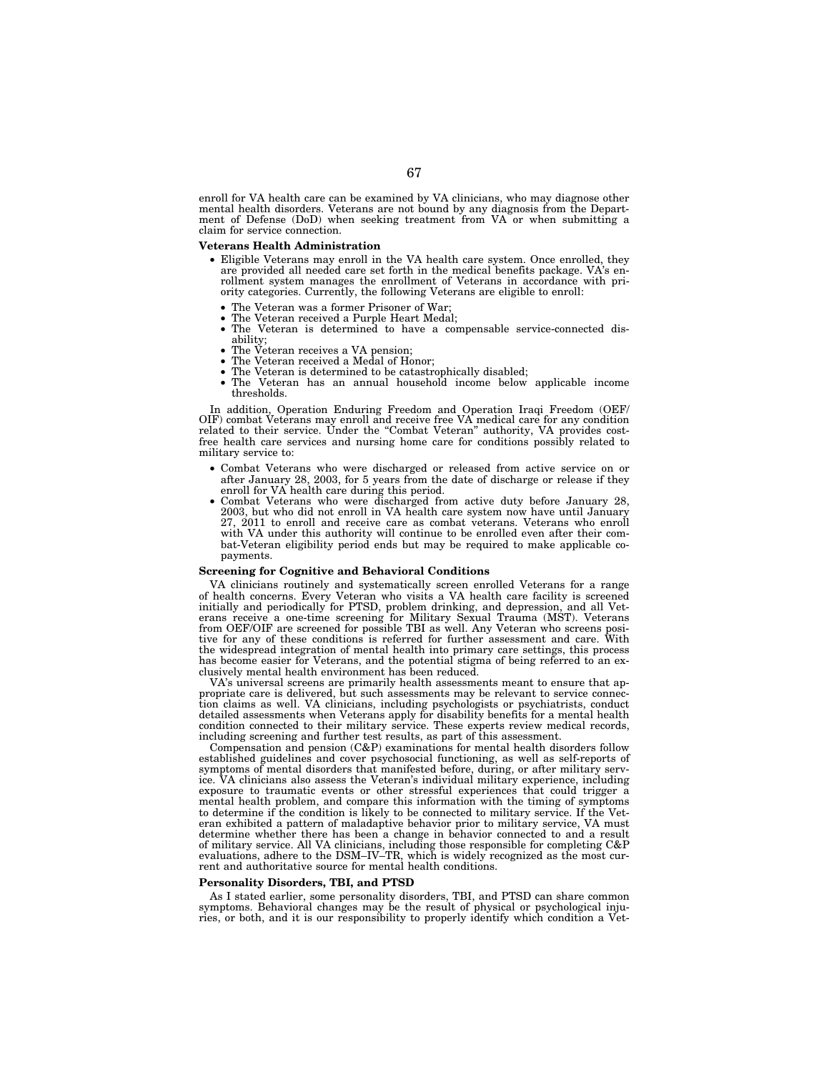enroll for VA health care can be examined by VA clinicians, who may diagnose other mental health disorders. Veterans are not bound by any diagnosis from the Depart-ment of Defense (DoD) when seeking treatment from VA or when submitting a claim for service connection.

#### **Veterans Health Administration**

- Eligible Veterans may enroll in the VA health care system. Once enrolled, they are provided all needed care set forth in the medical benefits package. VA's enrollment system manages the enrollment of Veterans in accordance with priority categories. Currently, the following Veterans are eligible to enroll:
	-
- 
- The Veteran was a former Prisoner of War; The Veteran received a Purple Heart Medal; The Veteran is determined to have a compensable service-connected dis-
- 
- 
- **ability; •**<br>• The Veteran received a Medal of Honor;<br>• The Veteran is determined to be catastrophically disabled;<br>• The Veteran has an annual household income below applicable income
- thresholds.

In addition, Operation Enduring Freedom and Operation Iraqi Freedom (OEF/ OIF) combat Veterans may enroll and receive free VA medical care for any condition related to their service. Under the "Combat Veteran" authority, VA provides costfree health care services and nursing home care for conditions possibly related to military service to:

- Combat Veterans who were discharged or released from active service on or after January 28, 2003, for 5 years from the date of discharge or release if they enroll for VA health care during this period.
- Combat Veterans who were discharged from active duty before January 28, 2003, but who did not enroll in VA health care system now have until January 27, 2011 to enroll and receive care as combat veterans. Veterans who enroll with VA under this authority will continue to be enrolled even after their combat-Veteran eligibility period ends but may be required to make applicable copayments.

## **Screening for Cognitive and Behavioral Conditions**

VA clinicians routinely and systematically screen enrolled Veterans for a range of health concerns. Every Veteran who visits a VA health care facility is screened initially and periodically for PTSD, problem drinking, and depression, and all Veterans receive a one-time screening for Military Sexual Trauma (MST). Veterans from OEF/OIF are screened for possible TBI as well. Any Veteran who screens positive for any of these conditions is referred for further assessment and care. With the widespread integration of mental health into primary care settings, this process has become easier for Veterans, and the potential stigma of being referred to an exclusively mental health environment has been reduced.

VA's universal screens are primarily health assessments meant to ensure that appropriate care is delivered, but such assessments may be relevant to service connection claims as well. VA clinicians, including psychologists or psychiatrists, conduct detailed assessments when Veterans apply for disability benefits for a mental health condition connected to their military service. These experts review medical records, including screening and further test results, as part of this assessment.

Compensation and pension (C&P) examinations for mental health disorders follow established guidelines and cover psychosocial functioning, as well as self-reports of symptoms of mental disorders that manifested before, during, or after military service. VA clinicians also assess the Veteran's individual military experience, including exposure to traumatic events or other stressful experiences that could trigger a mental health problem, and compare this information with the timing of symptoms to determine if the condition is likely to be connected to military service. If the Veteran exhibited a pattern of maladaptive behavior prior to military service, VA must determine whether there has been a change in behavior connected to and a result of military service. All VA clinicians, including those responsible for completing C&P evaluations, adhere to the DSM–IV–TR, which is widely recognized as the most current and authoritative source for mental health conditions.

## **Personality Disorders, TBI, and PTSD**

As I stated earlier, some personality disorders, TBI, and PTSD can share common symptoms. Behavioral changes may be the result of physical or psychological injuries, or both, and it is our responsibility to properly identify which condition a Vet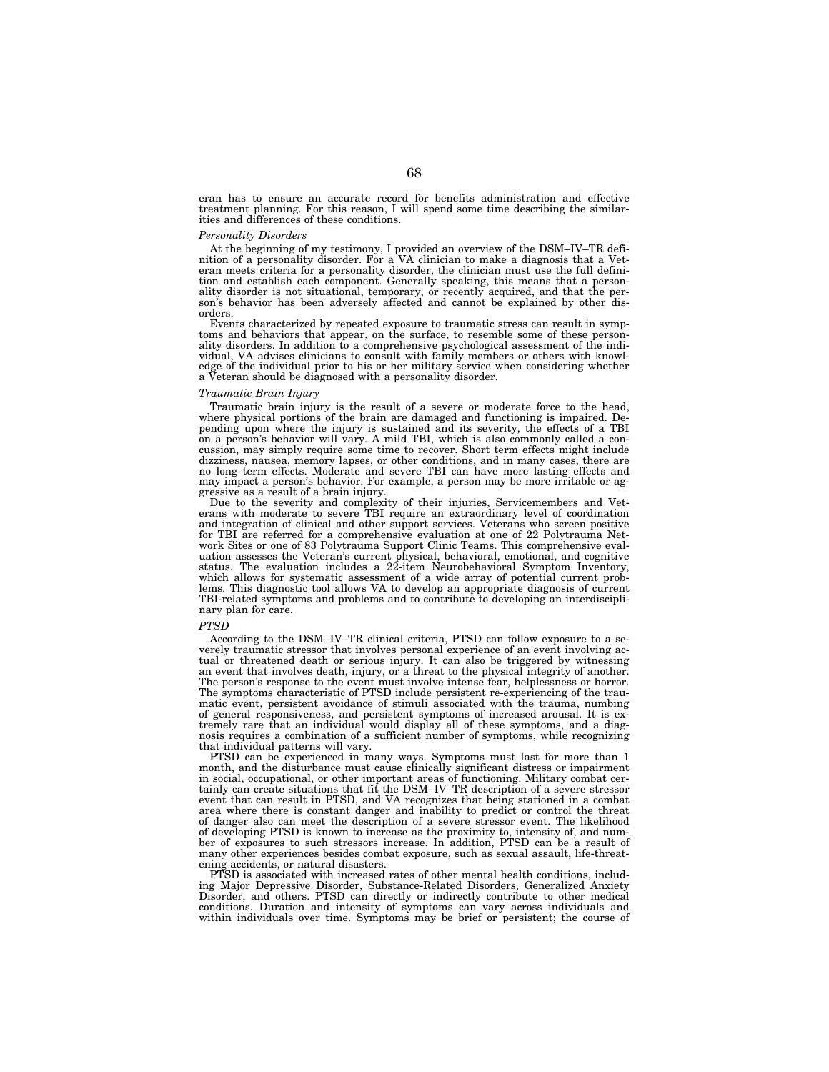eran has to ensure an accurate record for benefits administration and effective treatment planning. For this reason, I will spend some time describing the similarities and differences of these conditions.

## *Personality Disorders*

At the beginning of my testimony, I provided an overview of the DSM–IV–TR definition of a personality disorder. For a VA clinician to make a diagnosis that a Veteran meets criteria for a personality disorder, the clinician must use the full definition and establish each component. Generally speaking, this means that a personality disorder is not situational, temporary, or recently acquired, and that the per-son's behavior has been adversely affected and cannot be explained by other disorders.

Events characterized by repeated exposure to traumatic stress can result in symptoms and behaviors that appear, on the surface, to resemble some of these personality disorders. In addition to a comprehensive psychological assessment of the individual, VA advises clinicians to consult with family members or others with knowledge of the individual prior to his or her military service when considering whether a Veteran should be diagnosed with a personality disorder.

## *Traumatic Brain Injury*

Traumatic brain injury is the result of a severe or moderate force to the head, where physical portions of the brain are damaged and functioning is impaired. Depending upon where the injury is sustained and its severity, the effects of a TBI on a person's behavior will vary. A mild TBI, which is also commonly called a concussion, may simply require some time to recover. Short term effects might include dizziness, nausea, memory lapses, or other conditions, and in many cases, there are no long term effects. Moderate and severe TBI can have more lasting effects and may impact a person's behavior. For example, a person may be more irritable or aggressive as a result of a brain injury.

Due to the severity and complexity of their injuries, Servicemembers and Vet-erans with moderate to severe TBI require an extraordinary level of coordination and integration of clinical and other support services. Veterans who screen positive for TBI are referred for a comprehensive evaluation at one of 22 Polytrauma Network Sites or one of 83 Polytrauma Support Clinic Teams. This comprehensive evaluation assesses the Veteran's current physical, behavioral, emotional, and cognitive status. The evaluation includes a 22-item Neurobehavioral Symptom Inventory, which allows for systematic assessment of a wide array of potential current problems. This diagnostic tool allows VA to develop an appropriate diagnosis of current TBI-related symptoms and problems and to contribute to developing an interdisciplinary plan for care.

#### *PTSD*

According to the DSM–IV–TR clinical criteria, PTSD can follow exposure to a severely traumatic stressor that involves personal experience of an event involving actual or threatened death or serious injury. It can also be triggered by witnessing an event that involves death, injury, or a threat to the physical integrity of another. The person's response to the event must involve intense fear, helplessness or horror. The symptoms characteristic of PTSD include persistent re-experiencing of the traumatic event, persistent avoidance of stimuli associated with the trauma, numbing of general responsiveness, and persistent symptoms of increased arousal. It is extremely rare that an individual would display all of these symptoms, and a diagnosis requires a combination of a sufficient number of symptoms, while recognizing that individual patterns will vary.

PTSD can be experienced in many ways. Symptoms must last for more than 1 month, and the disturbance must cause clinically significant distress or impairment in social, occupational, or other important areas of functioning. Military combat certainly can create situations that fit the DSM–IV–TR description of a severe stressor event that can result in PTSD, and VA recognizes that being stationed in a combat area where there is constant danger and inability to predict or control the threat of danger also can meet the description of a severe stressor event. The likelihood of developing PTSD is known to increase as the proximity to, intensity of, and number of exposures to such stressors increase. In addition, PTSD can be a result of many other experiences besides combat exposure, such as sexual assault, life-threatening accidents, or natural disasters.

PTSD is associated with increased rates of other mental health conditions, including Major Depressive Disorder, Substance-Related Disorders, Generalized Anxiety Disorder, and others. PTSD can directly or indirectly contribute to other medical conditions. Duration and intensity of symptoms can vary across individuals and within individuals over time. Symptoms may be brief or persistent; the course of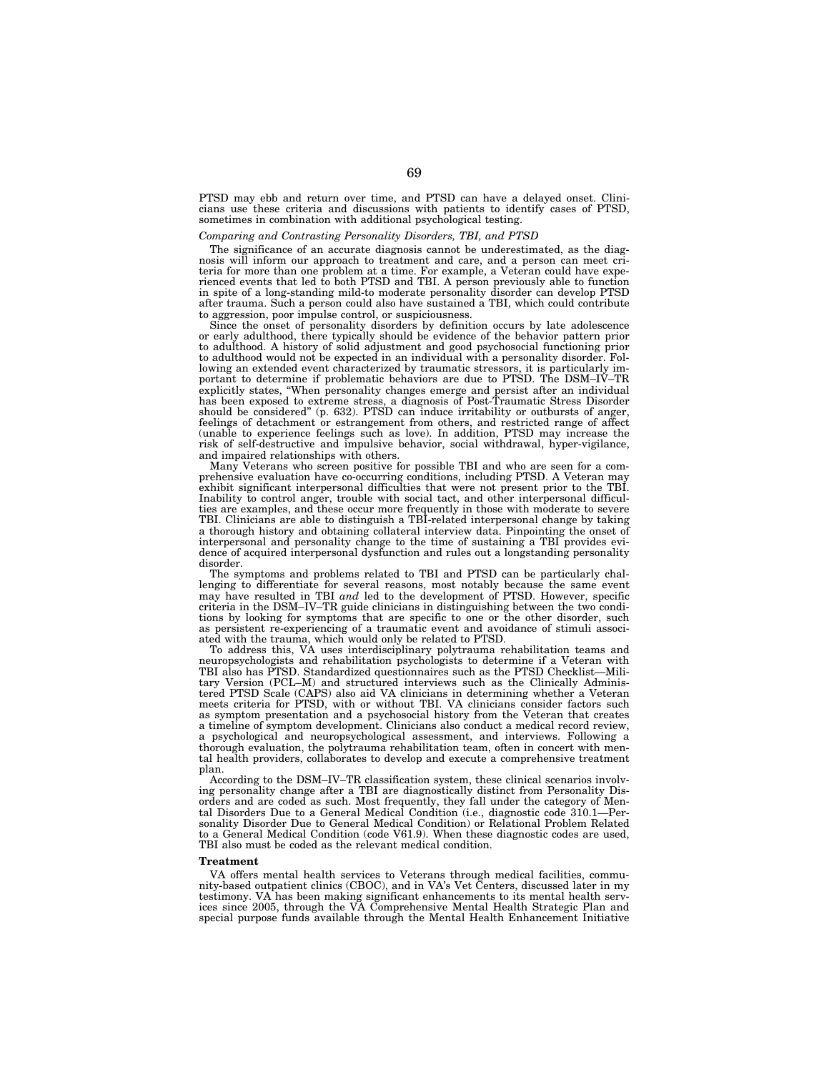PTSD may ebb and return over time, and PTSD can have a delayed onset. Clinicians use these criteria and discussions with patients to identify cases of PTSD, sometimes in combination with additional psychological testing.

### *Comparing and Contrasting Personality Disorders, TBI, and PTSD*

The significance of an accurate diagnosis cannot be underestimated, as the diagnosis will inform our approach to treatment and care, and a person can meet criteria for more than one problem at a time. For example, a Veteran could have experienced events that led to both PTSD and TBI. A person previously able to function in spite of a long-standing mild-to moderate personality disorder can develop PTSD after trauma. Such a person could also have sustained a TBI, which could contribute to aggression, poor impulse control, or suspiciousness.

Since the onset of personality disorders by definition occurs by late adolescence or early adulthood, there typically should be evidence of the behavior pattern prior to adulthood. A history of solid adjustment and good psychosocial functioning prior to adulthood would not be expected in an individual with a personality disorder. Following an extended event characterized by traumatic stressors, it is particularly important to determine if problematic behaviors are due to PTSD. The DSM–IV–TR explicitly states, ''When personality changes emerge and persist after an individual has been exposed to extreme stress, a diagnosis of Post-Traumatic Stress Disorder should be considered'' (p. 632). PTSD can induce irritability or outbursts of anger, feelings of detachment or estrangement from others, and restricted range of affect (unable to experience feelings such as love). In addition, PTSD may increase the risk of self-destructive and impulsive behavior, social withdrawal, hyper-vigilance, and impaired relationships with others.

Many Veterans who screen positive for possible TBI and who are seen for a comprehensive evaluation have co-occurring conditions, including PTSD. A Veteran may exhibit significant interpersonal difficulties that were not present prior to the TBI. Inability to control anger, trouble with social tact, and other interpersonal difficulties are examples, and these occur more frequently in those with moderate to severe TBI. Clinicians are able to distinguish a TBI-related interpersonal change by taking a thorough history and obtaining collateral interview data. Pinpointing the onset of interpersonal and personality change to the time of sustaining a TBI provides evidence of acquired interpersonal dysfunction and rules out a longstanding personality disorder.

The symptoms and problems related to TBI and PTSD can be particularly challenging to differentiate for several reasons, most notably because the same event may have resulted in TBI *and* led to the development of PTSD. However, specific criteria in the DSM–IV–TR guide clinicians in distinguishing between the two conditions by looking for symptoms that are specific to one or the other disorder, such as persistent re-experiencing of a traumatic event and avoidance of stimuli associated with the trauma, which would only be related to PTSD.

To address this, VA uses interdisciplinary polytrauma rehabilitation teams and neuropsychologists and rehabilitation psychologists to determine if a Veteran with TBI also has PTSD. Standardized questionnaires such as the PTSD Checklist—Military Version (PCL–M) and structured interviews such as the Clinically Administered PTSD Scale (CAPS) also aid VA clinicians in determining whether a Veteran meets criteria for PTSD, with or without TBI. VA clinicians consider factors such as symptom presentation and a psychosocial history from the Veteran that creates a timeline of symptom development. Clinicians also conduct a medical record review, a psychological and neuropsychological assessment, and interviews. Following a thorough evaluation, the polytrauma rehabilitation team, often in concert with mental health providers, collaborates to develop and execute a comprehensive treatment plan.

According to the DSM–IV–TR classification system, these clinical scenarios involving personality change after a TBI are diagnostically distinct from Personality Disorders and are coded as such. Most frequently, they fall under the category of Mental Disorders Due to a General Medical Condition (i.e., diagnostic code 310.1—Personality Disorder Due to General Medical Condition) or Relational Problem Related to a General Medical Condition (code V61.9). When these diagnostic codes are used, TBI also must be coded as the relevant medical condition.

# **Treatment**

VA offers mental health services to Veterans through medical facilities, community-based outpatient clinics (CBOC), and in VA's Vet Centers, discussed later in my testimony. VA has been making significant enhancements to its mental health serv-ices since 2005, through the VA Comprehensive Mental Health Strategic Plan and special purpose funds available through the Mental Health Enhancement Initiative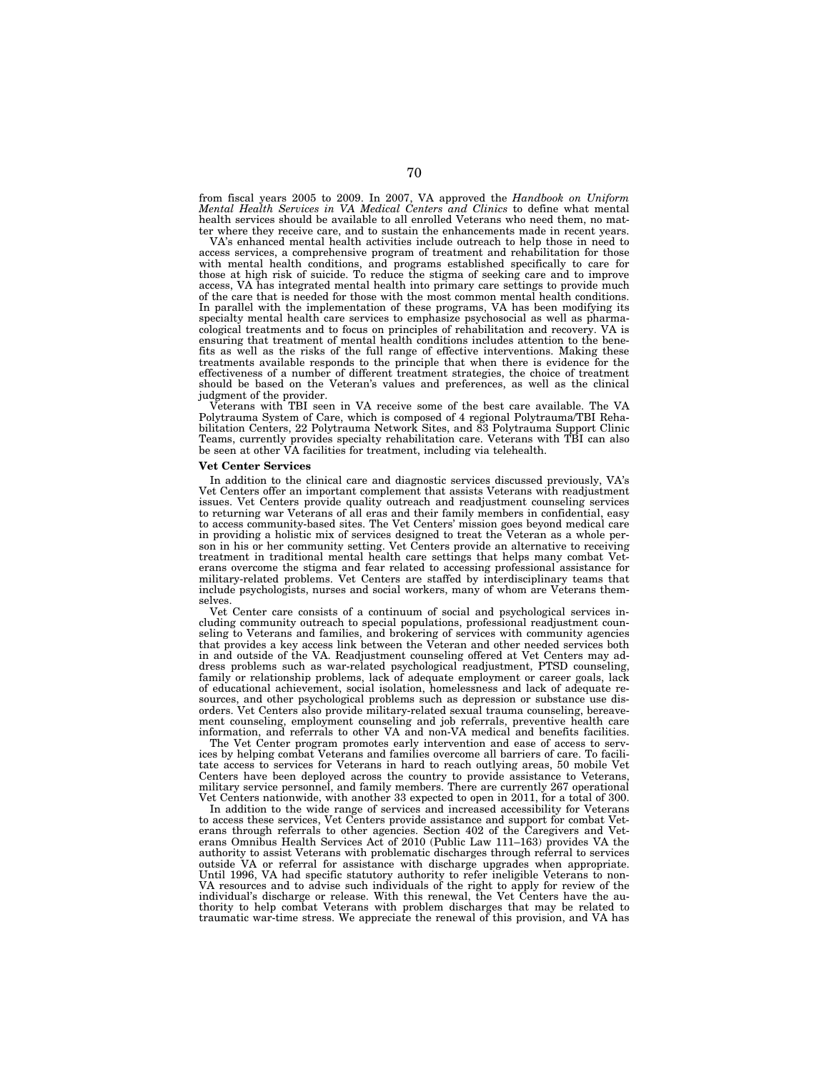from fiscal years 2005 to 2009. In 2007, VA approved the *Handbook on Uniform Mental Health Services in VA Medical Centers and Clinics* to define what mental health services should be available to all enrolled Veterans who need them, no matter where they receive care, and to sustain the enhancements made in recent years.

VA's enhanced mental health activities include outreach to help those in need to access services, a comprehensive program of treatment and rehabilitation for those with mental health conditions, and programs established specifically to care for those at high risk of suicide. To reduce the stigma of seeking care and to improve access, VA has integrated mental health into primary care settings to provide much of the care that is needed for those with the most common mental health conditions. In parallel with the implementation of these programs, VA has been modifying its specialty mental health care services to emphasize psychosocial as well as pharmacological treatments and to focus on principles of rehabilitation and recovery. VA is ensuring that treatment of mental health conditions includes attention to the benefits as well as the risks of the full range of effective interventions. Making these treatments available responds to the principle that when there is evidence for the effectiveness of a number of different treatment strategies, the choice of treatment should be based on the Veteran's values and preferences, as well as the clinical judgment of the provider.

Veterans with TBI seen in VA receive some of the best care available. The VA Polytrauma System of Care, which is composed of 4 regional Polytrauma/TBI Rehabilitation Centers, 22 Polytrauma Network Sites, and 83 Polytrauma Support Clinic Teams, currently provides specialty rehabilitation care. Veterans with TBI can also be seen at other VA facilities for treatment, including via telehealth.

#### **Vet Center Services**

In addition to the clinical care and diagnostic services discussed previously, VA's Vet Centers offer an important complement that assists Veterans with readjustment issues. Vet Centers provide quality outreach and readjustment counseling services to returning war Veterans of all eras and their family members in confidential, easy to access community-based sites. The Vet Centers' mission goes beyond medical care in providing a holistic mix of services designed to treat the Veteran as a whole person in his or her community setting. Vet Centers provide an alternative to receiving treatment in traditional mental health care settings that helps many combat Veterans overcome the stigma and fear related to accessing professional assistance for military-related problems. Vet Centers are staffed by interdisciplinary teams that include psychologists, nurses and social workers, many of whom are Veterans themselves.

Vet Center care consists of a continuum of social and psychological services including community outreach to special populations, professional readjustment counseling to Veterans and families, and brokering of services with community agencies that provides a key access link between the Veteran and other needed services both in and outside of the VA. Readjustment counseling offered at Vet Centers may address problems such as war-related psychological readjustment, PTSD counseling, family or relationship problems, lack of adequate employment or career goals, lack of educational achievement, social isolation, homelessness and lack of adequate resources, and other psychological problems such as depression or substance use disorders. Vet Centers also provide military-related sexual trauma counseling, bereavement counseling, employment counseling and job referrals, preventive health care information, and referrals to other VA and non-VA medical and benefits facilities.

The Vet Center program promotes early intervention and ease of access to services by helping combat Veterans and families overcome all barriers of care. To facilitate access to services for Veterans in hard to reach outlying areas, 50 mobile Vet Centers have been deployed across the country to provide assistance to Veterans, military service personnel, and family members. There are currently 267 operational Vet Centers nationwide, with another 33 expected to open in 2011, for a total of 300.

In addition to the wide range of services and increased accessibility for Veterans to access these services, Vet Centers provide assistance and support for combat Veterans through referrals to other agencies. Section 402 of the Caregivers and Veterans Omnibus Health Services Act of 2010 (Public Law 111–163) provides VA the authority to assist Veterans with problematic discharges through referral to services outside VA or referral for assistance with discharge upgrades when appropriate. Until 1996, VA had specific statutory authority to refer ineligible Veterans to non-VA resources and to advise such individuals of the right to apply for review of the individual's discharge or release. With this renewal, the Vet Centers have the authority to help combat Veterans with problem discharges that may be related to traumatic war-time stress. We appreciate the renewal of this provision, and VA has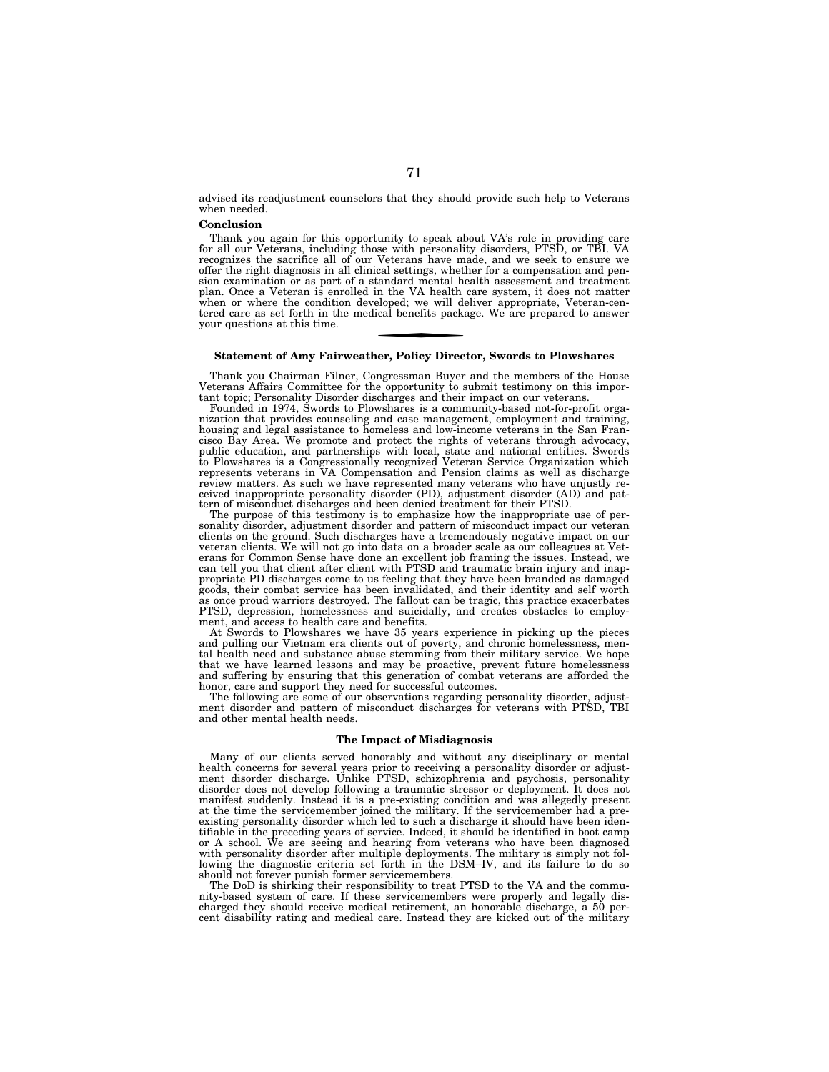advised its readjustment counselors that they should provide such help to Veterans when needed.

#### **Conclusion**

Thank you again for this opportunity to speak about VA's role in providing care for all our Veterans, including those with personality disorders, PTSD, or TBI. VA recognizes the sacrifice all of our Veterans have made, and we seek to ensure we offer the right diagnosis in all clinical settings, whether for a compensation and pension examination or as part of a standard mental health assessment and treatment plan. Once a Veteran is enrolled in the VA health care system, it does not matter when or where the condition developed; we will deliver appropriate, Veteran-centered care as set forth in the medical benefits package. We are prepared to answer your questions at this time.

# **Statement of Amy Fairweather, Policy Director, Swords to Plowshares**

Thank you Chairman Filner, Congressman Buyer and the members of the House Veterans Affairs Committee for the opportunity to submit testimony on this impor-tant topic; Personality Disorder discharges and their impact on our veterans.

Founded in 1974, Swords to Plowshares is a community-based not-for-profit organization that provides counseling and case management, employment and training, housing and legal assistance to homeless and low-income veterans in the San Francisco Bay Area. We promote and protect the rights of veterans through advocacy, public education, and partnerships with local, state and national entities. Swords<br>to Plowshares is a Congressionally recognized Veteran Service Organization which<br>represents veterans in VA Compensation and Pension claims review matters. As such we have represented many veterans who have unjustly received inappropriate personality disorder (PD), adjustment disorder (AD) and pattern of misconduct discharges and been denied treatment for their PTSD.

The purpose of this testimony is to emphasize how the inappropriate use of personality disorder, adjustment disorder and pattern of misconduct impact our veteran clients on the ground. Such discharges have a tremendously negative impact on our veteran clients. We will not go into data on a broader scale as our colleagues at Veterans for Common Sense have done an excellent job framing the issues. Instead, we can tell you that client after client with PTSD and traumatic brain injury and inappropriate PD discharges come to us feeling that they have been branded as damaged goods, their combat service has been invalidated, and their identity and self worth as once proud warriors destroyed. The fallout can be tragic, this practice exacerbates PTSD, depression, homelessness and suicidally, and creates obstacles to employment, and access to health care and benefits.

At Swords to Plowshares we have 35 years experience in picking up the pieces and pulling our Vietnam era clients out of poverty, and chronic homelessness, mental health need and substance abuse stemming from their military service. We hope that we have learned lessons and may be proactive, prevent future homelessness and suffering by ensuring that this generation of combat veterans are afforded the honor, care and support they need for successful outcomes.

The following are some of our observations regarding personality disorder, adjustment disorder and pattern of misconduct discharges for veterans with PTSD, TBI and other mental health needs.

## **The Impact of Misdiagnosis**

Many of our clients served honorably and without any disciplinary or mental health concerns for several years prior to receiving a personality disorder or adjustment disorder discharge. Unlike PTSD, schizophrenia and psychosis, personality disorder does not develop following a traumatic stressor or deployment. It does not manifest suddenly. Instead it is a pre-existing condition and was allegedly present at the time the servicemember joined the military. If the servicemember had a preexisting personality disorder which led to such a discharge it should have been identifiable in the preceding years of service. Indeed, it should be identified in boot camp<br>or A school. We are seeing and hearing from veterans who have been diagnosed<br>with personality disorder after multiple deployments. Th lowing the diagnostic criteria set forth in the DSM–IV, and its failure to do so should not forever punish former servicemembers.

The DoD is shirking their responsibility to treat PTSD to the VA and the community-based system of care. If these servicemembers were properly and legally discharged they should receive medical retirement, an honorable discharge,  $\alpha$  50 cent disability rating and medical care. Instead they are kicked out of the military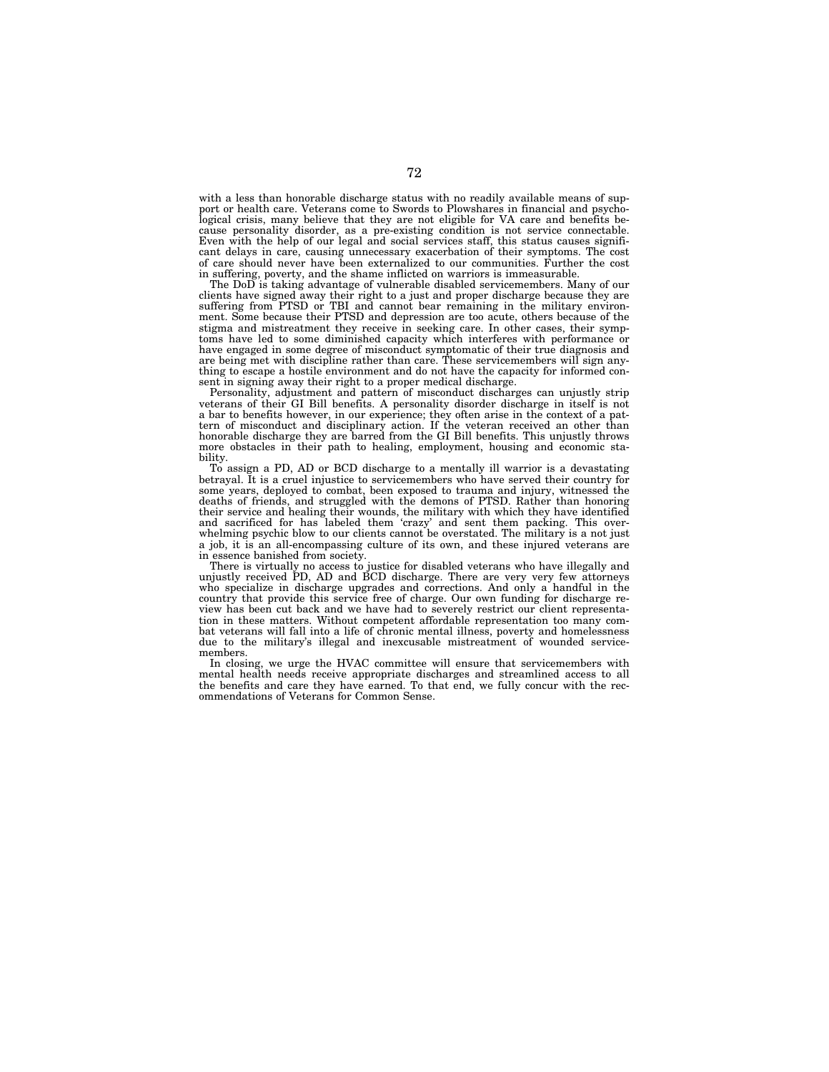with a less than honorable discharge status with no readily available means of support or health care. Veterans come to Swords to Plowshares in financial and psychological crisis, many believe that they are not eligible for VA care and benefits because personality disorder, as a pre-existing condition is not service connectable. Even with the help of our legal and social services staff, this status causes significant delays in care, causing unnecessary exacerbation of their symptoms. The cost of care should never have been externalized to our communities. Further the cost in suffering, poverty, and the shame inflicted on warriors is immeasurable.

The DoD is taking advantage of vulnerable disabled servicemembers. Many of our clients have signed away their right to a just and proper discharge because they are suffering from PTSD or TBI and cannot bear remaining in the military environment. Some because their PTSD and depression are too acute, others because of the stigma and mistreatment they receive in seeking care. In other cases, their symptoms have led to some diminished capacity which interferes with performance or have engaged in some degree of misconduct symptomatic of their true diagnosis and are being met with discipline rather than care. These servicemembers will sign anything to escape a hostile environment and do not have the capacity for informed consent in signing away their right to a proper medical discharge.

Personality, adjustment and pattern of misconduct discharges can unjustly strip veterans of their GI Bill benefits. A personality disorder discharge in itself is not a bar to benefits however, in our experience; they often arise in the context of a pattern of misconduct and disciplinary action. If the veteran received an other than honorable discharge they are barred from the GI Bill benefits. This unjustly throws more obstacles in their path to healing, employment, housing and economic stability.

To assign a PD, AD or BCD discharge to a mentally ill warrior is a devastating betrayal. It is a cruel injustice to servicemembers who have served their country for some years, deployed to combat, been exposed to trauma and injury, witnessed the deaths of friends, and struggled with the demons of PTSD. Rather than honoring their service and healing their wounds, the military with which they have identified and sacrificed for has labeled them 'crazy' and sent them packing. This overwhelming psychic blow to our clients cannot be overstated. The military is a not just a job, it is an all-encompassing culture of its own, and these injured veterans are in essence banished from society.

There is virtually no access to justice for disabled veterans who have illegally and unjustly received PD, AD and BCD discharge. There are very very few attorneys who specialize in discharge upgrades and corrections. And only a handful in the country that provide this service free of charge. Our own funding for discharge review has been cut back and we have had to severely restrict our client representation in these matters. Without competent affordable representation too many combat veterans will fall into a life of chronic mental illness, poverty and homelessness due to the military's illegal and inexcusable mistreatment of wounded servicemembers.

In closing, we urge the HVAC committee will ensure that servicemembers with mental health needs receive appropriate discharges and streamlined access to all the benefits and care they have earned. To that end, we fully concur with the recommendations of Veterans for Common Sense.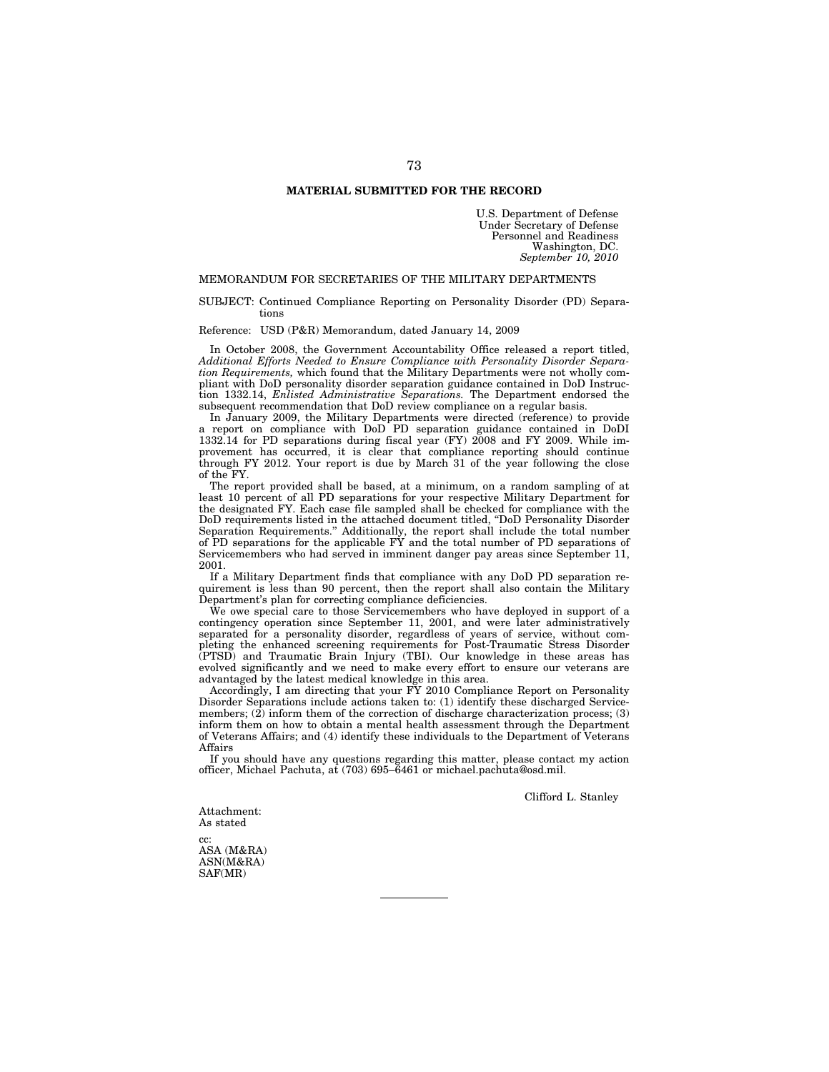## **MATERIAL SUBMITTED FOR THE RECORD**

U.S. Department of Defense Under Secretary of Defense Personnel and Readiness Washington, DC. *September 10, 2010* 

# MEMORANDUM FOR SECRETARIES OF THE MILITARY DEPARTMENTS

#### SUBJECT: Continued Compliance Reporting on Personality Disorder (PD) Separations

# Reference: USD (P&R) Memorandum, dated January 14, 2009

In October 2008, the Government Accountability Office released a report titled, *Additional Efforts Needed to Ensure Compliance with Personality Disorder Separation Requirements,* which found that the Military Departments were not wholly compliant with DoD personality disorder separation guidance contained in DoD Instruction 1332.14, *Enlisted Administrative Separations.* The Department endorsed the subsequent recommendation that DoD review compliance on a regular basis.

In January 2009, the Military Departments were directed (reference) to provide a report on compliance with DoD PD separation guidance contained in DoDI 1332.14 for PD separations during fiscal year (FY) 2008 and FY 2009. While improvement has occurred, it is clear that compliance reporting should continue through FY 2012. Your report is due by March 31 of the year following the close of the FY.

The report provided shall be based, at a minimum, on a random sampling of at least 10 percent of all PD separations for your respective Military Department for the designated FY. Each case file sampled shall be checked for compliance with the DoD requirements listed in the attached document titled, ''DoD Personality Disorder Separation Requirements.'' Additionally, the report shall include the total number of PD separations for the applicable FY and the total number of PD separations of Servicemembers who had served in imminent danger pay areas since September 11, 2001.

If a Military Department finds that compliance with any DoD PD separation requirement is less than 90 percent, then the report shall also contain the Military Department's plan for correcting compliance deficiencies.

We owe special care to those Servicemembers who have deployed in support of a contingency operation since September 11, 2001, and were later administratively separated for a personality disorder, regardless of years of service, without completing the enhanced screening requirements for Post-Traumatic Stress Disorder (PTSD) and Traumatic Brain Injury (TBI). Our knowledge in these areas has evolved significantly and we need to make every effort to ensure our veterans are advantaged by the latest medical knowledge in this area.

Accordingly, I am directing that your FY 2010 Compliance Report on Personality Disorder Separations include actions taken to: (1) identify these discharged Servicemembers;  $(2)$  inform them of the correction of discharge characterization process;  $(3)$ inform them on how to obtain a mental health assessment through the Department of Veterans Affairs; and (4) identify these individuals to the Department of Veterans Affairs

If you should have any questions regarding this matter, please contact my action officer, Michael Pachuta, at (703) 695–6461 or michael.pachuta@osd.mil.

Clifford L. Stanley

Attachment: As stated

cc: ASA (M&RA) ASN(M&RA) SAF(MR)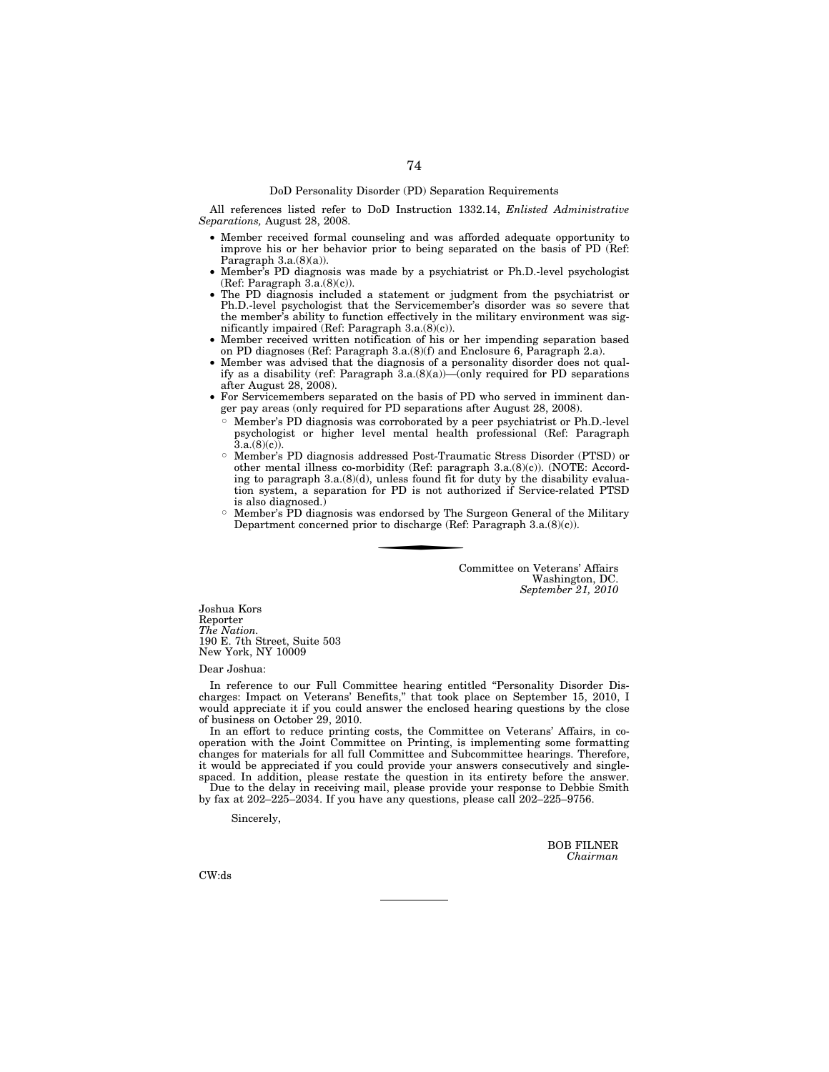# DoD Personality Disorder (PD) Separation Requirements

All references listed refer to DoD Instruction 1332.14, *Enlisted Administrative Separations,* August 28, 2008.

- Member received formal counseling and was afforded adequate opportunity to improve his or her behavior prior to being separated on the basis of PD (Ref: Paragraph 3.a.(8)(a)).
- Member's PD diagnosis was made by a psychiatrist or Ph.D.-level psychologist  $(Ref: Paragramh 3.a.(8)(c)).$
- The PD diagnosis included a statement or judgment from the psychiatrist or Ph.D.-level psychologist that the Servicemember's disorder was so severe that the member's ability to function effectively in the military environment was significantly impaired (Ref: Paragraph  $3.a.(8)(c)$ ).
- Member received written notification of his or her impending separation based on PD diagnoses (Ref: Paragraph 3.a.(8)(f) and Enclosure 6, Paragraph 2.a).
- Member was advised that the diagnosis of a personality disorder does not qualify as a disability (ref: Paragraph  $3.a.(8)(a)$ —(only required for PD separations after August 28, 2008).
- For Servicemembers separated on the basis of PD who served in imminent danger pay areas (only required for PD separations after August 28, 2008).
	- $\circ$  Member's PD diagnosis was corroborated by a peer psychiatrist or Ph.D.-level psychologist or higher level mental health professional (Ref: Paragraph  $3.a.(8)(c)$ .
	- » Member's PD diagnosis addressed Post-Traumatic Stress Disorder (PTSD) or other mental illness co-morbidity (Ref: paragraph 3.a.(8)(c)). (NOTE: According to paragraph  $3.a.(8)(d)$ , unless found fit for duty by the disability evaluation system, a separation for PD is not authorized if Service-related PTSD is also diagnosed.)
	- $\circ$  Member's PD diagnosis was endorsed by The Surgeon General of the Military Department concerned prior to discharge (Ref: Paragraph 3.a.(8)(c)).

Committee on Veterans' Affairs Washington, DC. *September 21, 2010* 

Joshua Kors Reporter *The Nation.*  190 E. 7th Street, Suite 503 New York, NY 10009

Dear Joshua:

In reference to our Full Committee hearing entitled ''Personality Disorder Discharges: Impact on Veterans' Benefits,'' that took place on September 15, 2010, I would appreciate it if you could answer the enclosed hearing questions by the close of business on October 29, 2010.

In an effort to reduce printing costs, the Committee on Veterans' Affairs, in cooperation with the Joint Committee on Printing, is implementing some formatting changes for materials for all full Committee and Subcommittee hearings. Therefore, it would be appreciated if you could provide your answers consecutively and singlespaced. In addition, please restate the question in its entirety before the answer.

Due to the delay in receiving mail, please provide your response to Debbie Smith by fax at 202–225–2034. If you have any questions, please call 202–225–9756.

Sincerely,

BOB FILNER *Chairman* 

CW:ds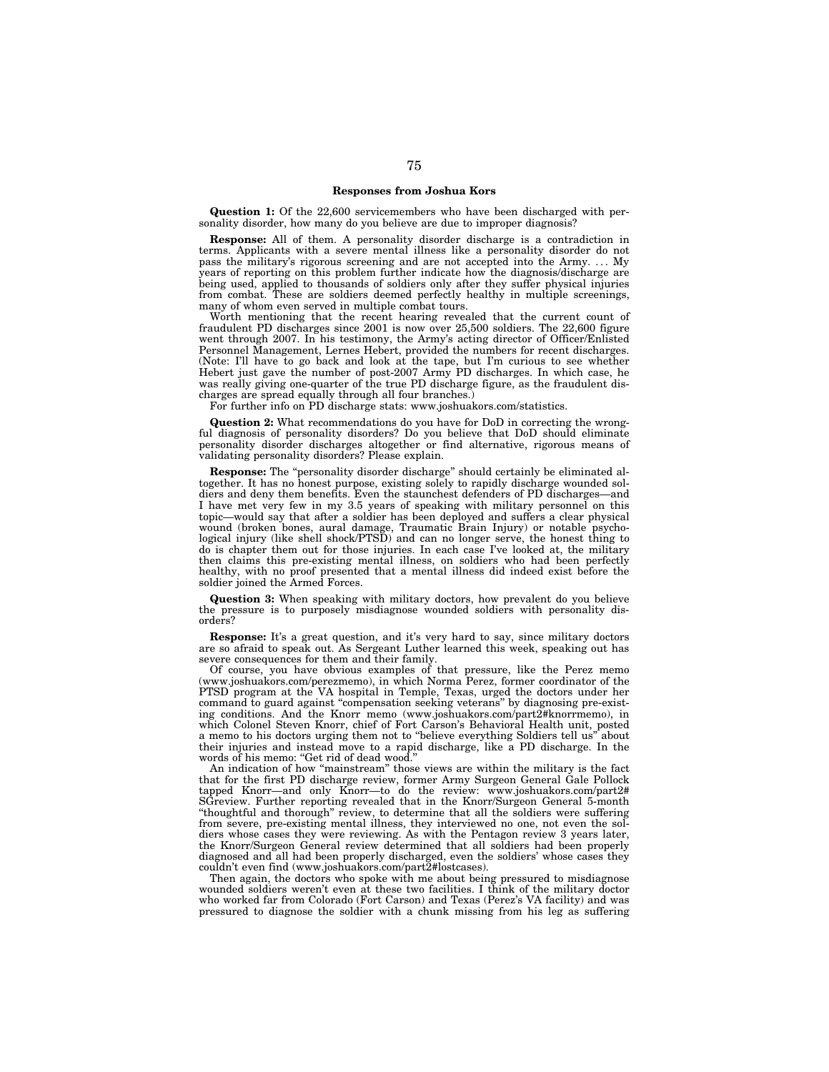# **Responses from Joshua Kors**

**Question 1:** Of the 22,600 servicemembers who have been discharged with personality disorder, how many do you believe are due to improper diagnosis?

**Response:** All of them. A personality disorder discharge is a contradiction in terms. Applicants with a severe mental illness like a personality disorder do not pass the military's rigorous screening and are not accepted into the Army. . . . My years of reporting on this problem further indicate how the diagnosis/discharge are being used, applied to thousands of soldiers only after they suffer physical injuries from combat. These are soldiers deemed perfectly healthy in multiple screenings, many of whom even served in multiple combat tours.

Worth mentioning that the recent hearing revealed that the current count of fraudulent PD discharges since 2001 is now over 25,500 soldiers. The 22,600 figure went through 2007. In his testimony, the Army's acting director of Officer/Enlisted Personnel Management, Lernes Hebert, provided the numbers for recent discharges. (Note: I'll have to go back and look at the tape, but I'm curious to see whether Hebert just gave the number of post-2007 Army PD discharges. In which case, he was really giving one-quarter of the true PD discharge figure, as the fraudulent discharges are spread equally through all four branches.)

For further info on PD discharge stats: www.joshuakors.com/statistics.

**Question 2:** What recommendations do you have for DoD in correcting the wrongful diagnosis of personality disorders? Do you believe that DoD should eliminate personality disorder discharges altogether or find alternative, rigorous means of validating personality disorders? Please explain.

**Response:** The "personality disorder discharge" should certainly be eliminated altogether. It has no honest purpose, existing solely to rapidly discharge wounded soldiers and deny them benefits. Even the staunchest defenders of PD discharges—and I have met very few in my 3.5 years of speaking with military personnel on this topic—would say that after a soldier has been deployed and suffers a clear physical wound (broken bones, aural damage, Traumatic Brain Injury) or notable psychological injury (like shell shock/PTSD) and can no longer serve, the honest thing to do is chapter them out for those injuries. In each case I've looked at, the military then claims this pre-existing mental illness, on soldiers who had been perfectly healthy, with no proof presented that a mental illness did indeed exist before the soldier joined the Armed Forces.

**Question 3:** When speaking with military doctors, how prevalent do you believe the pressure is to purposely misdiagnose wounded soldiers with personality disorders?

**Response:** It's a great question, and it's very hard to say, since military doctors are so afraid to speak out. As Sergeant Luther learned this week, speaking out has severe consequences for them and their family.

Of course, you have obvious examples of that pressure, like the Perez memo (www.joshuakors.com/perezmemo), in which Norma Perez, former coordinator of the PTSD program at the VA hospital in Temple, Texas, urged the doctors under her command to guard against ''compensation seeking veterans'' by diagnosing pre-existing conditions. And the Knorr memo (www.joshuakors.com/part2#knorrmemo), in which Colonel Steven Knorr, chief of Fort Carson's Behavioral Health unit, posted<br>a memo to his doctors urging them not to "believe everything Soldiers tell us" about a memo to his doctors urging them not to "believe everything Soldiers tell us" their injuries and instead move to a rapid discharge, like a PD discharge. In the words of his memo: ''Get rid of dead wood.''

An indication of how "mainstream" those views are within the military is the fact that for the first PD discharge review, former Army Surgeon General Gale Pollock tapped Knorr—and only Knorr—to do the review: www.joshuakors.com/part2# SGreview. Further reporting revealed that in the Knorr/Surgeon General 5-month ''thoughtful and thorough'' review, to determine that all the soldiers were suffering from severe, pre-existing mental illness, they interviewed no one, not even the soldiers whose cases they were reviewing. As with the Pentagon review 3 years later, the Knorr/Surgeon General review determined that all soldiers had been properly diagnosed and all had been properly discharged, even the soldiers' whose cases they couldn't even find (www.joshuakors.com/part2#lostcases).

Then again, the doctors who spoke with me about being pressured to misdiagnose wounded soldiers weren't even at these two facilities. I think of the military doctor who worked far from Colorado (Fort Carson) and Texas (Perez's VA facility) and was pressured to diagnose the soldier with a chunk missing from his leg as suffering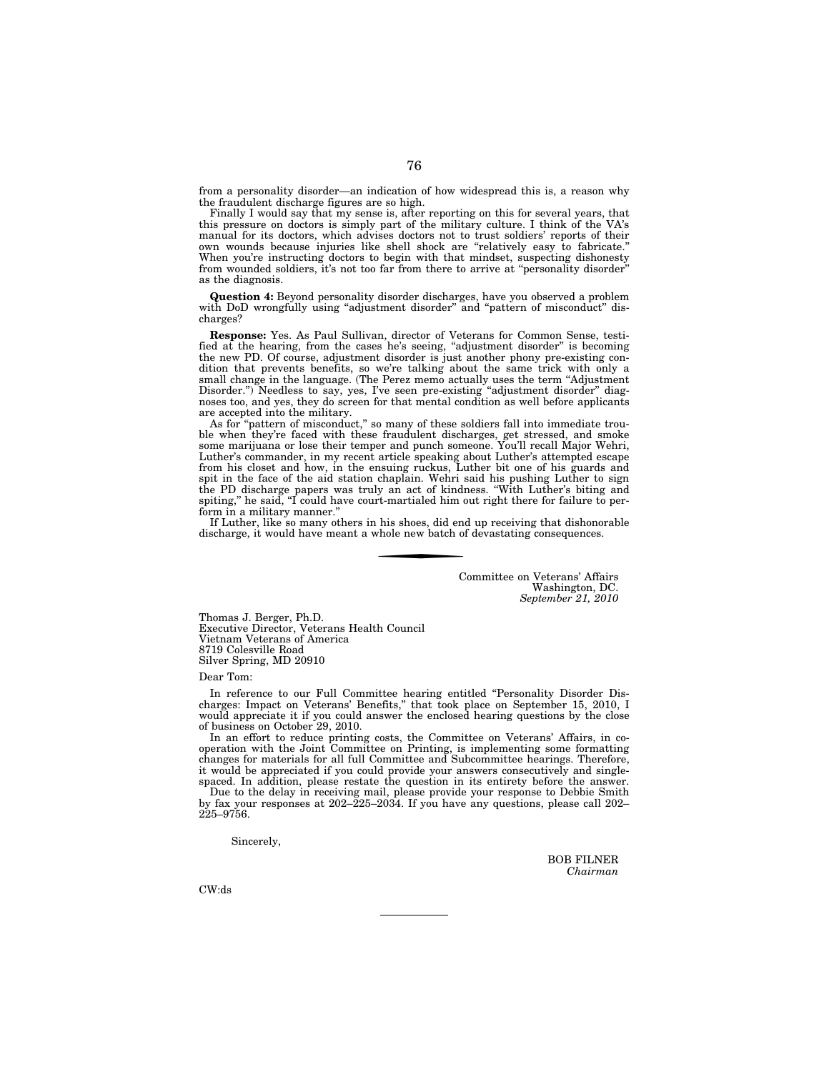from a personality disorder—an indication of how widespread this is, a reason why the fraudulent discharge figures are so high.

Finally I would say that my sense is, after reporting on this for several years, that this pressure on doctors is simply part of the military culture. I think of the VA's manual for its doctors, which advises doctors not to trust soldiers' reports of their own wounds because injuries like shell shock are ''relatively easy to fabricate.'' When you're instructing doctors to begin with that mindset, suspecting dishonesty from wounded soldiers, it's not too far from there to arrive at ''personality disorder'' as the diagnosis.

**Question 4:** Beyond personality disorder discharges, have you observed a problem with DoD wrongfully using "adjustment disorder" and "pattern of misconduct" discharges?

**Response:** Yes. As Paul Sullivan, director of Veterans for Common Sense, testified at the hearing, from the cases he's seeing, "adjustment disorder" is becoming the new PD. Of course, adjustment disorder is just another phony pre-existing condition that prevents benefits, so we're talking about the same trick with only a small change in the language. (The Perez memo actually uses the term ''Adjustment Disorder.") Needless to say, yes, I've seen pre-existing "adjustment disorder" diagnoses too, and yes, they do screen for that mental condition as well before applicants are accepted into the military.

As for ''pattern of misconduct,'' so many of these soldiers fall into immediate trouble when they're faced with these fraudulent discharges, get stressed, and smoke some marijuana or lose their temper and punch someone. You'll recall Major Wehri, Luther's commander, in my recent article speaking about Luther's attempted escape from his closet and how, in the ensuing ruckus, Luther bit one of his guards and spit in the face of the aid station chaplain. Wehri said his pushing Luther to sign the PD discharge papers was truly an act of kindness. ''With Luther's biting and spiting," he said, "I could have court-martialed him out right there for failure to perform in a military manner.''

If Luther, like so many others in his shoes, did end up receiving that dishonorable discharge, it would have meant a whole new batch of devastating consequences.

> Committee on Veterans' Affairs Washington, DC. *September 21, 2010*

Thomas J. Berger, Ph.D. Executive Director, Veterans Health Council Vietnam Veterans of America 8719 Colesville Road Silver Spring, MD 20910

#### Dear Tom:

In reference to our Full Committee hearing entitled ''Personality Disorder Discharges: Impact on Veterans' Benefits,'' that took place on September 15, 2010, I would appreciate it if you could answer the enclosed hearing questions by the close of business on October 29, 2010.

In an effort to reduce printing costs, the Committee on Veterans' Affairs, in cooperation with the Joint Committee on Printing, is implementing some formatting changes for materials for all full Committee and Subcommittee hearings. Therefore, it would be appreciated if you could provide your answers consecutively and singlespaced. In addition, please restate the question in its entirety before the answer.

Due to the delay in receiving mail, please provide your response to Debbie Smith by fax your responses at 202–225–2034. If you have any questions, please call 202– 225–9756.

Sincerely,

BOB FILNER *Chairman* 

CW:ds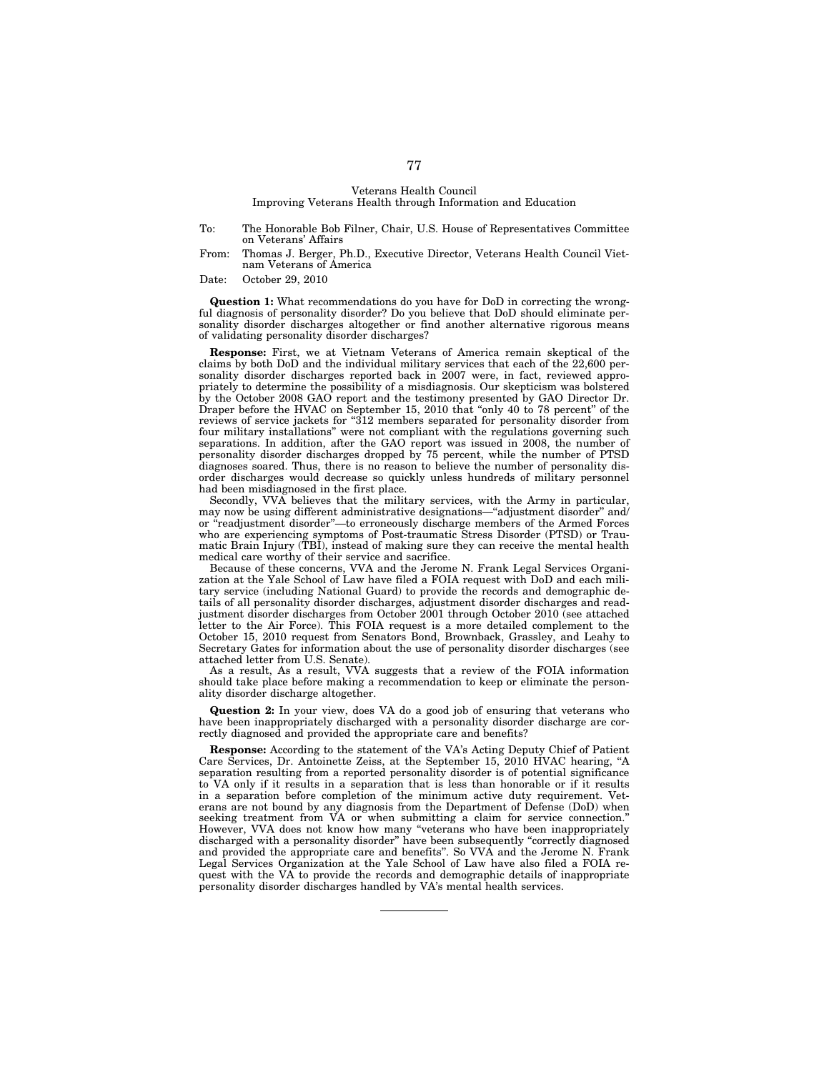## Veterans Health Council Improving Veterans Health through Information and Education

- To: The Honorable Bob Filner, Chair, U.S. House of Representatives Committee on Veterans' Affairs
- From: Thomas J. Berger, Ph.D., Executive Director, Veterans Health Council Vietnam Veterans of America

Date: October 29, 2010

**Question 1:** What recommendations do you have for DoD in correcting the wrongful diagnosis of personality disorder? Do you believe that DoD should eliminate personality disorder discharges altogether or find another alternative rigorous means of validating personality disorder discharges?

**Response:** First, we at Vietnam Veterans of America remain skeptical of the claims by both DoD and the individual military services that each of the 22,600 personality disorder discharges reported back in 2007 were, in fact, reviewed appropriately to determine the possibility of a misdiagnosis. Our skepticism was bolstered by the October 2008 GAO report and the testimony presented by GAO Director Dr. Draper before the HVAC on September 15, 2010 that "only 40 to 78 percent" of the reviews of service jackets for "312 members separated for personality disorder from four military installations'' were not compliant with the regulations governing such separations. In addition, after the GAO report was issued in 2008, the number of personality disorder discharges dropped by 75 percent, while the number of PTSD diagnoses soared. Thus, there is no reason to believe the number of personality disorder discharges would decrease so quickly unless hundreds of military personnel had been misdiagnosed in the first place.

Secondly, VVA believes that the military services, with the Army in particular, may now be using different administrative designations—"adjustment disorder" and/ or ''readjustment disorder''—to erroneously discharge members of the Armed Forces who are experiencing symptoms of Post-traumatic Stress Disorder (PTSD) or Traumatic Brain Injury (TBI), instead of making sure they can receive the mental health medical care worthy of their service and sacrifice.

Because of these concerns, VVA and the Jerome N. Frank Legal Services Organization at the Yale School of Law have filed a FOIA request with DoD and each military service (including National Guard) to provide the records and demographic details of all personality disorder discharges, adjustment disorder discharges and readjustment disorder discharges from October 2001 through October 2010 (see attached letter to the Air Force). This FOIA request is a more detailed complement to the October 15, 2010 request from Senators Bond, Brownback, Grassley, and Leahy to Secretary Gates for information about the use of personality disorder discharges (see attached letter from U.S. Senate).

As a result, As a result, VVA suggests that a review of the FOIA information should take place before making a recommendation to keep or eliminate the personality disorder discharge altogether.

**Question 2:** In your view, does VA do a good job of ensuring that veterans who have been inappropriately discharged with a personality disorder discharge are correctly diagnosed and provided the appropriate care and benefits?

**Response:** According to the statement of the VA's Acting Deputy Chief of Patient Care Services, Dr. Antoinette Zeiss, at the September 15, 2010 HVAC hearing, ''A separation resulting from a reported personality disorder is of potential significance to VA only if it results in a separation that is less than honorable or if it results in a separation before completion of the minimum active duty requirement. Veterans are not bound by any diagnosis from the Department of Defense (DoD) when seeking treatment from VA or when submitting a claim for service connection." However, VVA does not know how many ''veterans who have been inappropriately discharged with a personality disorder'' have been subsequently ''correctly diagnosed and provided the appropriate care and benefits''. So VVA and the Jerome N. Frank Legal Services Organization at the Yale School of Law have also filed a FOIA request with the VA to provide the records and demographic details of inappropriate personality disorder discharges handled by VA's mental health services.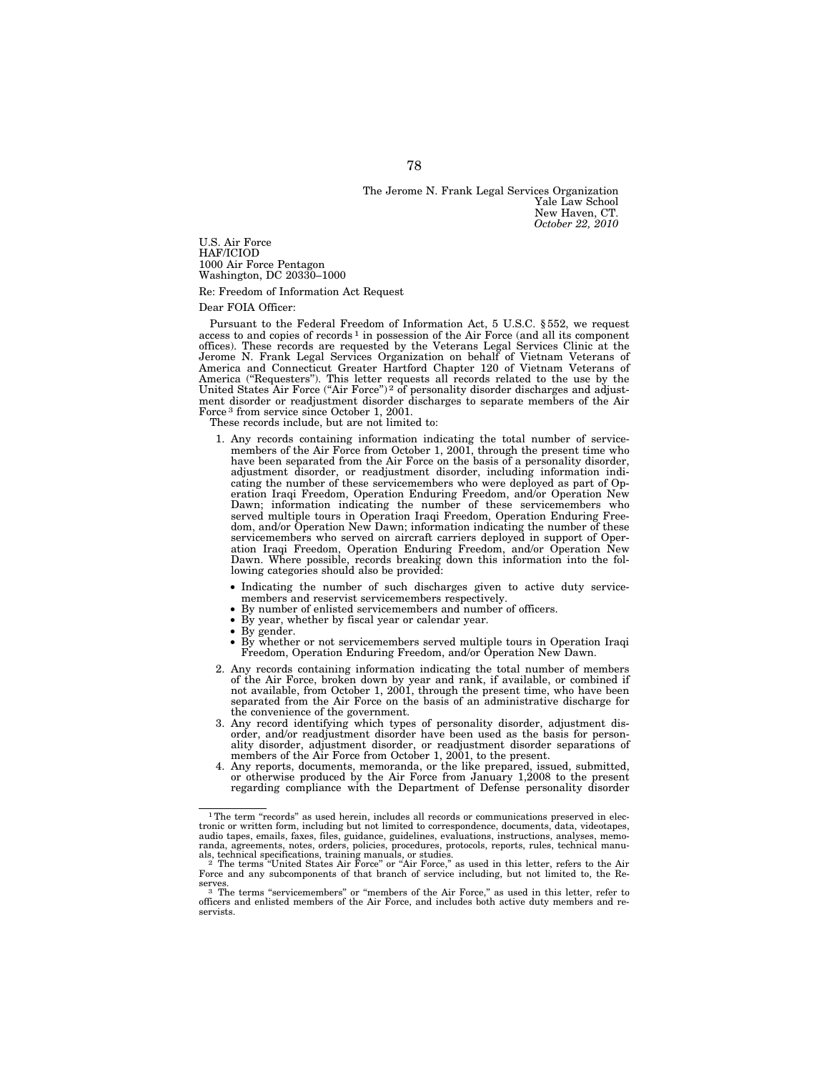The Jerome N. Frank Legal Services Organization Yale Law School New Haven, CT. *October 22, 2010* 

U.S. Air Force HAF/ICIOD 1000 Air Force Pentagon Washington, DC 20330–1000

Re: Freedom of Information Act Request

Dear FOIA Officer:

Pursuant to the Federal Freedom of Information Act, 5 U.S.C. § 552, we request access to and copies of records<sup>1</sup> in possession of the Air Force (and all its component offices). These records are requested by the Veterans Legal Services Clinic at the Jerome N. Frank Legal Services Organization on behalf of Vietnam Veterans of America and Connecticut Greater Hartford Chapter 120 of Vietnam Veterans of America (''Requesters''). This letter requests all records related to the use by the United States Air Force ("Air Force")<sup>2</sup> of personality disorder discharges and adjustment disorder or readjustment disorder discharges to separate members of the Air Force 3 from service since October 1, 2001.

These records include, but are not limited to:

- 1. Any records containing information indicating the total number of servicemembers of the Air Force from October 1, 2001, through the present time who have been separated from the Air Force on the basis of a personality disorder, adjustment disorder, or readjustment disorder, including information indicating the number of these servicemembers who were deployed as part of Operation Iraqi Freedom, Operation Enduring Freedom, and/or Operation New Dawn; information indicating the number of these servicemembers who served multiple tours in Operation Iraqi Freedom, Operation Enduring Freedom, and/or Operation New Dawn; information indicating the number of these servicemembers who served on aircraft carriers deployed in support of Operation Iraqi Freedom, Operation Enduring Freedom, and/or Operation New Dawn. Where possible, records breaking down this information into the following categories should also be provided:
	- Indicating the number of such discharges given to active duty servicemembers and reservist servicemembers respectively.
	- By number of enlisted servicemembers and number of officers.
	- By year, whether by fiscal year or calendar year.
	- By gender.
	- By whether or not servicemembers served multiple tours in Operation Iraqi Freedom, Operation Enduring Freedom, and/or Operation New Dawn.
- 2. Any records containing information indicating the total number of members of the Air Force, broken down by year and rank, if available, or combined if not available, from October 1, 2001, through the present time, who have been separated from the Air Force on the basis of an administrative discharge for the convenience of the government.
- 3. Any record identifying which types of personality disorder, adjustment disorder, and/or readjustment disorder have been used as the basis for personality disorder, adjustment disorder, or readjustment disorder separations of members of the Air Force from October 1, 2001, to the present.
- 4. Any reports, documents, memoranda, or the like prepared, issued, submitted, or otherwise produced by the Air Force from January 1,2008 to the present regarding compliance with the Department of Defense personality disorder

<sup>&</sup>lt;sup>1</sup>The term "records" as used herein, includes all records or communications preserved in electronic or written form, including but not limited to correspondence, documents, data, videotapes, audio tapes, emails, faxes, files, guidance, guidelines, evaluations, instructions, analyses, memoranda, agreements, notes, orders, policies, procedures, protocols, reports, rules, technical manu-<br>als, technical specifications, training manuals, or studies.<br>- <sup>2</sup> The terms "United States Air Force" or "Air Force," as u

Force and any subcomponents of that branch of service including, but not limited to, the Re-

serves.<br><sup>3</sup> The terms "servicemembers" or "members of the Air Force," as used in this letter, refer to<br>officers and enlisted members of the Air Force, and includes both active duty members and reservists.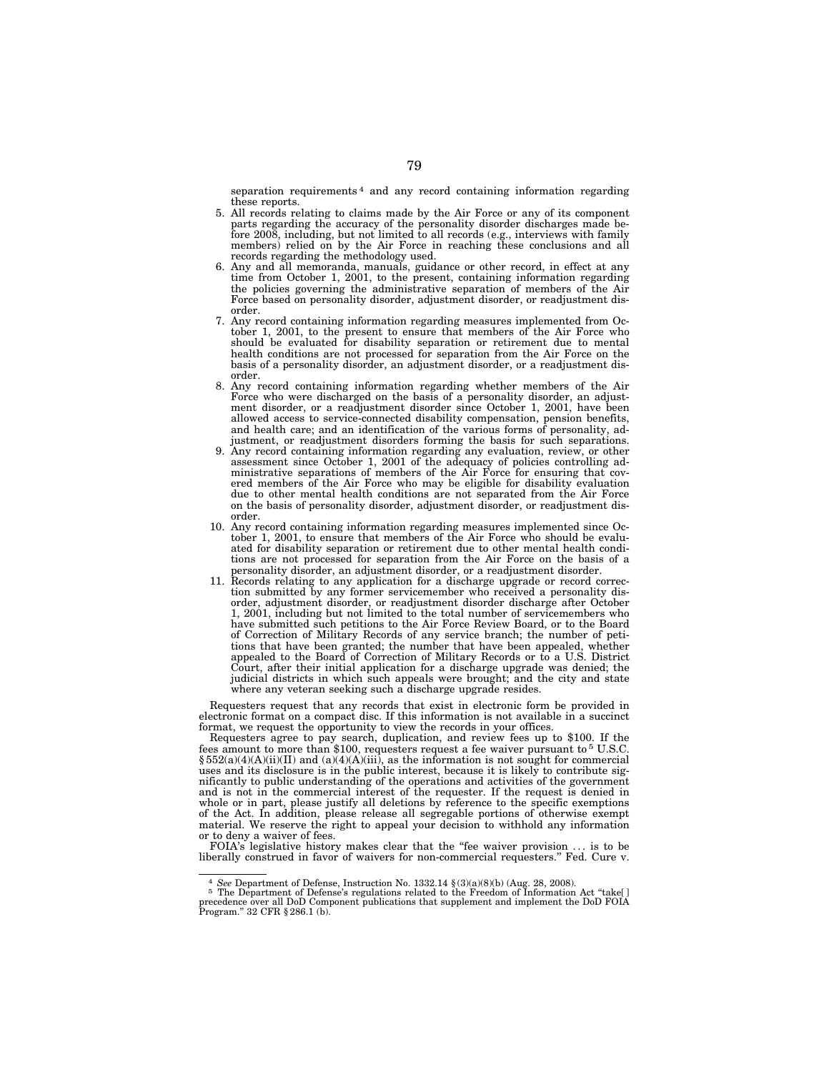separation requirements<sup>4</sup> and any record containing information regarding these reports.

- 5. All records relating to claims made by the Air Force or any of its component parts regarding the accuracy of the personality disorder discharges made before 2008, including, but not limited to all records (e.g., interviews with family members) relied on by the Air Force in reaching these conclusions and all records regarding the methodology used.
- Any and all memoranda, manuals, guidance or other record, in effect at any time from October 1, 2001, to the present, containing information regarding the policies governing the administrative separation of members of the Air Force based on personality disorder, adjustment disorder, or readjustment disorder.
- 7. Any record containing information regarding measures implemented from October 1, 2001, to the present to ensure that members of the Air Force who should be evaluated for disability separation or retirement due to mental health conditions are not processed for separation from the Air Force on the basis of a personality disorder, an adjustment disorder, or a readjustment disorder.
- 8. Any record containing information regarding whether members of the Air Force who were discharged on the basis of a personality disorder, an adjustment disorder, or a readjustment disorder since October 1, 2001, have been allowed access to service-connected disability compensation, pension benefits, and health care; and an identification of the various forms of personality, adjustment, or readjustment disorders forming the basis for such separations.
- 9. Any record containing information regarding any evaluation, review, or other assessment since October 1, 2001 of the adequacy of policies controlling administrative separations of members of the Air Force for ensuring that covered members of the Air Force who may be eligible for disability evaluation due to other mental health conditions are not separated from the Air Force on the basis of personality disorder, adjustment disorder, or readjustment disorder.
- 10. Any record containing information regarding measures implemented since October 1, 2001, to ensure that members of the Air Force who should be evaluated for disability separation or retirement due to other mental health conditions are not processed for separation from the Air Force on the basis of a personality disorder, an adjustment disorder, or a readjustment disorder.
- 11. Records relating to any application for a discharge upgrade or record correction submitted by any former servicemember who received a personality disorder, adjustment disorder, or readjustment disorder discharge after October 1, 2001, including but not limited to the total number of servicemembers who have submitted such petitions to the Air Force Review Board, or to the Board of Correction of Military Records of any service branch; the number of petitions that have been granted; the number that have been appealed, whether appealed to the Board of Correction of Military Records or to a U.S. District  $\overline{C}$ ourt, after their initial application for a discharge upgrade was denied; the judicial districts in which such appeals were brought; and the city and state where any veteran seeking such a discharge upgrade resides.

Requesters request that any records that exist in electronic form be provided in electronic format on a compact disc. If this information is not available in a succinct format, we request the opportunity to view the records in your offices.

Requesters agree to pay search, duplication, and review fees up to \$100. If the fees amount to more than \$100, requesters request a fee waiver pursuant to  $5$  U.S.C.  $§ 552(a)(4)(A)(ii)(II)$  and  $(a)(4)(A)(iii)$ , as the information is not sought for commercial uses and its disclosure is in the public interest, because it is likely to contribute significantly to public understanding of the operations and activities of the government and is not in the commercial interest of the requester. If the request is denied in whole or in part, please justify all deletions by reference to the specific exemptions of the Act. In addition, please release all segregable portions of otherwise exempt material. We reserve the right to appeal your decision to withhold any information or to deny a waiver of fees.

FOIA's legislative history makes clear that the ''fee waiver provision . . . is to be liberally construed in favor of waivers for non-commercial requesters.'' Fed. Cure v.

<sup>&</sup>lt;sup>4</sup> See Department of Defense, Instruction No. 1332.14  $\S(3)(a)(8)(b)$  (Aug. 28, 2008). <sup>5</sup> The Department of Defense's regulations related to the Freedom of Information Act "take[] precedence over all DoD Component publications that supplement and implement the DoD FOIA Program.'' 32 CFR § 286.1 (b).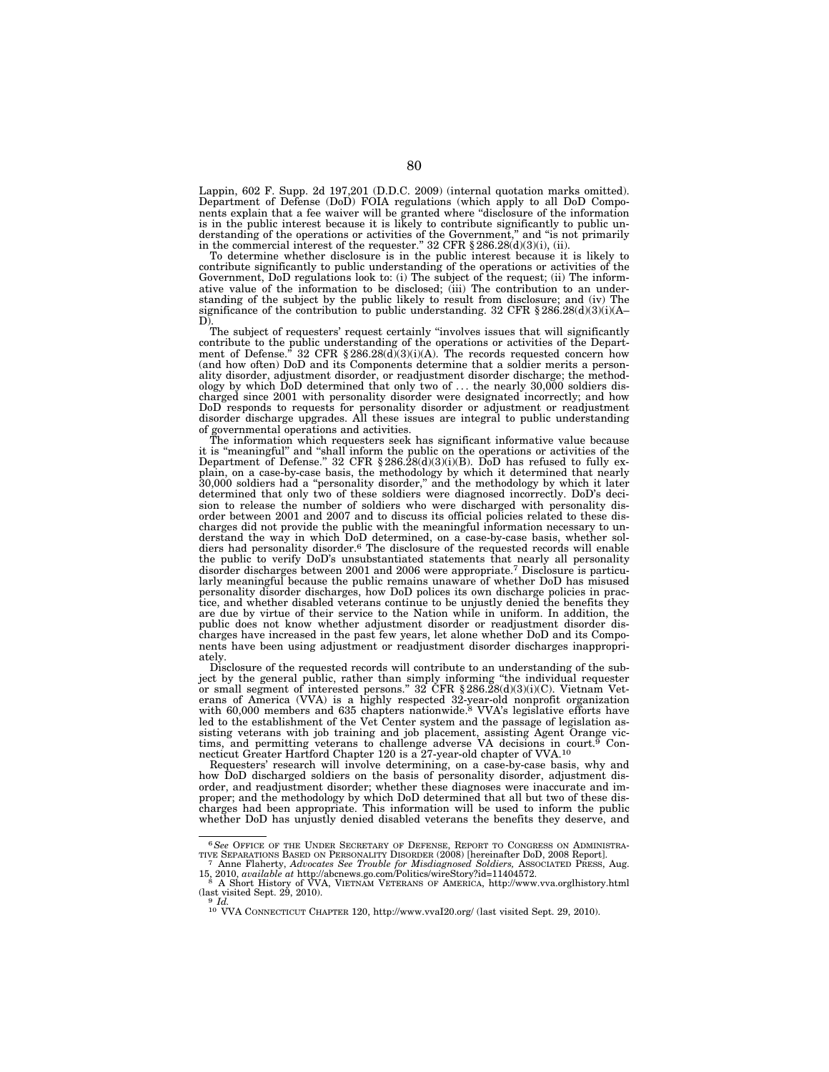Lappin, 602 F. Supp. 2d 197,201 (D.D.C. 2009) (internal quotation marks omitted). Department of Defense (DoD) FOIA regulations (which apply to all DoD Components explain that a fee waiver will be granted where ''disclosure of the information is in the public interest because it is likely to contribute significantly to public understanding of the operations or activities of the Government," and "is not primarily in the commercial interest of the requester."  $32 \text{ CFR } \S 286.28 \text{ (d)}(3) \text{ (i)}, \text{ (ii)}.$ 

To determine whether disclosure is in the public interest because it is likely to contribute significantly to public understanding of the operations or activities of the Government, DoD regulations look to: (i) The subject of the request; (ii) The informative value of the information to be disclosed; (iii) The contribution to an understanding of the subject by the public likely to result from disclosure; and (iv) The significance of the contribution to public understanding. 32 CFR  $\S 286.28(d)(3)(i)(A-$ D).

The subject of requesters' request certainly ''involves issues that will significantly contribute to the public understanding of the operations or activities of the Department of Defense." 32 CFR  $\S 286.28(d)(3)(i)(A)$ . The records requested concern how (and how often) DoD and its Components determine that a soldier merits a personality disorder, adjustment disorder, or readjustment disorder discharge; the methodology by which DoD determined that only two of . . . the nearly 30,000 soldiers discharged since 2001 with personality disorder were designated incorrectly; and how DoD responds to requests for personality disorder or adjustment or readjustment disorder discharge upgrades. All these issues are integral to public understanding of governmental operations and activities.

The information which requesters seek has significant informative value because it is ''meaningful'' and ''shall inform the public on the operations or activities of the Department of Defense.'' 32 CFR § 286.28(d)(3)(i)(B). DoD has refused to fully explain, on a case-by-case basis, the methodology by which it determined that nearly 30,000 soldiers had a ''personality disorder,'' and the methodology by which it later determined that only two of these soldiers were diagnosed incorrectly. DoD's decision to release the number of soldiers who were discharged with personality disorder between 2001 and 2007 and to discuss its official policies related to these discharges did not provide the public with the meaningful information necessary to understand the way in which DoD determined, on a case-by-case basis, whether soldiers had personality disorder.6 The disclosure of the requested records will enable the public to verify DoD's unsubstantiated statements that nearly all personality disorder discharges between 2001 and 2006 were appropriate.7 Disclosure is particularly meaningful because the public remains unaware of whether DoD has misused personality disorder discharges, how DoD polices its own discharge policies in practice, and whether disabled veterans continue to be unjustly denied the benefits they are due by virtue of their service to the Nation while in uniform. In addition, the public does not know whether adjustment disorder or readjustment disorder discharges have increased in the past few years, let alone whether DoD and its Components have been using adjustment or readjustment disorder discharges inappropriately.

Disclosure of the requested records will contribute to an understanding of the subject by the general public, rather than simply informing ''the individual requester or small segment of interested persons."  $32$  CFR  $\S 286.28(d)(3)(i)(C)$ . Vietnam Veterans of America (VVA) is a highly respected 32-year-old nonprofit organization with  $60,000$  members and  $635$  chapters nationwide.<sup>8</sup> VVA's legislative efforts have led to the establishment of the Vet Center system and the passage of legislation assisting veterans with job training and job placement, assisting Agent Orange victims, and permitting veterans to challenge adverse VA decisions in court.<sup>9</sup> Connecticut Greater Hartford Chapter 120 is a 27-year-old chapter of VVA.<sup>10</sup>

Requesters' research will involve determining, on a case-by-case basis, why and how DoD discharged soldiers on the basis of personality disorder, adjustment disorder, and readjustment disorder; whether these diagnoses were inaccurate and improper; and the methodology by which DoD determined that all but two of these discharges had been appropriate. This information will be used to inform the public whether DoD has unjustly denied disabled veterans the benefits they deserve, and

<sup>&</sup>lt;sup>6</sup> See OFFICE OF THE UNDER SECRETARY OF DEFENSE, REPORT TO CONGRESS ON ADMINISTRATIVE SEPARATIONS BASED ON PERSONALITY DISORDER (2008) [hereinafter DoD, 2008 Report]. TIVE SEPARATIONS BASED ON PERSONALITY DISORDER (2008) [hereinafter DoD, 2008 Report]. 7 Anne Flaherty, *Advocates See Trouble for Misdiagnosed Soldiers,* ASSOCIATED PRESS, Aug.

<sup>15, 2010,</sup> *available at* http://abcnews.go.com/Politics/wireStory?id=11404572. 8 A Short History of VVA, VIETNAM VETERANS OF AMERICA, http://www.vva.orglhistory.html

<sup>(</sup>last visited Sept. 29, 2010). 9 *Id.* <sup>10</sup> VVA CONNECTICUT CHAPTER 120, http://www.vvaI20.org/ (last visited Sept. 29, 2010).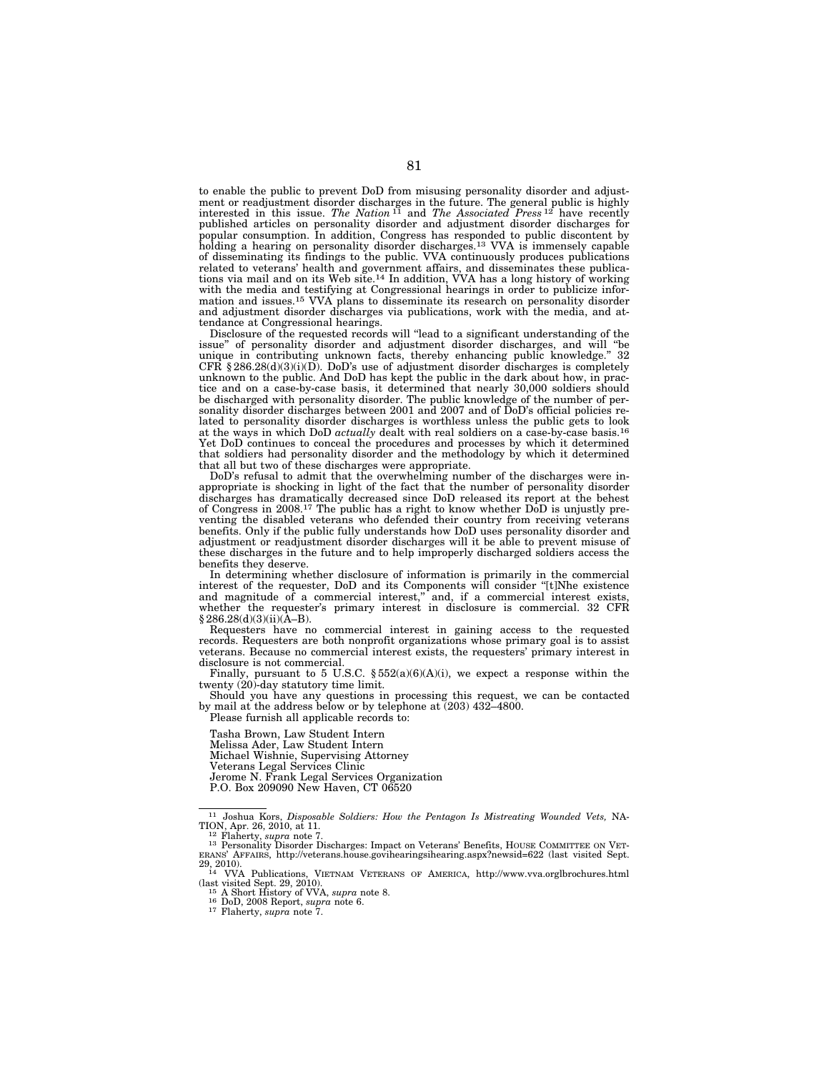to enable the public to prevent DoD from misusing personality disorder and adjustment or readjustment disorder discharges in the future. The general public is highly interested in this issue. *The Nation* 11 and *The Associated Press* 12 have recently published articles on personality disorder and adjustment disorder discharges for popular consumption. In addition, Congress has responded to public discontent by holding a hearing on personality disorder discharges.13 VVA is immensely capable of disseminating its findings to the public. VVA continuously produces publications related to veterans' health and government affairs, and disseminates these publica-tions via mail and on its Web site.14 In addition, VVA has a long history of working with the media and testifying at Congressional hearings in order to publicize information and issues.15 VVA plans to disseminate its research on personality disorder and adjustment disorder discharges via publications, work with the media, and attendance at Congressional hearings.

Disclosure of the requested records will ''lead to a significant understanding of the issue'' of personality disorder and adjustment disorder discharges, and will ''be unique in contributing unknown facts, thereby enhancing public knowledge.'' 32 CFR § 286.28(d)(3)(i)(D). DoD's use of adjustment disorder discharges is completely unknown to the public. And DoD has kept the public in the dark about how, in practice and on a case-by-case basis, it determined that nearly 30,000 soldiers should be discharged with personality disorder. The public knowledge of the number of personality disorder discharges between 2001 and 2007 and of DoD's official policies related to personality disorder discharges is worthless unless the public gets to look at the ways in which DoD *actually* dealt with real soldiers on a case-by-case basis.<sup>16</sup> Yet DoD continues to conceal the procedures and processes by which it determined that soldiers had personality disorder and the methodology by which it determined that all but two of these discharges were appropriate.

DoD's refusal to admit that the overwhelming number of the discharges were inappropriate is shocking in light of the fact that the number of personality disorder discharges has dramatically decreased since DoD released its report at the behest of Congress in 2008.17 The public has a right to know whether DoD is unjustly preventing the disabled veterans who defended their country from receiving veterans benefits. Only if the public fully understands how DoD uses personality disorder and adjustment or readjustment disorder discharges will it be able to prevent misuse of these discharges in the future and to help improperly discharged soldiers access the benefits they deserve.

In determining whether disclosure of information is primarily in the commercial interest of the requester, DoD and its Components will consider ''[t]Nhe existence and magnitude of a commercial interest," and, if a commercial interest exists, whether the requester's primary interest in disclosure is commercial. 32 CFR  $§ 286.28(d)(3)(ii)(A-B).$ 

Requesters have no commercial interest in gaining access to the requested records. Requesters are both nonprofit organizations whose primary goal is to assist veterans. Because no commercial interest exists, the requesters' primary interest in disclosure is not commercial.

Finally, pursuant to 5 U.S.C.  $$552(a)(6)(A)(i)$ , we expect a response within the twenty (20)-day statutory time limit.

Should you have any questions in processing this request, we can be contacted by mail at the address below or by telephone at  $(203)$  432-4800. Please furnish all applicable records to:

Tasha Brown, Law Student Intern

Melissa Ader, Law Student Intern

Michael Wishnie, Supervising Attorney

Veterans Legal Services Clinic

Jerome N. Frank Legal Services Organization

P.O. Box 209090 New Haven, CT 06520

<sup>&</sup>lt;sup>11</sup> Joshua Kors, *Disposable Soldiers: How the Pentagon Is Mistreating Wounded Vets*, NA-TION, Apr. 26, 2010, at 11.<br><sup>12</sup> Flaherty, *supra* note 7.<br><sup>12</sup> Flaherty, *supra* note 7.<br><sup>12</sup> Personality Disorder Discharges: Imp

ERANS' AFFAIRS, MOVI INC I.<br>
ERANS' AFFAIRS, http://veterans.house.govihearingsihearing.aspx?newsid=622 (last visited Sept.<br>
29, 2010).<br>
29, 2010).<br>
29, 2010).

 $^{14}$  VVA Publications, VIETNAM VETERANS OF AMERICA, http://www.vva.orglbrochures.html (last visited Sept. 29, 2010).

<sup>(</sup>last visited Sept. 29, 2010). 15 A Short History of VVA, *supra* note 8. 16 DoD, 2008 Report, *supra* note 6. 17 Flaherty, *supra* note 7.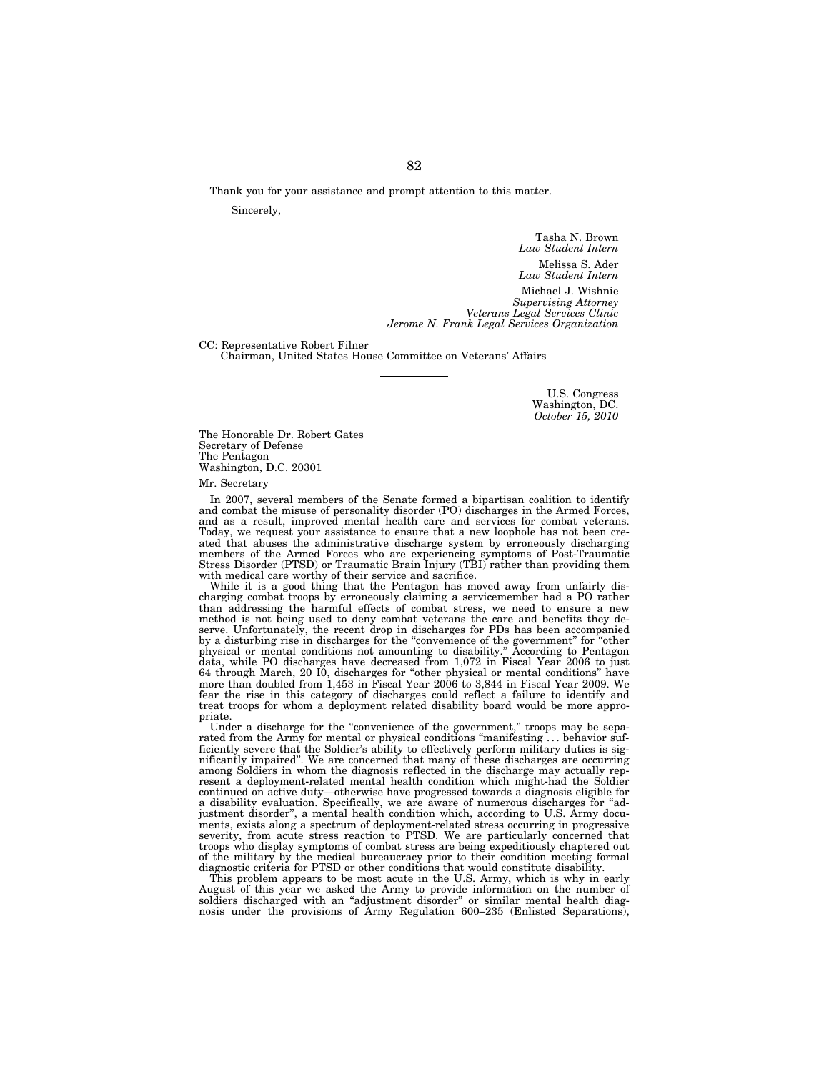Thank you for your assistance and prompt attention to this matter.

Sincerely,

Tasha N. Brown *Law Student Intern*  Melissa S. Ader *Law Student Intern*  Michael J. Wishnie *Supervising Attorney Veterans Legal Services Clinic Jerome N. Frank Legal Services Organization* 

CC: Representative Robert Filner

Chairman, United States House Committee on Veterans' Affairs

U.S. Congress Washington, DC. *October 15, 2010* 

The Honorable Dr. Robert Gates Secretary of Defense The Pentagon Washington, D.C. 20301

Mr. Secretary

In 2007, several members of the Senate formed a bipartisan coalition to identify and combat the misuse of personality disorder (PO) discharges in the Armed Forces, and as a result, improved mental health care and services for combat veterans. Today, we request your assistance to ensure that a new loophole has not been created that abuses the administrative discharge system by erroneously discharging members of the Armed Forces who are experiencing symptoms of Post-Traumatic Stress Disorder (PTSD) or Traumatic Brain Injury (TBI) rather than providing them with medical care worthy of their service and sacrifice.

While it is a good thing that the Pentagon has moved away from unfairly discharging combat troops by erroneously claiming a servicemember had a PO rather than addressing the harmful effects of combat stress, we need to ensure a new method is not being used to deny combat veterans the care and benefits they deserve. Unfortunately, the recent drop in discharges for PDs has been accompanied by a disturbing rise in discharges for the "convenience of the government" for "other physical or mental conditions not amounting to disability.'' According to Pentagon data, while PO discharges have decreased from 1,072 in Fiscal Year 2006 to just 64 through March, 20 I0, discharges for ''other physical or mental conditions'' have more than doubled from 1,453 in Fiscal Year 2006 to 3,844 in Fiscal Year 2009. We fear the rise in this category of discharges could reflect a failure to identify and treat troops for whom a deployment related disability board would be more appropriate.

Under a discharge for the "convenience of the government," troops may be separated from the Army for mental or physical conditions "manifesting... behavior sufficiently severe that the Soldier's ability to effectively perform military duties is significantly impaired''. We are concerned that many of these discharges are occurring among Soldiers in whom the diagnosis reflected in the discharge may actually represent a deployment-related mental health condition which might-had the Soldier continued on active duty—otherwise have progressed towards a diagnosis eligible for a disability evaluation. Specifically, we are aware of numerous discharges for ''adjustment disorder'', a mental health condition which, according to U.S. Army documents, exists along a spectrum of deployment-related stress occurring in progressive severity, from acute stress reaction to PTSD. We are particularly concerned that troops who display symptoms of combat stress are being expeditiously chaptered out of the military by the medical bureaucracy prior to their condition meeting formal diagnostic criteria for PTSD or other conditions that would constitute disability.

This problem appears to be most acute in the U.S. Army, which is why in early August of this year we asked the Army to provide information on the number of soldiers discharged with an ''adjustment disorder'' or similar mental health diag-nosis under the provisions of Army Regulation 600–235 (Enlisted Separations),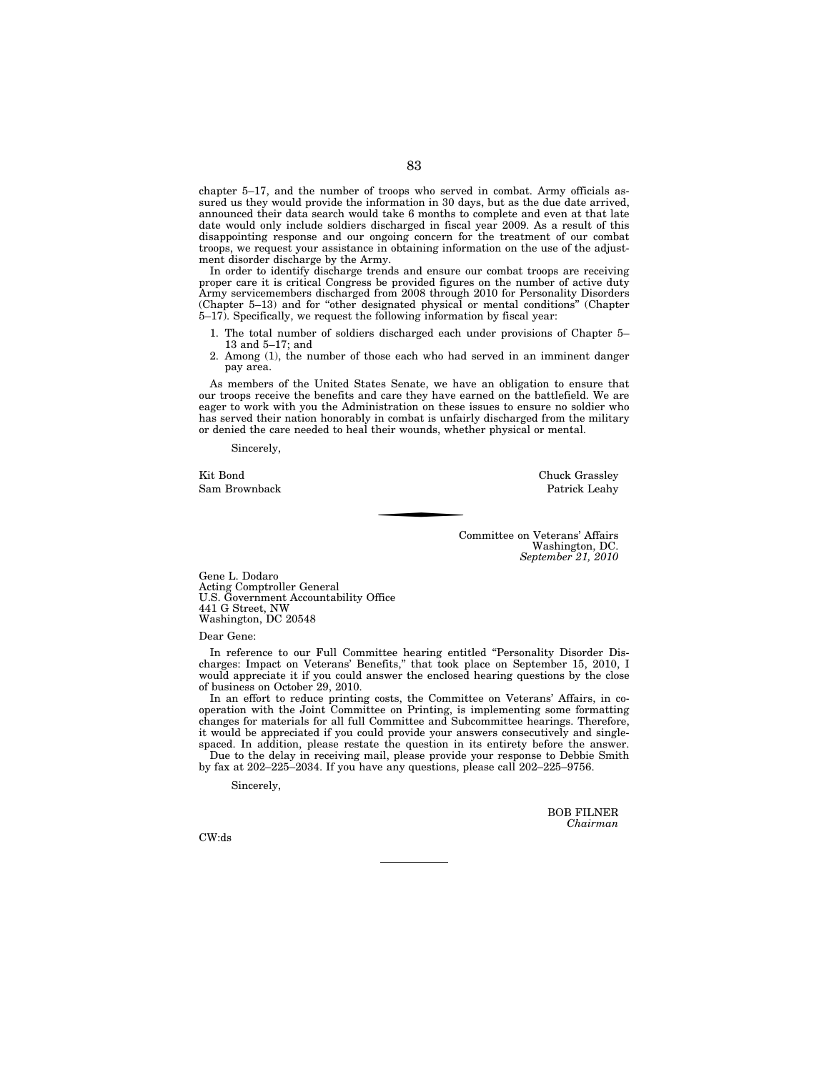chapter 5–17, and the number of troops who served in combat. Army officials assured us they would provide the information in 30 days, but as the due date arrived, announced their data search would take 6 months to complete and even at that late date would only include soldiers discharged in fiscal year 2009. As a result of this disappointing response and our ongoing concern for the treatment of our combat troops, we request your assistance in obtaining information on the use of the adjustment disorder discharge by the Army.

In order to identify discharge trends and ensure our combat troops are receiving proper care it is critical Congress be provided figures on the number of active duty Army servicemembers discharged from 2008 through 2010 for Personality Disorders (Chapter 5–13) and for ''other designated physical or mental conditions'' (Chapter 5–17). Specifically, we request the following information by fiscal year:

- 1. The total number of soldiers discharged each under provisions of Chapter 5– 13 and 5–17; and
- 2. Among (1), the number of those each who had served in an imminent danger pay area.

As members of the United States Senate, we have an obligation to ensure that our troops receive the benefits and care they have earned on the battlefield. We are eager to work with you the Administration on these issues to ensure no soldier who has served their nation honorably in combat is unfairly discharged from the military or denied the care needed to heal their wounds, whether physical or mental.

Sincerely,

Kit Bond Sam Brownback Chuck Grassley Patrick Leahy

Committee on Veterans' Affairs Washington, DC. *September 21, 2010* 

Gene L. Dodaro Acting Comptroller General U.S. Government Accountability Office 441 G Street, NW Washington, DC 20548

# Dear Gene:

In reference to our Full Committee hearing entitled ''Personality Disorder Discharges: Impact on Veterans' Benefits,'' that took place on September 15, 2010, I would appreciate it if you could answer the enclosed hearing questions by the close of business on October 29, 2010.

In an effort to reduce printing costs, the Committee on Veterans' Affairs, in cooperation with the Joint Committee on Printing, is implementing some formatting changes for materials for all full Committee and Subcommittee hearings. Therefore, it would be appreciated if you could provide your answers consecutively and singlespaced. In addition, please restate the question in its entirety before the answer.

Due to the delay in receiving mail, please provide your response to Debbie Smith by fax at 202–225–2034. If you have any questions, please call 202–225–9756.

Sincerely,

BOB FILNER *Chairman* 

CW:ds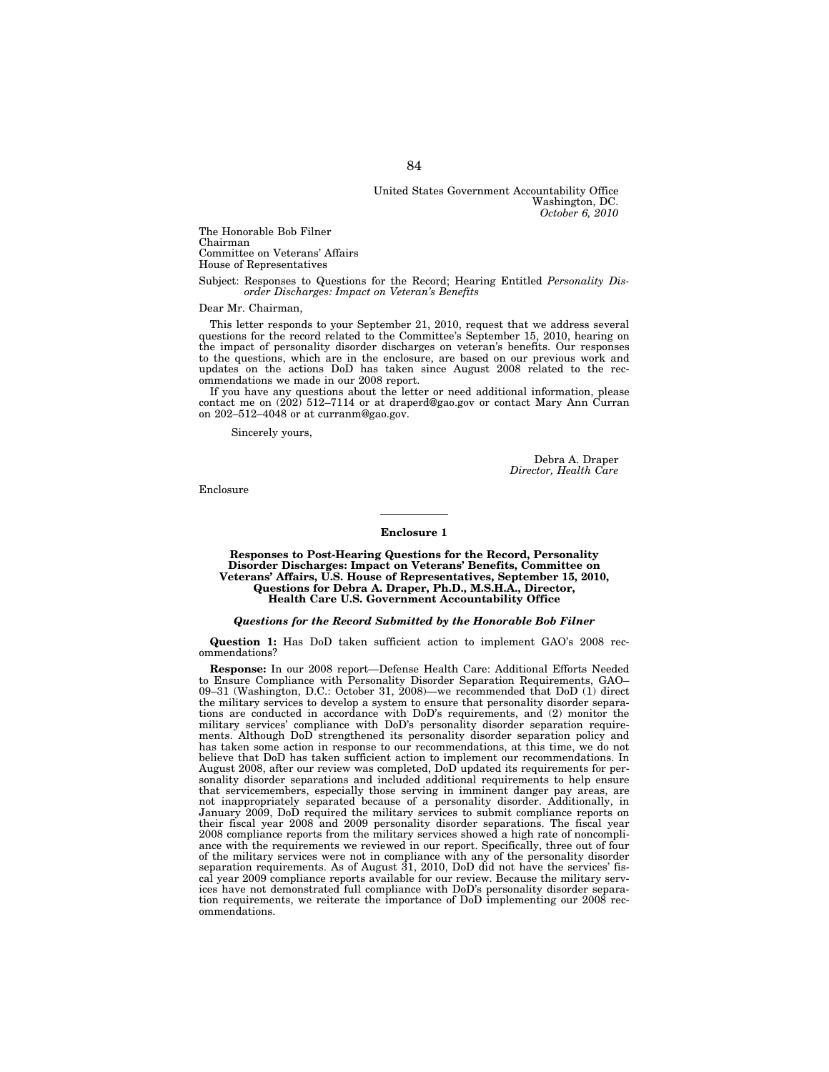United States Government Accountability Office Washington, DC. *October 6, 2010* 

The Honorable Bob Filner Chairman Committee on Veterans' Affairs House of Representatives

Subject: Responses to Questions for the Record; Hearing Entitled *Personality Disorder Discharges: Impact on Veteran's Benefits* 

#### Dear Mr. Chairman,

This letter responds to your September 21, 2010, request that we address several questions for the record related to the Committee's September 15, 2010, hearing on the impact of personality disorder discharges on veteran's benefits. Our responses to the questions, which are in the enclosure, are based on our previous work and updates on the actions DoD has taken since August 2008 related to the recommendations we made in our 2008 report.

If you have any questions about the letter or need additional information, please contact me on (202) 512–7114 or at draperd@gao.gov or contact Mary Ann Curran on 202–512–4048 or at curranm@gao.gov.

Sincerely yours,

Debra A. Draper *Director, Health Care* 

Enclosure

# **Enclosure 1**

**Responses to Post-Hearing Questions for the Record, Personality Disorder Discharges: Impact on Veterans' Benefits, Committee on Veterans' Affairs, U.S. House of Representatives, September 15, 2010, Questions for Debra A. Draper, Ph.D., M.S.H.A., Director, Health Care U.S. Government Accountability Office** 

#### *Questions for the Record Submitted by the Honorable Bob Filner*

**Question 1:** Has DoD taken sufficient action to implement GAO's 2008 recommendations?

**Response:** In our 2008 report—Defense Health Care: Additional Efforts Needed to Ensure Compliance with Personality Disorder Separation Requirements, GAO– 09–31 (Washington, D.C.: October 31, 2008)—we recommended that DoD (1) direct the military services to develop a system to ensure that personality disorder separations are conducted in accordance with DoD's requirements, and (2) monitor the military services' compliance with DoD's personality disorder separation requirements. Although DoD strengthened its personality disorder separation policy and has taken some action in response to our recommendations, at this time, we do not believe that DoD has taken sufficient action to implement our recommendations. In August 2008, after our review was completed, DoD updated its requirements for personality disorder separations and included additional requirements to help ensure that servicemembers, especially those serving in imminent danger pay areas, are not inappropriately separated because of a personality disorder. Additionally, in January 2009, DoD required the military services to submit compliance reports on their fiscal year 2008 and 2009 personality disorder separations. The fiscal year 2008 compliance reports from the military services showed a high rate of noncompliance with the requirements we reviewed in our report. Specifically, three out of four of the military services were not in compliance with any of the personality disorder separation requirements. As of August 31, 2010, DoD did not have the services' fiscal year 2009 compliance reports available for our review. Because the military services have not demonstrated full compliance with DoD's personality disorder separation requirements, we reiterate the importance of DoD implementing our 2008 recommendations.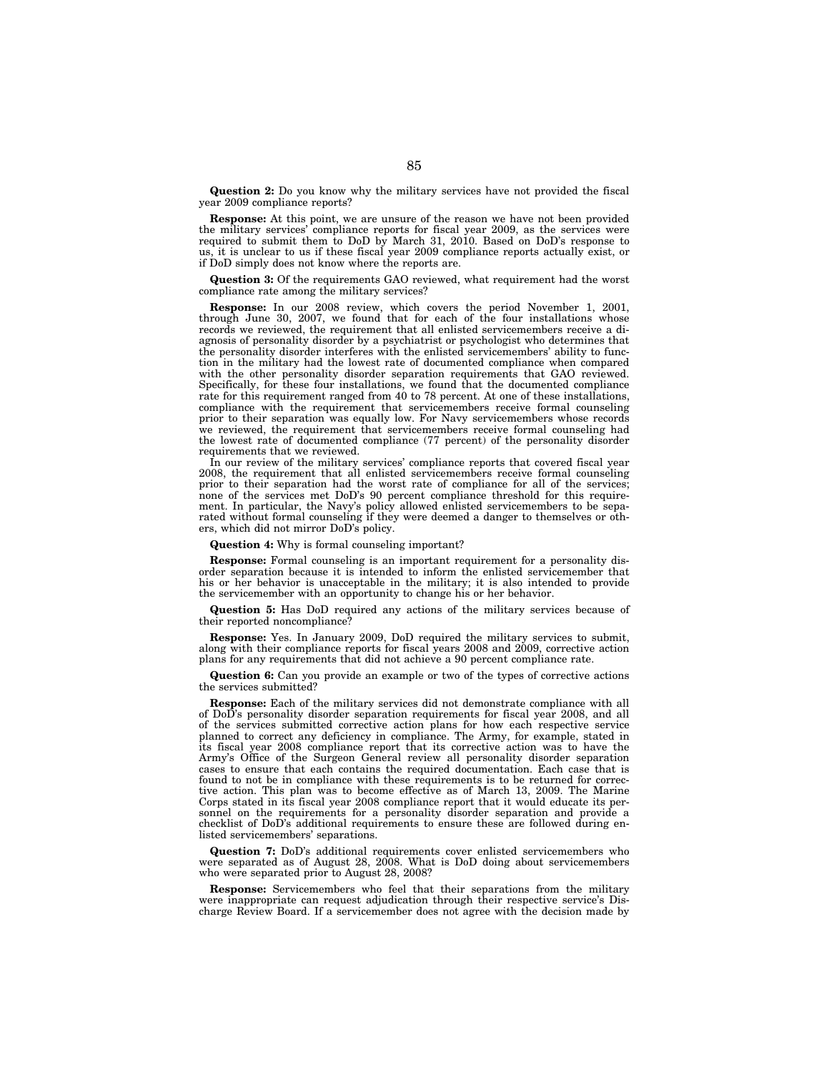**Question 2:** Do you know why the military services have not provided the fiscal year 2009 compliance reports?

**Response:** At this point, we are unsure of the reason we have not been provided the military services' compliance reports for fiscal year 2009, as the services were required to submit them to DoD by March 31, 2010. Based on DoD's response to us, it is unclear to us if these fiscal year 2009 compliance reports actually exist, or if DoD simply does not know where the reports are.

**Question 3:** Of the requirements GAO reviewed, what requirement had the worst compliance rate among the military services?

**Response:** In our 2008 review, which covers the period November 1, 2001, through June 30, 2007, we found that for each of the four installations whose records we reviewed, the requirement that all enlisted servicemembers receive a diagnosis of personality disorder by a psychiatrist or psychologist who determines that the personality disorder interferes with the enlisted servicemembers' ability to function in the military had the lowest rate of documented compliance when compared with the other personality disorder separation requirements that GAO reviewed. Specifically, for these four installations, we found that the documented compliance rate for this requirement ranged from 40 to 78 percent. At one of these installations, compliance with the requirement that servicemembers receive formal counseling prior to their separation was equally low. For Navy servicemembers whose records we reviewed, the requirement that servicemembers receive formal counseling had the lowest rate of documented compliance (77 percent) of the personality disorder requirements that we reviewed.

In our review of the military services' compliance reports that covered fiscal year 2008, the requirement that all enlisted servicemembers receive formal counseling prior to their separation had the worst rate of compliance for all of the services; none of the services met DoD's 90 percent compliance threshold for this requirement. In particular, the Navy's policy allowed enlisted servicemembers to be separated without formal counseling if they were deemed a danger to themselves or others, which did not mirror DoD's policy.

**Question 4:** Why is formal counseling important?

**Response:** Formal counseling is an important requirement for a personality disorder separation because it is intended to inform the enlisted servicemember that his or her behavior is unacceptable in the military; it is also intended to provide the servicemember with an opportunity to change his or her behavior.

**Question 5:** Has DoD required any actions of the military services because of their reported noncompliance?

**Response:** Yes. In January 2009, DoD required the military services to submit, along with their compliance reports for fiscal years 2008 and 2009, corrective action plans for any requirements that did not achieve a 90 percent compliance rate.

**Question 6:** Can you provide an example or two of the types of corrective actions the services submitted?

**Response:** Each of the military services did not demonstrate compliance with all of DoD's personality disorder separation requirements for fiscal year 2008, and all of the services submitted corrective action plans for how each respective service planned to correct any deficiency in compliance. The Army, for example, stated in its fiscal year 2008 compliance report that its corrective action was to have the Army's Office of the Surgeon General review all personality disorder separation cases to ensure that each contains the required documentation. Each case that is found to not be in compliance with these requirements is to be returned for corrective action. This plan was to become effective as of March 13, 2009. The Marine Corps stated in its fiscal year 2008 compliance report that it would educate its personnel on the requirements for a personality disorder separation and provide a checklist of DoD's additional requirements to ensure these are followed during enlisted servicemembers' separations.

**Question 7:** DoD's additional requirements cover enlisted servicemembers who were separated as of August 28, 2008. What is DoD doing about servicemembers who were separated prior to August 28, 2008?

**Response:** Servicemembers who feel that their separations from the military were inappropriate can request adjudication through their respective service's Discharge Review Board. If a servicemember does not agree with the decision made by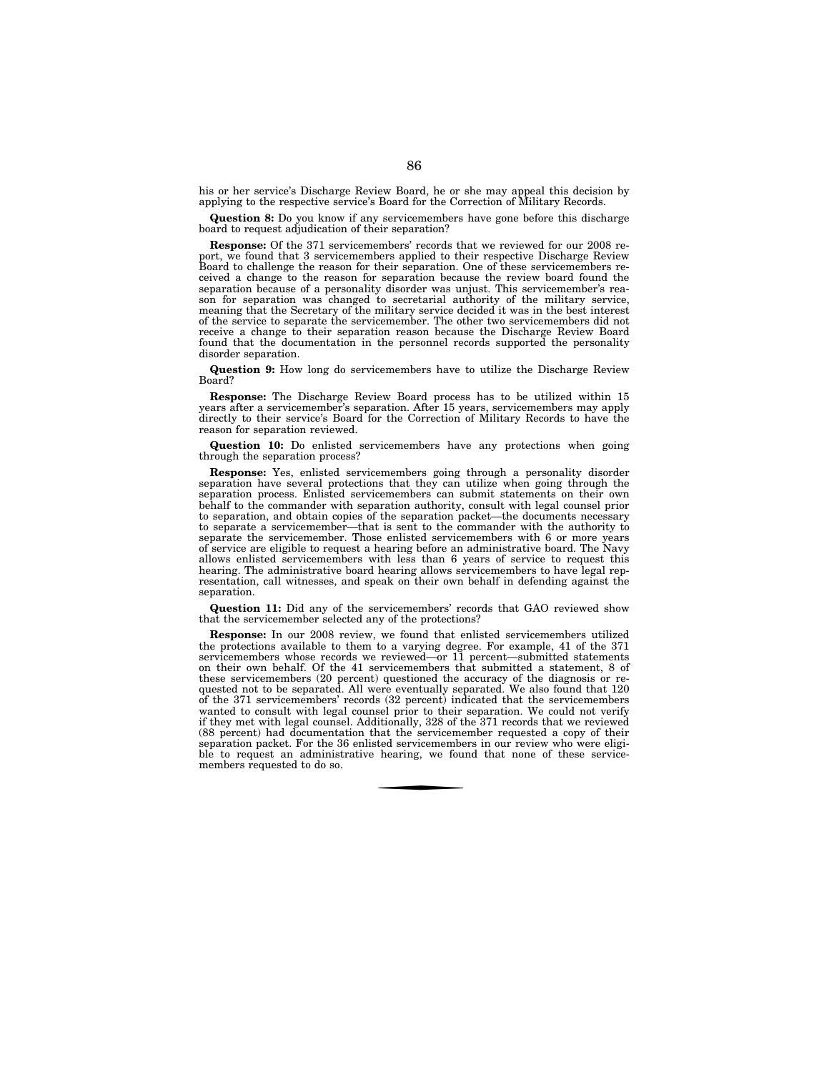his or her service's Discharge Review Board, he or she may appeal this decision by applying to the respective service's Board for the Correction of Military Records.

**Question 8:** Do you know if any servicemembers have gone before this discharge board to request adjudication of their separation?

**Response:** Of the 371 servicemembers' records that we reviewed for our 2008 report, we found that 3 servicemembers applied to their respective Discharge Review Board to challenge the reason for their separation. One of these servicemembers received a change to the reason for separation because the review board found the separation because of a personality disorder was unjust. This servicemember's reason for separation was changed to secretarial authority of the military service, meaning that the Secretary of the military service decided it was in the best interest of the service to separate the servicemember. The other two servicemembers did not receive a change to their separation reason because the Discharge Review Board found that the documentation in the personnel records supported the personality disorder separation.

**Question 9:** How long do servicemembers have to utilize the Discharge Review Board?

**Response:** The Discharge Review Board process has to be utilized within 15 years after a servicemember's separation. After 15 years, servicemembers may apply directly to their service's Board for the Correction of Military Records to have the reason for separation reviewed.

**Question 10:** Do enlisted servicemembers have any protections when going through the separation process?

**Response:** Yes, enlisted servicemembers going through a personality disorder separation have several protections that they can utilize when going through the separation process. Enlisted servicemembers can submit statements on their own behalf to the commander with separation authority, consult with legal counsel prior to separation, and obtain copies of the separation packet—the documents necessary to separate a servicemember—that is sent to the commander with the authority to separate the servicemember. Those enlisted servicemembers with 6 or more years of service are eligible to request a hearing before an administrative board. The Navy allows enlisted servicemembers with less than 6 years of service to request this hearing. The administrative board hearing allows servicemembers to have legal representation, call witnesses, and speak on their own behalf in defending against the separation.

**Question 11:** Did any of the servicemembers' records that GAO reviewed show that the servicemember selected any of the protections?

**Response:** In our 2008 review, we found that enlisted servicemembers utilized the protections available to them to a varying degree. For example, 41 of the 371 servicemembers whose records we reviewed—or 11 percent—submitted statements on their own behalf. Of the 41 servicemembers that submitted a statement, 8 of these servicemembers (20 percent) questioned the accuracy of the diagnosis or requested not to be separated. All were eventually separated. We also found that 120 of the 371 servicemembers' records (32 percent) indicated that the servicemembers wanted to consult with legal counsel prior to their separation. We could not verify if they met with legal counsel. Additionally, 328 of the 371 records that we reviewed (88 percent) had documentation that the servicemember requested a copy of their separation packet. For the 36 enlisted servicemembers in our review who were eligible to request an administrative hearing, we found that none of these servicemembers requested to do so.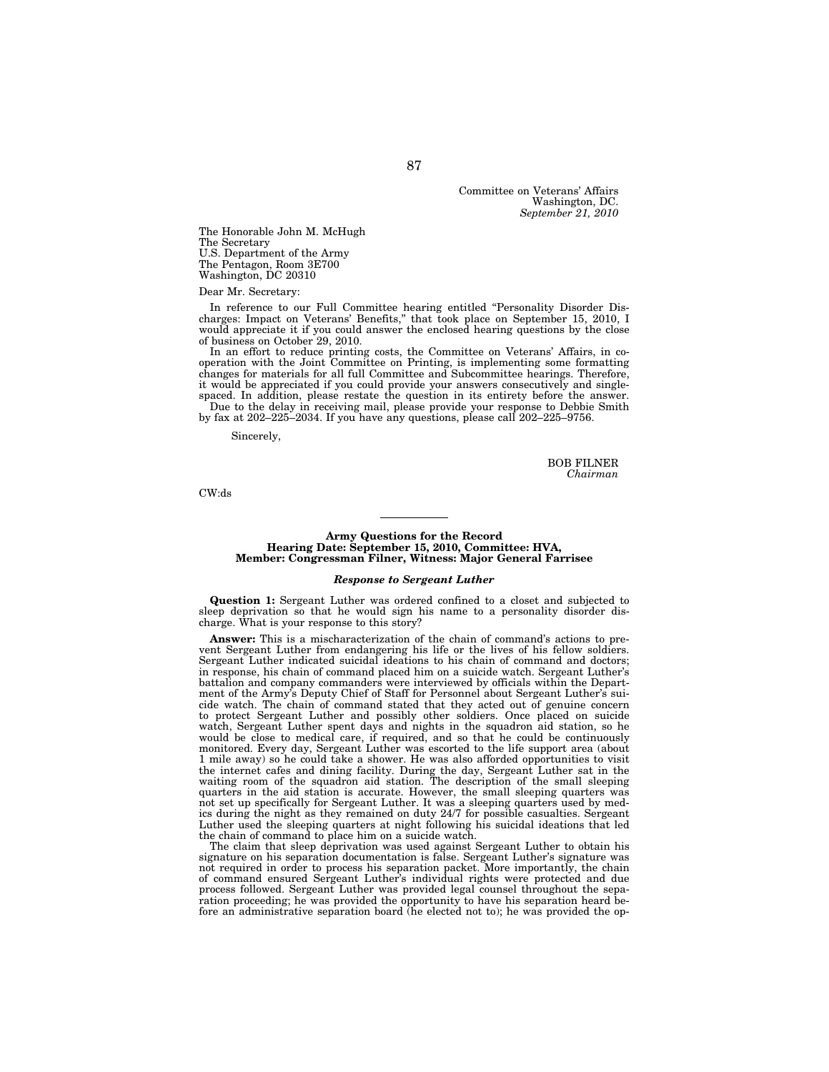Committee on Veterans' Affairs Washington, DC. *September 21, 2010* 

The Honorable John M. McHugh The Secretary U.S. Department of the Army The Pentagon, Room 3E700 Washington, DC 20310

Dear Mr. Secretary:

In reference to our Full Committee hearing entitled "Personality Disorder Discharges: Impact on Veterans' Benefits,'' that took place on September 15, 2010, I would appreciate it if you could answer the enclosed hearing questions by the close of business on October 29, 2010.

In an effort to reduce printing costs, the Committee on Veterans' Affairs, in cooperation with the Joint Committee on Printing, is implementing some formatting changes for materials for all full Committee and Subcommittee hearings. Therefore, it would be appreciated if you could provide your answers consecutively and singlespaced. In addition, please restate the question in its entirety before the answer. Due to the delay in receiving mail, please provide your response to Debbie Smith

by fax at 202–225–2034. If you have any questions, please call 202–225–9756.

Sincerely,

BOB FILNER *Chairman* 

CW:ds

## **Army Questions for the Record Hearing Date: September 15, 2010, Committee: HVA, Member: Congressman Filner, Witness: Major General Farrisee**

## *Response to Sergeant Luther*

**Question 1:** Sergeant Luther was ordered confined to a closet and subjected to sleep deprivation so that he would sign his name to a personality disorder discharge. What is your response to this story?

**Answer:** This is a mischaracterization of the chain of command's actions to prevent Sergeant Luther from endangering his life or the lives of his fellow soldiers. Sergeant Luther indicated suicidal ideations to his chain of command and doctors; in response, his chain of command placed him on a suicide watch. Sergeant Luther's battalion and company commanders were interviewed by officials within the Department of the Army's Deputy Chief of Staff for Personnel about Sergeant Luther's suicide watch. The chain of command stated that they acted out of genuine concern to protect Sergeant Luther and possibly other soldiers. Once placed on suicide watch, Sergeant Luther spent days and nights in the squadron aid station, so he would be close to medical care, if required, and so that he could be continuously monitored. Every day, Sergeant Luther was escorted to the life support area (about 1 mile away) so he could take a shower. He was also afforded opportunities to visit the internet cafes and dining facility. During the day, Sergeant Luther sat in the waiting room of the squadron aid station. The description of the small sleeping quarters in the aid station is accurate. However, the small sleeping quarters was not set up specifically for Sergeant Luther. It was a sleeping quarters used by medics during the night as they remained on duty 24/7 for possible casualties. Sergeant Luther used the sleeping quarters at night following his suicidal ideations that led the chain of command to place him on a suicide watch.

The claim that sleep deprivation was used against Sergeant Luther to obtain his signature on his separation documentation is false. Sergeant Luther's signature was not required in order to process his separation packet. More importantly, the chain of command ensured Sergeant Luther's individual rights were protected and due process followed. Sergeant Luther was provided legal counsel throughout the separation proceeding; he was provided the opportunity to have his separation heard be-fore an administrative separation board (he elected not to); he was provided the op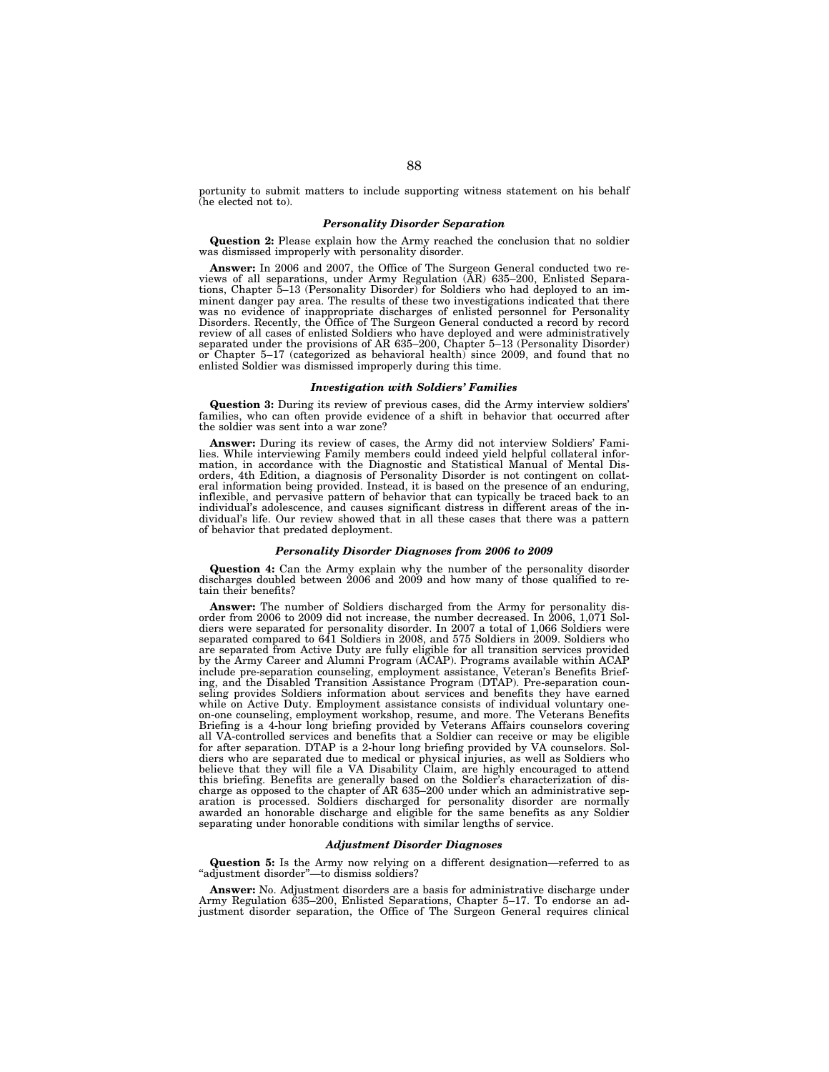portunity to submit matters to include supporting witness statement on his behalf (he elected not to).

#### *Personality Disorder Separation*

**Question 2:** Please explain how the Army reached the conclusion that no soldier was dismissed improperly with personality disorder.

**Answer:** In 2006 and 2007, the Office of The Surgeon General conducted two reviews of all separations, under Army Regulation (AR) 635–200, Enlisted Separations, Chapter 5–13 (Personality Disorder) for Soldiers who had deployed to an imminent danger pay area. The results of these two investigations indicated that there was no evidence of inappropriate discharges of enlisted personnel for Personality Disorders. Recently, the Office of The Surgeon General conducted a record by record review of all cases of enlisted Soldiers who have deployed and were administratively separated under the provisions of AR 635–200, Chapter 5–13 (Personality Disorder) or Chapter 5–17 (categorized as behavioral health) since 2009, and found that no enlisted Soldier was dismissed improperly during this time.

#### *Investigation with Soldiers' Families*

**Question 3:** During its review of previous cases, did the Army interview soldiers' families, who can often provide evidence of a shift in behavior that occurred after the soldier was sent into a war zone?

**Answer:** During its review of cases, the Army did not interview Soldiers' Families. While interviewing Family members could indeed yield helpful collateral information, in accordance with the Diagnostic and Statistical Manual of Mental Disorders, 4th Edition, a diagnosis of Personality Disorder is not contingent on collateral information being provided. Instead, it is based on the presence of an enduring, inflexible, and pervasive pattern of behavior that can typically be traced back to an individual's adolescence, and causes significant distress in different areas of the individual's life. Our review showed that in all these cases that there was a pattern of behavior that predated deployment.

# *Personality Disorder Diagnoses from 2006 to 2009*

**Question 4:** Can the Army explain why the number of the personality disorder discharges doubled between 2006 and 2009 and how many of those qualified to retain their benefits?

**Answer:** The number of Soldiers discharged from the Army for personality disorder from 2006 to 2009 did not increase, the number decreased. In 2006, 1,071 Soldiers were separated for personality disorder. In 2007 a total of 1,066 Soldiers were separated compared to 641 Soldiers in 2008, and 575 Soldiers in 2009. Soldiers who are separated from Active Duty are fully eligible for all transition services provided by the Army Career and Alumni Program (ACAP). Programs available within ACAP include pre-separation counseling, employment assistance, Veteran's Benefits Briefing, and the Disabled Transition Assistance Program (DTAP). Pre-separation counseling provides Soldiers information about services and benefits they have earned while on Active Duty. Employment assistance consists of individual voluntary oneon-one counseling, employment workshop, resume, and more. The Veterans Benefits Briefing is a 4-hour long briefing provided by Veterans Affairs counselors covering all VA-controlled services and benefits that a Soldier can receive or may be eligible for after separation. DTAP is a 2-hour long briefing provided by VA counselors. Soldiers who are separated due to medical or physical injuries, as well as Soldiers who believe that they will file a VA Disability Claim, are highly encouraged to attend this briefing. Benefits are generally based on the Soldier's characterization of discharge as opposed to the chapter of AR 635–200 under which an administrative separation is processed. Soldiers discharged for personality disorder are normally awarded an honorable discharge and eligible for the same benefits as any Soldier separating under honorable conditions with similar lengths of service.

## *Adjustment Disorder Diagnoses*

**Question 5:** Is the Army now relying on a different designation—referred to as "adjustment disorder"-to dismiss soldiers?

**Answer:** No. Adjustment disorders are a basis for administrative discharge under Army Regulation 635–200, Enlisted Separations, Chapter 5–17. To endorse an ad-justment disorder separation, the Office of The Surgeon General requires clinical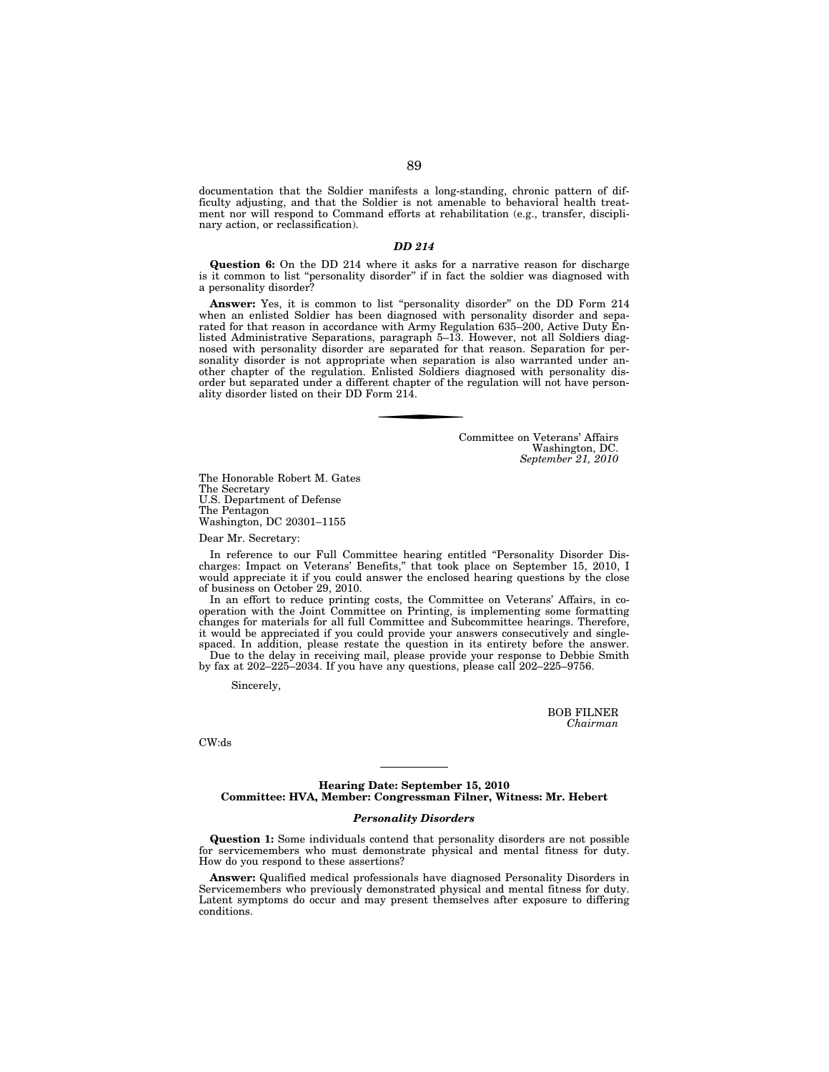documentation that the Soldier manifests a long-standing, chronic pattern of difficulty adjusting, and that the Soldier is not amenable to behavioral health treatment nor will respond to Command efforts at rehabilitation (e.g., transfer, disciplinary action, or reclassification).

# *DD 214*

**Question 6:** On the DD 214 where it asks for a narrative reason for discharge is it common to list ''personality disorder'' if in fact the soldier was diagnosed with a personality disorder?

Answer: Yes, it is common to list "personality disorder" on the DD Form 214 when an enlisted Soldier has been diagnosed with personality disorder and separated for that reason in accordance with Army Regulation 635–200, Active Duty Enlisted Administrative Separations, paragraph 5–13. However, not all Soldiers diagnosed with personality disorder are separated for that reason. Separation for personality disorder is not appropriate when separation is also warranted under another chapter of the regulation. Enlisted Soldiers diagnosed with personality disorder but separated under a different chapter of the regulation will not have personality disorder listed on their DD Form 214.

> Committee on Veterans' Affairs Washington, DC. *September 21, 2010*

The Honorable Robert M. Gates The Secretary U.S. Department of Defense The Pentagon Washington, DC 20301-1155

Dear Mr. Secretary:

In reference to our Full Committee hearing entitled "Personality Disorder Discharges: Impact on Veterans' Benefits,'' that took place on September 15, 2010, I would appreciate it if you could answer the enclosed hearing questions by the close of business on October 29, 2010.

In an effort to reduce printing costs, the Committee on Veterans' Affairs, in cooperation with the Joint Committee on Printing, is implementing some formatting changes for materials for all full Committee and Subcommittee hearings. Therefore, it would be appreciated if you could provide your answers consecutively and singlespaced. In addition, please restate the question in its entirety before the answer.

Due to the delay in receiving mail, please provide your response to Debbie Smith by fax at 202–225–2034. If you have any questions, please call 202–225–9756.

Sincerely,

BOB FILNER *Chairman* 

CW:ds

# **Hearing Date: September 15, 2010 Committee: HVA, Member: Congressman Filner, Witness: Mr. Hebert**

## *Personality Disorders*

**Question 1:** Some individuals contend that personality disorders are not possible for servicemembers who must demonstrate physical and mental fitness for duty. How do you respond to these assertions?

**Answer:** Qualified medical professionals have diagnosed Personality Disorders in Servicemembers who previously demonstrated physical and mental fitness for duty. Latent symptoms do occur and may present themselves after exposure to differing conditions.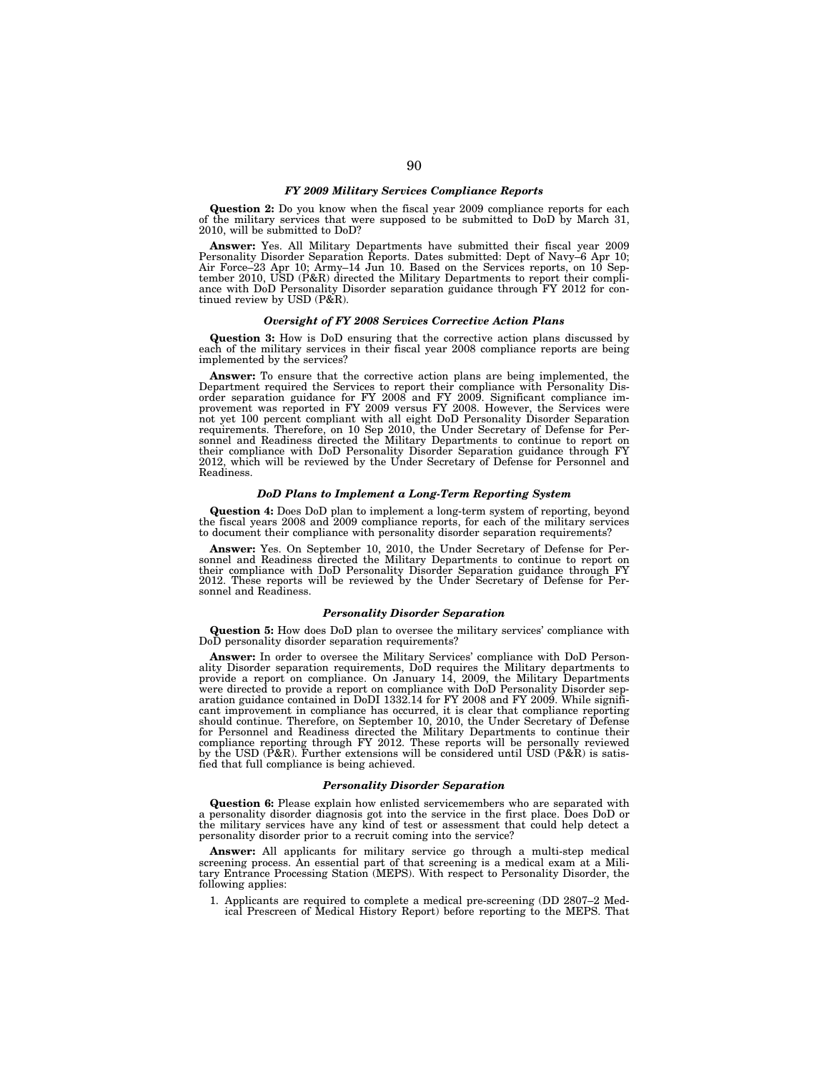#### *FY 2009 Military Services Compliance Reports*

**Question 2:** Do you know when the fiscal year 2009 compliance reports for each of the military services that were supposed to be submitted to DoD by March 31, 2010, will be submitted to DoD?

**Answer:** Yes. All Military Departments have submitted their fiscal year 2009 Personality Disorder Separation Reports. Dates submitted: Dept of Navy–6 Apr 10; Air Force–23 Apr 10; Army–14 Jun 10. Based on the Services reports, on 10 September 2010, USD (P&R) directed the Military Departments to report their compliance with DoD Personality Disorder separation guidance through FY 2012 for continued review by USD  $(P\&R)$ .

# *Oversight of FY 2008 Services Corrective Action Plans*

**Question 3:** How is DoD ensuring that the corrective action plans discussed by each of the military services in their fiscal year 2008 compliance reports are being implemented by the services?

**Answer:** To ensure that the corrective action plans are being implemented, the Department required the Services to report their compliance with Personality Dis-order separation guidance for FY 2008 and FY 2009. Significant compliance improvement was reported in FY 2009 versus FY 2008. However, the Services were not yet 100 percent compliant with all eight DoD Personality Disorder Separation requirements. Therefore, on 10 Sep 2010, the Under Secretary of Defense for Per-sonnel and Readiness directed the Military Departments to continue to report on their compliance with DoD Personality Disorder Separation guidance through FY 2012, which will be reviewed by the Under Secretary of Defense for Personnel and Readiness.

## *DoD Plans to Implement a Long-Term Reporting System*

**Question 4:** Does DoD plan to implement a long-term system of reporting, beyond the fiscal years 2008 and 2009 compliance reports, for each of the military services to document their compliance with personality disorder separation requirements?

**Answer:** Yes. On September 10, 2010, the Under Secretary of Defense for Personnel and Readiness directed the Military Departments to continue to report on their compliance with DoD Personality Disorder Separation guidance through FY 2012. These reports will be reviewed by the Under Secretary of Defense for Personnel and Readiness.

#### *Personality Disorder Separation*

**Question 5:** How does DoD plan to oversee the military services' compliance with DoD personality disorder separation requirements?

**Answer:** In order to oversee the Military Services' compliance with DoD Personality Disorder separation requirements, DoD requires the Military departments to<br>provide a report on compliance. On January 14, 2009, the Military Departments<br>were directed to provide a report on compliance with DoD Person cant improvement in compliance has occurred, it is clear that compliance reporting should continue. Therefore, on September 10, 2010, the Under Secretary of Defense for Personnel and Readiness directed the Military Departments to continue their<br>compliance reporting through FY 2012. These reports will be personally reviewed<br>by the USD (P&R). Further extensions will be considered until fied that full compliance is being achieved.

#### *Personality Disorder Separation*

**Question 6:** Please explain how enlisted servicemembers who are separated with a personality disorder diagnosis got into the service in the first place. Does DoD or the military services have any kind of test or assessment that could help detect a personality disorder prior to a recruit coming into the service?

**Answer:** All applicants for military service go through a multi-step medical screening process. An essential part of that screening is a medical exam at a Military Entrance Processing Station (MEPS). With respect to Personality Disorder, the following applies:

1. Applicants are required to complete a medical pre-screening (DD 2807–2 Med-ical Prescreen of Medical History Report) before reporting to the MEPS. That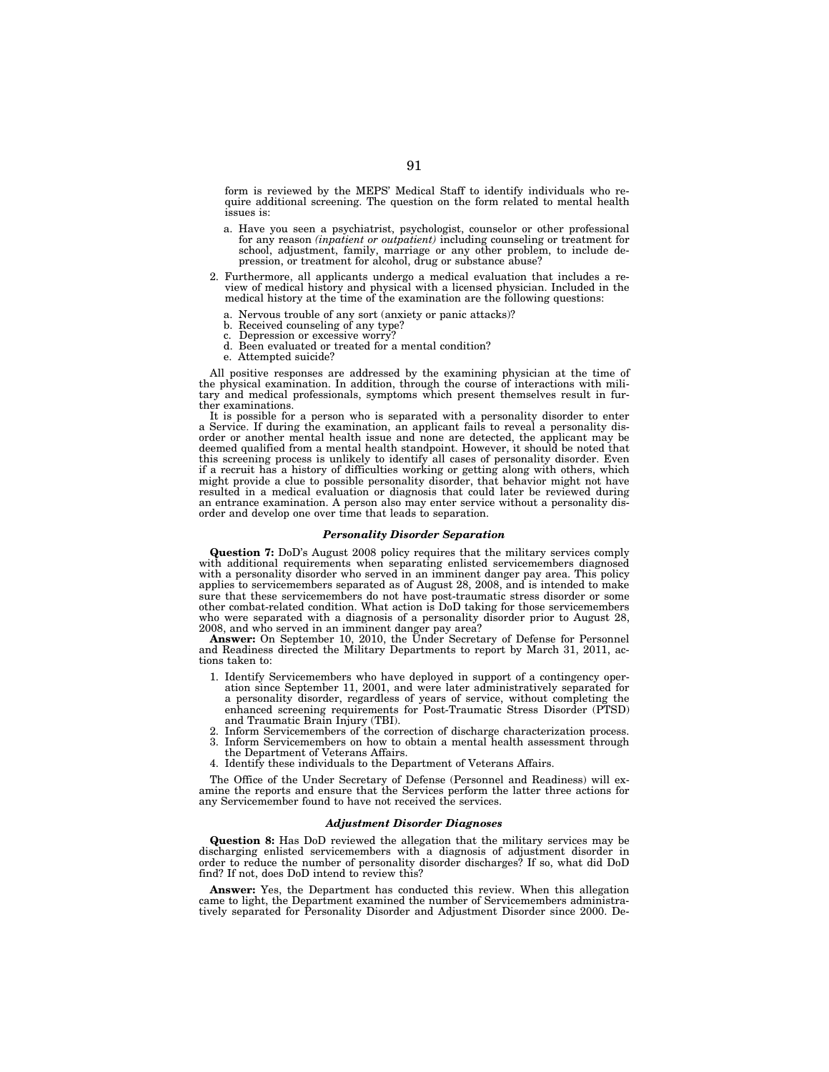form is reviewed by the MEPS' Medical Staff to identify individuals who require additional screening. The question on the form related to mental health issues is:

- a. Have you seen a psychiatrist, psychologist, counselor or other professional for any reason *(inpatient or outpatient)* including counseling or treatment for school, adjustment, family, marriage or any other problem, to include depression, or treatment for alcohol, drug or substance abuse?
- 2. Furthermore, all applicants undergo a medical evaluation that includes a review of medical history and physical with a licensed physician. Included in the medical history at the time of the examination are the following questions:
	- a. Nervous trouble of any sort (anxiety or panic attacks)?
	- b. Received counseling of any type?
	- c. Depression or excessive worry?
	- d. Been evaluated or treated for a mental condition?
	- e. Attempted suicide?

All positive responses are addressed by the examining physician at the time of the physical examination. In addition, through the course of interactions with mili-tary and medical professionals, symptoms which present themselves result in further examinations.

It is possible for a person who is separated with a personality disorder to enter a Service. If during the examination, an applicant fails to reveal a personality disorder or another mental health issue and none are detected, the applicant may be deemed qualified from a mental health standpoint. However, it should be noted that this screening process is unlikely to identify all cases of personality disorder. Even if a recruit has a history of difficulties working or getting along with others, which might provide a clue to possible personality disorder, that behavior might not have resulted in a medical evaluation or diagnosis that could later be reviewed during an entrance examination. A person also may enter service without a personality disorder and develop one over time that leads to separation.

# *Personality Disorder Separation*

**Question 7:** DoD's August 2008 policy requires that the military services comply with additional requirements when separating enlisted servicemembers diagnosed with a personality disorder who served in an imminent danger pay area. This policy applies to servicemembers separated as of August 28, 2008, and is intended to make sure that these servicemembers do not have post-traumatic stress disorder or some other combat-related condition. What action is DoD taking for those servicemembers who were separated with a diagnosis of a personality disorder prior to August 28, 2008, and who served in an imminent danger pay area?

**Answer:** On September 10, 2010, the Under Secretary of Defense for Personnel and Readiness directed the Military Departments to report by March 31, 2011, actions taken to:

- 1. Identify Servicemembers who have deployed in support of a contingency operation since September 11, 2001, and were later administratively separated for a personality disorder, regardless of years of service, without completing the enhanced screening requirements for Post-Traumatic Stress Disorder (PTSD) and Traumatic Brain Injury (TBI).
- 2. Inform Servicemembers of the correction of discharge characterization process.
- Inform Servicemembers on how to obtain a mental health assessment through the Department of Veterans Affairs.
- 4. Identify these individuals to the Department of Veterans Affairs.

The Office of the Under Secretary of Defense (Personnel and Readiness) will examine the reports and ensure that the Services perform the latter three actions for any Servicemember found to have not received the services.

#### *Adjustment Disorder Diagnoses*

**Question 8:** Has DoD reviewed the allegation that the military services may be discharging enlisted servicemembers with a diagnosis of adjustment disorder in order to reduce the number of personality disorder discharges? If so, what did DoD find? If not, does DoD intend to review this?

**Answer:** Yes, the Department has conducted this review. When this allegation came to light, the Department examined the number of Servicemembers administratively separated for Personality Disorder and Adjustment Disorder since 2000. De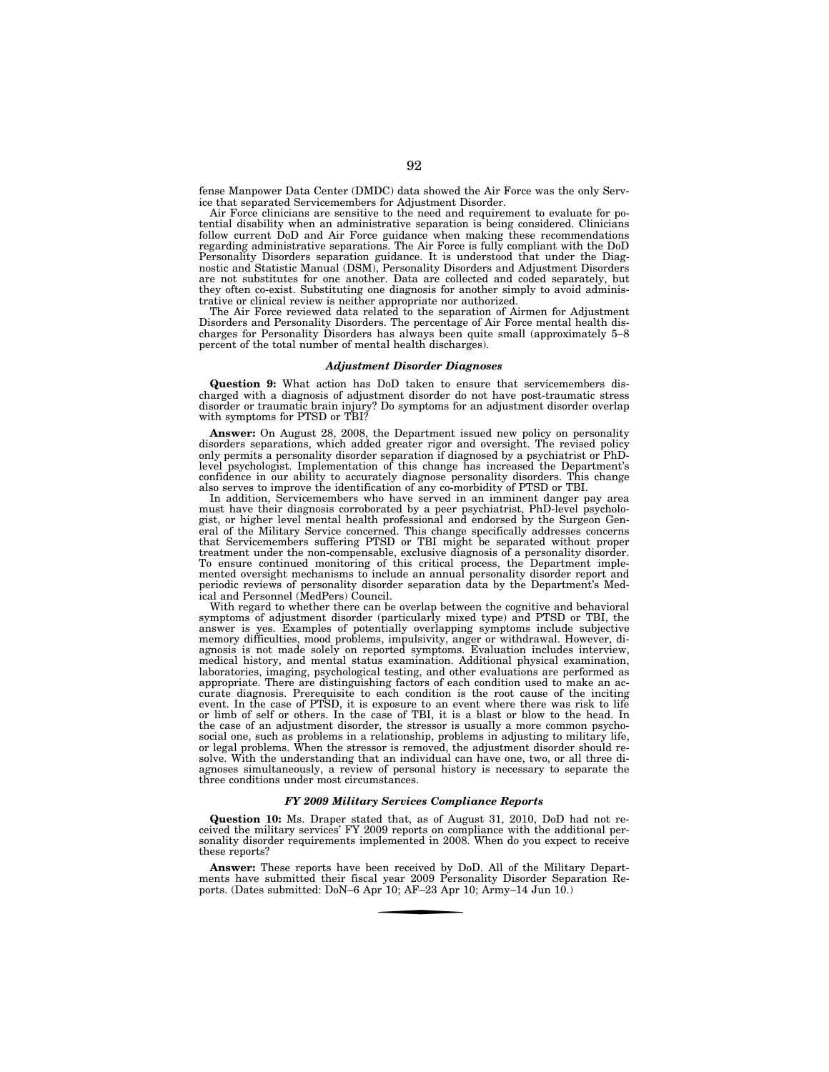fense Manpower Data Center (DMDC) data showed the Air Force was the only Service that separated Servicemembers for Adjustment Disorder.

Air Force clinicians are sensitive to the need and requirement to evaluate for potential disability when an administrative separation is being considered. Clinicians follow current DoD and Air Force guidance when making these recommendations regarding administrative separations. The Air Force is fully compliant with the DoD Personality Disorders separation guidance. It is understood that under the Diagnostic and Statistic Manual (DSM), Personality Disorders and Adjustment Disorders are not substitutes for one another. Data are collected and coded separately, but they often co-exist. Substituting one diagnosis for another simply to avoid administrative or clinical review is neither appropriate nor authorized.

The Air Force reviewed data related to the separation of Airmen for Adjustment Disorders and Personality Disorders. The percentage of Air Force mental health discharges for Personality Disorders has always been quite small (approximately 5–8 percent of the total number of mental health discharges).

#### *Adjustment Disorder Diagnoses*

**Question 9:** What action has DoD taken to ensure that servicemembers discharged with a diagnosis of adjustment disorder do not have post-traumatic stress disorder or traumatic brain injury? Do symptoms for an adjustment disorder overlap with symptoms for PTSD or TBI?

**Answer:** On August 28, 2008, the Department issued new policy on personality disorders separations, which added greater rigor and oversight. The revised policy only permits a personality disorder separation if diagnosed by a psychiatrist or PhDlevel psychologist. Implementation of this change has increased the Department's confidence in our ability to accurately diagnose personality disorders. This change also serves to improve the identification of any co-morbidity of PTSD or TBI.

In addition, Servicemembers who have served in an imminent danger pay area must have their diagnosis corroborated by a peer psychiatrist, PhD-level psychologist, or higher level mental health professional and endorsed by the Surgeon General of the Military Service concerned. This change specifically addresses concerns that Servicemembers suffering PTSD or TBI might be separated without proper treatment under the non-compensable, exclusive diagnosis of a personality disorder. To ensure continued monitoring of this critical process, the Department implemented oversight mechanisms to include an annual personality disorder report and periodic reviews of personality disorder separation data by the Department's Medical and Personnel (MedPers) Council.

With regard to whether there can be overlap between the cognitive and behavioral symptoms of adjustment disorder (particularly mixed type) and PTSD or TBI, the answer is yes. Examples of potentially overlapping symptoms include subjective memory difficulties, mood problems, impulsivity, anger or withdrawal. However, diagnosis is not made solely on reported symptoms. Evaluation includes interview, medical history, and mental status examination. Additional physical examination, laboratories, imaging, psychological testing, and other evaluations are performed as appropriate. There are distinguishing factors of each condition used to make an accurate diagnosis. Prerequisite to each condition is the root cause of the inciting event. In the case of PTSD, it is exposure to an event where there was risk to life or limb of self or others. In the case of TBI, it is a blast or blow to the head. In the case of an adjustment disorder, the stressor is usually a more common psychosocial one, such as problems in a relationship, problems in adjusting to military life, or legal problems. When the stressor is removed, the adjustment disorder should resolve. With the understanding that an individual can have one, two, or all three diagnoses simultaneously, a review of personal history is necessary to separate the three conditions under most circumstances.

## *FY 2009 Military Services Compliance Reports*

**Question 10:** Ms. Draper stated that, as of August 31, 2010, DoD had not received the military services' FY 2009 reports on compliance with the additional personality disorder requirements implemented in 2008. When do you expect to receive these reports?

**Answer:** These reports have been received by DoD. All of the Military Departments have submitted their fiscal year 2009 Personality Disorder Separation Reports. (Dates submitted: DoN–6 Apr 10; AF–23 Apr 10; Army–14 Jun 10.)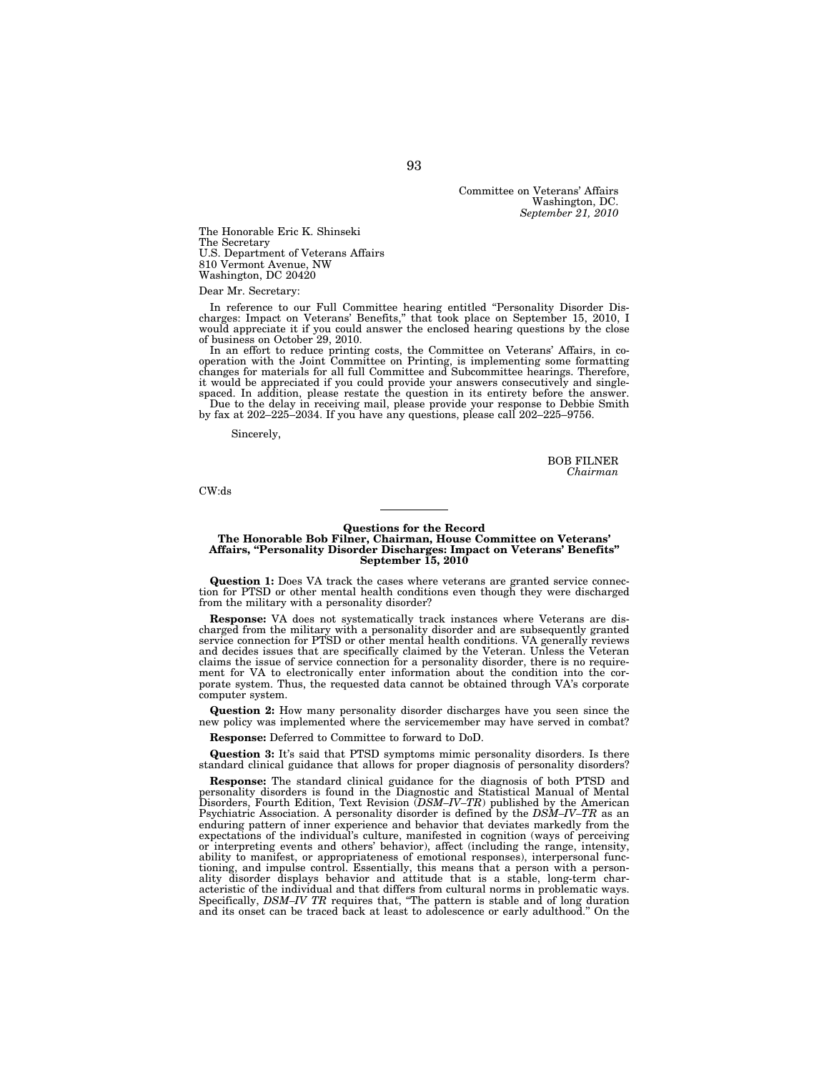Committee on Veterans' Affairs Washington, DC. *September 21, 2010* 

The Honorable Eric K. Shinseki The Secretary U.S. Department of Veterans Affairs 810 Vermont Avenue, NW Washington, DC 20420

Dear Mr. Secretary:

In reference to our Full Committee hearing entitled ''Personality Disorder Discharges: Impact on Veterans' Benefits,'' that took place on September 15, 2010, I would appreciate it if you could answer the enclosed hearing questions by the close of business on October 29, 2010.

In an effort to reduce printing costs, the Committee on Veterans' Affairs, in cooperation with the Joint Committee on Printing, is implementing some formatting changes for materials for all full Committee and Subcommittee hearings. Therefore, it would be appreciated if you could provide your answers consecutively and singlespaced. In addition, please restate the question in its entirety before the answer. Due to the delay in receiving mail, please provide your response to Debbie Smith

by fax at 202–225–2034. If you have any questions, please call 202–225–9756.

Sincerely,

BOB FILNER *Chairman* 

CW:ds

#### **Questions for the Record The Honorable Bob Filner, Chairman, House Committee on Veterans'**  Affairs, "Personality Disorder Discharges: Impact on Veterans' Benefits" **September 15, 2010**

**Question 1:** Does VA track the cases where veterans are granted service connection for PTSD or other mental health conditions even though they were discharged from the military with a personality disorder?

**Response:** VA does not systematically track instances where Veterans are discharged from the military with a personality disorder and are subsequently granted service connection for PTSD or other mental health conditions. VA generally reviews and decides issues that are specifically claimed by the Veteran. Unless the Veteran claims the issue of service connection for a personality disorder, there is no requirement for VA to electronically enter information about the condition into the corporate system. Thus, the requested data cannot be obtained through VA's corporate computer system.

**Question 2:** How many personality disorder discharges have you seen since the new policy was implemented where the servicemember may have served in combat?

**Response:** Deferred to Committee to forward to DoD.

**Question 3:** It's said that PTSD symptoms mimic personality disorders. Is there standard clinical guidance that allows for proper diagnosis of personality disorders?

**Response:** The standard clinical guidance for the diagnosis of both PTSD and personality disorders is found in the Diagnostic and Statistical Manual of Mental Disorders, Fourth Edition, Text Revision (*DSM–IV–TR*) published by the American Psychiatric Association. A personality disorder is defined by the *DSM–IV–TR* as an enduring pattern of inner experience and behavior that deviates markedly from the expectations of the individual's culture, manifested in cognition (ways of perceiving or interpreting events and others' behavior), affect (including the range, intensity, ability to manifest, or appropriateness of emotional responses), interpersonal functioning, and impulse control. Essentially, this means that a person with a personality disorder displays behavior and attitude that is a stable, long-term characteristic of the individual and that differs from cultural norms in problematic ways. Specifically, *DSM–IV TR* requires that, "The pattern is stable and of long duration and its onset can be traced back at least to adolescence or early adulthood." On the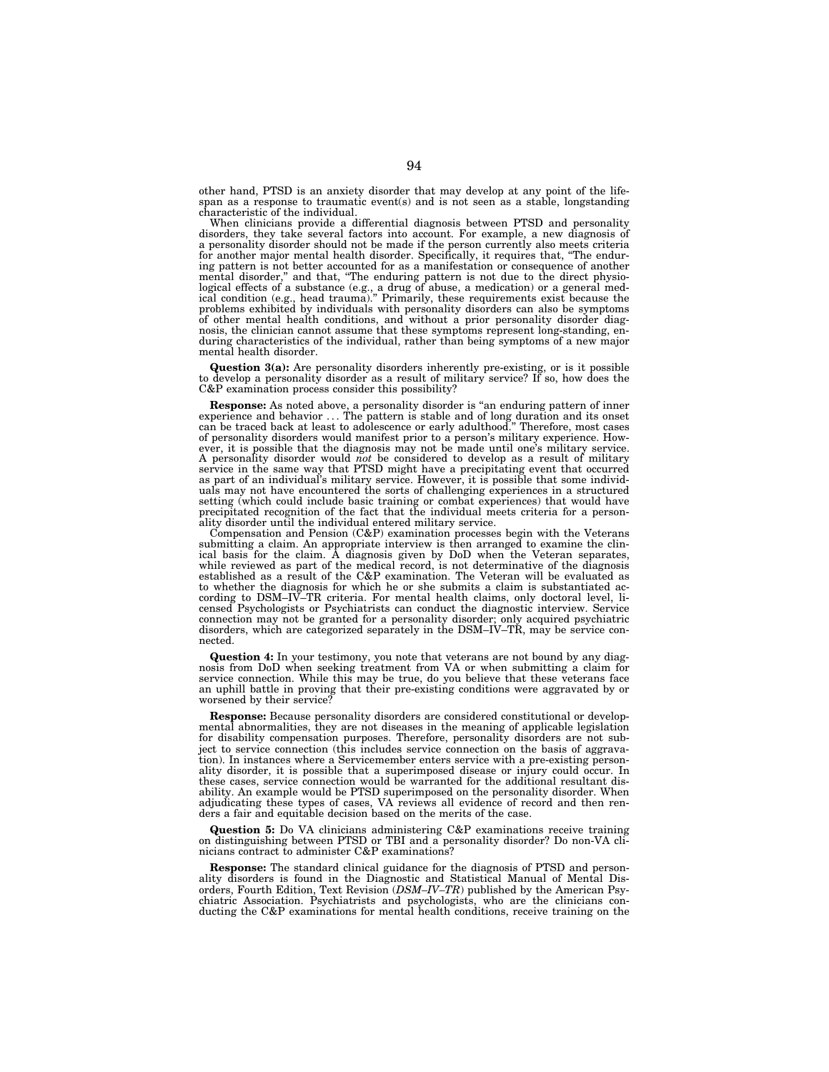other hand, PTSD is an anxiety disorder that may develop at any point of the lifespan as a response to traumatic event(s) and is not seen as a stable, longstanding characteristic of the individual.

When clinicians provide a differential diagnosis between PTSD and personality disorders, they take several factors into account. For example, a new diagnosis of a personality disorder should not be made if the person currently also meets criteria for another major mental health disorder. Specifically, it requires that, ''The enduring pattern is not better accounted for as a manifestation or consequence of another mental disorder,'' and that, ''The enduring pattern is not due to the direct physiological effects of a substance (e.g., a drug of abuse, a medication) or a general med-<br>ical condition (e.g., head trauma)." Primarily, these requirements exist because the problems exhibited by individuals with personality disorders can also be symptoms of other mental health conditions, and without a prior personality disorder diagnosis, the clinician cannot assume that these symptoms represent long-standing, enduring characteristics of the individual, rather than being symptoms of a new major mental health disorder.

**Question 3(a):** Are personality disorders inherently pre-existing, or is it possible to develop a personality disorder as a result of military service? If so, how does the C&P examination process consider this possibility?

**Response:** As noted above, a personality disorder is "an enduring pattern of inner experience and behavior ... The pattern is stable and of long duration and its onset can be traced back at least to adolescence or early a of personality disorders would manifest prior to a person's military experience. However, it is possible that the diagnosis may not be made until one's military service. A personality disorder would *not* be considered to develop as a result of military service in the same way that PTSD might have a precipitating event that occurred as part of an individual's military service. However, it is possible that some individ-uals may not have encountered the sorts of challenging experiences in a structured setting (which could include basic training or combat experiences) that would have precipitated recognition of the fact that the individual meets criteria for a personality disorder until the individual entered military service. Compensation and Pension (C&P) examination processes begin with the Veterans

submitting a claim. An appropriate interview is then arranged to examine the clin-ical basis for the claim. A diagnosis given by DoD when the Veteran separates, while reviewed as part of the medical record, is not determinative of the diagnosis established as a result of the C&P examination. The Veteran will be evaluated as to whether the diagnosis for which he or she submits a claim is substantiated ac-cording to DSM–IV–TR criteria. For mental health claims, only doctoral level, licensed Psychologists or Psychiatrists can conduct the diagnostic interview. Service connection may not be granted for a personality disorder; only acquired psychiatric disorders, which are categorized separately in the DSM–IV–TR, may be service connected.

**Question 4:** In your testimony, you note that veterans are not bound by any diagnosis from DoD when seeking treatment from VA or when submitting a claim for service connection. While this may be true, do you believe that these veterans face an uphill battle in proving that their pre-existing conditions were aggravated by or worsened by their service?

**Response:** Because personality disorders are considered constitutional or developmental abnormalities, they are not diseases in the meaning of applicable legislation for disability compensation purposes. Therefore, personality disorders are not subject to service connection (this includes service connection on the basis of aggravation). In instances where a Servicemember enters service with a pre-existing personality disorder, it is possible that a superimposed disease or injury could occur. In these cases, service connection would be warranted for the additional resultant disability. An example would be PTSD superimposed on the personality disorder. When adjudicating these types of cases, VA reviews all evidence of record and then renders a fair and equitable decision based on the merits of the case.

**Question 5:** Do VA clinicians administering C&P examinations receive training on distinguishing between PTSD or TBI and a personality disorder? Do non-VA clinicians contract to administer C&P examinations?

**Response:** The standard clinical guidance for the diagnosis of PTSD and personality disorders is found in the Diagnostic and Statistical Manual of Mental Disorders, Fourth Edition, Text Revision (*DSM–IV–TR*) published by the American Psychiatric Association. Psychiatrists and psychologists, who are the clinicians con-ducting the C&P examinations for mental health conditions, receive training on the